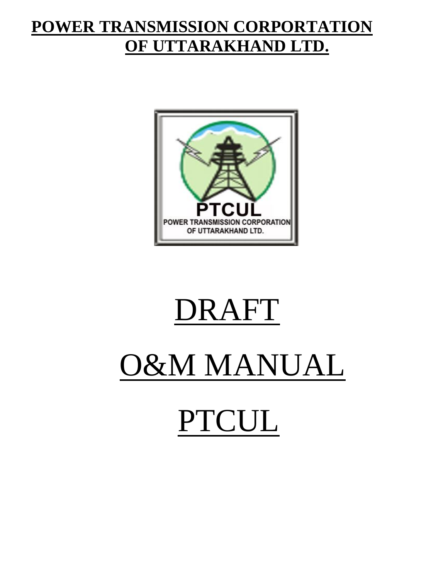# **POWER TRANSMISSION CORPORTATION OF UTTARAKHAND LTD.**



# DRAFT O&M MANUAL PTCUL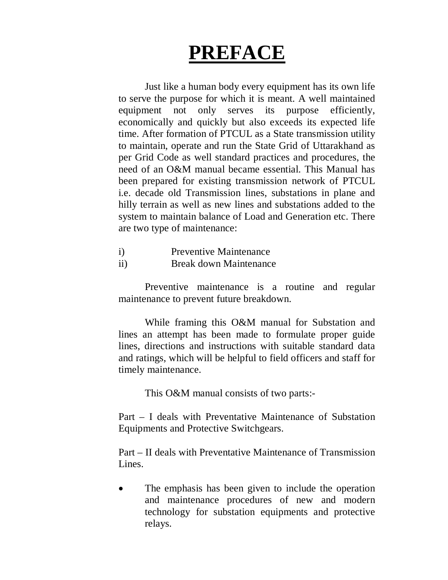# **PREFACE**

Just like a human body every equipment has its own life to serve the purpose for which it is meant. A well maintained equipment not only serves its purpose efficiently, economically and quickly but also exceeds its expected life time. After formation of PTCUL as a State transmission utility to maintain, operate and run the State Grid of Uttarakhand as per Grid Code as well standard practices and procedures, the need of an O&M manual became essential. This Manual has been prepared for existing transmission network of PTCUL i.e. decade old Transmission lines, substations in plane and hilly terrain as well as new lines and substations added to the system to maintain balance of Load and Generation etc. There are two type of maintenance:

- i) Preventive Maintenance
- ii) Break down Maintenance

Preventive maintenance is a routine and regular maintenance to prevent future breakdown.

While framing this O&M manual for Substation and lines an attempt has been made to formulate proper guide lines, directions and instructions with suitable standard data and ratings, which will be helpful to field officers and staff for timely maintenance.

This O&M manual consists of two parts:-

Part – I deals with Preventative Maintenance of Substation Equipments and Protective Switchgears.

Part – II deals with Preventative Maintenance of Transmission Lines.

 The emphasis has been given to include the operation and maintenance procedures of new and modern technology for substation equipments and protective relays.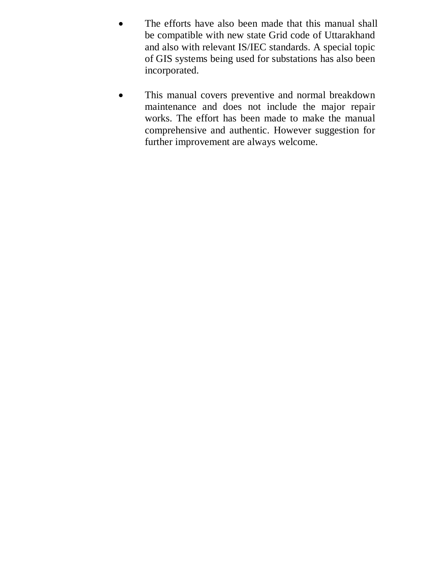- The efforts have also been made that this manual shall be compatible with new state Grid code of Uttarakhand and also with relevant IS/IEC standards. A special topic of GIS systems being used for substations has also been incorporated.
- This manual covers preventive and normal breakdown maintenance and does not include the major repair works. The effort has been made to make the manual comprehensive and authentic. However suggestion for further improvement are always welcome.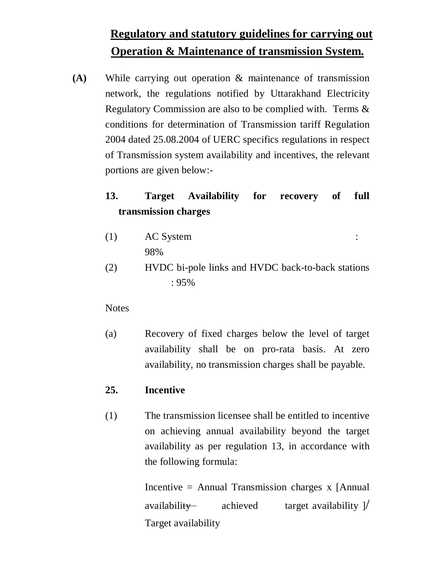# **Regulatory and statutory guidelines for carrying out Operation & Maintenance of transmission System.**

**(A)** While carrying out operation & maintenance of transmission network, the regulations notified by Uttarakhand Electricity Regulatory Commission are also to be complied with. Terms & conditions for determination of Transmission tariff Regulation 2004 dated 25.08.2004 of UERC specifics regulations in respect of Transmission system availability and incentives, the relevant portions are given below:-

# **13. Target Availability for recovery of full transmission charges**

- (1) AC System : 98%
- (2) HVDC bi-pole links and HVDC back-to-back stations : 95%

# **Notes**

(a) Recovery of fixed charges below the level of target availability shall be on pro-rata basis. At zero availability, no transmission charges shall be payable.

# **25. Incentive**

(1) The transmission licensee shall be entitled to incentive on achieving annual availability beyond the target availability as per regulation 13, in accordance with the following formula:

> Incentive = Annual Transmission charges x [Annual availability achieved target availability  $\frac{1}{2}$ Target availability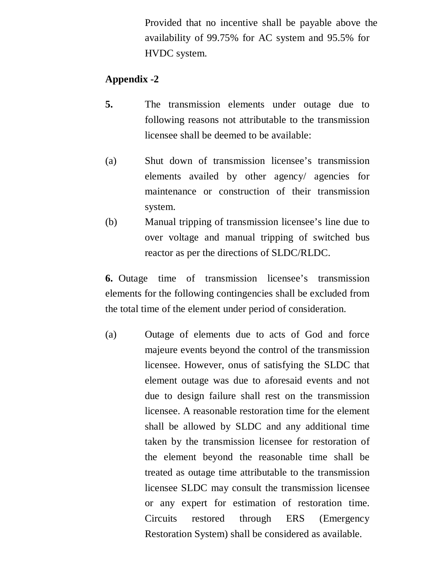Provided that no incentive shall be payable above the availability of 99.75% for AC system and 95.5% for HVDC system.

# **Appendix -2**

- **5.** The transmission elements under outage due to following reasons not attributable to the transmission licensee shall be deemed to be available:
- (a) Shut down of transmission licensee's transmission elements availed by other agency/ agencies for maintenance or construction of their transmission system.
- (b) Manual tripping of transmission licensee's line due to over voltage and manual tripping of switched bus reactor as per the directions of SLDC/RLDC.

**6.** Outage time of transmission licensee's transmission elements for the following contingencies shall be excluded from the total time of the element under period of consideration.

(a) Outage of elements due to acts of God and force majeure events beyond the control of the transmission licensee. However, onus of satisfying the SLDC that element outage was due to aforesaid events and not due to design failure shall rest on the transmission licensee. A reasonable restoration time for the element shall be allowed by SLDC and any additional time taken by the transmission licensee for restoration of the element beyond the reasonable time shall be treated as outage time attributable to the transmission licensee SLDC may consult the transmission licensee or any expert for estimation of restoration time. Circuits restored through ERS (Emergency Restoration System) shall be considered as available.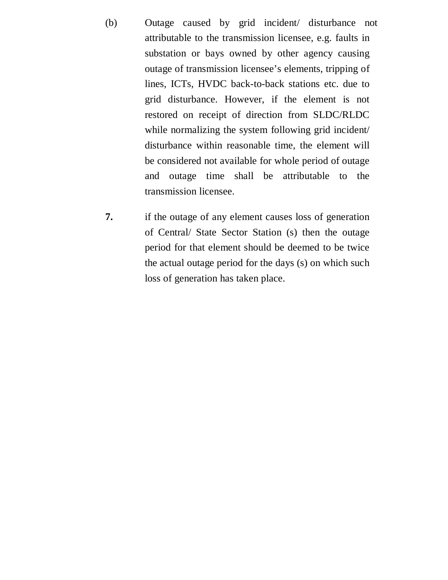- (b) Outage caused by grid incident/ disturbance not attributable to the transmission licensee, e.g. faults in substation or bays owned by other agency causing outage of transmission licensee's elements, tripping of lines, ICTs, HVDC back-to-back stations etc. due to grid disturbance. However, if the element is not restored on receipt of direction from SLDC/RLDC while normalizing the system following grid incident/ disturbance within reasonable time, the element will be considered not available for whole period of outage and outage time shall be attributable to the transmission licensee.
- **7.** if the outage of any element causes loss of generation of Central/ State Sector Station (s) then the outage period for that element should be deemed to be twice the actual outage period for the days (s) on which such loss of generation has taken place.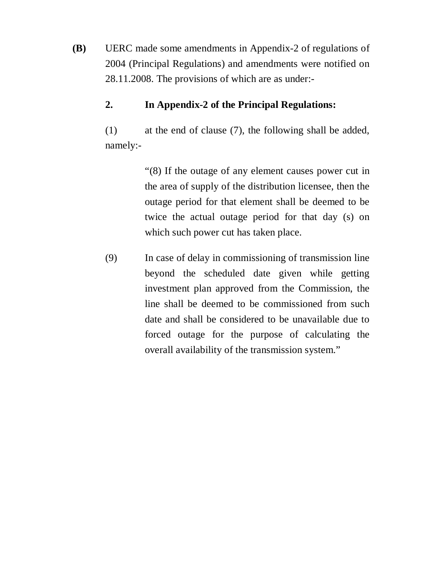**(B)** UERC made some amendments in Appendix-2 of regulations of 2004 (Principal Regulations) and amendments were notified on 28.11.2008. The provisions of which are as under:-

# **2. In Appendix-2 of the Principal Regulations:**

(1) at the end of clause (7), the following shall be added, namely:-

> "(8) If the outage of any element causes power cut in the area of supply of the distribution licensee, then the outage period for that element shall be deemed to be twice the actual outage period for that day (s) on which such power cut has taken place.

(9) In case of delay in commissioning of transmission line beyond the scheduled date given while getting investment plan approved from the Commission, the line shall be deemed to be commissioned from such date and shall be considered to be unavailable due to forced outage for the purpose of calculating the overall availability of the transmission system."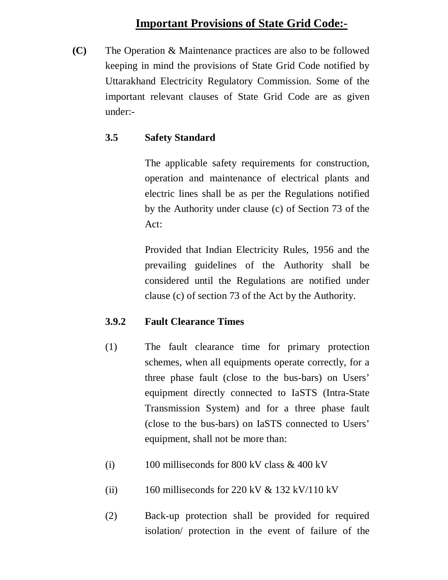# **Important Provisions of State Grid Code:-**

**(C)** The Operation & Maintenance practices are also to be followed keeping in mind the provisions of State Grid Code notified by Uttarakhand Electricity Regulatory Commission. Some of the important relevant clauses of State Grid Code are as given under:-

# **3.5 Safety Standard**

The applicable safety requirements for construction, operation and maintenance of electrical plants and electric lines shall be as per the Regulations notified by the Authority under clause (c) of Section 73 of the Act:

Provided that Indian Electricity Rules, 1956 and the prevailing guidelines of the Authority shall be considered until the Regulations are notified under clause (c) of section 73 of the Act by the Authority.

# **3.9.2 Fault Clearance Times**

- (1) The fault clearance time for primary protection schemes, when all equipments operate correctly, for a three phase fault (close to the bus-bars) on Users' equipment directly connected to IaSTS (Intra-State Transmission System) and for a three phase fault (close to the bus-bars) on IaSTS connected to Users' equipment, shall not be more than:
- (i) 100 milliseconds for 800 kV class  $& 400$  kV
- (ii) 160 milliseconds for 220 kV  $&$  132 kV/110 kV
- (2) Back-up protection shall be provided for required isolation/ protection in the event of failure of the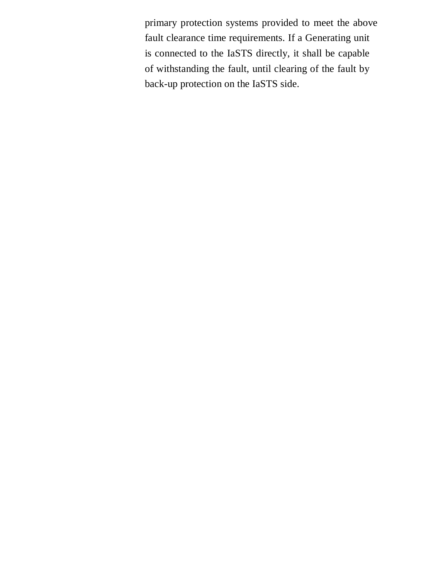primary protection systems provided to meet the above fault clearance time requirements. If a Generating unit is connected to the IaSTS directly, it shall be capable of withstanding the fault, until clearing of the fault by back-up protection on the IaSTS side.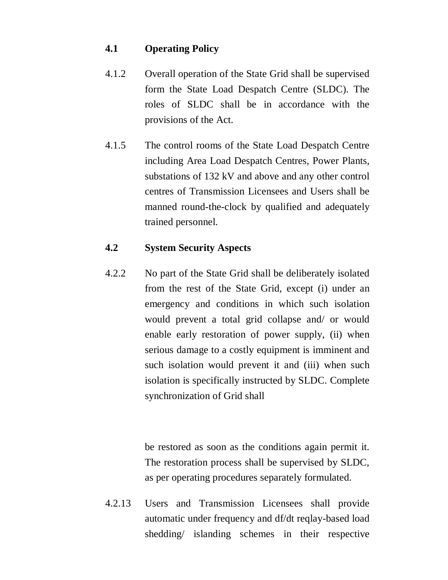# **4.1 Operating Policy**

- 4.1.2 Overall operation of the State Grid shall be supervised form the State Load Despatch Centre (SLDC). The roles of SLDC shall be in accordance with the provisions of the Act.
- 4.1.5 The control rooms of the State Load Despatch Centre including Area Load Despatch Centres, Power Plants, substations of 132 kV and above and any other control centres of Transmission Licensees and Users shall be manned round-the-clock by qualified and adequately trained personnel.

# **4.2 System Security Aspects**

4.2.2 No part of the State Grid shall be deliberately isolated from the rest of the State Grid, except (i) under an emergency and conditions in which such isolation would prevent a total grid collapse and/ or would enable early restoration of power supply, (ii) when serious damage to a costly equipment is imminent and such isolation would prevent it and (iii) when such isolation is specifically instructed by SLDC. Complete synchronization of Grid shall

> be restored as soon as the conditions again permit it. The restoration process shall be supervised by SLDC, as per operating procedures separately formulated.

4.2.13 Users and Transmission Licensees shall provide automatic under frequency and df/dt reqlay-based load shedding/ islanding schemes in their respective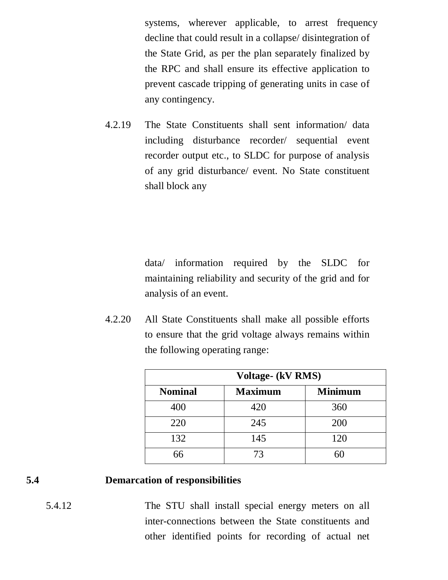systems, wherever applicable, to arrest frequency decline that could result in a collapse/ disintegration of the State Grid, as per the plan separately finalized by the RPC and shall ensure its effective application to prevent cascade tripping of generating units in case of any contingency.

4.2.19 The State Constituents shall sent information/ data including disturbance recorder/ sequential event recorder output etc., to SLDC for purpose of analysis of any grid disturbance/ event. No State constituent shall block any

> data/ information required by the SLDC for maintaining reliability and security of the grid and for analysis of an event.

4.2.20 All State Constituents shall make all possible efforts to ensure that the grid voltage always remains within the following operating range:

| <b>Voltage- (kV RMS)</b> |                |                |  |  |  |  |  |
|--------------------------|----------------|----------------|--|--|--|--|--|
| <b>Nominal</b>           | <b>Maximum</b> | <b>Minimum</b> |  |  |  |  |  |
| 400                      | 420            | 360            |  |  |  |  |  |
| 220                      | 245            | 200            |  |  |  |  |  |
| 132                      | 145            | 120            |  |  |  |  |  |
| 66                       | 73             | 60             |  |  |  |  |  |

# **5.4 Demarcation of responsibilities**

5.4.12 The STU shall install special energy meters on all inter-connections between the State constituents and other identified points for recording of actual net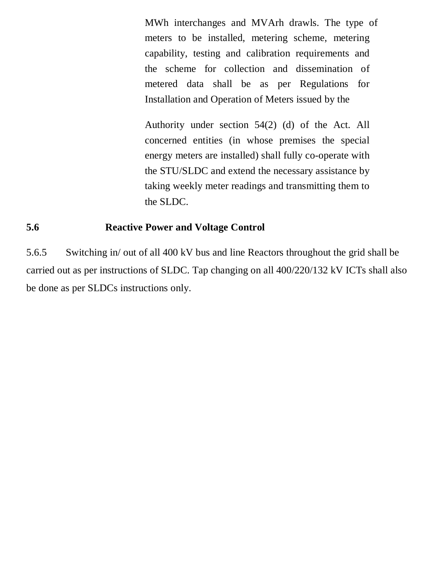MWh interchanges and MVArh drawls. The type of meters to be installed, metering scheme, metering capability, testing and calibration requirements and the scheme for collection and dissemination of metered data shall be as per Regulations for Installation and Operation of Meters issued by the

Authority under section 54(2) (d) of the Act. All concerned entities (in whose premises the special energy meters are installed) shall fully co-operate with the STU/SLDC and extend the necessary assistance by taking weekly meter readings and transmitting them to the SLDC.

# **5.6 Reactive Power and Voltage Control**

5.6.5 Switching in/ out of all 400 kV bus and line Reactors throughout the grid shall be carried out as per instructions of SLDC. Tap changing on all 400/220/132 kV ICTs shall also be done as per SLDCs instructions only.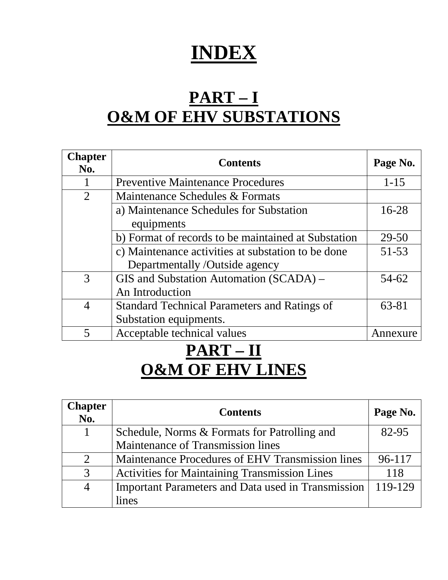# **INDEX**

# **PART – I O&M OF EHV SUBSTATIONS**

| <b>Chapter</b><br>No. | <b>Contents</b>                                     | Page No.  |
|-----------------------|-----------------------------------------------------|-----------|
|                       | <b>Preventive Maintenance Procedures</b>            | $1 - 15$  |
| 2                     | Maintenance Schedules & Formats                     |           |
|                       | a) Maintenance Schedules for Substation             | $16 - 28$ |
|                       | equipments                                          |           |
|                       | b) Format of records to be maintained at Substation | 29-50     |
|                       | c) Maintenance activities at substation to be done  | $51 - 53$ |
|                       | Departmentally /Outside agency                      |           |
| 3                     | GIS and Substation Automation (SCADA) –             | 54-62     |
|                       | An Introduction                                     |           |
| $\overline{4}$        | <b>Standard Technical Parameters and Ratings of</b> | 63-81     |
|                       | Substation equipments.                              |           |
|                       | Acceptable technical values                         | Annexure  |

# **PART – II O&M OF EHV LINES**

| Chapter<br>No. | <b>Contents</b>                                      | Page No. |
|----------------|------------------------------------------------------|----------|
|                | Schedule, Norms & Formats for Patrolling and         | 82-95    |
|                | Maintenance of Transmission lines                    |          |
| 2              | Maintenance Procedures of EHV Transmission lines     | 96-117   |
| 3              | <b>Activities for Maintaining Transmission Lines</b> | 118      |
| $\overline{4}$ | Important Parameters and Data used in Transmission   | 119-129  |
|                | lines                                                |          |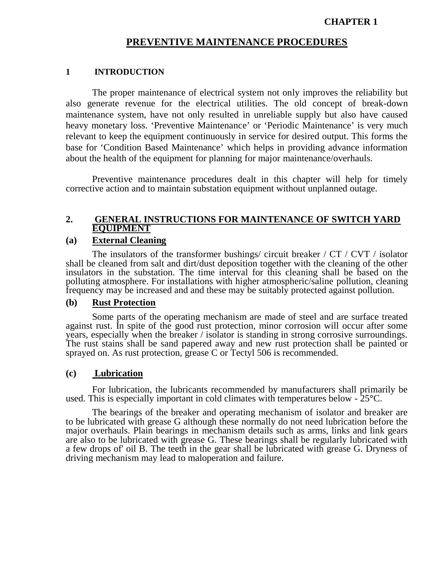#### **CHAPTER 1**

#### **PREVENTIVE MAINTENANCE PROCEDURES**

#### **1 INTRODUCTION**

The proper maintenance of electrical system not only improves the reliability but also generate revenue for the electrical utilities. The old concept of break-down maintenance system, have not only resulted in unreliable supply but also have caused heavy monetary loss. 'Preventive Maintenance' or 'Periodic Maintenance' is very much relevant to keep the equipment continuously in service for desired output. This forms the base for 'Condition Based Maintenance' which helps in providing advance information about the health of the equipment for planning for major maintenance/overhauls.

Preventive maintenance procedures dealt in this chapter will help for timely corrective action and to maintain substation equipment without unplanned outage.

#### **2. GENERAL INSTRUCTIONS FOR MAINTENANCE OF SWITCH YARD EQUIPMENT**

#### **(a) External Cleaning**

The insulators of the transformer bushings/ circuit breaker / CT / CVT / isolator shall be cleaned from salt and dirt/dust deposition together with the cleaning of the other insulators in the substation. The time interval for this cleaning shall be based on the polluting atmosphere. For installations with higher atmospheric/saline pollution, cleaning frequency may be increased and and these may be suitably protected against pollution.

#### **(b) Rust Protection**

Some parts of the operating mechanism are made of steel and are surface treated against rust. In spite of the good rust protection, minor corrosion will occur after some years, especially when the breaker / isolator is standing in strong corrosive surroundings. The rust stains shall be sand papered away and new rust protection shall be painted or sprayed on. As rust protection, grease C or Tectyl 506 is recommended.

#### **(c) Lubrication**

For lubrication, the lubricants recommended by manufacturers shall primarily be used. This is especially important in cold climates with temperatures below - 25°C.

The bearings of the breaker and operating mechanism of isolator and breaker are to be lubricated with grease G although these normally do not need lubrication before the major overhauls. Plain bearings in mechanism details such as arms, links and link gears are also to be lubricated with grease G. These bearings shall be regularly lubricated with a few drops of' oil B. The teeth in the gear shall be lubricated with grease G. Dryness of driving mechanism may lead to maloperation and failure.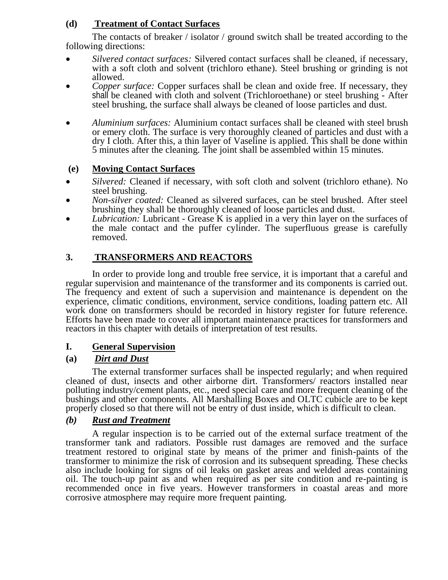# **(d) Treatment of Contact Surfaces**

The contacts of breaker / isolator / ground switch shall be treated according to the following directions:

- *Silvered contact surfaces:* Silvered contact surfaces shall be cleaned, if necessary, with a soft cloth and solvent (trichloro ethane). Steel brushing or grinding is not allowed.
- *Copper surface:* Copper surfaces shall be clean and oxide free. If necessary, they shall be cleaned with cloth and solvent (Trichloroethane) or steel brushing - After steel brushing, the surface shall always be cleaned of loose particles and dust.
- *Aluminium surfaces:* Aluminium contact surfaces shall be cleaned with steel brush or emery cloth. The surface is very thoroughly cleaned of particles and dust with a dry I cloth. After this, a thin layer of Vaseline is applied. This shall be done within 5 minutes after the cleaning. The joint shall be assembled within 15 minutes.

#### **(e) Moving Contact Surfaces**

- *Silvered:* Cleaned if necessary, with soft cloth and solvent (trichloro ethane). No steel brushing.
- *Non-silver coated:* Cleaned as silvered surfaces, can be steel brushed. After steel brushing they shall be thoroughly cleaned of loose particles and dust.
- *Lubrication:* Lubricant Grease K is applied in a very thin layer on the surfaces of the male contact and the puffer cylinder. The superfluous grease is carefully removed.

## **3. TRANSFORMERS AND REACTORS**

In order to provide long and trouble free service, it is important that a careful and regular supervision and maintenance of the transformer and its components is carried out. The frequency and extent of such a supervision and maintenance is dependent on the experience, climatic conditions, environment, service conditions, loading pattern etc. All work done on transformers should be recorded in history register for future reference. Efforts have been made to cover all important maintenance practices for transformers and reactors in this chapter with details of interpretation of test results.

#### **I. General Supervision**

#### **(a)** *Dirt and Dust*

The external transformer surfaces shall be inspected regularly; and when required cleaned of dust, insects and other airborne dirt. Transformers/ reactors installed near polluting industry/cement plants, etc., need special care and more frequent cleaning of the bushings and other components. All Marshalling Boxes and OLTC cubicle are to be kept properly closed so that there will not be entry of dust inside, which is difficult to clean.

#### *(b) Rust and Treatment*

A regular inspection is to be carried out of the external surface treatment of the transformer tank and radiators. Possible rust damages are removed and the surface treatment restored to original state by means of the primer and finish-paints of the transformer to minimize the risk of corrosion and its subsequent spreading. These checks also include looking for signs of oil leaks on gasket areas and welded areas containing oil. The touch-up paint as and when required as per site condition and re-painting is recommended once in five years. However transformers in coastal areas and more corrosive atmosphere may require more frequent painting.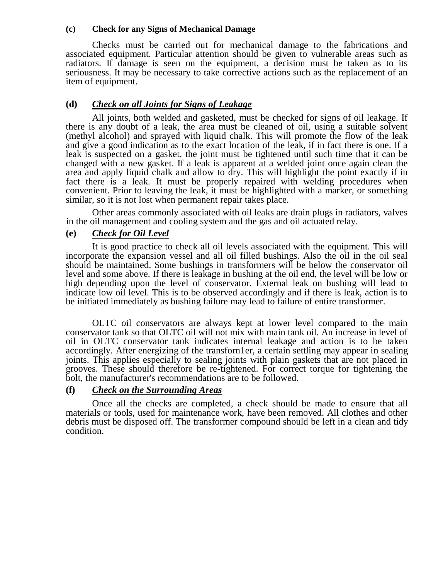#### **(c) Check for any Signs of Mechanical Damage**

Checks must be carried out for mechanical damage to the fabrications and associated equipment. Particular attention should be given to vulnerable areas such as radiators. If damage is seen on the equipment, a decision must be taken as to its seriousness. It may be necessary to take corrective actions such as the replacement of an item of equipment.

#### **(d)** *Check on all Joints for Signs of Leakage*

All joints, both welded and gasketed, must be checked for signs of oil leakage. If there is any doubt of a leak, the area must be cleaned of oil, using a suitable solvent (methyl alcohol) and sprayed with liquid chalk. This will promote the flow of the leak and give a good indication as to the exact location of the leak, if in fact there is one. If a leak is suspected on a gasket, the joint must be tightened until such time that it can be changed with a new gasket. If a leak is apparent at a welded joint once again clean the area and apply liquid chalk and allow to dry. This will highlight the point exactly if in fact there is a leak. It must be properly repaired with welding procedures when convenient. Prior to leaving the leak, it must be highlighted with a marker, or something similar, so it is not lost when permanent repair takes place.

Other areas commonly associated with oil leaks are drain plugs in radiators, valves in the oil management and cooling system and the gas and oil actuated relay.

#### **(e)** *Check for Oil Level*

It is good practice to check all oil levels associated with the equipment. This will incorporate the expansion vessel and all oil filled bushings. Also the oil in the oil seal should be maintained. Some bushings in transformers will be below the conservator oil level and some above. If there is leakage in bushing at the oil end, the level will be low or high depending upon the level of conservator. External leak on bushing will lead to indicate low oil level. This is to be observed accordingly and if there is leak, action is to be initiated immediately as bushing failure may lead to failure of entire transformer.

OLTC oil conservators are always kept at lower level compared to the main conservator tank so that OLTC oil will not mix with main tank oil. An increase in level of oil in OLTC conservator tank indicates internal leakage and action is to be taken accordingly. After energizing of the transforn1er, a certain settling may appear in sealing joints. This applies especially to sealing joints with plain gaskets that are not placed in grooves. These should therefore be re-tightened. For correct torque for tightening the bolt, the manufacturer's recommendations are to be followed.

#### **(f)** *Check on the Surrounding Areas*

Once all the checks are completed, a check should be made to ensure that all materials or tools, used for maintenance work, have been removed. All clothes and other debris must be disposed off. The transformer compound should be left in a clean and tidy condition.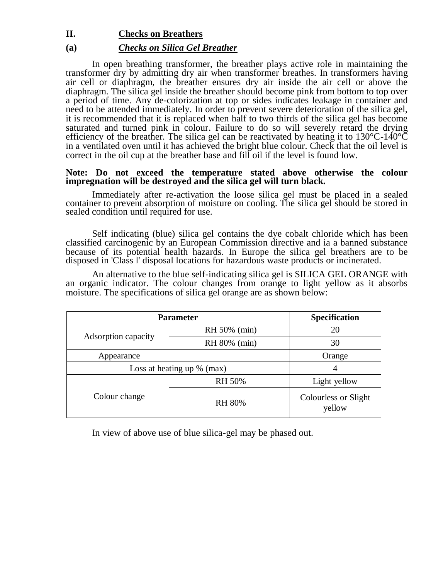#### **II. Checks on Breathers**

#### **(a)** *Checks on Silica Gel Breather*

In open breathing transformer, the breather plays active role in maintaining the transformer dry by admitting dry air when transformer breathes. In transformers having air cell or diaphragm, the breather ensures dry air inside the air cell or above the diaphragm. The silica gel inside the breather should become pink from bottom to top over a period of time. Any de-colorization at top or sides indicates leakage in container and need to be attended immediately. In order to prevent severe deterioration of the silica gel, it is recommended that it is replaced when half to two thirds of the silica gel has become saturated and turned pink in colour. Failure to do so will severely retard the drying efficiency of the breather. The silica gel can be reactivated by heating it to  $130^{\circ}$ C- $140^{\circ}$ C in a ventilated oven until it has achieved the bright blue colour. Check that the oil level is correct in the oil cup at the breather base and fill oil if the level is found low.

#### **Note: Do not exceed the temperature stated above otherwise the colour impregnation will be destroyed and the silica gel will turn black.**

Immediately after re-activation the loose silica gel must be placed in a sealed container to prevent absorption of moisture on cooling. The silica gel should be stored in sealed condition until required for use.

Self indicating (blue) silica gel contains the dye cobalt chloride which has been classified carcinogenic by an European Commission directive and ia a banned substance because of its potential health hazards. In Europe the silica gel breathers are to be disposed in 'Class l' disposal locations for hazardous waste products or incinerated.

An alternative to the blue self-indicating silica gel is SILICA GEL ORANGE with an organic indicator. The colour changes from orange to light yellow as it absorbs moisture. The specifications of silica gel orange are as shown below:

| <b>Parameter</b>             | <b>Specification</b> |                                |
|------------------------------|----------------------|--------------------------------|
|                              | RH 50% (min)         | 20                             |
| Adsorption capacity          | RH 80% (min)         | 30                             |
| Appearance                   | Orange               |                                |
| Loss at heating up $%$ (max) |                      | 4                              |
|                              | <b>RH 50%</b>        | Light yellow                   |
| Colour change                | <b>RH 80%</b>        | Colourless or Slight<br>yellow |

In view of above use of blue silica-gel may be phased out.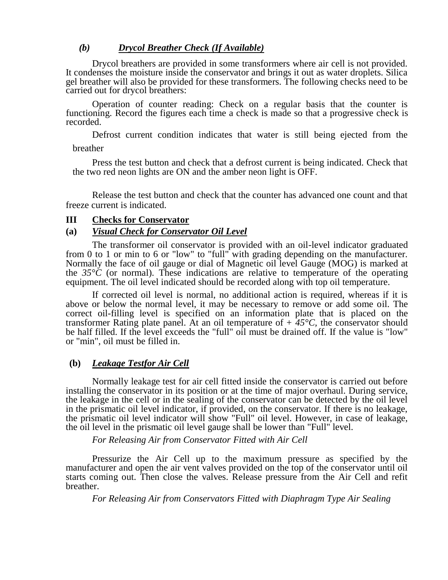#### *(b) Drycol Breather Check (If Available)*

Drycol breathers are provided in some transformers where air cell is not provided. It condenses the moisture inside the conservator and brings it out as water droplets. Silica gel breather will also be provided for these transformers. The following checks need to be carried out for drycol breathers:

Operation of counter reading: Check on a regular basis that the counter is functioning. Record the figures each time a check is made so that a progressive check is recorded.

Defrost current condition indicates that water is still being ejected from the

breather

Press the test button and check that a defrost current is being indicated. Check that the two red neon lights are ON and the amber neon light is OFF.

Release the test button and check that the counter has advanced one count and that freeze current is indicated.

#### **III Checks for Conservator**

#### **(a)** *Visual Check for Conservator Oil Level*

The transformer oil conservator is provided with an oil-level indicator graduated from 0 to 1 or min to 6 or "low" to "full" with grading depending on the manufacturer. Normally the face of oil gauge or dial of Magnetic oil level Gauge (MOG) is marked at the  $35^{\circ}\text{C}$  (or normal). These indications are relative to temperature of the operating equipment. The oil level indicated should be recorded along with top oil temperature.

If corrected oil level is normal, no additional action is required, whereas if it is above or below the normal level, it may be necessary to remove or add some oil. The correct oil-filling level is specified on an information plate that is placed on the transformer Rating plate panel. At an oil temperature of  $+45^{\circ}$ C, the conservator should be half filled. If the level exceeds the "full" oil must be drained off. If the value is "low" or "min", oil must be filled in.

#### **(b)** *Leakage Testfor Air Cell*

Normally leakage test for air cell fitted inside the conservator is carried out before installing the conservator in its position or at the time of major overhaul. During service, the leakage in the cell or in the sealing of the conservator can be detected by the oil level in the prismatic oil level indicator, if provided, on the conservator. If there is no leakage, the prismatic oil level indicator will show "Full" oil level. However, in case of leakage, the oil level in the prismatic oil level gauge shall be lower than "Full" level.

*For Releasing Air from Conservator Fitted with Air Cell*

Pressurize the Air Cell up to the maximum pressure as specified by the manufacturer and open the air vent valves provided on the top of the conservator until oil starts coming out. Then close the valves. Release pressure from the Air Cell and refit breather.

*For Releasing Air from Conservators Fitted with Diaphragm Type Air Sealing*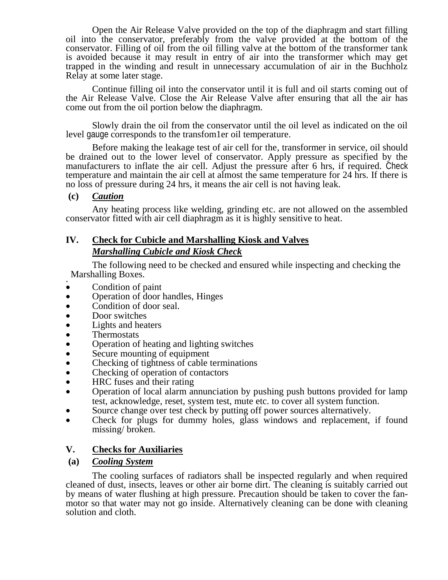Open the Air Release Valve provided on the top of the diaphragm and start filling oil into the conservator, preferably from the valve provided at the bottom of the conservator. Filling of oil from the oil filling valve at the bottom of the transformer tank is avoided because it may result in entry of air into the transformer which may get trapped in the winding and result in unnecessary accumulation of air in the Buchholz Relay at some later stage.

Continue filling oil into the conservator until it is full and oil starts coming out of the Air Release Valve. Close the Air Release Valve after ensuring that all the air has come out from the oil portion below the diaphragm.

Slowly drain the oil from the conservator until the oil level as indicated on the oil level gauge corresponds to the transfom1er oil temperature.

Before making the leakage test of air cell for the, transformer in service, oil should be drained out to the lower level of conservator. Apply pressure as specified by the manufacturers to inflate the air cell. Adjust the pressure after 6 hrs, if required. Check temperature and maintain the air cell at almost the same temperature for 24 hrs. If there is no loss of pressure during 24 hrs, it means the air cell is not having leak.

#### **(c)** *Caution*

Any heating process like welding, grinding etc. are not allowed on the assembled conservator fitted with air cell diaphragm as it is highly sensitive to heat.

#### **IV. Check for Cubicle and Marshalling Kiosk and Valves** *Marshalling Cubicle and Kiosk Check*

The following need to be checked and ensured while inspecting and checking the Marshalling Boxes.

- . Condition of paint
- Operation of door handles, Hinges
- Condition of door seal.
- Door switches
- Lights and heaters
- Thermostats
- Operation of heating and lighting switches
- Secure mounting of equipment
- Checking of tightness of cable terminations
- Checking of operation of contactors
- HRC fuses and their rating
- Operation of local alarm annunciation by pushing push buttons provided for lamp test, acknowledge, reset, system test, mute etc. to cover all system function.
- Source change over test check by putting off power sources alternatively.
- Check for plugs for dummy holes, glass windows and replacement, if found missing/ broken.

#### **V. Checks for Auxiliaries**

#### **(a)** *Cooling System*

The cooling surfaces of radiators shall be inspected regularly and when required cleaned of dust, insects, leaves or other air borne dirt. The cleaning is suitably carried out by means of water flushing at high pressure. Precaution should be taken to cover the fanmotor so that water may not go inside. Alternatively cleaning can be done with cleaning solution and cloth.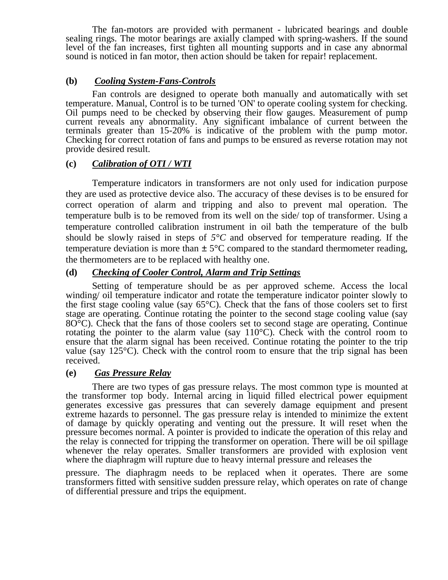The fan-motors are provided with permanent - lubricated bearings and double sealing rings. The motor bearings are axially clamped with spring-washers. If the sound level of the fan increases, first tighten all mounting supports and in case any abnormal sound is noticed in fan motor, then action should be taken for repair! replacement.

#### **(b)** *Cooling System-Fans-Controls*

Fan controls are designed to operate both manually and automatically with set temperature. Manual, Control is to be turned 'ON' to operate cooling system for checking. Oil pumps need to be checked by observing their flow gauges. Measurement of pump current reveals any abnormality. Any significant imbalance of current between the terminals greater than 15-20% is indicative of the problem with the pump motor. Checking for correct rotation of fans and pumps to be ensured as reverse rotation may not provide desired result.

#### **(c)** *Calibration of OTI / WTI*

Temperature indicators in transformers are not only used for indication purpose they are used as protective device also. The accuracy of these devises is to be ensured for correct operation of alarm and tripping and also to prevent mal operation. The temperature bulb is to be removed from its well on the side/ top of transformer. Using a temperature controlled calibration instrument in oil bath the temperature of the bulb should be slowly raised in steps of  $5^{\circ}C$  and observed for temperature reading. If the temperature deviation is more than  $\pm 5^{\circ}$ C compared to the standard thermometer reading, the thermometers are to be replaced with healthy one.

#### **(d)** *Checking of Cooler Control, Alarm and Trip Settings*

Setting of temperature should be as per approved scheme. Access the local winding/ oil temperature indicator and rotate the temperature indicator pointer slowly to the first stage cooling value (say  $65^{\circ}$ C). Check that the fans of those coolers set to first stage are operating. Continue rotating the pointer to the second stage cooling value (say 8O°C). Check that the fans of those coolers set to second stage are operating. Continue rotating the pointer to the alarm value (say  $110^{\circ}$ C). Check with the control room to ensure that the alarm signal has been received. Continue rotating the pointer to the trip value (say  $125^{\circ}$ C). Check with the control room to ensure that the trip signal has been received.

#### **(e)** *Gas Pressure Relay*

There are two types of gas pressure relays. The most common type is mounted at the transformer top body. Internal arcing in liquid filled electrical power equipment generates excessive gas pressures that can severely damage equipment and present extreme hazards to personnel. The gas pressure relay is intended to minimize the extent of damage by quickly operating and venting out the pressure. It will reset when the pressure becomes normal. A pointer is provided to indicate the operation of this relay and the relay is connected for tripping the transformer on operation. There will be oil spillage whenever the relay operates. Smaller transformers are provided with explosion vent where the diaphragm will rupture due to heavy internal pressure and releases the

pressure. The diaphragm needs to be replaced when it operates. There are some transformers fitted with sensitive sudden pressure relay, which operates on rate of change of differential pressure and trips the equipment.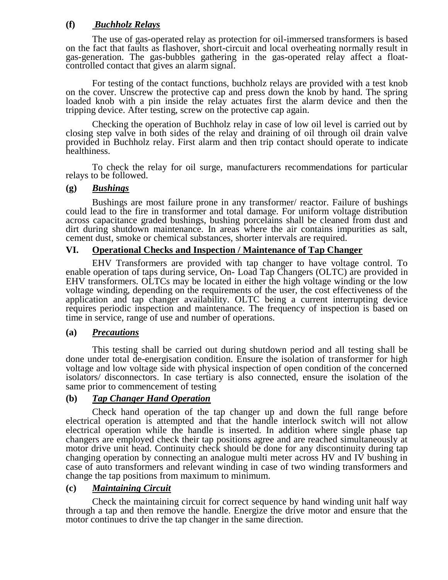#### **(f)** *Buchholz Relays*

The use of gas-operated relay as protection for oil-immersed transformers is based on the fact that faults as flashover, short-circuit and local overheating normally result in gas-generation. The gas-bubbles gathering in the gas-operated relay affect a floatcontrolled contact that gives an alarm signal.

For testing of the contact functions, buchholz relays are provided with a test knob on the cover. Unscrew the protective cap and press down the knob by hand. The spring loaded knob with a pin inside the relay actuates first the alarm device and then the tripping device. After testing, screw on the protective cap again.

Checking the operation of Buchholz relay in case of low oil level is carried out by closing step valve in both sides of the relay and draining of oil through oil drain valve provided in Buchholz relay. First alarm and then trip contact should operate to indicate healthiness.

To check the relay for oil surge, manufacturers recommendations for particular relays to be followed.

#### **(g)** *Bushings*

Bushings are most failure prone in any transformer/ reactor. Failure of bushings could lead to the fire in transformer and total damage. For uniform voltage distribution across capacitance graded bushings, bushing porcelains shall be cleaned from dust and dirt during shutdown maintenance. In areas where the air contains impurities as salt, cement dust, smoke or chemical substances, shorter intervals are required.

#### **VI. Operational Checks and Inspection / Maintenance of Tap Changer**

EHV Transformers are provided with tap changer to have voltage control. To enable operation of taps during service, On-Load Tap Changers (OLTC) are provided in EHV transformers. OLTCs may be located in either the high voltage winding or the low voltage winding, depending on the requirements of the user, the cost effectiveness of the application and tap changer availability. OLTC being a current interrupting device requires periodic inspection and maintenance. The frequency of inspection is based on time in service, range of use and number of operations.

#### **(a)** *Precautions*

This testing shall be carried out during shutdown period and all testing shall be done under total de-energisation condition. Ensure the isolation of transformer for high voltage and low voltage side with physical inspection of open condition of the concerned isolators/ disconnectors. In case tertiary is also connected, ensure the isolation of the same prior to commencement of testing

#### **(b)** *Tap Changer Hand Operation*

Check hand operation of the tap changer up and down the full range before electrical operation is attempted and that the handle interlock switch will not allow electrical operation while the handle is inserted. In addition where single phase tap changers are employed check their tap positions agree and are reached simultaneously at motor drive unit head. Continuity check should be done for any discontinuity during tap changing operation by connecting an analogue multi meter across HV and IV bushing in case of auto transformers and relevant winding in case of two winding transformers and change the tap positions from maximum to minimum.

#### **(c)** *Maintaining Circuit*

Check the maintaining circuit for correct sequence by hand winding unit half way through a tap and then remove the handle. Energize the drive motor and ensure that the motor continues to drive the tap changer in the same direction.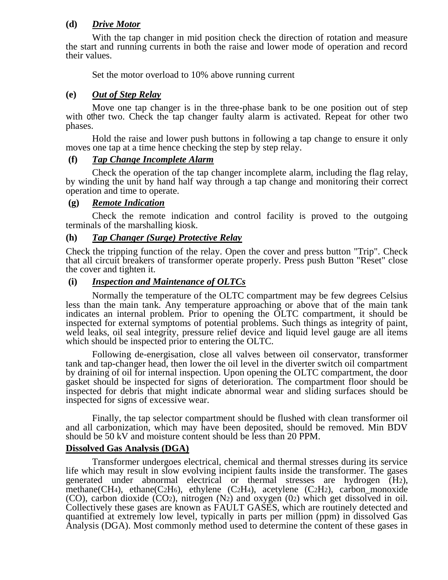#### **(d)** *Drive Motor*

With the tap changer in mid position check the direction of rotation and measure the start and running currents in both the raise and lower mode of operation and record their values.

Set the motor overload to 10% above running current

#### **(e)** *Out of Step Relay*

Move one tap changer is in the three-phase bank to be one position out of step with other two. Check the tap changer faulty alarm is activated. Repeat for other two phases.

Hold the raise and lower push buttons in following a tap change to ensure it only moves one tap at a time hence checking the step by step relay.

#### **(f)** *Tap Change Incomplete Alarm*

Check the operation of the tap changer incomplete alarm, including the flag relay, by winding the unit by hand half way through a tap change and monitoring their correct operation and time to operate.

#### **(g)** *Remote Indication*

Check the remote indication and control facility is proved to the outgoing terminals of the marshalling kiosk.

#### **(h)** *Tap Changer (Surge) Protective Relay*

Check the tripping function of the relay. Open the cover and press button "Trip". Check that all circuit breakers of transformer operate properly. Press push Button "Reset" close the cover and tighten it.

#### **(i)** *Inspection and Maintenance of OLTCs*

Normally the temperature of the OLTC compartment may be few degrees Celsius less than the main tank. Any temperature approaching or above that of the main tank indicates an internal problem. Prior to opening the OLTC compartment, it should be inspected for external symptoms of potential problems. Such things as integrity of paint, weld leaks, oil seal integrity, pressure relief device and liquid level gauge are all items which should be inspected prior to entering the OLTC.

Following de-energisation, close all valves between oil conservator, transformer tank and tap-changer head, then lower the oil level in the diverter switch oil compartment by draining of oil for internal inspection. Upon opening the OLTC compartment, the door gasket should be inspected for signs of deterioration. The compartment floor should be inspected for debris that might indicate abnormal wear and sliding surfaces should be inspected for signs of excessive wear.

Finally, the tap selector compartment should be flushed with clean transformer oil and all carbonization, which may have been deposited, should be removed. Min BDV should be 50 kV and moisture content should be less than 20 PPM.

#### **Dissolved Gas Analysis (DGA)**

Transformer undergoes electrical, chemical and thermal stresses during its service life which may result in slow evolving incipient faults inside the transformer. The gases generated under abnormal electrical or thermal stresses are hydrogen (H2), methane(CH<sub>4</sub>), ethane(C<sub>2</sub>H<sub>6</sub>), ethylene (C<sub>2</sub>H<sub>4</sub>), acetylene (C<sub>2</sub>H<sub>2</sub>), carbon\_monoxide (CO), carbon dioxide (CO2), nitrogen (N2) and oxygen (02) which get dissolved in oil. Collectively these gases are known as FAULT GASES, which are routinely detected and quantified at extremely low level, typically in parts per million (ppm) in dissolved Gas Analysis (DGA). Most commonly method used to determine the content of these gases in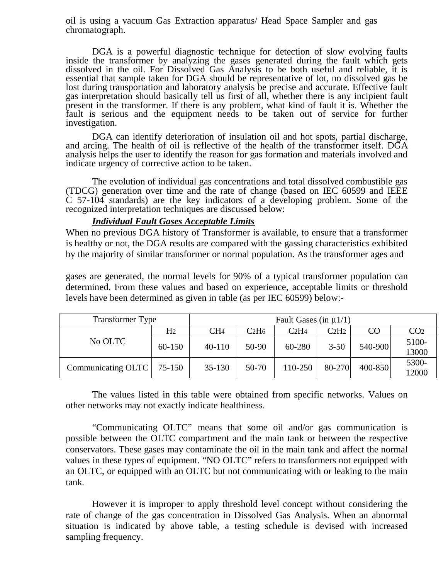oil is using a vacuum Gas Extraction apparatus/ Head Space Sampler and gas chromatograph.

DGA is a powerful diagnostic technique for detection of slow evolving faults inside the transformer by analyzing the gases generated during the fault which gets dissolved in the oil. For Dissolved Gas Analysis to be both useful and reliable, it is essential that sample taken for DGA should be representative of lot, no dissolved gas be lost during transportation and laboratory analysis be precise and accurate. Effective fault gas interpretation should basically tell us first of all, whether there is any incipient fault present in the transformer. If there is any problem, what kind of fault it is. Whether the fault is serious and the equipment needs to be taken out of service for further investigation.

DGA can identify deterioration of insulation oil and hot spots, partial discharge, and arcing. The health of oil is reflective of the health of the transformer itself. DGA analysis helps the user to identify the reason for gas formation and materials involved and indicate urgency of corrective action to be taken.

The evolution of individual gas concentrations and total dissolved combustible gas (TDCG) generation over time and the rate of change (based on IEC 60599 and IEEE C 57-104 standards) are the key indicators of a developing problem. Some of the recognized interpretation techniques are discussed below:

#### *Individual Fault Gases Acceptable Limits*

When no previous DGA history of Transformer is available, to ensure that a transformer is healthy or not, the DGA results are compared with the gassing characteristics exhibited by the majority of similar transformer or normal population. As the transformer ages and

gases are generated, the normal levels for 90% of a typical transformer population can determined. From these values and based on experience, acceptable limits or threshold levels have been determined as given in table (as per IEC 60599) below:-

| <b>Transformer Type</b> | Fault Gases (in $\mu$ 1/1) |                 |                               |                               |                               |         |                 |
|-------------------------|----------------------------|-----------------|-------------------------------|-------------------------------|-------------------------------|---------|-----------------|
|                         | H <sub>2</sub>             | CH <sub>4</sub> | C <sub>2</sub> H <sub>6</sub> | C <sub>2</sub> H <sub>4</sub> | C <sub>2</sub> H <sub>2</sub> | CO      | CO <sub>2</sub> |
| No OLTC                 | 60-150                     | $40 - 110$      | 50-90                         | 60-280                        | $3 - 50$                      | 540-900 | 5100-<br>13000  |
| Communicating OLTC      | 75-150                     | $35 - 130$      | 50-70                         | 110-250                       | 80-270                        | 400-850 | 5300-<br>12000  |

The values listed in this table were obtained from specific networks. Values on other networks may not exactly indicate healthiness.

"Communicating OLTC" means that some oil and/or gas communication is possible between the OLTC compartment and the main tank or between the respective conservators. These gases may contaminate the oil in the main tank and affect the normal values in these types of equipment. "NO OLTC" refers to transformers not equipped with an OLTC, or equipped with an OLTC but not communicating with or leaking to the main tank.

However it is improper to apply threshold level concept without considering the rate of change of the gas concentration in Dissolved Gas Analysis. When an abnormal situation is indicated by above table, a testing schedule is devised with increased sampling frequency.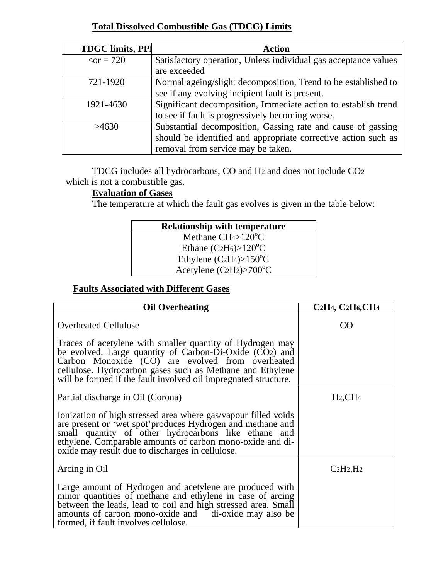## **Total Dissolved Combustible Gas (TDCG) Limits**

| <b>TDGC limits, PPI</b> | <b>Action</b>                                                   |
|-------------------------|-----------------------------------------------------------------|
| $\varsigma$ or = 720    | Satisfactory operation, Unless individual gas acceptance values |
|                         | are exceeded                                                    |
| 721-1920                | Normal ageing/slight decomposition, Trend to be established to  |
|                         | see if any evolving incipient fault is present.                 |
| 1921-4630               | Significant decomposition, Immediate action to establish trend  |
|                         | to see if fault is progressively becoming worse.                |
| >4630                   | Substantial decomposition, Gassing rate and cause of gassing    |
|                         | should be identified and appropriate corrective action such as  |
|                         | removal from service may be taken.                              |

TDCG includes all hydrocarbons, CO and H2 and does not include CO2 which is not a combustible gas.

## **Evaluation of Gases**

The temperature at which the fault gas evolves is given in the table below:

| <b>Relationship with temperature</b>   |  |
|----------------------------------------|--|
| Methane $CH4>120^{\circ}C$             |  |
| Ethane $(C2H_6) > 120^{\circ}C$        |  |
| Ethylene $(C_2H_4) > 150^{\circ}C$     |  |
| Acetylene $(C_2H_2)$ >700 $^{\circ}$ C |  |

# **Faults Associated with Different Gases**

| <b>Oil Overheating</b>                                                                                                                                                                                                                                                                                     | C <sub>2</sub> H <sub>4</sub> , C <sub>2</sub> H <sub>6</sub> , C <sub>H<sub>4</sub></sub> |
|------------------------------------------------------------------------------------------------------------------------------------------------------------------------------------------------------------------------------------------------------------------------------------------------------------|--------------------------------------------------------------------------------------------|
| <b>Overheated Cellulose</b>                                                                                                                                                                                                                                                                                | CO <sub>1</sub>                                                                            |
| Traces of acetylene with smaller quantity of Hydrogen may<br>be evolved. Large quantity of Carbon-Di-Oxide $(CO2)$ and<br>Carbon Monoxide (CO) are evolved from overheated<br>cellulose. Hydrocarbon gases such as Methane and Ethylene<br>will be formed if the fault involved oil impregnated structure. |                                                                                            |
| Partial discharge in Oil (Corona)                                                                                                                                                                                                                                                                          | $H_2,CH_4$                                                                                 |
| Ionization of high stressed area where gas/vapour filled voids<br>are present or 'wet spot' produces Hydrogen and methane and<br>small quantity of other hydrocarbons like ethane and<br>ethylene. Comparable amounts of carbon mono-oxide and di-<br>oxide may result due to discharges in cellulose.     |                                                                                            |
| Arcing in Oil                                                                                                                                                                                                                                                                                              | $C_2H_2,H_2$                                                                               |
| Large amount of Hydrogen and acetylene are produced with<br>minor quantities of methane and ethylene in case of arcing<br>between the leads, lead to coil and high stressed area. Small<br>amounts of carbon mono-oxide and di-oxide may also be<br>formed, if fault involves cellulose.                   |                                                                                            |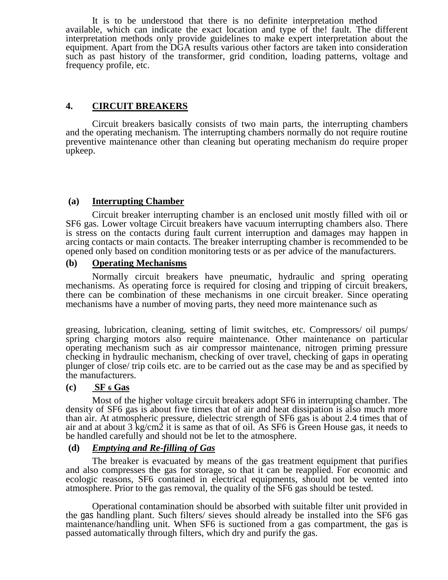It is to be understood that there is no definite interpretation method available, which can indicate the exact location and type of the! fault. The different interpretation methods only provide guidelines to make expert interpretation about the equipment. Apart from the DGA results various other factors are taken into consideration such as past history of the transformer, grid condition, loading patterns, voltage and frequency profile, etc.

#### **4. CIRCUIT BREAKERS**

Circuit breakers basically consists of two main parts, the interrupting chambers and the operating mechanism. The interrupting chambers normally do not require routine preventive maintenance other than cleaning but operating mechanism do require proper upkeep.

#### **(a) Interrupting Chamber**

Circuit breaker interrupting chamber is an enclosed unit mostly filled with oil or SF6 gas. Lower voltage Circuit breakers have vacuum interrupting chambers also. There is stress on the contacts during fault current interruption and damages may happen in arcing contacts or main contacts. The breaker interrupting chamber is recommended to be opened only based on condition monitoring tests or as per advice of the manufacturers.

#### **(b) Operating Mechanisms**

Normally circuit breakers have pneumatic, hydraulic and spring operating mechanisms. As operating force is required for closing and tripping of circuit breakers, there can be combination of these mechanisms in one circuit breaker. Since operating mechanisms have a number of moving parts, they need more maintenance such as

greasing, lubrication, cleaning, setting of limit switches, etc. Compressors/ oil pumps/ spring charging motors also require maintenance. Other maintenance on particular operating mechanism such as air compressor maintenance, nitrogen priming pressure checking in hydraulic mechanism, checking of over travel, checking of gaps in operating plunger of close/ trip coils etc. are to be carried out as the case may be and as specified by the manufacturers.

#### **(c) SF 6 Gas**

Most of the higher voltage circuit breakers adopt SF6 in interrupting chamber. The density of SF6 gas is about five times that of air and heat dissipation is also much more than air. At atmospheric pressure, dielectric strength of SF6 gas is about 2.4 times that of air and at about  $3 \text{ kg/cm2}$  it is same as that of oil. As SF6 is Green House gas, it needs to be handled carefully and should not be let to the atmosphere.

#### **(d)** *Emptying and Re-filling of Gas*

The breaker is evacuated by means of the gas treatment equipment that purifies and also compresses the gas for storage, so that it can be reapplied. For economic and ecologic reasons, SF6 contained in electrical equipments, should not be vented into atmosphere. Prior to the gas removal, the quality of the SF6 gas should be tested.

Operational contamination should be absorbed with suitable filter unit provided in the gas handling plant. Such filters/ sieves should already be installed into the SF6 gas maintenance/handling unit. When SF6 is suctioned from a gas compartment, the gas is passed automatically through filters, which dry and purify the gas.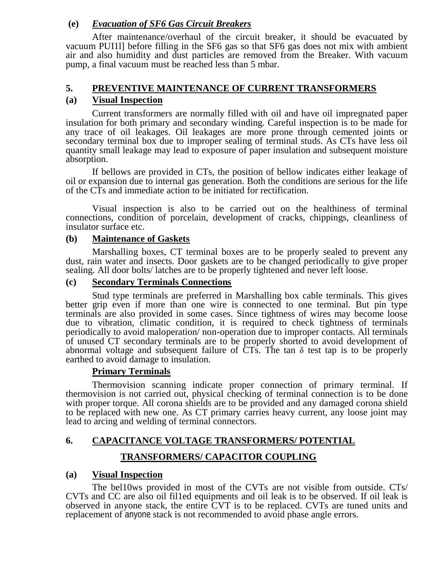#### **(e)** *Evacuation of SF6 Gas Circuit Breakers*

After maintenance/overhaul of the circuit breaker, it should be evacuated by vacuum PUI1l] before filling in the SF6 gas so that SF6 gas does not mix with ambient air and also humidity and dust particles are removed from the Breaker. With vacuum pump, a final vacuum must be reached less than 5 mbar.

#### **5. PREVENTIVE MAINTENANCE OF CURRENT TRANSFORMERS**

#### **(a) Visual Inspection**

Current transformers are normally filled with oil and have oil impregnated paper insulation for both primary and secondary winding. Careful inspection is to be made for any trace of oil leakages. Oil leakages are more prone through cemented joints or secondary terminal box due to improper sealing of terminal studs. As CTs have less oil quantity small leakage may lead to exposure of paper insulation and subsequent moisture absorption.

If bellows are provided in CTs, the position of bellow indicates either leakage of oil or expansion due to internal gas generation. Both the conditions are serious for the life of the CTs and immediate action to be initiated for rectification.

Visual inspection is also to be carried out on the healthiness of terminal connections, condition of porcelain, development of cracks, chippings, cleanliness of insulator surface etc.

#### **(b) Maintenance of Gaskets**

Marshalling boxes, CT terminal boxes are to be properly sealed to prevent any dust, rain water and insects. Door gaskets are to be changed periodically to give proper sealing. All door bolts/ latches are to be properly tightened and never left loose.

#### **(c) Secondary Terminals Connections**

Stud type terminals are preferred in Marshalling box cable terminals. This gives better grip even if more than one wire is connected to one terminal. But pin type terminals are also provided in some cases. Since tightness of wires may become loose due to vibration, climatic condition, it is required to check tightness of terminals periodically to avoid maloperation/ non-operation due to improper contacts. All terminals of unused CT secondary terminals are to be properly shorted to avoid development of abnormal voltage and subsequent failure of  $\overline{C}T\overline{s}$ . The tan  $\delta$  test tap is to be properly earthed to avoid damage to insulation.

#### **Primary Terminals**

Thermovision scanning indicate proper connection of primary terminal. If thermovision is not carried out, physical checking of terminal connection is to be done with proper torque. All corona shields are to be provided and any damaged corona shield to be replaced with new one. As CT primary carries heavy current, any loose joint may lead to arcing and welding of terminal connectors.

# **6. CAPACITANCE VOLTAGE TRANSFORMERS/ POTENTIAL**

#### **TRANSFORMERS/ CAPACITOR COUPLING**

#### **(a) Visual Inspection**

The bel10ws provided in most of the CVTs are not visible from outside. CTs/ CVTs and CC are also oil fil1ed equipments and oil leak is to be observed. If oil leak is observed in anyone stack, the entire CVT is to be replaced. CVTs are tuned units and replacement of anyone stack is not recommended to avoid phase angle errors.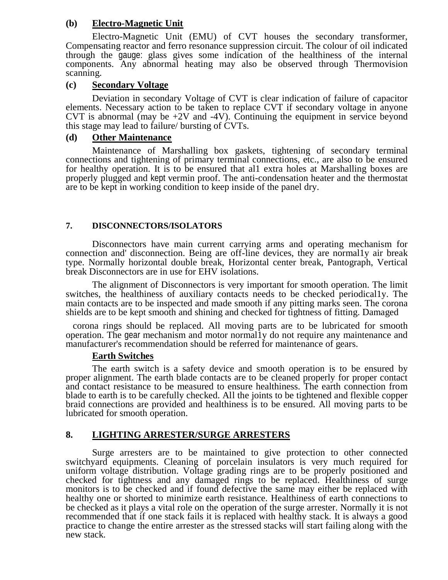#### **(b) Electro-Magnetic Unit**

Electro-Magnetic Unit (EMU) of CVT houses the secondary transformer, Compensating reactor and ferro resonance suppression circuit. The colour of oil indicated through the gauge: glass gives some indication of the healthiness of the internal components. Any abnormal heating may also be observed through Thermovision scanning.

#### **(c) Secondary Voltage**

Deviation in secondary Voltage of CVT is clear indication of failure of capacitor elements. Necessary action to be taken to replace CVT if secondary voltage in anyone CVT is abnormal (may be  $+2V$  and  $-4V$ ). Continuing the equipment in service beyond this stage may lead to failure/ bursting of CVTs.

#### **(d) Other Maintenance**

Maintenance of Marshalling box gaskets, tightening of secondary terminal connections and tightening of primary terminal connections, etc., are also to be ensured for healthy operation. It is to be ensured that al1 extra holes at Marshalling boxes are properly plugged and kept vermin proof. The anti-condensation heater and the thermostat are to be kept in working condition to keep inside of the panel dry.

#### **7. DISCONNECTORS/ISOLATORS**

Disconnectors have main current carrying arms and operating mechanism for connection and' disconnection. Being are off-line devices, they are normal1y air break type. Normally horizontal double break, Horizontal center break, Pantograph, Vertical break Disconnectors are in use for EHV isolations.

The alignment of Disconnectors is very important for smooth operation. The limit switches, the healthiness of auxiliary contacts needs to be checked periodical1y. The main contacts are to be inspected and made smooth if any pitting marks seen. The corona shields are to be kept smooth and shining and checked for tightness of fitting. Damaged

corona rings should be replaced. All moving parts are to be lubricated for smooth operation. The gear mechanism and motor normal1y do not require any maintenance and manufacturer's recommendation should be referred for maintenance of gears.

#### **Earth Switches**

The earth switch is a safety device and smooth operation is to be ensured by proper alignment. The earth blade contacts are to be cleaned properly for proper contact and contact resistance to be measured to ensure healthiness. The earth connection from blade to earth is to be carefully checked. All the joints to be tightened and flexible copper braid connections are provided and healthiness is to be ensured. All moving parts to be lubricated for smooth operation.

#### **8. LIGHTING ARRESTER/SURGE ARRESTERS**

Surge arresters are to be maintained to give protection to other connected switchyard equipments. Cleaning of porcelain insulators is very much required for uniform voltage distribution. Voltage grading rings are to be properly positioned and checked for tightness and any damaged rings to be replaced. Healthiness of surge monitors is to be checked and if found defective the same may either be replaced with healthy one or shorted to minimize earth resistance. Healthiness of earth connections to be checked as it plays a vital role on the operation of the surge arrester. Normally it is not recommended that if one stack fails it is replaced with healthy stack. It is always a good practice to change the entire arrester as the stressed stacks will start failing along with the new stack.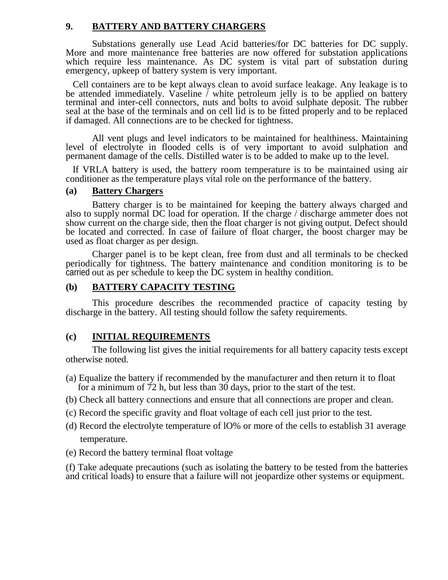#### **9. BATTERY AND BATTERY CHARGERS**

Substations generally use Lead Acid batteries/for DC batteries for DC supply. More and more maintenance free batteries are now offered for substation applications which require less maintenance. As DC system is vital part of substation during emergency, upkeep of battery system is very important.

Cell containers are to be kept always clean to avoid surface leakage. Any leakage is to be attended immediately. Vaseline / white petroleum jelly is to be applied on battery terminal and inter-cell connectors, nuts and bolts to avoid sulphate deposit. The rubber seal at the base of the terminals and on cell lid is to be fitted properly and to be replaced if damaged. All connections are to be checked for tightness.

All vent plugs and level indicators to be maintained for healthiness. Maintaining level of electrolyte in flooded cells is of very important to avoid sulphation and permanent damage of the cells. Distilled water is to be added to make up to the level.

If VRLA battery is used, the battery room temperature is to be maintained using air conditioner as the temperature plays vital role on the performance of the battery.

#### **(a) Battery Chargers**

Battery charger is to be maintained for keeping the battery always charged and also to supply normal DC load for operation. If the charge / discharge ammeter does not show current on the charge side, then the float charger is not giving output. Defect should be located and corrected. In case of failure of float charger, the boost charger may be used as float charger as per design.

Charger panel is to be kept clean, free from dust and all terminals to be checked periodically for tightness. The battery maintenance and condition monitoring is to be carried out as per schedule to keep the DC system in healthy condition.

#### **(b) BATTERY CAPACITY TESTING**

This procedure describes the recommended practice of capacity testing by discharge in the battery. All testing should follow the safety requirements.

#### **(c) INITIAL REQUIREMENTS**

The following list gives the initial requirements for all battery capacity tests except otherwise noted.

- (a) Equalize the battery if recommended by the manufacturer and then return it to float for a minimum of 72 h, but less than 30 days, prior to the start of the test.
- (b) Check all battery connections and ensure that all connections are proper and clean.
- (c) Record the specific gravity and float voltage of each cell just prior to the test.
- (d) Record the electrolyte temperature of lO% or more of the cells to establish 31 average temperature.
- (e) Record the battery terminal float voltage

(f) Take adequate precautions (such as isolating the battery to be tested from the batteries and critical loads) to ensure that a failure will not jeopardize other systems or equipment.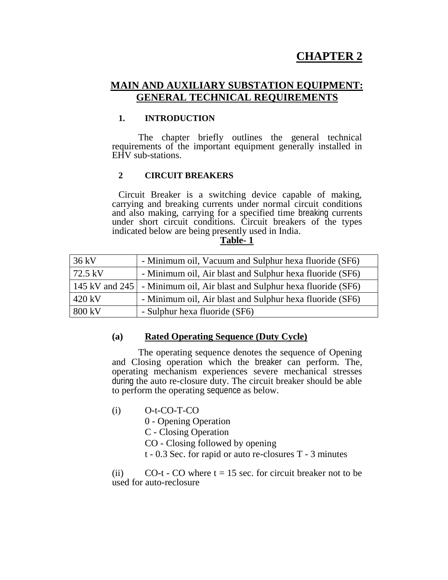# **CHAPTER 2**

## **MAIN AND AUXILIARY SUBSTATION EQUIPMENT: GENERAL TECHNICAL REQUIREMENTS**

#### **1. INTRODUCTION**

The chapter briefly outlines the general technical requirements of the important equipment generally installed in EHV sub-stations.

#### **2 CIRCUIT BREAKERS**

Circuit Breaker is a switching device capable of making, carrying and breaking currents under normal circuit conditions and also making, carrying for a specified time breaking currents under short circuit conditions. Circuit breakers of the types indicated below are being presently used in India.

#### **Table- 1**

| $36 \text{ kV}$  | - Minimum oil, Vacuum and Sulphur hexa fluoride (SF6)                     |
|------------------|---------------------------------------------------------------------------|
| $72.5$ kV        | - Minimum oil, Air blast and Sulphur hexa fluoride (SF6)                  |
|                  | [145 kV and 245] - Minimum oil, Air blast and Sulphur hexa fluoride (SF6) |
| $420 \text{ kV}$ | - Minimum oil, Air blast and Sulphur hexa fluoride (SF6)                  |
| 800 kV           | - Sulphur hexa fluoride (SF6)                                             |

#### **(a) Rated Operating Sequence (Duty Cycle)**

The operating sequence denotes the sequence of Opening and Closing operation which the breaker can perform. The, operating mechanism experiences severe mechanical stresses during the auto re-closure duty. The circuit breaker should be able to perform the operating sequence as below.

(i) O-t-CO-T-CO

0 - Opening Operation

C - Closing Operation

CO - Closing followed by opening

t - 0.3 Sec. for rapid or auto re-closures T - 3 minutes

(ii)  $CO-t$  - CO where  $t = 15$  sec. for circuit breaker not to be used for auto-reclosure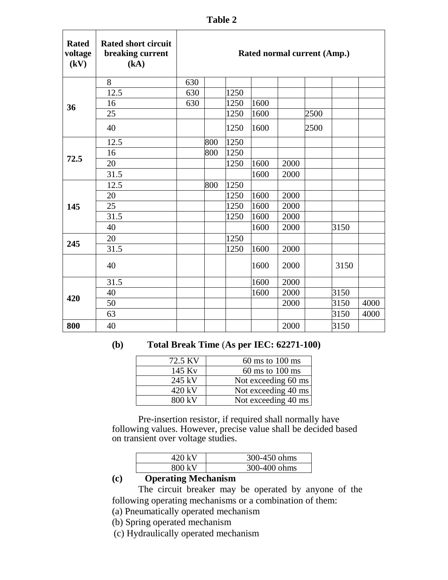| <b>Rated</b><br>voltage<br>(kV) | <b>Rated short circuit</b><br>breaking current<br>(kA) |     |     |      | Rated normal current (Amp.) |      |      |      |      |
|---------------------------------|--------------------------------------------------------|-----|-----|------|-----------------------------|------|------|------|------|
|                                 | 8                                                      | 630 |     |      |                             |      |      |      |      |
|                                 | 12.5                                                   | 630 |     | 1250 |                             |      |      |      |      |
| 36                              | 16                                                     | 630 |     | 1250 | 1600                        |      |      |      |      |
|                                 | 25                                                     |     |     | 1250 | 1600                        |      | 2500 |      |      |
|                                 | 40                                                     |     |     | 1250 | 1600                        |      | 2500 |      |      |
|                                 | 12.5                                                   |     | 800 | 1250 |                             |      |      |      |      |
|                                 | 16                                                     |     | 800 | 1250 |                             |      |      |      |      |
| 72.5                            | 20                                                     |     |     | 1250 | 1600                        | 2000 |      |      |      |
|                                 | 31.5                                                   |     |     |      | 1600                        | 2000 |      |      |      |
|                                 | 12.5                                                   |     | 800 | 1250 |                             |      |      |      |      |
|                                 | 20                                                     |     |     | 1250 | 1600                        | 2000 |      |      |      |
| 145                             | 25                                                     |     |     | 1250 | 1600                        | 2000 |      |      |      |
|                                 | 31.5                                                   |     |     | 1250 | 1600                        | 2000 |      |      |      |
|                                 | 40                                                     |     |     |      | 1600                        | 2000 |      | 3150 |      |
| 245                             | 20                                                     |     |     | 1250 |                             |      |      |      |      |
|                                 | 31.5                                                   |     |     | 1250 | 1600                        | 2000 |      |      |      |
|                                 | 40                                                     |     |     |      | 1600                        | 2000 |      | 3150 |      |
|                                 | 31.5                                                   |     |     |      | 1600                        | 2000 |      |      |      |
| 420                             | 40                                                     |     |     |      | 1600                        | 2000 |      | 3150 |      |
|                                 | 50                                                     |     |     |      |                             | 2000 |      | 3150 | 4000 |
|                                 | 63                                                     |     |     |      |                             |      |      | 3150 | 4000 |
| 800                             | 40                                                     |     |     |      |                             | 2000 |      | 3150 |      |

#### **(b) Total Break Time** (**As per IEC: 62271-100)**

| 72.5 KV | $60 \text{ ms}$ to $100 \text{ ms}$ |
|---------|-------------------------------------|
| 145 Kv  | $60 \text{ ms}$ to $100 \text{ ms}$ |
| 245 kV  | Not exceeding 60 ms                 |
| 420 kV  | Not exceeding 40 ms                 |
| 800 kV  | Not exceeding 40 ms                 |

Pre-insertion resistor, if required shall normally have following values. However, precise value shall be decided based on transient over voltage studies.

| 420 kV | 300-450 ohms |
|--------|--------------|
| 800 kV | 300-400 ohms |

# **(c) Operating Mechanism**

The circuit breaker may be operated by anyone of the following operating mechanisms or a combination of them:

(a) Pneumatically operated mechanism

(b) Spring operated mechanism

(c) Hydraulically operated mechanism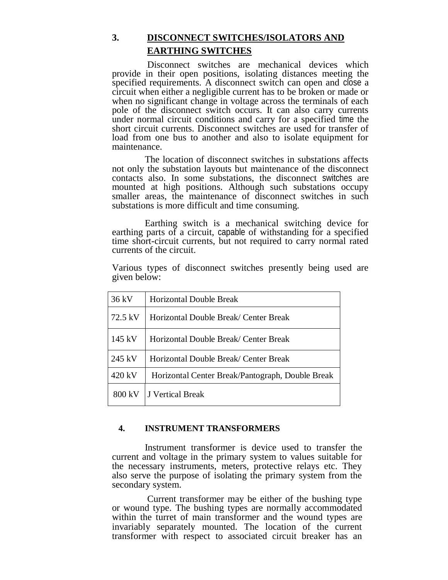# **3. DISCONNECT SWITCHES/ISOLATORS AND EARTHING SWITCHES**

Disconnect switches are mechanical devices which provide in their open positions, isolating distances meeting the specified requirements. A disconnect switch can open and close a circuit when either a negligible current has to be broken or made or when no significant change in voltage across the terminals of each pole of the disconnect switch occurs. It can also carry currents under normal circuit conditions and carry for a specified time the short circuit currents. Disconnect switches are used for transfer of load from one bus to another and also to isolate equipment for maintenance.

The location of disconnect switches in substations affects not only the substation layouts but maintenance of the disconnect contacts also. In some substations, the disconnect switches are mounted at high positions. Although such substations occupy smaller areas, the maintenance of disconnect switches in such substations is more difficult and time consuming.

Earthing switch is a mechanical switching device for earthing parts of a circuit, capable of withstanding for a specified time short-circuit currents, but not required to carry normal rated currents of the circuit.

Various types of disconnect switches presently being used are given below:

| 36 kV            | <b>Horizontal Double Break</b>                   |
|------------------|--------------------------------------------------|
| 72.5 kV          | Horizontal Double Break/ Center Break            |
| $145 \text{ kV}$ | Horizontal Double Break/ Center Break            |
| 245 kV           | Horizontal Double Break/ Center Break            |
| 420 kV           | Horizontal Center Break/Pantograph, Double Break |
| 800 kV           | J Vertical Break                                 |

#### **4. INSTRUMENT TRANSFORMERS**

Instrument transformer is device used to transfer the current and voltage in the primary system to values suitable for the necessary instruments, meters, protective relays etc. They also serve the purpose of isolating the primary system from the secondary system.

Current transformer may be either of the bushing type or wound type. The bushing types are normally accommodated within the turret of main transformer and the wound types are invariably separately mounted. The location of the current transformer with respect to associated circuit breaker has an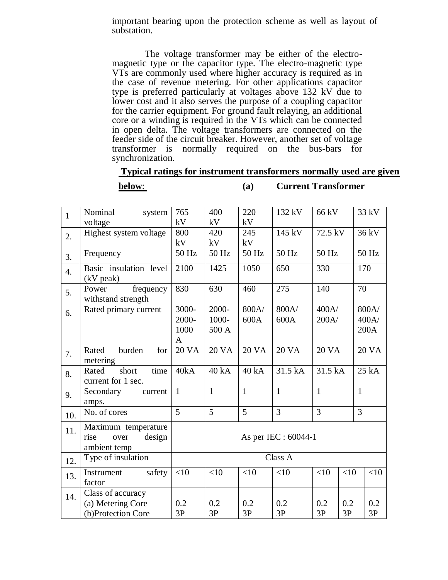important bearing upon the protection scheme as well as layout of substation.

The voltage transformer may be either of the electromagnetic type or the capacitor type. The electro-magnetic type VTs are commonly used where higher accuracy is required as in the case of revenue metering. For other applications capacitor type is preferred particularly at voltages above 132 kV due to lower cost and it also serves the purpose of a coupling capacitor for the carrier equipment. For ground fault relaying, an additional core or a winding is required in the VTs which can be connected in open delta. The voltage transformers are connected on the feeder side of the circuit breaker. However, another set of voltage transformer is normally required on the bus-bars for synchronization.

#### **Typical ratings for instrument transformers normally used are given**

#### **below**: **(a) Current Transformer**

| $\mathbf{1}$     | Nominal<br>system<br>voltage                                  | 765<br>kV                   | 400<br>kV               | 220<br>kV     | 132 kV         | 66 kV          |           | 33 kV                  |
|------------------|---------------------------------------------------------------|-----------------------------|-------------------------|---------------|----------------|----------------|-----------|------------------------|
| 2.               | Highest system voltage                                        | 800<br>kV                   | 420<br>kV               | 245<br>kV     | 145 kV         | 72.5 kV        |           | 36 kV                  |
| 3.               | Frequency                                                     | 50 Hz                       | 50 Hz                   | 50 Hz         | 50 Hz          | 50 Hz          |           | 50 Hz                  |
| $\overline{4}$ . | Basic insulation level<br>(kV peak)                           | 2100                        | 1425                    | 1050          | 650            | 330            |           | 170                    |
| 5.               | frequency<br>Power<br>withstand strength                      | 830                         | 630                     | 460           | 275            | 140            |           | 70                     |
| 6.               | Rated primary current                                         | 3000-<br>2000-<br>1000<br>A | 2000-<br>1000-<br>500 A | 800A/<br>600A | 800A/<br>600A  | 400A/<br>200A/ |           | 800A/<br>400A/<br>200A |
| 7.               | burden<br>Rated<br>for<br>metering                            | <b>20 VA</b>                | <b>20 VA</b>            | <b>20 VA</b>  | <b>20 VA</b>   | <b>20 VA</b>   |           | <b>20 VA</b>           |
| 8.               | short<br>time<br>Rated<br>current for 1 sec.                  | 40kA                        | 40 kA                   | 40 kA         | 31.5 kA        | 31.5 kA        |           | 25 kA                  |
| 9.               | Secondary<br>current<br>amps.                                 | $\mathbf{1}$                | $\mathbf{1}$            | $\mathbf{1}$  | $\mathbf{1}$   | 1              |           | $\mathbf{1}$           |
| 10.              | No. of cores                                                  | 5                           | 5                       | 5             | $\overline{3}$ | 3              |           | 3                      |
| 11.              | Maximum temperature<br>design<br>over<br>rise<br>ambient temp | As per IEC : 60044-1        |                         |               |                |                |           |                        |
| 12.              | Type of insulation                                            | Class A                     |                         |               |                |                |           |                        |
| 13.              | safety<br>Instrument<br>factor                                | <10                         | <10                     | <10           | <10            | <10            | <10       | <10                    |
| 14.              | Class of accuracy<br>(a) Metering Core<br>(b)Protection Core  | 0.2<br>3P                   | 0.2<br>3P               | 0.2<br>3P     | 0.2<br>3P      | 0.2<br>3P      | 0.2<br>3P | 0.2<br>3P              |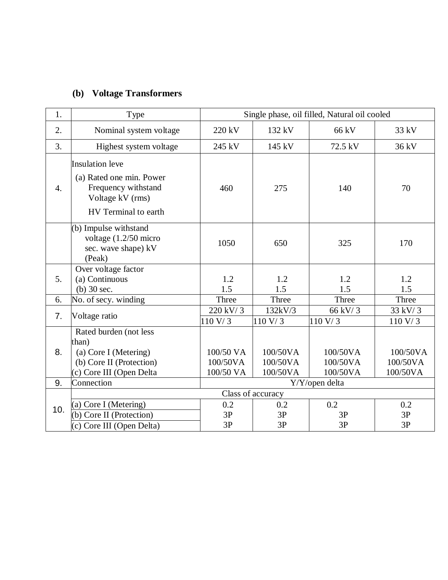# **(b) Voltage Transformers**

| 1.                | Type                                                                                                                  | Single phase, oil filled, Natural oil cooled |                                  |                                  |                                  |  |
|-------------------|-----------------------------------------------------------------------------------------------------------------------|----------------------------------------------|----------------------------------|----------------------------------|----------------------------------|--|
| 2.                | Nominal system voltage                                                                                                | 220 kV                                       | 132 kV                           | 66 kV                            | 33 kV                            |  |
| 3.                | Highest system voltage                                                                                                | 245 kV                                       | 145 kV                           | 72.5 kV                          | 36 kV                            |  |
| 4.                | <b>Insulation</b> leve<br>(a) Rated one min. Power<br>Frequency withstand<br>Voltage kV (rms)<br>HV Terminal to earth | 460                                          | 275                              | 140                              | 70                               |  |
|                   | (b) Impulse withstand<br>voltage (1.2/50 micro<br>sec. wave shape) kV<br>(Peak)                                       | 1050                                         | 650                              | 325                              | 170                              |  |
| 5.                | Over voltage factor<br>(a) Continuous<br>$(b)$ 30 sec.                                                                | 1.2<br>1.5                                   | 1.2<br>1.5                       | 1.2<br>1.5                       | 1.2<br>1.5                       |  |
| 6.                | No. of secy. winding                                                                                                  | Three                                        | Three                            | Three                            | Three                            |  |
| 7.                | Voltage ratio                                                                                                         | 220 kV/3<br>110 V/ 3                         | 132kV/3<br>110 V/3               | 66 kV/3<br>110 V/3               | 33 kV/3<br>110 V/ 3              |  |
| 8.                | Rated burden (not less<br>than)<br>(a) Core I (Metering)<br>(b) Core II (Protection)<br>(c) Core III (Open Delta      | 100/50 VA<br>100/50VA<br>100/50 VA           | 100/50VA<br>100/50VA<br>100/50VA | 100/50VA<br>100/50VA<br>100/50VA | 100/50VA<br>100/50VA<br>100/50VA |  |
| 9.                | Connection                                                                                                            |                                              |                                  | Y/Y/open delta                   |                                  |  |
| Class of accuracy |                                                                                                                       |                                              |                                  |                                  |                                  |  |
| 10.               | (a) Core I (Metering)<br>(b) Core II (Protection)<br>(c) Core III (Open Delta)                                        | 0.2<br>3P<br>3P                              | 0.2<br>3P<br>3P                  | 0.2<br>3P<br>3P                  | 0.2<br>3P<br>3P                  |  |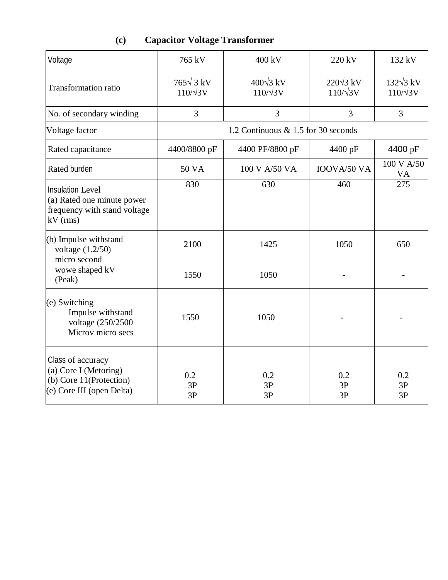# **(c) Capacitor Voltage Transformer**

| Voltage                                                                                             | 765 kV                              | 400 kV                              | 220 kV                              | 132 kV                              |
|-----------------------------------------------------------------------------------------------------|-------------------------------------|-------------------------------------|-------------------------------------|-------------------------------------|
| <b>Transformation ratio</b>                                                                         | $765\sqrt{3}$ kV<br>$110/\sqrt{3V}$ | $400\sqrt{3}$ kV<br>$110/\sqrt{3V}$ | $220\sqrt{3}$ kV<br>$110/\sqrt{3V}$ | $132\sqrt{3}$ kV<br>$110/\sqrt{3V}$ |
| No. of secondary winding                                                                            | 3                                   | 3                                   | 3                                   | 3                                   |
| Voltage factor                                                                                      |                                     | 1.2 Continuous & 1.5 for 30 seconds |                                     |                                     |
| Rated capacitance                                                                                   | 4400/8800 pF                        | 4400 PF/8800 pF                     | 4400 pF                             | 4400 pF                             |
| Rated burden                                                                                        | <b>50 VA</b>                        | 100 V A/50 VA                       | IOOVA/50 VA                         | 100 V A/50<br><b>VA</b>             |
| <b>Insulation Level</b><br>(a) Rated one minute power<br>frequency with stand voltage<br>$kV$ (rms) | 830                                 | 630                                 | 460                                 | 275                                 |
| (b) Impulse withstand<br>voltage $(1.2/50)$<br>micro second<br>wowe shaped kV<br>(Peak)             | 2100<br>1550                        | 1425<br>1050                        | 1050                                | 650                                 |
| (e) Switching<br>Impulse withstand<br>voltage (250/2500<br>Microv micro secs                        | 1550                                | 1050                                |                                     |                                     |
| Class of accuracy<br>(a) Core I (Metoring)<br>(b) Core 11(Protection)<br>(e) Core III (open Delta)  | 0.2<br>3P<br>3P                     | 0.2<br>3P<br>3P                     | 0.2<br>3P<br>3P                     | 0.2<br>3P<br>3P                     |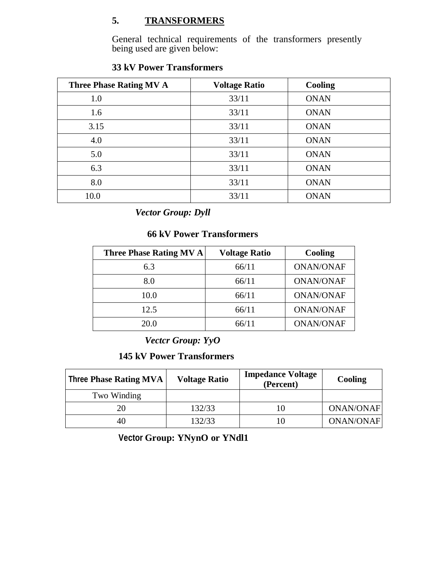## **5. TRANSFORMERS**

General technical requirements of the transformers presently being used are given below:

| <b>Three Phase Rating MV A</b> | <b>Voltage Ratio</b> | Cooling     |
|--------------------------------|----------------------|-------------|
| 1.0                            | 33/11                | <b>ONAN</b> |
| 1.6                            | 33/11                | <b>ONAN</b> |
| 3.15                           | 33/11                | <b>ONAN</b> |
| 4.0                            | 33/11                | <b>ONAN</b> |
| 5.0                            | 33/11                | <b>ONAN</b> |
| 6.3                            | 33/11                | <b>ONAN</b> |
| 8.0                            | 33/11                | <b>ONAN</b> |
| 10.0                           | 33/11                | <b>ONAN</b> |

# **33 kV Power Transformers**

 *Vector Group: Dyll*

### **66 kV Power Transformers**

| <b>Three Phase Rating MV A</b> | <b>Voltage Ratio</b> | Cooling          |
|--------------------------------|----------------------|------------------|
| 6.3                            | 66/11                | <b>ONAN/ONAF</b> |
| 8.0                            | 66/11                | <b>ONAN/ONAF</b> |
| 10.0                           | 66/11                | <b>ONAN/ONAF</b> |
| 12.5                           | 66/11                | <b>ONAN/ONAF</b> |
| 20.0                           | 66/11                | <b>ONAN/ONAF</b> |

*Vectcr Group: YyO*

**145 kV Power Transformers**

| <b>Three Phase Rating MVA</b> | <b>Voltage Ratio</b> | <b>Impedance Voltage</b><br>(Percent) | Cooling          |
|-------------------------------|----------------------|---------------------------------------|------------------|
| Two Winding                   |                      |                                       |                  |
| 20                            | 132/33               |                                       | <b>ONAN/ONAF</b> |
| 40                            | 132/33               |                                       | <b>ONAN/ONAF</b> |

**Vector Group: YNynO or YNdl1**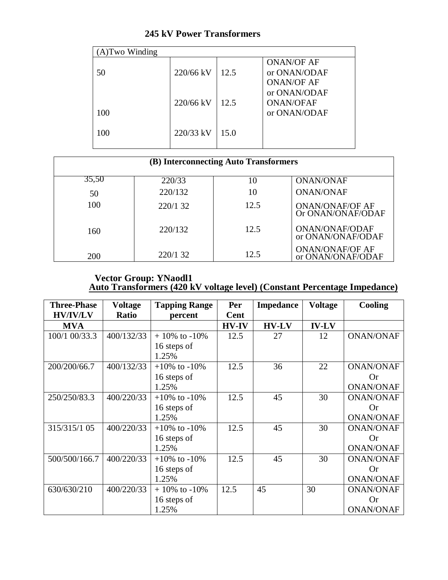# **245 kV Power Transformers**

| $(A)$ Two Winding |           |      |                                                        |
|-------------------|-----------|------|--------------------------------------------------------|
| 50                | 220/66 kV | 12.5 | <b>ONAN/OF AF</b><br>or ONAN/ODAF<br><b>ONAN/OF AF</b> |
| 100               | 220/66 kV | 12.5 | or ONAN/ODAF<br><b>ONAN/OFAF</b><br>or ONAN/ODAF       |
| 100               | 220/33 kV | 15.0 |                                                        |

| (B) Interconnecting Auto Transformers |          |      |                                             |  |  |  |
|---------------------------------------|----------|------|---------------------------------------------|--|--|--|
| 35,50                                 | 220/33   | 10   | <b>ONAN/ONAF</b>                            |  |  |  |
| 50                                    | 220/132  | 10   | <b>ONAN/ONAF</b>                            |  |  |  |
| 100                                   | 220/1 32 | 12.5 | <b>ONAN/ONAF/OF AF</b><br>Or ONAN/ONAF/ODAF |  |  |  |
| 160                                   | 220/132  | 12.5 | <b>ONAN/ONAF/ODAF</b><br>or ONAN/ONAF/ODAF  |  |  |  |
| 200                                   | 220/1 32 | 12.5 | <b>ONAN/ONAF/OF AF</b><br>or ONAN/ONAF/ODAF |  |  |  |

#### **Vector Group: YNaodl1 Auto Transformers (420 kV voltage level) (Constant Percentage Impedance)**

| <b>Three-Phase</b><br><b>HV/IV/LV</b> | <b>Voltage</b><br>Ratio | <b>Tapping Range</b><br>percent | Per<br>Cent  | <b>Impedance</b> | <b>Voltage</b> | Cooling          |
|---------------------------------------|-------------------------|---------------------------------|--------------|------------------|----------------|------------------|
| <b>MVA</b>                            |                         |                                 | <b>HV-IV</b> | <b>HV-LV</b>     | <b>IV-LV</b>   |                  |
| 100/1 00/33.3                         | 400/132/33              | $+10\%$ to $-10\%$              | 12.5         | 27               | 12             | <b>ONAN/ONAF</b> |
|                                       |                         | 16 steps of                     |              |                  |                |                  |
|                                       |                         | 1.25%                           |              |                  |                |                  |
| 200/200/66.7                          | 400/132/33              | $+10\%$ to $-10\%$              | 12.5         | 36               | 22             | <b>ONAN/ONAF</b> |
|                                       |                         | 16 steps of                     |              |                  |                | <b>Or</b>        |
|                                       |                         | 1.25%                           |              |                  |                | <b>ONAN/ONAF</b> |
| 250/250/83.3                          | 400/220/33              | $+10\%$ to $-10\%$              | 12.5         | 45               | 30             | <b>ONAN/ONAF</b> |
|                                       |                         | 16 steps of                     |              |                  |                | <b>Or</b>        |
|                                       |                         | 1.25%                           |              |                  |                | <b>ONAN/ONAF</b> |
| 315/315/1 05                          | 400/220/33              | $+10\%$ to $-10\%$              | 12.5         | 45               | 30             | <b>ONAN/ONAF</b> |
|                                       |                         | 16 steps of                     |              |                  |                | <b>Or</b>        |
|                                       |                         | 1.25%                           |              |                  |                | <b>ONAN/ONAF</b> |
| 500/500/166.7                         | 400/220/33              | $+10\%$ to $-10\%$              | 12.5         | 45               | 30             | <b>ONAN/ONAF</b> |
|                                       |                         | 16 steps of                     |              |                  |                | <b>Or</b>        |
|                                       |                         | 1.25%                           |              |                  |                | <b>ONAN/ONAF</b> |
| 630/630/210                           | 400/220/33              | $+10\%$ to $-10\%$              | 12.5         | 45               | 30             | <b>ONAN/ONAF</b> |
|                                       |                         | 16 steps of                     |              |                  |                | <b>Or</b>        |
|                                       |                         | 1.25%                           |              |                  |                | <b>ONAN/ONAF</b> |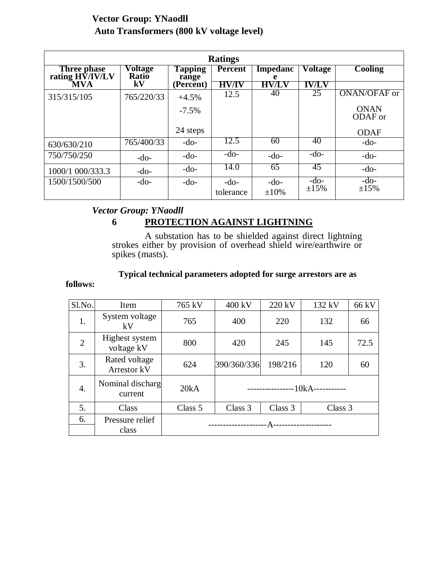#### **Vector Group: YNaodll Auto Transformers (800 kV voltage level)**

| <b>Ratings</b>                 |                  |                  |                     |                      |                      |                        |
|--------------------------------|------------------|------------------|---------------------|----------------------|----------------------|------------------------|
| Three phase<br>rating HV/IV/LV | Voltage<br>Ratio | Tapping<br>range | <b>Percent</b>      | <b>Impedanc</b><br>e | Voltage              | <b>Cooling</b>         |
| MVA                            | ${\bf kV}$       | (Percent)        | <b>HV/IV</b>        | <b>HV/LV</b>         | <b>IV/LV</b>         |                        |
| 315/315/105                    | 765/220/33       | $+4.5%$          | 12.5                | 40                   | 25                   | ONAN/OFAF or           |
|                                |                  | $-7.5\%$         |                     |                      |                      | <b>ONAN</b><br>ODAF or |
|                                |                  | 24 steps         |                     |                      |                      | <b>ODAF</b>            |
| 630/630/210                    | 765/400/33       | $-do-$           | 12.5                | 60                   | 40                   | $-do-$                 |
| 750/750/250                    | $-do-$           | $-do-$           | $-do-$              | $-do-$               | $-do-$               | $-do-$                 |
| 1000/1 000/333.3               | $-do-$           | $-do-$           | 14.0                | 65                   | 45                   | $-do-$                 |
| 1500/1500/500                  | $-do-$           | $-do-$           | $-do-$<br>tolerance | $-do-$<br>$\pm 10\%$ | $-do-$<br>$\pm 15\%$ | $-do-$<br>±15%         |

## *Vector Group: YNaodll*

#### **6 PROTECTION AGAINST LIGHTNING**

A substation has to be shielded against direct lightning strokes either by provision of overhead shield wire/earthwire or spikes (masts).

## **Typical technical parameters adopted for surge arrestors are as**

#### **follows:**

| Sl.No.         | Item                         | 765 kV                | 400 kV                            | 220 kV  | 132 kV  | 66 kV |
|----------------|------------------------------|-----------------------|-----------------------------------|---------|---------|-------|
| 1.             | System voltage<br>kV         | 765                   | 400                               | 220     | 132     | 66    |
| $\overline{2}$ | Highest system<br>voltage kV | 800                   | 420                               | 245     | 145     | 72.5  |
| 3.             | Rated voltage<br>Arrestor kV | 624                   | 390/360/336                       | 198/216 | 120     | 60    |
| 4.             | Nominal discharg<br>current  | 20kA                  | --10kA-----------<br>------------ |         |         |       |
| 5.             | Class                        | Class 5               | Class 3                           | Class 3 | Class 3 |       |
| 6.             | Pressure relief<br>class     | _______________<br>А- |                                   |         |         |       |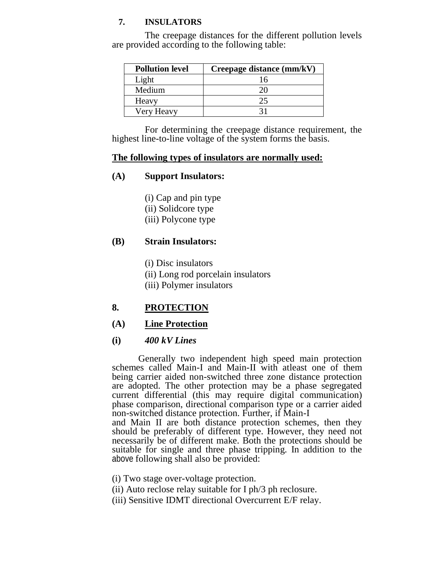#### **7. INSULATORS**

The creepage distances for the different pollution levels are provided according to the following table:

| <b>Pollution level</b> | Creepage distance (mm/kV) |
|------------------------|---------------------------|
| Light                  | 16                        |
| Medium                 | 20                        |
| Heavy                  | 25                        |
| Very Heavy             | ?1                        |

For determining the creepage distance requirement, the highest line-to-line voltage of the system forms the basis.

#### **The following types of insulators are normally used:**

#### **(A) Support Insulators:**

(i) Cap and pin type (ii) Solidcore type (iii) Polycone type

#### **(B) Strain Insulators:**

(i) Disc insulators

- (ii) Long rod porcelain insulators
- (iii) Polymer insulators

#### **8. PROTECTION**

#### **(A) Line Protection**

#### **(i)** *400 kV Lines*

Generally two independent high speed main protection schemes called Main-I and Main-II with atleast one of them being carrier aided non-switched three zone distance protection are adopted. The other protection may be a phase segregated current differential (this may require digital communication) phase comparison, directional comparison type or a carrier aided non-switched distance protection. Further, if Main-I

and Main II are both distance protection schemes, then they should be preferably of different type. However, they need not necessarily be of different make. Both the protections should be suitable for single and three phase tripping. In addition to the above following shall also be provided:

- (i) Two stage over-voltage protection.
- (ii) Auto reclose relay suitable for I ph/3 ph reclosure.
- (iii) Sensitive IDMT directional Overcurrent E/F relay.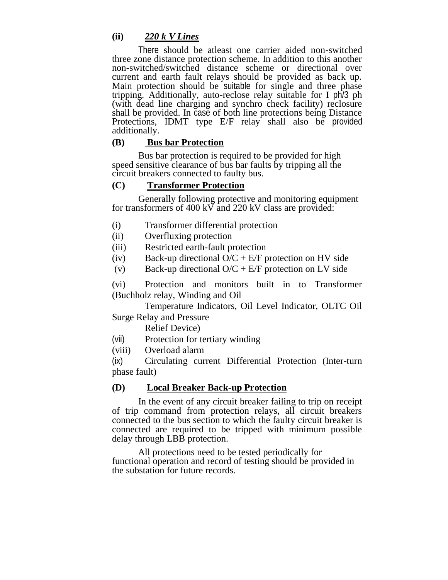#### **(ii)** *220 k V Lines*

There should be atleast one carrier aided non-switched three zone distance protection scheme. In addition to this another non-switched/switched distance scheme or directional over current and earth fault relays should be provided as back up. Main protection should be suitable for single and three phase tripping. Additionally, auto-reclose relay suitable for I ph/3 ph (with dead line charging and synchro check facility) reclosure shall be provided. In case of both line protections being Distance Protections, IDMT type E/F relay shall also be provided additionally.

#### **(B) Bus bar Protection**

Bus bar protection is required to be provided for high speed sensitive clearance of bus bar faults by tripping all the circuit breakers connected to faulty bus.

#### **(C) Transformer Protection**

Generally following protective and monitoring equipment for transformers of 400 kV and 220 kV class are provided:

- (i) Transformer differential protection
- (ii) Overfluxing protection
- (iii) Restricted earth-fault protection
- (iv) Back-up directional  $O/C + E/F$  protection on HV side
- (v) Back-up directional  $O/C + E/F$  protection on LV side

(vi) Protection and monitors built in to Transformer (Buchholz relay, Winding and Oil

 Temperature Indicators, Oil Level Indicator, OLTC Oil Surge Relay and Pressure

Relief Device)

- (vii) Protection for tertiary winding
- (viii) Overload alarm

(ix) Circulating current Differential Protection (Inter-turn phase fault)

#### **(D) Local Breaker Back-up Protection**

In the event of any circuit breaker failing to trip on receipt of trip command from protection relays, all circuit breakers connected to the bus section to which the faulty circuit breaker is connected are required to be tripped with minimum possible delay through LBB protection.

All protections need to be tested periodically for functional operation and record of testing should be provided in the substation for future records.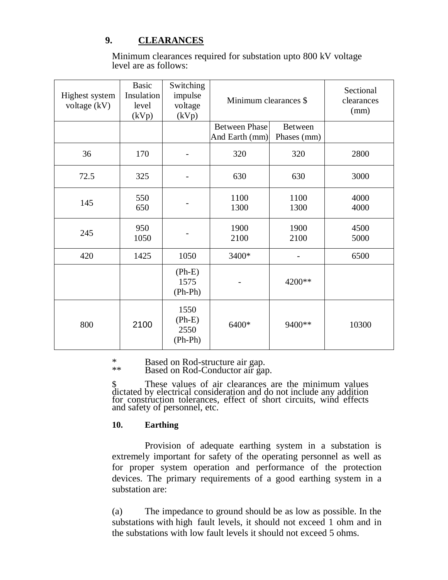#### **9. CLEARANCES**

Minimum clearances required for substation upto 800 kV voltage level are as follows:

| Highest system<br>voltage (kV) | <b>Basic</b><br><b>Insulation</b><br>level<br>(kVp) | Switching<br>impulse<br>voltage<br>(kVp) | Minimum clearances \$                  |                               | Sectional<br>clearances<br>(mm) |
|--------------------------------|-----------------------------------------------------|------------------------------------------|----------------------------------------|-------------------------------|---------------------------------|
|                                |                                                     |                                          | <b>Between Phase</b><br>And Earth (mm) | <b>Between</b><br>Phases (mm) |                                 |
| 36                             | 170                                                 |                                          | 320                                    | 320                           | 2800                            |
| 72.5                           | 325                                                 |                                          | 630                                    | 630                           | 3000                            |
| 145                            | 550<br>650                                          |                                          | 1100<br>1300                           | 1100<br>1300                  | 4000<br>4000                    |
| 245                            | 950<br>1050                                         |                                          | 1900<br>2100                           | 1900<br>2100                  | 4500<br>5000                    |
| 420                            | 1425                                                | 1050                                     | 3400*                                  |                               | 6500                            |
|                                |                                                     | $(Ph-E)$<br>1575<br>$(Ph-Ph)$            |                                        | 4200**                        |                                 |
| 800                            | 2100                                                | 1550<br>$(Ph-E)$<br>2550<br>$(Ph-Ph)$    | 6400*                                  | 9400**                        | 10300                           |

\* Based on Rod-structure air gap.

\*\* Based on Rod-Conductor air gap.

\$ These values of air clearances are the minimum values dictated by electrical consideration and do not include any addition for construction tolerances, effect of short circuits, wind effects and safety of personnel, etc.

#### **10. Earthing**

Provision of adequate earthing system in a substation is extremely important for safety of the operating personnel as well as for proper system operation and performance of the protection devices. The primary requirements of a good earthing system in a substation are:

(a) The impedance to ground should be as low as possible. In the substations with high fault levels, it should not exceed 1 ohm and in the substations with low fault levels it should not exceed 5 ohms.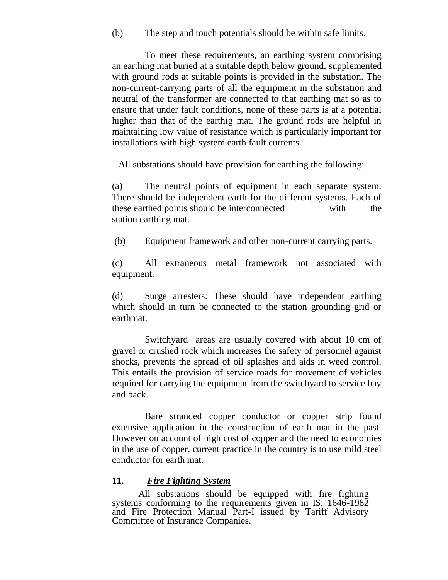(b) The step and touch potentials should be within safe limits.

To meet these requirements, an earthing system comprising an earthing mat buried at a suitable depth below ground, supplemented with ground rods at suitable points is provided in the substation. The non-current-carrying parts of all the equipment in the substation and neutral of the transformer are connected to that earthing mat so as to ensure that under fault conditions, none of these parts is at a potential higher than that of the earthig mat. The ground rods are helpful in maintaining low value of resistance which is particularly important for installations with high system earth fault currents.

All substations should have provision for earthing the following:

(a) The neutral points of equipment in each separate system. There should be independent earth for the different systems. Each of these earthed points should be interconnected with the station earthing mat.

(b) Equipment framework and other non-current carrying parts.

(c) All extraneous metal framework not associated with equipment.

(d) Surge arresters: These should have independent earthing which should in turn be connected to the station grounding grid or earthmat.

Switchyard areas are usually covered with about 10 cm of gravel or crushed rock which increases the safety of personnel against shocks, prevents the spread of oil splashes and aids in weed control. This entails the provision of service roads for movement of vehicles required for carrying the equipment from the switchyard to service bay and back.

Bare stranded copper conductor or copper strip found extensive application in the construction of earth mat in the past. However on account of high cost of copper and the need to economies in the use of copper, current practice in the country is to use mild steel conductor for earth mat.

#### **11.** *Fire Fighting System*

All substations should be equipped with fire fighting systems conforming to the requirements given in IS: 1646-1982 and Fire Protection Manual Part-I issued by Tariff Advisory Committee of Insurance Companies.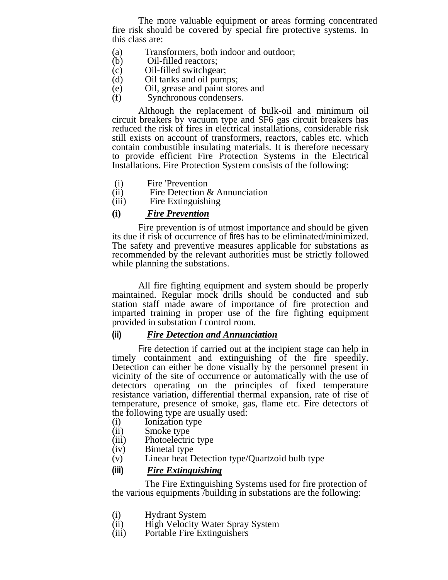The more valuable equipment or areas forming concentrated fire risk should be covered by special fire protective systems. In this class are:

- (a) Transformers, both indoor and outdoor;<br>(b) Oil-filled reactors:
- (b) Oil-filled reactors;
- (c) Oil-filled switchgear;
- (d) Oil tanks and oil pumps;
- (e) Oil, grease and paint stores and<br>
(f) Synchronous condensers.
- Synchronous condensers.

Although the replacement of bulk-oil and minimum oil circuit breakers by vacuum type and SF6 gas circuit breakers has reduced the risk of fires in electrical installations, considerable risk still exists on account of transformers, reactors, cables etc. which contain combustible insulating materials. It is therefore necessary to provide efficient Fire Protection Systems in the Electrical Installations. Fire Protection System consists of the following:

- (i) Fire 'Prevention<br>(ii) Fire Detection  $\ell$
- (ii) Fire Detection & Annunciation<br>(iii) Fire Extinguishing
- Fire Extinguishing
- **(i)** *Fire Prevention*

Fire prevention is of utmost importance and should be given its due if risk of occurrence of fires has to be eliminated/minimized. The safety and preventive measures applicable for substations as recommended by the relevant authorities must be strictly followed while planning the substations.

All fire fighting equipment and system should be properly maintained. Regular mock drills should be conducted and sub station staff made aware of importance of fire protection and imparted training in proper use of the fire fighting equipment provided in substation *I* control room.

#### **(ii)** *Fire Detection and Annunciation*

Fire detection if carried out at the incipient stage can help in timely containment and extinguishing of the fire speedily. Detection can either be done visually by the personnel present in vicinity of the site of occurrence or automatically with the use of detectors operating on the principles of fixed temperature resistance variation, differential thermal expansion, rate of rise of temperature, presence of smoke, gas, flame etc. Fire detectors of the following type are usually used:

- 
- (i) Ionization type<br>(ii) Smoke type Smoke type
- (iii) Photoelectric type
- 
- (iv) Bimetal type<br>(v) Linear heat D Linear heat Detection type/Quartzoid bulb type

#### **(iii)** *Fire Extinguishing*

The Fire Extinguishing Systems used for fire protection of the various equipments /building in substations are the following:

- (i) Hydrant System<br>
(ii) High Velocity W
- High Velocity Water Spray System
- (iii) Portable Fire Extinguishers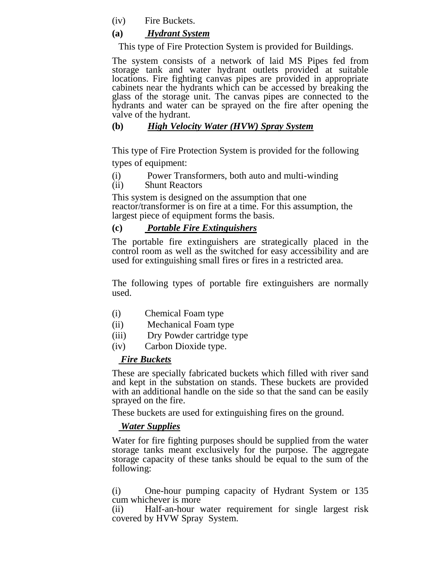(iv) Fire Buckets.

#### **(a)** *Hydrant System*

This type of Fire Protection System is provided for Buildings.

The system consists of a network of laid MS Pipes fed from storage tank and water hydrant outlets provided at suitable locations. Fire fighting canvas pipes are provided in appropriate cabinets near the hydrants which can be accessed by breaking the glass of the storage unit. The canvas pipes are connected to the hydrants and water can be sprayed on the fire after opening the valve of the hydrant.

#### **(b)** *High Velocity Water (HVW) Spray System*

This type of Fire Protection System is provided for the following types of equipment:

- (i) Power Transformers, both auto and multi-winding<br>(ii) Shunt Reactors
- **Shunt Reactors**

This system is designed on the assumption that one reactor/transformer is on fire at a time. For this assumption, the largest piece of equipment forms the basis.

#### **(c)** *Portable Fire Extinguishers*

The portable fire extinguishers are strategically placed in the control room as well as the switched for easy accessibility and are used for extinguishing small fires or fires in a restricted area.

The following types of portable fire extinguishers are normally used.

- (i) Chemical Foam type
- (ii) Mechanical Foam type
- (iii) Dry Powder cartridge type
- (iv) Carbon Dioxide type.

#### *Fire Buckets*

These are specially fabricated buckets which filled with river sand and kept in the substation on stands. These buckets are provided with an additional handle on the side so that the sand can be easily sprayed on the fire.

These buckets are used for extinguishing fires on the ground.

#### *Water Supplies*

Water for fire fighting purposes should be supplied from the water storage tanks meant exclusively for the purpose. The aggregate storage capacity of these tanks should be equal to the sum of the following:

(i) One-hour pumping capacity of Hydrant System or 135 cum whichever is more

(ii) Half-an-hour water requirement for single largest risk covered by HVW Spray System.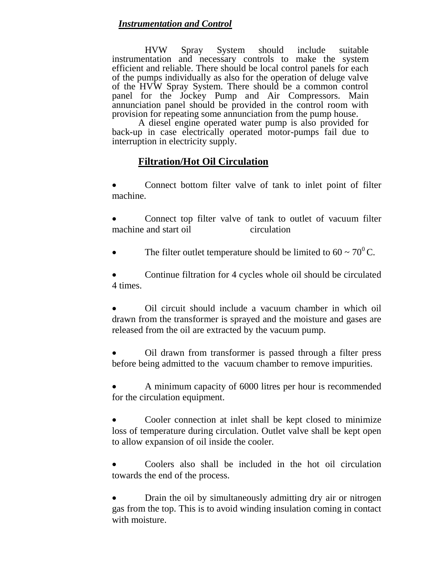#### *Instrumentation and Control*

HVW Spray System should include suitable instrumentation and necessary controls to make the system efficient and reliable. There should be local control panels for each of the pumps individually as also for the operation of deluge valve of the HVW Spray System. There should be a common control panel for the Jockey Pump and Air Compressors. Main annunciation panel should be provided in the control room with provision for repeating some annunciation from the pump house.

A diesel engine operated water pump is also provided for back-up in case electrically operated motor-pumps fail due to interruption in electricity supply.

#### **Filtration/Hot Oil Circulation**

 Connect bottom filter valve of tank to inlet point of filter machine.

 Connect top filter valve of tank to outlet of vacuum filter machine and start oil circulation

The filter outlet temperature should be limited to  $60 \sim 70^0$ C.

 Continue filtration for 4 cycles whole oil should be circulated 4 times.

 Oil circuit should include a vacuum chamber in which oil drawn from the transformer is sprayed and the moisture and gases are released from the oil are extracted by the vacuum pump.

 Oil drawn from transformer is passed through a filter press before being admitted to the vacuum chamber to remove impurities.

 A minimum capacity of 6000 litres per hour is recommended for the circulation equipment.

 Cooler connection at inlet shall be kept closed to minimize loss of temperature during circulation. Outlet valve shall be kept open to allow expansion of oil inside the cooler.

 Coolers also shall be included in the hot oil circulation towards the end of the process.

 Drain the oil by simultaneously admitting dry air or nitrogen gas from the top. This is to avoid winding insulation coming in contact with moisture.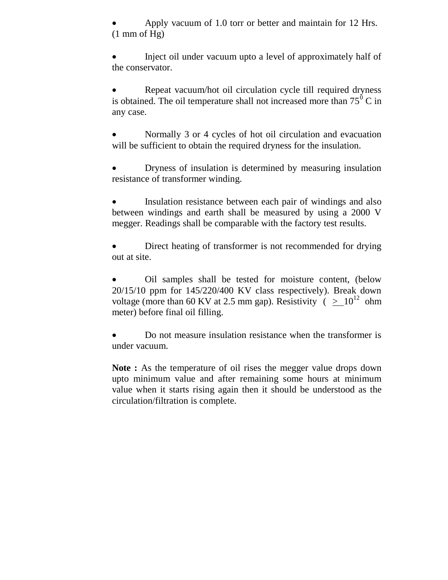Apply vacuum of 1.0 torr or better and maintain for 12 Hrs.  $(1 \text{ mm of Hg})$ 

 Inject oil under vacuum upto a level of approximately half of the conservator.

 Repeat vacuum/hot oil circulation cycle till required dryness is obtained. The oil temperature shall not increased more than  $75^{\circ}$  C in any case.

 Normally 3 or 4 cycles of hot oil circulation and evacuation will be sufficient to obtain the required dryness for the insulation.

 Dryness of insulation is determined by measuring insulation resistance of transformer winding.

 Insulation resistance between each pair of windings and also between windings and earth shall be measured by using a 2000 V megger. Readings shall be comparable with the factory test results.

 Direct heating of transformer is not recommended for drying out at site.

 Oil samples shall be tested for moisture content, (below 20/15/10 ppm for 145/220/400 KV class respectively). Break down voltage (more than 60 KV at 2.5 mm gap). Resistivity ( $> 10^{12}$  ohm meter) before final oil filling.

 Do not measure insulation resistance when the transformer is under vacuum.

**Note :** As the temperature of oil rises the megger value drops down upto minimum value and after remaining some hours at minimum value when it starts rising again then it should be understood as the circulation/filtration is complete.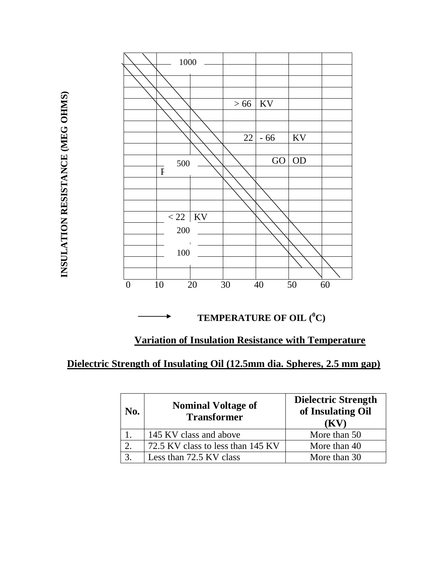

**TEMPERATURE OF OIL (<sup>0</sup>C)**

#### **Variation of Insulation Resistance with Temperature**

#### **Dielectric Strength of Insulating Oil (12.5mm dia. Spheres, 2.5 mm gap)**

| No. | <b>Nominal Voltage of</b><br><b>Transformer</b> | <b>Dielectric Strength</b><br>of Insulating Oil<br>$\mathbf{K}$ |
|-----|-------------------------------------------------|-----------------------------------------------------------------|
|     | 145 KV class and above                          | More than 50                                                    |
|     | 72.5 KV class to less than 145 KV               | More than 40                                                    |
|     | Less than 72.5 KV class                         | More than 30                                                    |

INSULATION RESISTANCE (MEG OHMS) **INSULATION RESISTANCE (MEG OHMS)**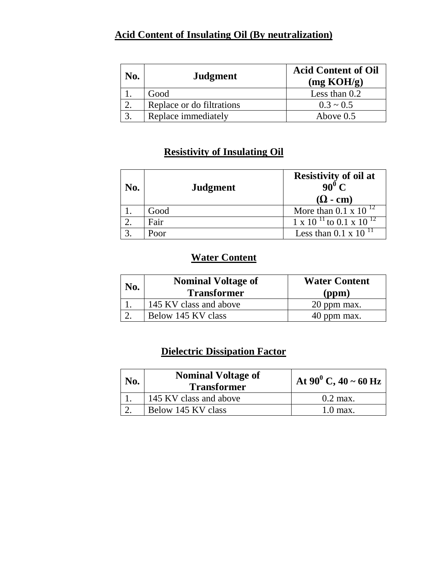#### **Acid Content of Insulating Oil (By neutralization)**

| No. | Judgment                  | <b>Acid Content of Oil</b><br>(mg KOH/g) |
|-----|---------------------------|------------------------------------------|
|     | Good                      | Less than $0.2$                          |
|     | Replace or do filtrations | $0.3 \sim 0.5$                           |
|     | Replace immediately       | Above $0.5$                              |

#### **Resistivity of Insulating Oil**

| No. | <b>Judgment</b> | <b>Resistivity of oil at</b><br>$90^0 C$<br>$(\Omega$ - cm) |
|-----|-----------------|-------------------------------------------------------------|
|     | Good            | More than 0.1 x 10 $^{12}$                                  |
|     | Fair            | $1 \times 10^{-11}$ to 0.1 x 10 <sup>12</sup>               |
|     | Poor            | Less than 0.1 x 10 <sup><math>11</math></sup>               |

#### **Water Content**

| No. | <b>Nominal Voltage of</b><br><b>Transformer</b> | <b>Water Content</b><br>(ppm) |
|-----|-------------------------------------------------|-------------------------------|
|     | 145 KV class and above                          | 20 ppm max.                   |
|     | Below 145 KV class                              | 40 ppm max.                   |

#### **Dielectric Dissipation Factor**

| No. | <b>Nominal Voltage of</b><br><b>Transformer</b> | At 90 <sup>0</sup> C, 40 ~ 60 Hz |
|-----|-------------------------------------------------|----------------------------------|
|     | 145 KV class and above                          | $0.2$ max.                       |
|     | Below 145 KV class                              | $1.0$ max.                       |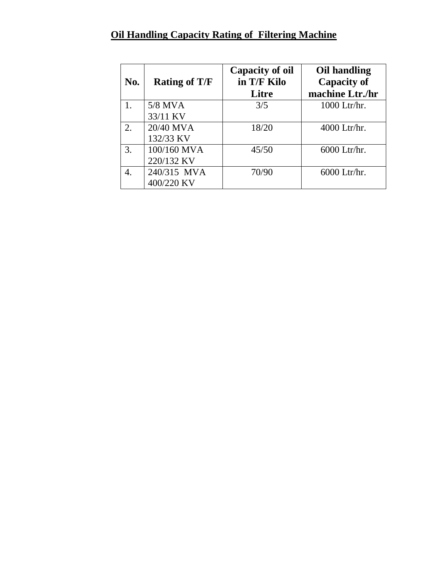### **Oil Handling Capacity Rating of Filtering Machine**

| No. | <b>Rating of T/F</b> | <b>Capacity of oil</b><br>in T/F Kilo<br>Litre | Oil handling<br><b>Capacity of</b><br>machine Ltr./hr |
|-----|----------------------|------------------------------------------------|-------------------------------------------------------|
|     | 5/8 MVA              | 3/5                                            | 1000 Ltr/hr.                                          |
|     | 33/11 KV             |                                                |                                                       |
| 2.  | 20/40 MVA            | 18/20                                          | 4000 Ltr/hr.                                          |
|     | 132/33 KV            |                                                |                                                       |
| 3.  | 100/160 MVA          | 45/50                                          | 6000 Ltr/hr.                                          |
|     | 220/132 KV           |                                                |                                                       |
| 4.  | 240/315 MVA          | 70/90                                          | 6000 Ltr/hr.                                          |
|     | 400/220 KV           |                                                |                                                       |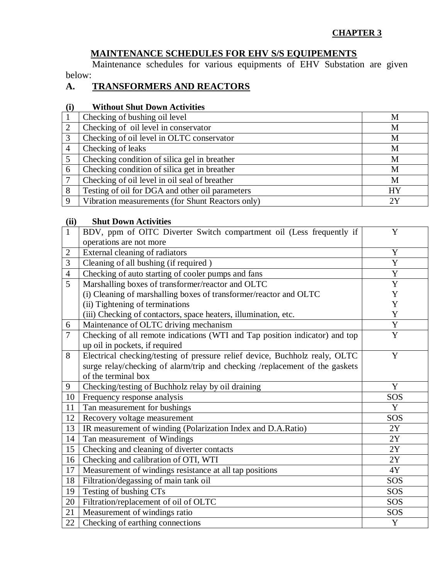#### **CHAPTER 3**

#### **MAINTENANCE SCHEDULES FOR EHV S/S EQUIPEMENTS**

Maintenance schedules for various equipments of EHV Substation are given below:

#### **A. TRANSFORMERS AND REACTORS**

#### **(i) Without Shut Down Activities**

|                | Checking of bushing oil level                    | M         |
|----------------|--------------------------------------------------|-----------|
| $\overline{2}$ | Checking of oil level in conservator             | M         |
| 3              | Checking of oil level in OLTC conservator        | M         |
| $\overline{4}$ | Checking of leaks                                | M         |
|                | Checking condition of silica gel in breather     | M         |
| 6              | Checking condition of silica get in breather     | M         |
|                | Checking of oil level in oil seal of breather    | M         |
| 8              | Testing of oil for DGA and other oil parameters  | <b>HY</b> |
| 9              | Vibration measurements (for Shunt Reactors only) | 2Y        |

#### **(ii) Shut Down Activities**

| $\mathbf{1}$   | BDV, ppm of OITC Diverter Switch compartment oil (Less frequently if        | Y                          |
|----------------|-----------------------------------------------------------------------------|----------------------------|
|                | operations are not more                                                     |                            |
| $\overline{2}$ | External cleaning of radiators                                              | Y                          |
| 3              | Cleaning of all bushing (if required)                                       | Y                          |
| $\overline{4}$ | Checking of auto starting of cooler pumps and fans                          | $\overline{\text{Y}}$      |
| 5              | Marshalling boxes of transformer/reactor and OLTC                           | Y                          |
|                | (i) Cleaning of marshalling boxes of transformer/reactor and OLTC           | Y                          |
|                | (ii) Tightening of terminations                                             | Y                          |
|                | (iii) Checking of contactors, space heaters, illumination, etc.             | Y                          |
| 6              | Maintenance of OLTC driving mechanism                                       | Y                          |
| $\overline{7}$ | Checking of all remote indications (WTI and Tap position indicator) and top | $\overline{Y}$             |
|                | up oil in pockets, if required                                              |                            |
| 8              | Electrical checking/testing of pressure relief device, Buchholz realy, OLTC | Y                          |
|                | surge relay/checking of alarm/trip and checking /replacement of the gaskets |                            |
|                | of the terminal box                                                         |                            |
| 9              | Checking/testing of Buchholz relay by oil draining                          | Y                          |
| 10             | Frequency response analysis                                                 | SOS                        |
| 11             | Tan measurement for bushings                                                | Y                          |
| 12             | Recovery voltage measurement                                                | SOS                        |
| 13             | IR measurement of winding (Polarization Index and D.A.Ratio)                | 2Y                         |
| 14             | Tan measurement of Windings                                                 | 2Y                         |
| 15             | Checking and cleaning of diverter contacts                                  | $2\ensuremath{\mathrm{Y}}$ |
| 16             | Checking and calibration of OTI, WTI                                        | 2Y                         |
| 17             | Measurement of windings resistance at all tap positions                     | $4{\rm Y}$                 |
| 18             | Filtration/degassing of main tank oil                                       | SOS                        |
| 19             | Testing of bushing CTs                                                      | SOS                        |
| 20             | Filtration/replacement of oil of OLTC                                       | SOS                        |
| 21             | Measurement of windings ratio                                               | SOS                        |
| 22             | Checking of earthing connections                                            | Y                          |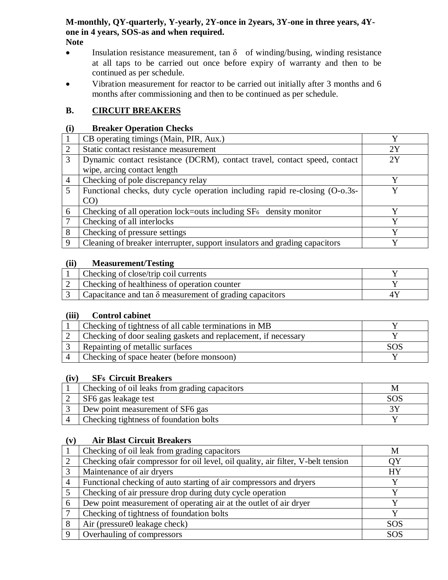#### **M-monthly, QY-quarterly, Y-yearly, 2Y-once in 2years, 3Y-one in three years, 4Yone in 4 years, SOS-as and when required. Note**

- **Insulation resistance measurement, tan**  $\delta$  of winding/busing, winding resistance at all taps to be carried out once before expiry of warranty and then to be continued as per schedule.
- Vibration measurement for reactor to be carried out initially after 3 months and 6 months after commissioning and then to be continued as per schedule.

#### **B. CIRCUIT BREAKERS**

#### **(i) Breaker Operation Checks**

|                | CB operating timings (Main, PIR, Aux.)                                      | $\mathbf v$ |
|----------------|-----------------------------------------------------------------------------|-------------|
| 2              | Static contact resistance measurement                                       | 2Y          |
| 3              | Dynamic contact resistance (DCRM), contact travel, contact speed, contact   | 2Y          |
|                | wipe, arcing contact length                                                 |             |
| $\overline{4}$ | Checking of pole discrepancy relay                                          | V           |
| 5              | Functional checks, duty cycle operation including rapid re-closing (O-o.3s- |             |
|                | $CO$ )                                                                      |             |
| 6              | Checking of all operation lock=outs including $SF6$ density monitor         | v           |
| 7              | Checking of all interlocks                                                  | v           |
| 8              | Checking of pressure settings                                               | $\mathbf v$ |
| 9              | Cleaning of breaker interrupter, support insulators and grading capacitors  | v           |
|                |                                                                             |             |

#### **(ii) Measurement/Testing**

| Checking of close/trip coil currents                                   |  |
|------------------------------------------------------------------------|--|
| Checking of healthiness of operation counter                           |  |
| $\vert$ Capacitance and tan $\delta$ measurement of grading capacitors |  |

#### **(iii) Control cabinet**

| Checking of tightness of all cable terminations in MB          |  |
|----------------------------------------------------------------|--|
| Checking of door sealing gaskets and replacement, if necessary |  |
| Repainting of metallic surfaces                                |  |
| Checking of space heater (before monsoon)                      |  |

#### **(iv) SF6 Circuit Breakers**

| Checking of oil leaks from grading capacitors |     |
|-----------------------------------------------|-----|
| SF6 gas leakage test                          | SOS |
| Dew point measurement of SF6 gas              |     |
| Checking tightness of foundation bolts        |     |

#### **(v) Air Blast Circuit Breakers**

|   | Checking of oil leak from grading capacitors                                     | М          |
|---|----------------------------------------------------------------------------------|------------|
|   | Checking ofair compressor for oil level, oil quality, air filter, V-belt tension | ΟY         |
|   | Maintenance of air dryers                                                        | HY         |
|   | Functional checking of auto starting of air compressors and dryers               |            |
|   | Checking of air pressure drop during duty cycle operation                        |            |
| 6 | Dew point measurement of operating air at the outlet of air dryer                |            |
|   | Checking of tightness of foundation bolts                                        | v          |
| 8 | Air (pressure0 leakage check)                                                    | <b>SOS</b> |
|   | Overhauling of compressors                                                       | <b>SOS</b> |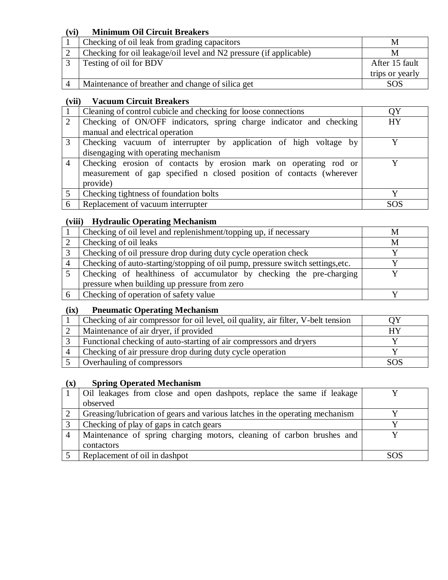#### **(vi) Minimum Oil Circuit Breakers**

| Checking of oil leak from grading capacitors                       | M               |
|--------------------------------------------------------------------|-----------------|
| Checking for oil leakage/oil level and N2 pressure (if applicable) | М               |
| Testing of oil for BDV                                             | After 15 fault  |
|                                                                    | trips or yearly |
| Maintenance of breather and change of silica get                   | SOS             |

#### **(vii) Vacuum Circuit Breakers**

|                             | Cleaning of control cubicle and checking for loose connections                                                                           | ΟY        |
|-----------------------------|------------------------------------------------------------------------------------------------------------------------------------------|-----------|
| $\mathcal{D}_{\mathcal{L}}$ | Checking of ON/OFF indicators, spring charge indicator and checking                                                                      | <b>HY</b> |
|                             | manual and electrical operation                                                                                                          |           |
| $\mathcal{R}$               | Checking vacuum of interrupter by application of high voltage by                                                                         |           |
|                             | disengaging with operating mechanism                                                                                                     |           |
| $\overline{4}$              | Checking erosion of contacts by erosion mark on operating rod or<br>measurement of gap specified n closed position of contacts (wherever |           |
|                             | provide)                                                                                                                                 |           |
| $5\overline{)}$             | Checking tightness of foundation bolts                                                                                                   | Y         |
| 6                           | Replacement of vacuum interrupter                                                                                                        | SOS       |

#### **(viii) Hydraulic Operating Mechanism**

|                | Checking of oil level and replenishment/topping up, if necessary               | M |
|----------------|--------------------------------------------------------------------------------|---|
|                | Checking of oil leaks                                                          | M |
| 3              | Checking of oil pressure drop during duty cycle operation check                |   |
| $\overline{A}$ | Checking of auto-starting/stopping of oil pump, pressure switch settings, etc. |   |
|                | Checking of healthiness of accumulator by checking the pre-charging            |   |
|                | pressure when building up pressure from zero                                   |   |
|                | Checking of operation of safety value                                          |   |

#### **(ix) Pneumatic Operating Mechanism**

| Checking of air compressor for oil level, oil quality, air filter, V-belt tension |     |
|-----------------------------------------------------------------------------------|-----|
| Maintenance of air dryer, if provided                                             |     |
| Functional checking of auto-starting of air compressors and dryers                |     |
| Checking of air pressure drop during duty cycle operation                         |     |
| Overhauling of compressors                                                        | SOS |

#### **(x) Spring Operated Mechanism**

| Oil leakages from close and open dashpots, replace the same if leakage       |      |
|------------------------------------------------------------------------------|------|
| observed                                                                     |      |
| Greasing/lubrication of gears and various latches in the operating mechanism |      |
| Checking of play of gaps in catch gears                                      |      |
| Maintenance of spring charging motors, cleaning of carbon brushes and        |      |
| contactors                                                                   |      |
| Replacement of oil in dashpot                                                | SOS. |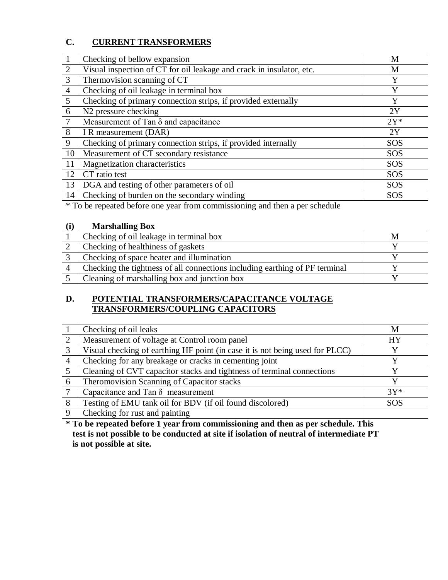#### **C. CURRENT TRANSFORMERS**

|                | Checking of bellow expansion                                         | M          |
|----------------|----------------------------------------------------------------------|------------|
| 2              | Visual inspection of CT for oil leakage and crack in insulator, etc. | M          |
| 3              | Thermovision scanning of CT                                          | Y          |
| $\overline{4}$ | Checking of oil leakage in terminal box                              | Y          |
| $\mathfrak{S}$ | Checking of primary connection strips, if provided externally        | Y          |
| 6              | N <sub>2</sub> pressure checking                                     | 2Y         |
| 7              | Measurement of Tan $\delta$ and capacitance                          | $2Y^*$     |
| 8              | I R measurement (DAR)                                                | 2Y         |
| 9              | Checking of primary connection strips, if provided internally        | <b>SOS</b> |
| 10             | Measurement of CT secondary resistance                               | SOS        |
| 11             | Magnetization characteristics                                        | <b>SOS</b> |
| 12             | CT ratio test                                                        | <b>SOS</b> |
| 13             | DGA and testing of other parameters of oil                           | <b>SOS</b> |
| 14             | Checking of burden on the secondary winding                          | <b>SOS</b> |

\* To be repeated before one year from commissioning and then a per schedule

#### **(i) Marshalling Box**

| Checking of oil leakage in terminal box                                     |  |
|-----------------------------------------------------------------------------|--|
| Checking of healthiness of gaskets                                          |  |
| Checking of space heater and illumination                                   |  |
| Checking the tightness of all connections including earthing of PF terminal |  |
| Cleaning of marshalling box and junction box                                |  |

#### **D. POTENTIAL TRANSFORMERS/CAPACITANCE VOLTAGE TRANSFORMERS/COUPLING CAPACITORS**

|          | Checking of oil leaks                                                        | M          |
|----------|------------------------------------------------------------------------------|------------|
| 2        | Measurement of voltage at Control room panel                                 | <b>HY</b>  |
| 3        | Visual checking of earthing HF point (in case it is not being used for PLCC) |            |
|          | Checking for any breakage or cracks in cementing joint                       |            |
|          | Cleaning of CVT capacitor stacks and tightness of terminal connections       |            |
| 6        | Theromovision Scanning of Capacitor stacks                                   |            |
|          | Capacitance and Tan $\delta$ measurement                                     | $3Y^*$     |
| 8        | Testing of EMU tank oil for BDV (if oil found discolored)                    | <b>SOS</b> |
| $\Omega$ | Checking for rust and painting                                               |            |

**\* To be repeated before 1 year from commissioning and then as per schedule. This test is not possible to be conducted at site if isolation of neutral of intermediate PT is not possible at site.**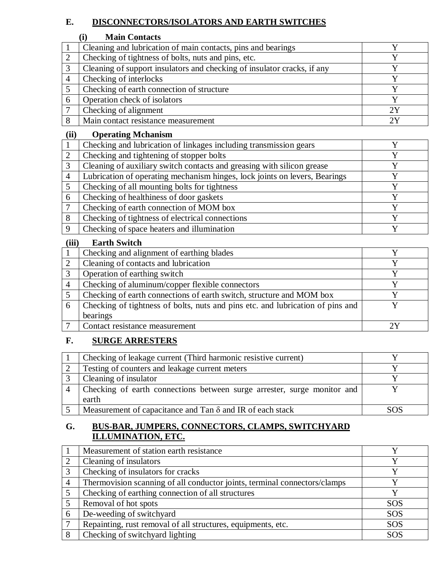#### **E. DISCONNECTORS/ISOLATORS AND EARTH SWITCHES**

#### **(i) Main Contacts**

|   | Cleaning and lubrication of main contacts, pins and bearings            |    |
|---|-------------------------------------------------------------------------|----|
|   | Checking of tightness of bolts, nuts and pins, etc.                     |    |
| 2 | Cleaning of support insulators and checking of insulator cracks, if any |    |
|   | Checking of interlocks                                                  |    |
|   | Checking of earth connection of structure                               |    |
|   | Operation check of isolators                                            |    |
|   | Checking of alignment                                                   | 2Y |
|   | Main contact resistance measurement                                     |    |

#### **(ii) Operating Mchanism**

| Checking and lubrication of linkages including transmission gears          |  |
|----------------------------------------------------------------------------|--|
| Checking and tightening of stopper bolts                                   |  |
| Cleaning of auxiliary switch contacts and greasing with silicon grease     |  |
| Lubrication of operating mechanism hinges, lock joints on levers, Bearings |  |
| Checking of all mounting bolts for tightness                               |  |
| Checking of healthiness of door gaskets                                    |  |
| Checking of earth connection of MOM box                                    |  |
| Checking of tightness of electrical connections                            |  |
| Checking of space heaters and illumination                                 |  |
|                                                                            |  |

#### **(iii) Earth Switch**

|   | Checking and alignment of earthing blades                                      |  |
|---|--------------------------------------------------------------------------------|--|
|   | Cleaning of contacts and lubrication                                           |  |
|   | Operation of earthing switch                                                   |  |
|   | Checking of aluminum/copper flexible connectors                                |  |
|   | Checking of earth connections of earth switch, structure and MOM box           |  |
| 6 | Checking of tightness of bolts, nuts and pins etc. and lubrication of pins and |  |
|   | bearings                                                                       |  |
|   | Contact resistance measurement                                                 |  |

#### **F. SURGE ARRESTERS**

| Checking of leakage current (Third harmonic resistive current)                   |      |
|----------------------------------------------------------------------------------|------|
| Testing of counters and leakage current meters                                   |      |
| Cleaning of insulator                                                            |      |
| Checking of earth connections between surge arrester, surge monitor and<br>earth |      |
| Measurement of capacitance and Tan $\delta$ and IR of each stack                 | SOS. |

#### **G. BUS-BAR, JUMPERS, CONNECTORS, CLAMPS, SWITCHYARD ILLUMINATION, ETC.**

|                | Measurement of station earth resistance                                   |            |
|----------------|---------------------------------------------------------------------------|------------|
|                | Cleaning of insulators                                                    |            |
| 3              | Checking of insulators for cracks                                         | v          |
| $\overline{4}$ | Thermovision scanning of all conductor joints, terminal connectors/clamps |            |
|                | Checking of earthing connection of all structures                         |            |
|                | Removal of hot spots                                                      | <b>SOS</b> |
| 6              | De-weeding of switchyard                                                  | <b>SOS</b> |
|                | Repainting, rust removal of all structures, equipments, etc.              | <b>SOS</b> |
|                | Checking of switchyard lighting                                           | <b>SOS</b> |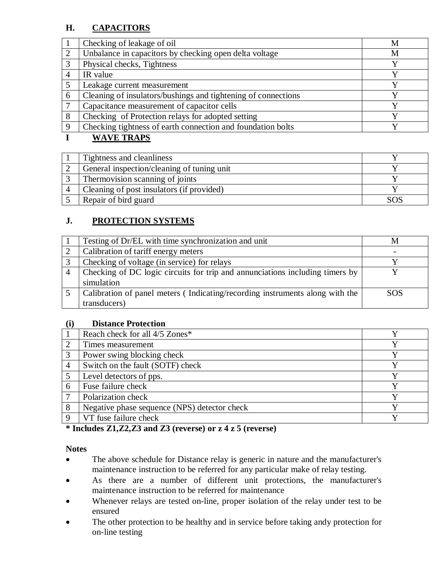#### **H. CAPACITORS**

|          | Checking of leakage of oil                                    | М |
|----------|---------------------------------------------------------------|---|
|          | Unbalance in capacitors by checking open delta voltage        | M |
|          | Physical checks, Tightness                                    | v |
|          | IR value                                                      |   |
|          | Leakage current measurement                                   |   |
| 6        | Cleaning of insulators/bushings and tightening of connections |   |
|          | Capacitance measurement of capacitor cells                    |   |
| 8        | Checking of Protection relays for adopted setting             |   |
| $\Omega$ | Checking tightness of earth connection and foundation bolts   |   |
|          |                                                               |   |

#### **I WAVE TRAPS**

| Tightness and cleanliness                  |  |
|--------------------------------------------|--|
| General inspection/cleaning of tuning unit |  |
| Thermovision scanning of joints            |  |
| Cleaning of post insulators (if provided)  |  |
| Repair of bird guard                       |  |

#### **J. PROTECTION SYSTEMS**

| Testing of Dr/EL with time synchronization and unit                          |            |
|------------------------------------------------------------------------------|------------|
| Calibration of tariff energy meters                                          |            |
| Checking of voltage (in service) for relays                                  |            |
| Checking of DC logic circuits for trip and annunciations including timers by |            |
| simulation                                                                   |            |
| Calibration of panel meters (Indicating/recording instruments along with the | <b>SOS</b> |
| transducers)                                                                 |            |

#### **(i) Distance Protection**

| $\sim$         |                                              |  |
|----------------|----------------------------------------------|--|
|                | Reach check for all 4/5 Zones*               |  |
| 2              | Times measurement                            |  |
| 3              | Power swing blocking check                   |  |
| $\overline{4}$ | Switch on the fault (SOTF) check             |  |
|                | Level detectors of pps.                      |  |
| 6              | Fuse failure check                           |  |
| 7              | Polarization check                           |  |
| 8              | Negative phase sequence (NPS) detector check |  |
| $\Omega$       | VT fuse failure check                        |  |
|                |                                              |  |

#### **\* Includes Z1,Z2,Z3 and Z3 (reverse) or z 4 z 5 (reverse)**

#### **Notes**

- The above schedule for Distance relay is generic in nature and the manufacturer's maintenance instruction to be referred for any particular make of relay testing.
- As there are a number of different unit protections, the manufacturer's maintenance instruction to be referred for maintenance
- Whenever relays are tested on-line, proper isolation of the relay under test to be ensured
- The other protection to be healthy and in service before taking andy protection for on-line testing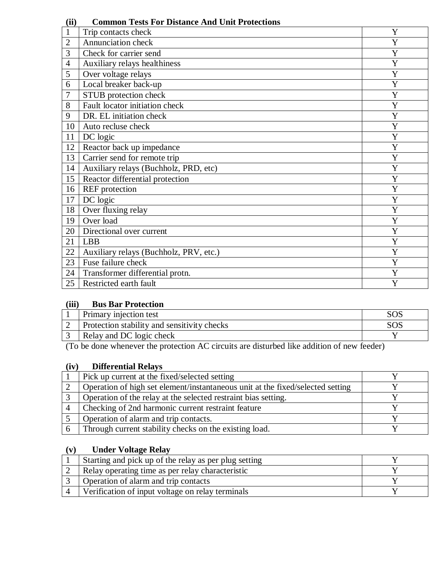| , <i>,</i>     |                                        |                |
|----------------|----------------------------------------|----------------|
| $\mathbf{1}$   | Trip contacts check                    | Y              |
| $\overline{2}$ | Annunciation check                     | Y              |
| 3              | Check for carrier send                 | Y              |
| $\overline{4}$ | Auxiliary relays healthiness           | Y              |
| 5              | Over voltage relays                    | Y              |
| 6              | Local breaker back-up                  | Y              |
| 7              | STUB protection check                  | Y              |
| 8              | Fault locator initiation check         | Y              |
| 9              | DR. EL initiation check                | Y              |
| 10             | Auto recluse check                     | $\overline{Y}$ |
| 11             | DC logic                               | Y              |
| 12             | Reactor back up impedance              | Y              |
| 13             | Carrier send for remote trip           | Y              |
| 14             | Auxiliary relays (Buchholz, PRD, etc)  | Y              |
| 15             | Reactor differential protection        | $\mathbf Y$    |
| 16             | <b>REF</b> protection                  | Y              |
| 17             | DC logic                               | Y              |
| 18             | Over fluxing relay                     | Y              |
| 19             | Over load                              | Y              |
| 20             | Directional over current               | Y              |
| 21             | <b>LBB</b>                             | Y              |
| 22             | Auxiliary relays (Buchholz, PRV, etc.) | Y              |
| 23             | Fuse failure check                     | Y              |
| 24             | Transformer differential protn.        | Y              |
| 25             | Restricted earth fault                 | Y              |

#### **(ii) Common Tests For Distance And Unit Protections**

#### **(iii) Bus Bar Protection**

| Primary injection test                      |  |
|---------------------------------------------|--|
| Protection stability and sensitivity checks |  |
| Relay and DC logic check                    |  |

(To be done whenever the protection AC circuits are disturbed like addition of new feeder)

#### **(iv) Differential Relays**

| Pick up current at the fixed/selected setting                                  |  |
|--------------------------------------------------------------------------------|--|
| Operation of high set element/instantaneous unit at the fixed/selected setting |  |
| Operation of the relay at the selected restraint bias setting.                 |  |
| Checking of 2nd harmonic current restraint feature                             |  |
| Operation of alarm and trip contacts.                                          |  |
| Through current stability checks on the existing load.                         |  |

#### **(v) Under Voltage Relay**

| Starting and pick up of the relay as per plug setting |  |
|-------------------------------------------------------|--|
| Relay operating time as per relay characteristic      |  |
| Operation of alarm and trip contacts                  |  |
| Verification of input voltage on relay terminals      |  |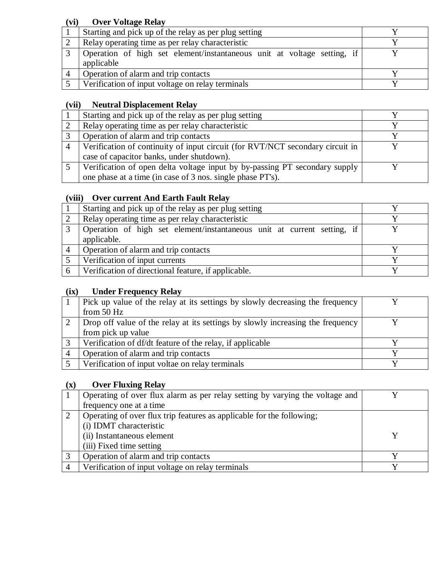#### **(vi) Over Voltage Relay**

| Starting and pick up of the relay as per plug setting                                 |  |
|---------------------------------------------------------------------------------------|--|
| Relay operating time as per relay characteristic                                      |  |
| Operation of high set element/instantaneous unit at voltage setting, if<br>applicable |  |
| Operation of alarm and trip contacts                                                  |  |
| Verification of input voltage on relay terminals                                      |  |

#### **(vii) Neutral Displacement Relay**

|                | Starting and pick up of the relay as per plug setting                         |  |
|----------------|-------------------------------------------------------------------------------|--|
|                | Relay operating time as per relay characteristic                              |  |
|                | Operation of alarm and trip contacts                                          |  |
| $\overline{4}$ | Verification of continuity of input circuit (for RVT/NCT secondary circuit in |  |
|                | case of capacitor banks, under shutdown).                                     |  |
|                | Verification of open delta voltage input by by-passing PT secondary supply    |  |
|                | one phase at a time (in case of 3 nos. single phase PT's).                    |  |

#### **(viii) Over current And Earth Fault Relay**

|                | Starting and pick up of the relay as per plug setting                   |  |
|----------------|-------------------------------------------------------------------------|--|
| 2              | Relay operating time as per relay characteristic                        |  |
|                | Operation of high set element/instantaneous unit at current setting, if |  |
|                | applicable.                                                             |  |
| $\overline{4}$ | Operation of alarm and trip contacts                                    |  |
|                | Verification of input currents                                          |  |
| 6              | Verification of directional feature, if applicable.                     |  |

#### **(ix) Under Frequency Relay**

| Pick up value of the relay at its settings by slowly decreasing the frequency  |  |
|--------------------------------------------------------------------------------|--|
| from $50$ Hz                                                                   |  |
| Drop off value of the relay at its settings by slowly increasing the frequency |  |
| from pick up value                                                             |  |
| Verification of df/dt feature of the relay, if applicable                      |  |
| Operation of alarm and trip contacts                                           |  |
| Verification of input voltae on relay terminals                                |  |

#### **(x) Over Fluxing Relay**

| Operating of over flux alarm as per relay setting by varying the voltage and |  |
|------------------------------------------------------------------------------|--|
| frequency one at a time                                                      |  |
| Operating of over flux trip features as applicable for the following;        |  |
| (i) IDMT characteristic                                                      |  |
| (ii) Instantaneous element                                                   |  |
| (iii) Fixed time setting                                                     |  |
| Operation of alarm and trip contacts                                         |  |
| Verification of input voltage on relay terminals                             |  |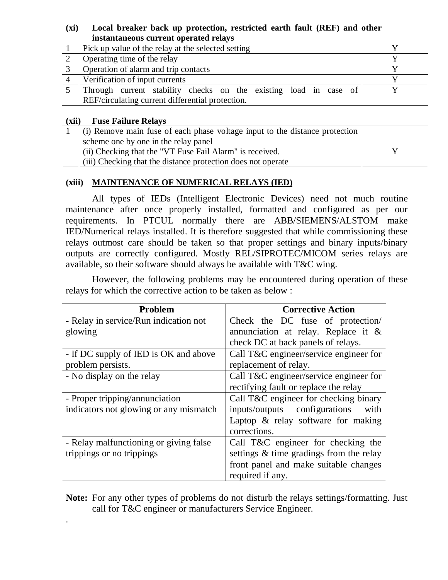#### **(xi) Local breaker back up protection, restricted earth fault (REF) and other instantaneous current operated relays**

| Pick up value of the relay at the selected setting               |  |
|------------------------------------------------------------------|--|
| Operating time of the relay                                      |  |
| Operation of alarm and trip contacts                             |  |
| Verification of input currents                                   |  |
| Through current stability checks on the existing load in case of |  |
| REF/circulating current differential protection.                 |  |

#### **(xii) Fuse Failure Relays**

.

| (i) Remove main fuse of each phase voltage input to the distance protection |  |
|-----------------------------------------------------------------------------|--|
| scheme one by one in the relay panel                                        |  |
| (ii) Checking that the "VT Fuse Fail Alarm" is received.                    |  |
| (iii) Checking that the distance protection does not operate                |  |
|                                                                             |  |

#### **(xiii) MAINTENANCE OF NUMERICAL RELAYS (IED)**

All types of IEDs (Intelligent Electronic Devices) need not much routine maintenance after once properly installed, formatted and configured as per our requirements. In PTCUL normally there are ABB/SIEMENS/ALSTOM make IED/Numerical relays installed. It is therefore suggested that while commissioning these relays outmost care should be taken so that proper settings and binary inputs/binary outputs are correctly configured. Mostly REL/SIPROTEC/MICOM series relays are available, so their software should always be available with T&C wing.

However, the following problems may be encountered during operation of these relays for which the corrective action to be taken as below :

| Problem                                | <b>Corrective Action</b>                |  |
|----------------------------------------|-----------------------------------------|--|
| - Relay in service/Run indication not  | Check the DC fuse of protection/        |  |
| glowing                                | annunciation at relay. Replace it $\&$  |  |
|                                        | check DC at back panels of relays.      |  |
| - If DC supply of IED is OK and above  | Call T&C engineer/service engineer for  |  |
| problem persists.                      | replacement of relay.                   |  |
| - No display on the relay              | Call T&C engineer/service engineer for  |  |
|                                        | rectifying fault or replace the relay   |  |
| - Proper tripping/annunciation         | Call T&C engineer for checking binary   |  |
| indicators not glowing or any mismatch | inputs/outputs configurations<br>with   |  |
|                                        | Laptop $\&$ relay software for making   |  |
|                                        | corrections.                            |  |
| - Relay malfunctioning or giving false | Call T&C engineer for checking the      |  |
| trippings or no trippings              | settings & time gradings from the relay |  |
|                                        | front panel and make suitable changes   |  |
|                                        | required if any.                        |  |

**Note:** For any other types of problems do not disturb the relays settings/formatting. Just call for T&C engineer or manufacturers Service Engineer.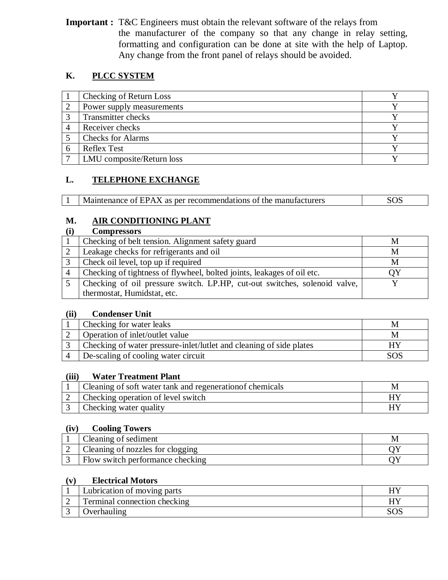**Important :** T&C Engineers must obtain the relevant software of the relays from the manufacturer of the company so that any change in relay setting, formatting and configuration can be done at site with the help of Laptop. Any change from the front panel of relays should be avoided.

#### **K. PLCC SYSTEM**

| Checking of Return Loss   |  |
|---------------------------|--|
| Power supply measurements |  |
| <b>Transmitter checks</b> |  |
| Receiver checks           |  |
| <b>Checks for Alarms</b>  |  |
| <b>Reflex Test</b>        |  |
| LMU composite/Return loss |  |

#### **L. TELEPHONE EXCHANGE**

| Maintenance of EPAX as per recommendations of the manufacturers | SOS |
|-----------------------------------------------------------------|-----|
|                                                                 |     |

#### **M. AIR CONDITIONING PLANT**

|                | <b>Compressors</b>                                                        |   |
|----------------|---------------------------------------------------------------------------|---|
|                | Checking of belt tension. Alignment safety guard                          | M |
|                | Leakage checks for refrigerants and oil                                   | M |
| 3              | Check oil level, top up if required                                       | M |
| $\overline{A}$ | Checking of tightness of flywheel, bolted joints, leakages of oil etc.    |   |
|                | Checking of oil pressure switch. LP.HP, cut-out switches, solenoid valve, |   |
|                | thermostat, Humidstat, etc.                                               |   |

#### **(ii) Condenser Unit**

| Checking for water leaks                                            | ΙVΙ |
|---------------------------------------------------------------------|-----|
| Operation of inlet/outlet value                                     | M   |
| Checking of water pressure-inlet/lutlet and cleaning of side plates | НY  |
| De-scaling of cooling water circuit                                 |     |

#### **(iii) Water Treatment Plant**

| Cleaning of soft water tank and regeneration of chemicals |  |
|-----------------------------------------------------------|--|
| Checking operation of level switch                        |  |
| Checking water quality                                    |  |

#### **(iv) Cooling Towers**

| Cleaning of sediment             |  |
|----------------------------------|--|
| Cleaning of nozzles for clogging |  |
| Flow switch performance checking |  |

#### **(v) Electrical Motors**

| Lubrication of moving parts         |  |
|-------------------------------------|--|
| <b>Terminal connection checking</b> |  |
|                                     |  |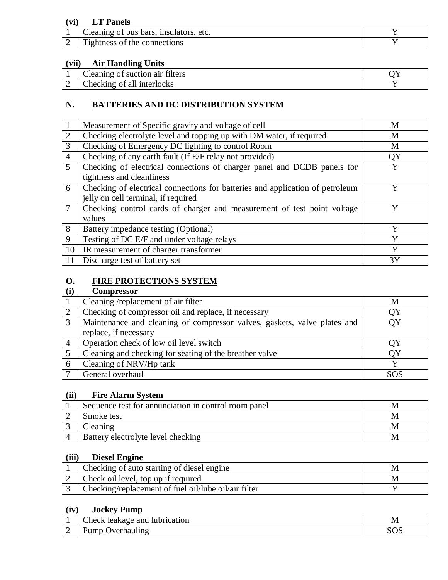#### **(vi) LT Panels**

| ~·<br>1 <b>n</b> cu<br>etc.<br>bars.<br>0.104<br>bus<br>leaning<br>ΩT |  |
|-----------------------------------------------------------------------|--|
| m.<br><b>ALONS</b><br>12 htness<br>the connec<br>ΩŤ                   |  |

#### **(vii) Air Handling Units**

|   | $\sim$<br>$\sim$<br>suction air<br>filters<br>$\cup$ leaning<br>ΟĪ |  |
|---|--------------------------------------------------------------------|--|
| _ | interlocks<br>$\mathcal{L}$ hecking<br>of all                      |  |

#### **N. BATTERIES AND DC DISTRIBUTION SYSTEM**

|                | Measurement of Specific gravity and voltage of cell                           | М  |
|----------------|-------------------------------------------------------------------------------|----|
| $\overline{2}$ | Checking electrolyte level and topping up with DM water, if required          | M  |
| 3              | Checking of Emergency DC lighting to control Room                             | M  |
| $\overline{4}$ | Checking of any earth fault (If E/F relay not provided)                       | QY |
| 5              | Checking of electrical connections of charger panel and DCDB panels for       | Y  |
|                | tightness and cleanliness                                                     |    |
| 6              | Checking of electrical connections for batteries and application of petroleum | v  |
|                | jelly on cell terminal, if required                                           |    |
|                | Checking control cards of charger and measurement of test point voltage       |    |
|                | values                                                                        |    |
| 8              | Battery impedance testing (Optional)                                          | Y  |
| 9              | Testing of DC E/F and under voltage relays                                    | Y  |
| 10             | IR measurement of charger transformer                                         | Y  |
| 11             | Discharge test of battery set                                                 | 3Y |

## **O. FIRE PROTECTIONS SYSTEM**<br>(i) **Compressor**

#### **(i) Compressor**

|   | Cleaning /replacement of air filter                                      | M         |
|---|--------------------------------------------------------------------------|-----------|
|   | Checking of compressor oil and replace, if necessary                     | ΟY        |
| 3 | Maintenance and cleaning of compressor valves, gaskets, valve plates and | <b>OY</b> |
|   | replace, if necessary                                                    |           |
|   | Operation check of low oil level switch                                  |           |
|   | Cleaning and checking for seating of the breather valve                  |           |
|   | Cleaning of NRV/Hp tank                                                  |           |
|   | General overhaul                                                         | SOS.      |

#### **(ii) Fire Alarm System**

| Sequence test for annunciation in control room panel |  |
|------------------------------------------------------|--|
| Smoke test                                           |  |
|                                                      |  |
| Battery electrolyte level checking                   |  |

#### **(iii) Diesel Engine**

| Checking of auto starting of diesel engine           |  |
|------------------------------------------------------|--|
| Check oil level, top up if required                  |  |
| Checking/replacement of fuel oil/lube oil/air filter |  |

#### **(iv) Jockey Pump**

| . . | $\sim$<br>lubrication<br>`neck<br>and<br>100<br>мκ | N/L<br>TAT         |
|-----|----------------------------------------------------|--------------------|
| _   | 1.100000001100<br>$\sim$<br>,,,,,<br>-             | $\cap$<br>◡◡<br>ື້ |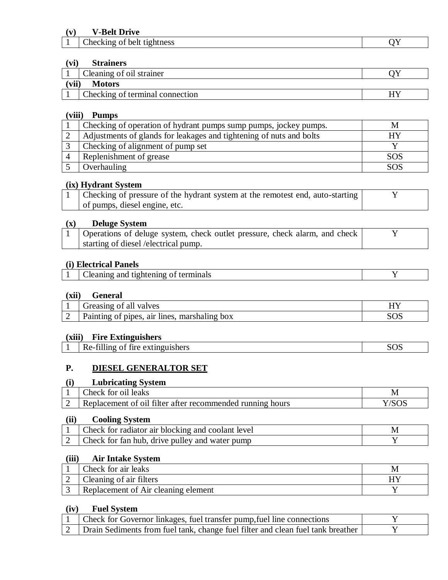#### **(v) V-Belt Drive**

| --<br>.<br>$\Omega$<br>ne<br>'ness<br>mo<br>r ve<br>______<br>. | $\sim$ |
|-----------------------------------------------------------------|--------|
|                                                                 |        |

#### **(vi) Strainers**

|                        | Cleaning of oil strainer        |  |  |
|------------------------|---------------------------------|--|--|
| (vii)<br><b>Motors</b> |                                 |  |  |
|                        | Checking of terminal connection |  |  |

#### **(viii) Pumps**

| Checking of operation of hydrant pumps sump pumps, jockey pumps.    | IVI        |
|---------------------------------------------------------------------|------------|
| Adjustments of glands for leakages and tightening of nuts and bolts | HY         |
| Checking of alignment of pump set                                   |            |
| Replenishment of grease                                             | <b>SOS</b> |
| Overhauling                                                         | SOS        |

#### **(ix) Hydrant System**

| Checking of pressure of the hydrant system at the remotest end, auto-starting |  |
|-------------------------------------------------------------------------------|--|
| of pumps, diesel engine, etc.                                                 |  |

#### **(x) Deluge System**

| Operations of deluge system, check outlet pressure, check alarm, and check |  |
|----------------------------------------------------------------------------|--|
| starting of diesel /electrical pump.                                       |  |

#### **(i) Electrical Panels**

| Cleaning and tightening of terminals |
|--------------------------------------|
|--------------------------------------|

#### **(xii) General**

| valves<br>$-$ roocing<br>alı                              | . |
|-----------------------------------------------------------|---|
| box<br>air<br>. marshaling<br>lines<br>nines<br>ıng<br>าา |   |

#### **(xiii) Fire Extinguishers**

| Re-filling of fire extinguishers<br>$\sim$ $\sim$ $\sim$ $\sim$ $\sim$ $\sim$ $\sim$ | ∩⊆ |
|--------------------------------------------------------------------------------------|----|

#### **P. DIESEL GENERALTOR SET**

#### **(i) Lubricating System**

| $\text{Check}$<br>for oil leaks                           | IVI |
|-----------------------------------------------------------|-----|
| Replacement of oil filter after recommended running hours |     |

#### **(ii) Cooling System**

| Check for radiator air blocking and coolant level |  |
|---------------------------------------------------|--|
| Check for fan hub, drive pulley and water pump    |  |

#### **(iii) Air Intake System**

| Check for air leaks                 |  |
|-------------------------------------|--|
| Cleaning of air filters             |  |
| Replacement of Air cleaning element |  |

#### **(iv) Fuel System**

| Check for Governor linkages, fuel transfer pump, fuel line connections          |  |
|---------------------------------------------------------------------------------|--|
| Drain Sediments from fuel tank, change fuel filter and clean fuel tank breather |  |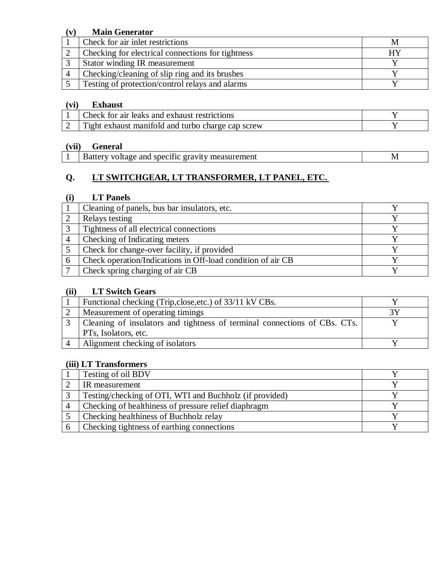#### **(v) Main Generator**

| Check for air inlet restrictions                  | ΙVΙ |
|---------------------------------------------------|-----|
| Checking for electrical connections for tightness | HУ  |
| <b>Stator winding IR measurement</b>              |     |
| Checking/cleaning of slip ring and its brushes    |     |
| Testing of protection/control relays and alarms   |     |

#### **(vi) Exhaust**

| Check for air leaks and exhaust restrictions      |  |
|---------------------------------------------------|--|
| Tight exhaust manifold and turbo charge cap screw |  |

#### **(vii) General**

|  | Battery voltage and specific gravity measurement | M |
|--|--------------------------------------------------|---|
|--|--------------------------------------------------|---|

#### **Q. LT SWITCHGEAR, LT TRANSFORMER, LT PANEL, ETC.**

#### **(i) LT Panels**

|              | Cleaning of panels, bus bar insulators, etc.                |  |
|--------------|-------------------------------------------------------------|--|
|              | Relays testing                                              |  |
| $\mathbf{c}$ | Tightness of all electrical connections                     |  |
|              | Checking of Indicating meters                               |  |
|              | Check for change-over facility, if provided                 |  |
|              | Check operation/Indications in Off-load condition of air CB |  |
|              | Check spring charging of air CB                             |  |

#### **(ii) LT Switch Gears**

| Functional checking (Trip, close, etc.) of 33/11 kV CBs.                  |  |
|---------------------------------------------------------------------------|--|
| Measurement of operating timings                                          |  |
| Cleaning of insulators and tightness of terminal connections of CBs. CTs. |  |
| PTs, Isolators, etc.                                                      |  |
| Alignment checking of isolators                                           |  |

#### **(iii) LT Transformers**

| Testing of oil BDV                                      |  |
|---------------------------------------------------------|--|
| IR measurement                                          |  |
| Testing/checking of OTI, WTI and Buchholz (if provided) |  |
| Checking of healthiness of pressure relief diaphragm    |  |
| Checking healthiness of Buchholz relay                  |  |
| Checking tightness of earthing connections              |  |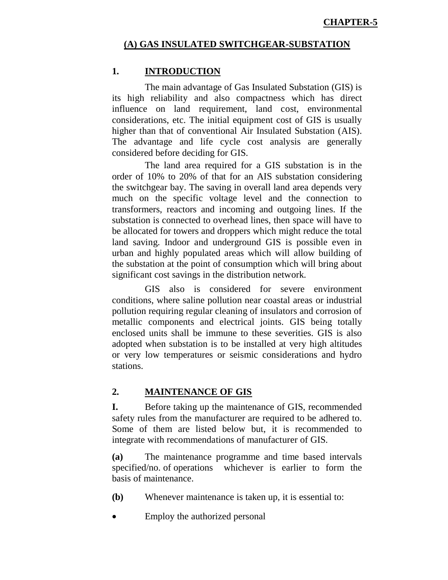#### **(A) GAS INSULATED SWITCHGEAR-SUBSTATION**

#### **1. INTRODUCTION**

The main advantage of Gas Insulated Substation (GIS) is its high reliability and also compactness which has direct influence on land requirement, land cost, environmental considerations, etc. The initial equipment cost of GIS is usually higher than that of conventional Air Insulated Substation (AIS). The advantage and life cycle cost analysis are generally considered before deciding for GIS.

The land area required for a GIS substation is in the order of 10% to 20% of that for an AIS substation considering the switchgear bay. The saving in overall land area depends very much on the specific voltage level and the connection to transformers, reactors and incoming and outgoing lines. If the substation is connected to overhead lines, then space will have to be allocated for towers and droppers which might reduce the total land saving. Indoor and underground GIS is possible even in urban and highly populated areas which will allow building of the substation at the point of consumption which will bring about significant cost savings in the distribution network.

GIS also is considered for severe environment conditions, where saline pollution near coastal areas or industrial pollution requiring regular cleaning of insulators and corrosion of metallic components and electrical joints. GIS being totally enclosed units shall be immune to these severities. GIS is also adopted when substation is to be installed at very high altitudes or very low temperatures or seismic considerations and hydro stations.

#### **2. MAINTENANCE OF GIS**

**I.** Before taking up the maintenance of GIS, recommended safety rules from the manufacturer are required to be adhered to. Some of them are listed below but, it is recommended to integrate with recommendations of manufacturer of GIS.

**(a)** The maintenance programme and time based intervals specified/no. of operations whichever is earlier to form the basis of maintenance.

- **(b)** Whenever maintenance is taken up, it is essential to:
- Employ the authorized personal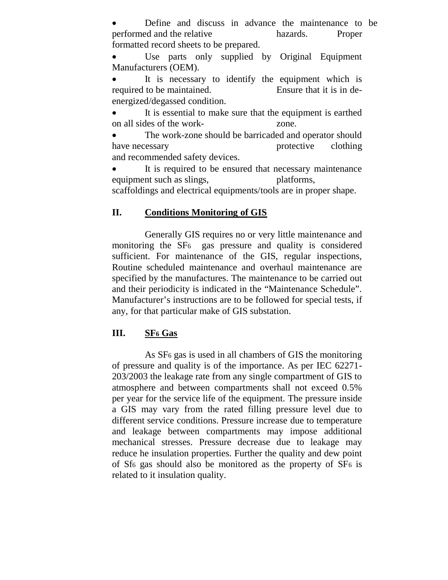Define and discuss in advance the maintenance to be performed and the relative hazards. Proper formatted record sheets to be prepared.

 Use parts only supplied by Original Equipment Manufacturers (OEM).

 It is necessary to identify the equipment which is required to be maintained. Ensure that it is in deenergized/degassed condition.

 It is essential to make sure that the equipment is earthed on all sides of the work- zone.

 The work-zone should be barricaded and operator should have necessary **protective** clothing and recommended safety devices.

 It is required to be ensured that necessary maintenance equipment such as slings, platforms,

scaffoldings and electrical equipments/tools are in proper shape.

#### **II. Conditions Monitoring of GIS**

Generally GIS requires no or very little maintenance and monitoring the SF6 gas pressure and quality is considered sufficient. For maintenance of the GIS, regular inspections, Routine scheduled maintenance and overhaul maintenance are specified by the manufactures. The maintenance to be carried out and their periodicity is indicated in the "Maintenance Schedule". Manufacturer's instructions are to be followed for special tests, if any, for that particular make of GIS substation.

#### **III. SF6 Gas**

As SF6 gas is used in all chambers of GIS the monitoring of pressure and quality is of the importance. As per IEC 62271- 203/2003 the leakage rate from any single compartment of GIS to atmosphere and between compartments shall not exceed 0.5% per year for the service life of the equipment. The pressure inside a GIS may vary from the rated filling pressure level due to different service conditions. Pressure increase due to temperature and leakage between compartments may impose additional mechanical stresses. Pressure decrease due to leakage may reduce he insulation properties. Further the quality and dew point of Sf6 gas should also be monitored as the property of SF6 is related to it insulation quality.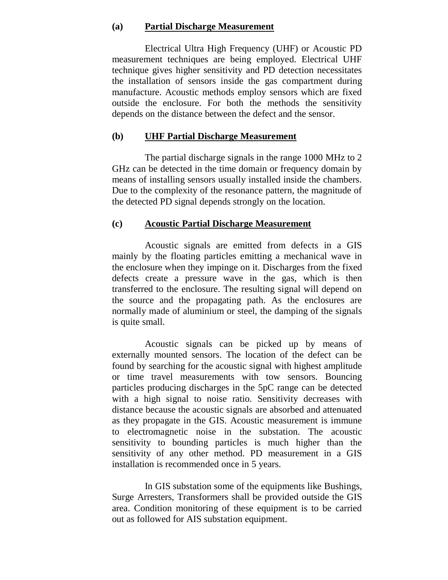#### **(a) Partial Discharge Measurement**

Electrical Ultra High Frequency (UHF) or Acoustic PD measurement techniques are being employed. Electrical UHF technique gives higher sensitivity and PD detection necessitates the installation of sensors inside the gas compartment during manufacture. Acoustic methods employ sensors which are fixed outside the enclosure. For both the methods the sensitivity depends on the distance between the defect and the sensor.

#### **(b) UHF Partial Discharge Measurement**

The partial discharge signals in the range 1000 MHz to 2 GHz can be detected in the time domain or frequency domain by means of installing sensors usually installed inside the chambers. Due to the complexity of the resonance pattern, the magnitude of the detected PD signal depends strongly on the location.

#### **(c) Acoustic Partial Discharge Measurement**

Acoustic signals are emitted from defects in a GIS mainly by the floating particles emitting a mechanical wave in the enclosure when they impinge on it. Discharges from the fixed defects create a pressure wave in the gas, which is then transferred to the enclosure. The resulting signal will depend on the source and the propagating path. As the enclosures are normally made of aluminium or steel, the damping of the signals is quite small.

Acoustic signals can be picked up by means of externally mounted sensors. The location of the defect can be found by searching for the acoustic signal with highest amplitude or time travel measurements with tow sensors. Bouncing particles producing discharges in the 5pC range can be detected with a high signal to noise ratio. Sensitivity decreases with distance because the acoustic signals are absorbed and attenuated as they propagate in the GIS. Acoustic measurement is immune to electromagnetic noise in the substation. The acoustic sensitivity to bounding particles is much higher than the sensitivity of any other method. PD measurement in a GIS installation is recommended once in 5 years.

In GIS substation some of the equipments like Bushings, Surge Arresters, Transformers shall be provided outside the GIS area. Condition monitoring of these equipment is to be carried out as followed for AIS substation equipment.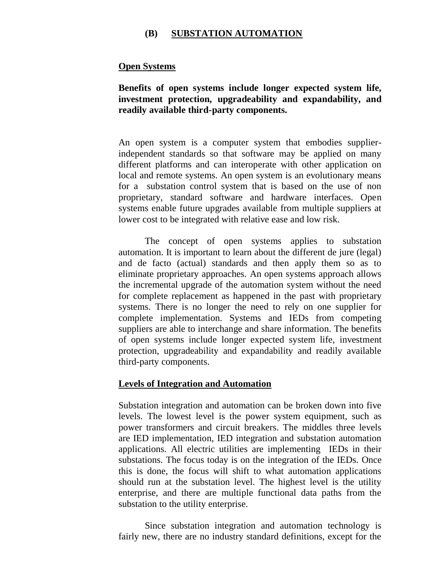#### **(B) SUBSTATION AUTOMATION**

#### **Open Systems**

#### **Benefits of open systems include longer expected system life, investment protection, upgradeability and expandability, and readily available third-party components.**

An open system is a computer system that embodies supplierindependent standards so that software may be applied on many different platforms and can interoperate with other application on local and remote systems. An open system is an evolutionary means for a substation control system that is based on the use of non proprietary, standard software and hardware interfaces. Open systems enable future upgrades available from multiple suppliers at lower cost to be integrated with relative ease and low risk.

The concept of open systems applies to substation automation. It is important to learn about the different de jure (legal) and de facto (actual) standards and then apply them so as to eliminate proprietary approaches. An open systems approach allows the incremental upgrade of the automation system without the need for complete replacement as happened in the past with proprietary systems. There is no longer the need to rely on one supplier for complete implementation. Systems and IEDs from competing suppliers are able to interchange and share information. The benefits of open systems include longer expected system life, investment protection, upgradeability and expandability and readily available third-party components.

#### **Levels of Integration and Automation**

Substation integration and automation can be broken down into five levels. The lowest level is the power system equipment, such as power transformers and circuit breakers. The middles three levels are IED implementation, IED integration and substation automation applications. All electric utilities are implementing IEDs in their substations. The focus today is on the integration of the IEDs. Once this is done, the focus will shift to what automation applications should run at the substation level. The highest level is the utility enterprise, and there are multiple functional data paths from the substation to the utility enterprise.

Since substation integration and automation technology is fairly new, there are no industry standard definitions, except for the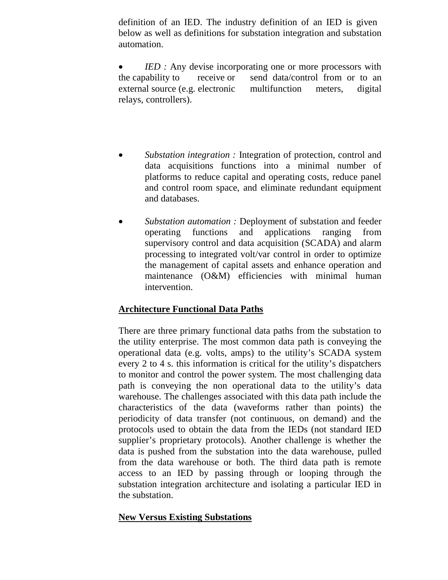definition of an IED. The industry definition of an IED is given below as well as definitions for substation integration and substation automation.

• *IED* : Any devise incorporating one or more processors with the capability to receive or send data/control from or to an external source (e.g. electronic multifunction meters, digital relays, controllers).

- *Substation integration :* Integration of protection, control and data acquisitions functions into a minimal number of platforms to reduce capital and operating costs, reduce panel and control room space, and eliminate redundant equipment and databases.
- *Substation automation :* Deployment of substation and feeder operating functions and applications ranging from supervisory control and data acquisition (SCADA) and alarm processing to integrated volt/var control in order to optimize the management of capital assets and enhance operation and maintenance (O&M) efficiencies with minimal human intervention.

#### **Architecture Functional Data Paths**

There are three primary functional data paths from the substation to the utility enterprise. The most common data path is conveying the operational data (e.g. volts, amps) to the utility's SCADA system every 2 to 4 s. this information is critical for the utility's dispatchers to monitor and control the power system. The most challenging data path is conveying the non operational data to the utility's data warehouse. The challenges associated with this data path include the characteristics of the data (waveforms rather than points) the periodicity of data transfer (not continuous, on demand) and the protocols used to obtain the data from the IEDs (not standard IED supplier's proprietary protocols). Another challenge is whether the data is pushed from the substation into the data warehouse, pulled from the data warehouse or both. The third data path is remote access to an IED by passing through or looping through the substation integration architecture and isolating a particular IED in the substation.

#### **New Versus Existing Substations**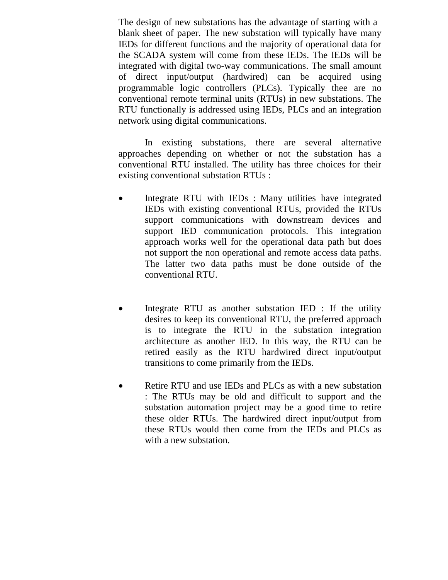The design of new substations has the advantage of starting with a blank sheet of paper. The new substation will typically have many IEDs for different functions and the majority of operational data for the SCADA system will come from these IEDs. The IEDs will be integrated with digital two-way communications. The small amount of direct input/output (hardwired) can be acquired using programmable logic controllers (PLCs). Typically thee are no conventional remote terminal units (RTUs) in new substations. The RTU functionally is addressed using IEDs, PLCs and an integration network using digital communications.

In existing substations, there are several alternative approaches depending on whether or not the substation has a conventional RTU installed. The utility has three choices for their existing conventional substation RTUs :

- Integrate RTU with IEDs : Many utilities have integrated IEDs with existing conventional RTUs, provided the RTUs support communications with downstream devices and support IED communication protocols. This integration approach works well for the operational data path but does not support the non operational and remote access data paths. The latter two data paths must be done outside of the conventional RTU.
- Integrate RTU as another substation IED : If the utility desires to keep its conventional RTU, the preferred approach is to integrate the RTU in the substation integration architecture as another IED. In this way, the RTU can be retired easily as the RTU hardwired direct input/output transitions to come primarily from the IEDs.
- Retire RTU and use IEDs and PLCs as with a new substation : The RTUs may be old and difficult to support and the substation automation project may be a good time to retire these older RTUs. The hardwired direct input/output from these RTUs would then come from the IEDs and PLCs as with a new substation.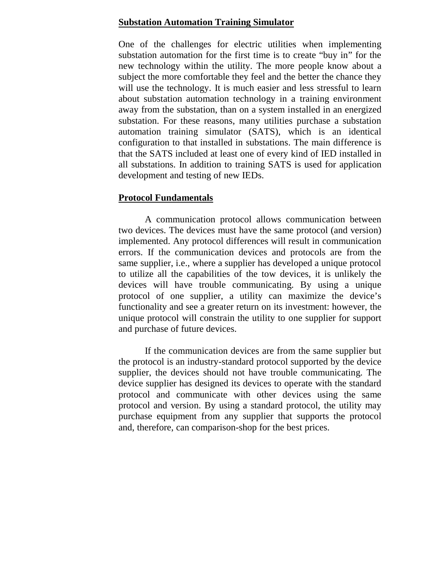#### **Substation Automation Training Simulator**

One of the challenges for electric utilities when implementing substation automation for the first time is to create "buy in" for the new technology within the utility. The more people know about a subject the more comfortable they feel and the better the chance they will use the technology. It is much easier and less stressful to learn about substation automation technology in a training environment away from the substation, than on a system installed in an energized substation. For these reasons, many utilities purchase a substation automation training simulator (SATS), which is an identical configuration to that installed in substations. The main difference is that the SATS included at least one of every kind of IED installed in all substations. In addition to training SATS is used for application development and testing of new IEDs.

#### **Protocol Fundamentals**

A communication protocol allows communication between two devices. The devices must have the same protocol (and version) implemented. Any protocol differences will result in communication errors. If the communication devices and protocols are from the same supplier, i.e., where a supplier has developed a unique protocol to utilize all the capabilities of the tow devices, it is unlikely the devices will have trouble communicating. By using a unique protocol of one supplier, a utility can maximize the device's functionality and see a greater return on its investment: however, the unique protocol will constrain the utility to one supplier for support and purchase of future devices.

If the communication devices are from the same supplier but the protocol is an industry-standard protocol supported by the device supplier, the devices should not have trouble communicating. The device supplier has designed its devices to operate with the standard protocol and communicate with other devices using the same protocol and version. By using a standard protocol, the utility may purchase equipment from any supplier that supports the protocol and, therefore, can comparison-shop for the best prices.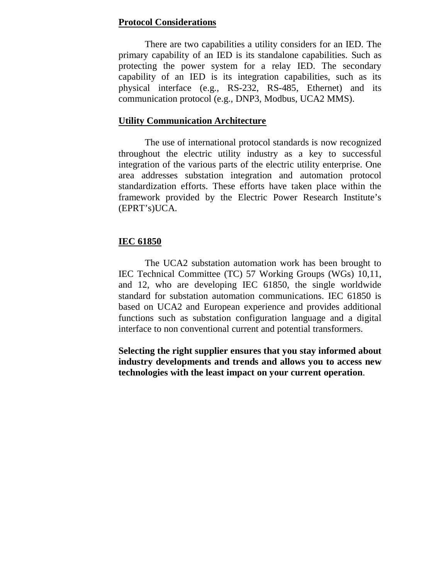#### **Protocol Considerations**

There are two capabilities a utility considers for an IED. The primary capability of an IED is its standalone capabilities. Such as protecting the power system for a relay IED. The secondary capability of an IED is its integration capabilities, such as its physical interface (e.g., RS-232, RS-485, Ethernet) and its communication protocol (e.g., DNP3, Modbus, UCA2 MMS).

#### **Utility Communication Architecture**

The use of international protocol standards is now recognized throughout the electric utility industry as a key to successful integration of the various parts of the electric utility enterprise. One area addresses substation integration and automation protocol standardization efforts. These efforts have taken place within the framework provided by the Electric Power Research Institute's (EPRT's)UCA.

#### **IEC 61850**

The UCA2 substation automation work has been brought to IEC Technical Committee (TC) 57 Working Groups (WGs) 10,11, and 12, who are developing IEC 61850, the single worldwide standard for substation automation communications. IEC 61850 is based on UCA2 and European experience and provides additional functions such as substation configuration language and a digital interface to non conventional current and potential transformers.

**Selecting the right supplier ensures that you stay informed about industry developments and trends and allows you to access new technologies with the least impact on your current operation**.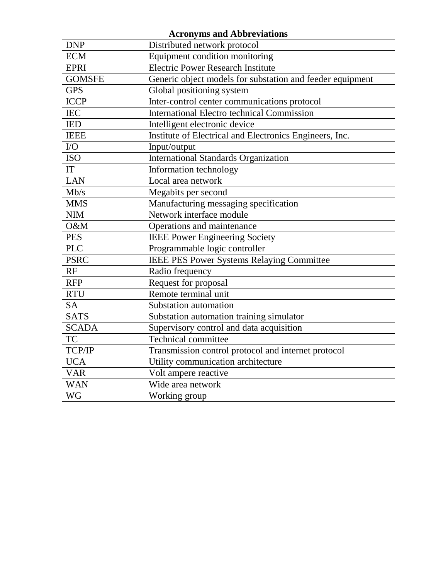| <b>Acronyms and Abbreviations</b> |                                                           |  |  |  |  |
|-----------------------------------|-----------------------------------------------------------|--|--|--|--|
| <b>DNP</b>                        | Distributed network protocol                              |  |  |  |  |
| <b>ECM</b>                        | Equipment condition monitoring                            |  |  |  |  |
| <b>EPRI</b>                       | <b>Electric Power Research Institute</b>                  |  |  |  |  |
| <b>GOMSFE</b>                     | Generic object models for substation and feeder equipment |  |  |  |  |
| <b>GPS</b>                        | Global positioning system                                 |  |  |  |  |
| <b>ICCP</b>                       | Inter-control center communications protocol              |  |  |  |  |
| <b>IEC</b>                        | <b>International Electro technical Commission</b>         |  |  |  |  |
| <b>IED</b>                        | Intelligent electronic device                             |  |  |  |  |
| <b>IEEE</b>                       | Institute of Electrical and Electronics Engineers, Inc.   |  |  |  |  |
| ${\rm I/O}$                       | Input/output                                              |  |  |  |  |
| <b>ISO</b>                        | <b>International Standards Organization</b>               |  |  |  |  |
| IT                                | Information technology                                    |  |  |  |  |
| <b>LAN</b>                        | Local area network                                        |  |  |  |  |
| Mb/s                              | Megabits per second                                       |  |  |  |  |
| <b>MMS</b>                        | Manufacturing messaging specification                     |  |  |  |  |
| <b>NIM</b>                        | Network interface module                                  |  |  |  |  |
| O&M                               | Operations and maintenance                                |  |  |  |  |
| <b>PES</b>                        | <b>IEEE Power Engineering Society</b>                     |  |  |  |  |
| <b>PLC</b>                        | Programmable logic controller                             |  |  |  |  |
| <b>PSRC</b>                       | <b>IEEE PES Power Systems Relaying Committee</b>          |  |  |  |  |
| RF                                | Radio frequency                                           |  |  |  |  |
| <b>RFP</b>                        | Request for proposal                                      |  |  |  |  |
| <b>RTU</b>                        | Remote terminal unit                                      |  |  |  |  |
| <b>SA</b>                         | Substation automation                                     |  |  |  |  |
| <b>SATS</b>                       | Substation automation training simulator                  |  |  |  |  |
| <b>SCADA</b>                      | Supervisory control and data acquisition                  |  |  |  |  |
| <b>TC</b>                         | <b>Technical committee</b>                                |  |  |  |  |
| TCP/IP                            | Transmission control protocol and internet protocol       |  |  |  |  |
| <b>UCA</b>                        | Utility communication architecture                        |  |  |  |  |
| <b>VAR</b>                        | Volt ampere reactive                                      |  |  |  |  |
| <b>WAN</b>                        | Wide area network                                         |  |  |  |  |
| <b>WG</b>                         | Working group                                             |  |  |  |  |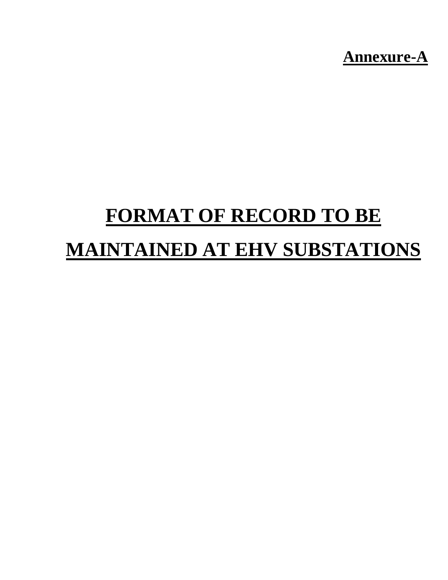**Annexure-A** 

# **FORMAT OF RECORD TO BE MAINTAINED AT EHV SUBSTATIONS**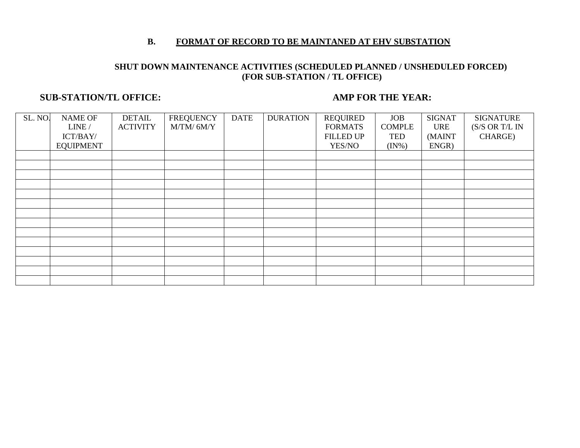#### **B. FORMAT OF RECORD TO BE MAINTANED AT EHV SUBSTATION**

#### **SHUT DOWN MAINTENANCE ACTIVITIES (SCHEDULED PLANNED / UNSHEDULED FORCED) (FOR SUB-STATION / TL OFFICE)**

#### **SUB-STATION/TL OFFICE: AMP FOR THE YEAR:**

| SL. NO. | NAME OF          | <b>DETAIL</b>   | <b>FREQUENCY</b> | <b>DATE</b> | <b>DURATION</b> | <b>REQUIRED</b>  | <b>JOB</b>    | <b>SIGNAT</b> | <b>SIGNATURE</b> |
|---------|------------------|-----------------|------------------|-------------|-----------------|------------------|---------------|---------------|------------------|
|         | LINE /           | <b>ACTIVITY</b> | $M/TM/$ 6M/Y     |             |                 | <b>FORMATS</b>   | <b>COMPLE</b> | <b>URE</b>    | (S/S OR T/L IN   |
|         | ICT/BAY/         |                 |                  |             |                 | <b>FILLED UP</b> | TED           | (MAINT        | CHARGE)          |
|         | <b>EQUIPMENT</b> |                 |                  |             |                 | YES/NO           | $(IN\%)$      | ENGR)         |                  |
|         |                  |                 |                  |             |                 |                  |               |               |                  |
|         |                  |                 |                  |             |                 |                  |               |               |                  |
|         |                  |                 |                  |             |                 |                  |               |               |                  |
|         |                  |                 |                  |             |                 |                  |               |               |                  |
|         |                  |                 |                  |             |                 |                  |               |               |                  |
|         |                  |                 |                  |             |                 |                  |               |               |                  |
|         |                  |                 |                  |             |                 |                  |               |               |                  |
|         |                  |                 |                  |             |                 |                  |               |               |                  |
|         |                  |                 |                  |             |                 |                  |               |               |                  |
|         |                  |                 |                  |             |                 |                  |               |               |                  |
|         |                  |                 |                  |             |                 |                  |               |               |                  |
|         |                  |                 |                  |             |                 |                  |               |               |                  |
|         |                  |                 |                  |             |                 |                  |               |               |                  |
|         |                  |                 |                  |             |                 |                  |               |               |                  |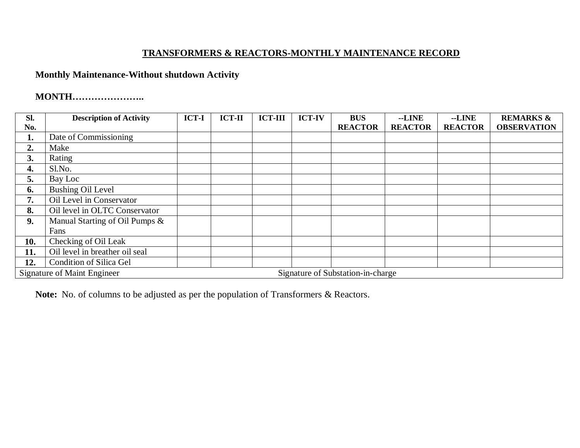### **TRANSFORMERS & REACTORS-MONTHLY MAINTENANCE RECORD**

### **Monthly Maintenance-Without shutdown Activity**

### **MONTH…………………..**

| SI. | <b>Description of Activity</b>     | <b>ICT-I</b> | <b>ICT-II</b> | <b>ICT-III</b> | <b>ICT-IV</b> | <b>BUS</b>                        | --LINE         | --LINE         | <b>REMARKS &amp;</b> |
|-----|------------------------------------|--------------|---------------|----------------|---------------|-----------------------------------|----------------|----------------|----------------------|
| No. |                                    |              |               |                |               | <b>REACTOR</b>                    | <b>REACTOR</b> | <b>REACTOR</b> | <b>OBSERVATION</b>   |
| 1.  | Date of Commissioning              |              |               |                |               |                                   |                |                |                      |
| 2.  | Make                               |              |               |                |               |                                   |                |                |                      |
| 3.  | Rating                             |              |               |                |               |                                   |                |                |                      |
| 4.  | Sl.No.                             |              |               |                |               |                                   |                |                |                      |
| 5.  | Bay Loc                            |              |               |                |               |                                   |                |                |                      |
| 6.  | <b>Bushing Oil Level</b>           |              |               |                |               |                                   |                |                |                      |
| 7.  | Oil Level in Conservator           |              |               |                |               |                                   |                |                |                      |
| 8.  | Oil level in OLTC Conservator      |              |               |                |               |                                   |                |                |                      |
| 9.  | Manual Starting of Oil Pumps &     |              |               |                |               |                                   |                |                |                      |
|     | Fans                               |              |               |                |               |                                   |                |                |                      |
| 10. | Checking of Oil Leak               |              |               |                |               |                                   |                |                |                      |
| 11. | Oil level in breather oil seal     |              |               |                |               |                                   |                |                |                      |
| 12. | <b>Condition of Silica Gel</b>     |              |               |                |               |                                   |                |                |                      |
|     | <b>Signature of Maint Engineer</b> |              |               |                |               | Signature of Substation-in-charge |                |                |                      |

**Note:** No. of columns to be adjusted as per the population of Transformers & Reactors.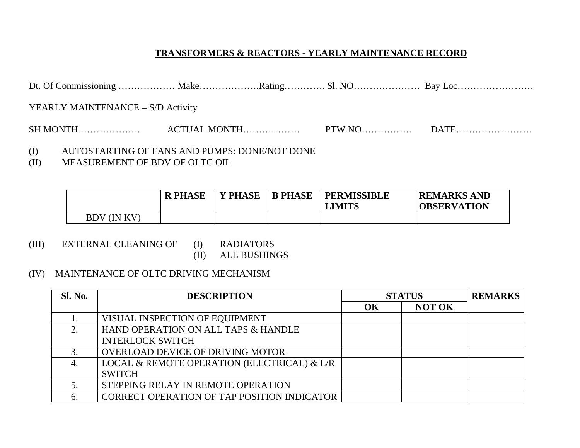### **TRANSFORMERS & REACTORS - YEARLY MAINTENANCE RECORD**

| YEARLY MAINTENANCE – S/D Activity |  |  |
|-----------------------------------|--|--|
|                                   |  |  |

- (I) AUTOSTARTING OF FANS AND PUMPS: DONE/NOT DONE (II) MEASUREMENT OF BDV OF OLTC OIL
- MEASUREMENT OF BDV OF OLTC OIL

|             | <b>R PHASE</b> | <b>PHASE</b> | <b>B PHASE</b> | <b>PERMISSIBLE</b><br><b>LIMITS</b> | <b>REMARKS AND</b><br><b>OBSERVATION</b> |
|-------------|----------------|--------------|----------------|-------------------------------------|------------------------------------------|
| BDV (IN KV) |                |              |                |                                     |                                          |

- (III) EXTERNAL CLEANING OF (I) RADIATORS (II) ALL BUSHINGS
- (IV) MAINTENANCE OF OLTC DRIVING MECHANISM

| <b>Sl. No.</b> | <b>DESCRIPTION</b>                                 | <b>STATUS</b> |               | <b>REMARKS</b> |
|----------------|----------------------------------------------------|---------------|---------------|----------------|
|                |                                                    | OK            | <b>NOT OK</b> |                |
|                | VISUAL INSPECTION OF EQUIPMENT                     |               |               |                |
| $\gamma$       | HAND OPERATION ON ALL TAPS & HANDLE                |               |               |                |
|                | <b>INTERLOCK SWITCH</b>                            |               |               |                |
|                | <b>OVERLOAD DEVICE OF DRIVING MOTOR</b>            |               |               |                |
| 4.             | LOCAL & REMOTE OPERATION (ELECTRICAL) & L/R        |               |               |                |
|                | <b>SWITCH</b>                                      |               |               |                |
|                | STEPPING RELAY IN REMOTE OPERATION                 |               |               |                |
|                | <b>CORRECT OPERATION OF TAP POSITION INDICATOR</b> |               |               |                |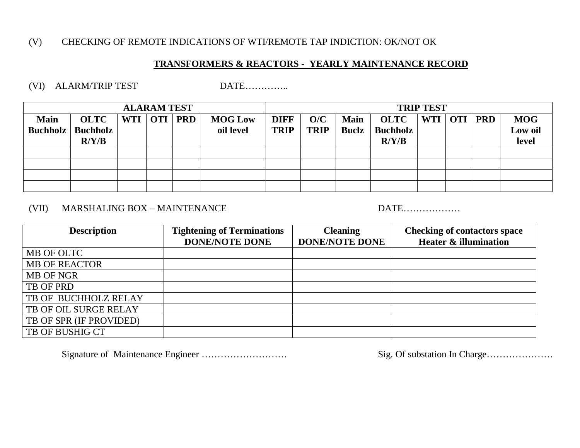### (V) CHECKING OF REMOTE INDICATIONS OF WTI/REMOTE TAP INDICTION: OK/NOT OK

### **TRANSFORMERS & REACTORS - YEARLY MAINTENANCE RECORD**

### (VI) ALARM/TRIP TEST DATE…………..

| <b>ALARAM TEST</b>             |                                  |           |  |            |                             | <b>TRIP TEST</b>           |                    |                             |                                  |            |           |                                |
|--------------------------------|----------------------------------|-----------|--|------------|-----------------------------|----------------------------|--------------------|-----------------------------|----------------------------------|------------|-----------|--------------------------------|
| <b>Main</b><br><b>Buchholz</b> | OLTC<br><b>Buchholz</b><br>R/Y/B | WTI   OTI |  | <b>PRD</b> | <b>MOG Low</b><br>oil level | <b>DIFF</b><br><b>TRIP</b> | O/C<br><b>TRIP</b> | <b>Main</b><br><b>Buclz</b> | OLTC<br><b>Buchholz</b><br>R/Y/B | <b>WTI</b> | OTI   PRD | <b>MOG</b><br>Low oil<br>level |
|                                |                                  |           |  |            |                             |                            |                    |                             |                                  |            |           |                                |
|                                |                                  |           |  |            |                             |                            |                    |                             |                                  |            |           |                                |
|                                |                                  |           |  |            |                             |                            |                    |                             |                                  |            |           |                                |
|                                |                                  |           |  |            |                             |                            |                    |                             |                                  |            |           |                                |

## (VII) MARSHALING BOX – MAINTENANCE DATE………………

| <b>Description</b>      | <b>Tightening of Terminations</b> | <b>Cleaning</b>       | <b>Checking of contactors space</b> |  |  |
|-------------------------|-----------------------------------|-----------------------|-------------------------------------|--|--|
|                         | <b>DONE/NOTE DONE</b>             | <b>DONE/NOTE DONE</b> | <b>Heater &amp; illumination</b>    |  |  |
| MB OF OLTC              |                                   |                       |                                     |  |  |
| <b>MB OF REACTOR</b>    |                                   |                       |                                     |  |  |
| <b>MB OF NGR</b>        |                                   |                       |                                     |  |  |
| TB OF PRD               |                                   |                       |                                     |  |  |
| TB OF BUCHHOLZ RELAY    |                                   |                       |                                     |  |  |
| TB OF OIL SURGE RELAY   |                                   |                       |                                     |  |  |
| TB OF SPR (IF PROVIDED) |                                   |                       |                                     |  |  |
| TB OF BUSHIG CT         |                                   |                       |                                     |  |  |

Signature of Maintenance Engineer ……………………… Sig. Of substation In Charge…………………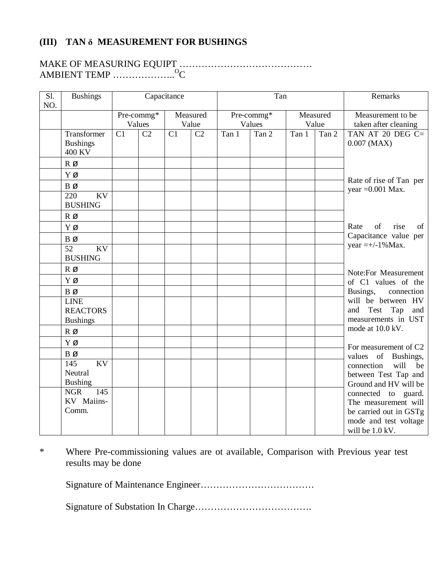### **(III) TAN δ MEASUREMENT FOR BUSHINGS**

## MAKE OF MEASURING EQUIPT …………………………………… AMBIENT TEMP …………………<sup>O</sup>C

| Sl.<br>NO. | <b>Bushings</b>                                              |    |                      | Capacitance |                   | Tan   |                      | Remarks |                   |                                                                                                                   |  |
|------------|--------------------------------------------------------------|----|----------------------|-------------|-------------------|-------|----------------------|---------|-------------------|-------------------------------------------------------------------------------------------------------------------|--|
|            |                                                              |    | Pre-commg*<br>Values |             | Measured<br>Value |       | Pre-commg*<br>Values |         | Measured<br>Value | Measurement to be<br>taken after cleaning                                                                         |  |
|            | Transformer<br><b>Bushings</b><br>400 KV                     | C1 | C <sub>2</sub>       | C1          | C2                | Tan 1 | Tan 2                | Tan 1   | Tan 2             | TAN AT 20 DEG C=<br>$0.007$ (MAX)                                                                                 |  |
|            | RØ                                                           |    |                      |             |                   |       |                      |         |                   |                                                                                                                   |  |
|            | ΥØ                                                           |    |                      |             |                   |       |                      |         |                   | Rate of rise of Tan per                                                                                           |  |
|            | BØ<br>220<br>KV<br><b>BUSHING</b>                            |    |                      |             |                   |       |                      |         |                   | year $=0.001$ Max.                                                                                                |  |
|            | $R$ Ø                                                        |    |                      |             |                   |       |                      |         |                   |                                                                                                                   |  |
|            | ΥØ                                                           |    |                      |             |                   |       |                      |         |                   | rise<br>Rate<br>of<br>of                                                                                          |  |
|            | <b>B</b> Ø<br>$\overline{52}$<br><b>KV</b><br><b>BUSHING</b> |    |                      |             |                   |       |                      |         |                   | Capacitance value per<br>year = +/-1% Max.                                                                        |  |
|            | RØ                                                           |    |                      |             |                   |       |                      |         |                   | Note:For Measurement                                                                                              |  |
|            | Υø                                                           |    |                      |             |                   |       |                      |         |                   | of C1 values of the                                                                                               |  |
|            | <b>B</b> Ø                                                   |    |                      |             |                   |       |                      |         |                   | Busings,<br>connection                                                                                            |  |
|            | <b>LINE</b><br><b>REACTORS</b><br><b>Bushings</b>            |    |                      |             |                   |       |                      |         |                   | will be between HV<br>and<br>Test Tap<br>and<br>measurements in UST                                               |  |
|            | RØ                                                           |    |                      |             |                   |       |                      |         |                   | mode at 10.0 kV.                                                                                                  |  |
|            | ΥØ                                                           |    |                      |             |                   |       |                      |         |                   | For measurement of C2                                                                                             |  |
|            | $B\varnothing$                                               |    |                      |             |                   |       |                      |         |                   | values of<br>Bushings,                                                                                            |  |
|            | 145<br>$\overline{KV}$<br>Neutral<br><b>Bushing</b>          |    |                      |             |                   |       |                      |         |                   | will<br>connection<br>be<br>between Test Tap and<br>Ground and HV will be                                         |  |
|            | <b>NGR</b><br>145<br>KV Maiins-<br>Comm.                     |    |                      |             |                   |       |                      |         |                   | connected to guard.<br>The measurement will<br>be carried out in GSTg<br>mode and test voltage<br>will be 1.0 kV. |  |

\* Where Pre-commissioning values are ot available, Comparison with Previous year test results may be done

Signature of Maintenance Engineer………………………………

Signature of Substation In Charge……………………………….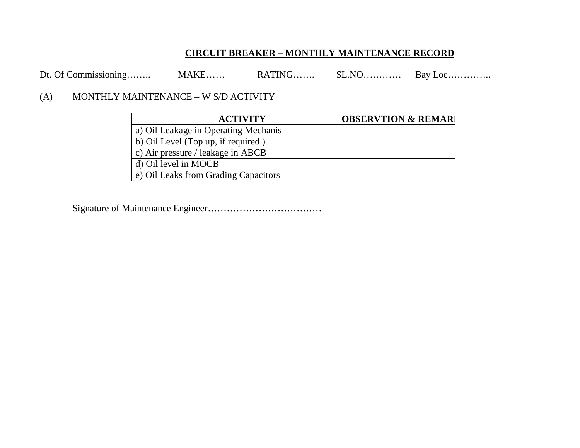### **CIRCUIT BREAKER – MONTHLY MAINTENANCE RECORD**

Dt. Of Commissioning…….. MAKE…… RATING……. SL.NO……….. Bay Loc…………

### (A) MONTHLY MAINTENANCE – W S/D ACTIVITY

| <b>ACTIVITY</b>                      | <b>OBSERVTION &amp; REMARI</b> |
|--------------------------------------|--------------------------------|
| a) Oil Leakage in Operating Mechanis |                                |
| b) Oil Level (Top up, if required)   |                                |
| c) Air pressure / leakage in ABCB    |                                |
| d) Oil level in MOCB                 |                                |
| e) Oil Leaks from Grading Capacitors |                                |

Signature of Maintenance Engineer………………………………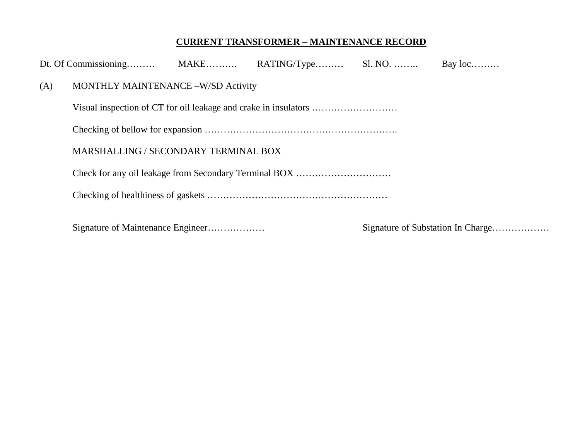# **CURRENT TRANSFORMER – MAINTENANCE RECORD**

|     |                                      |  | Bay $loc$ |  |
|-----|--------------------------------------|--|-----------|--|
| (A) | MONTHLY MAINTENANCE -W/SD Activity   |  |           |  |
|     |                                      |  |           |  |
|     |                                      |  |           |  |
|     | MARSHALLING / SECONDARY TERMINAL BOX |  |           |  |
|     |                                      |  |           |  |
|     |                                      |  |           |  |
|     |                                      |  |           |  |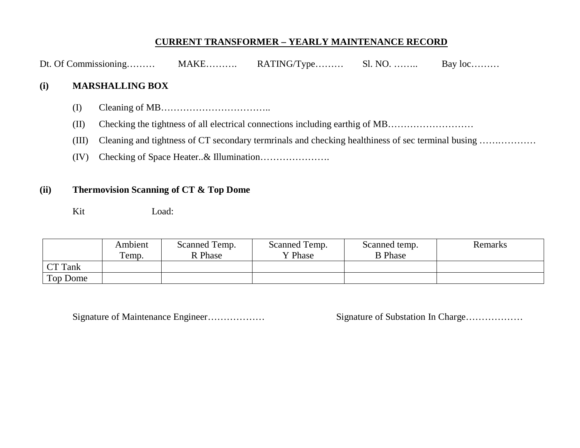### **CURRENT TRANSFORMER – YEARLY MAINTENANCE RECORD**

| Dt. Of Commissioning | $MAKE$ | $RATING/Type$ | Sl. NO. | Bay $loc$ |
|----------------------|--------|---------------|---------|-----------|
|                      |        |               |         |           |

### **(i) MARSHALLING BOX**

- (I) Cleaning of MB……………………………..
- (II) Checking the tightness of all electrical connections including earthig of MB………………………
- (III) Cleaning and tightness of CT secondary termrinals and checking healthiness of sec terminal busing ………………
- (IV) Checking of Space Heater..& Illumination………………….

### **(ii) Thermovision Scanning of CT & Top Dome**

Kit Load:

|          | Ambient<br>Temp. | Scanned Temp.<br>R Phase | Scanned Temp.<br>Y Phase | Scanned temp.<br><b>B</b> Phase | Remarks |
|----------|------------------|--------------------------|--------------------------|---------------------------------|---------|
| CT Tank  |                  |                          |                          |                                 |         |
| Top Dome |                  |                          |                          |                                 |         |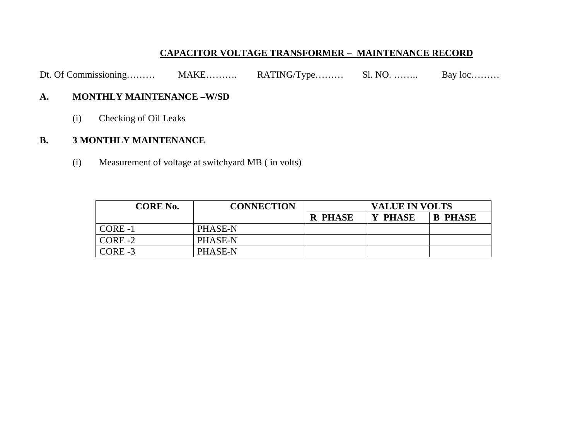### **CAPACITOR VOLTAGE TRANSFORMER – MAINTENANCE RECORD**

Dt. Of Commissioning……… MAKE……… RATING/Type……… Sl. NO. ……. Bay loc………

### **A. MONTHLY MAINTENANCE –W/SD**

(i) Checking of Oil Leaks

### **B. 3 MONTHLY MAINTENANCE**

(i) Measurement of voltage at switchyard MB ( in volts)

| <b>CORE No.</b> | <b>CONNECTION</b> | <b>VALUE IN VOLTS</b> |         |                |  |  |
|-----------------|-------------------|-----------------------|---------|----------------|--|--|
|                 |                   | <b>R PHASE</b>        | Y PHASE | <b>B PHASE</b> |  |  |
| CORE-1          | PHASE-N           |                       |         |                |  |  |
| $CORE-2$        | PHASE-N           |                       |         |                |  |  |
| $CORE-3$        | PHASE-N           |                       |         |                |  |  |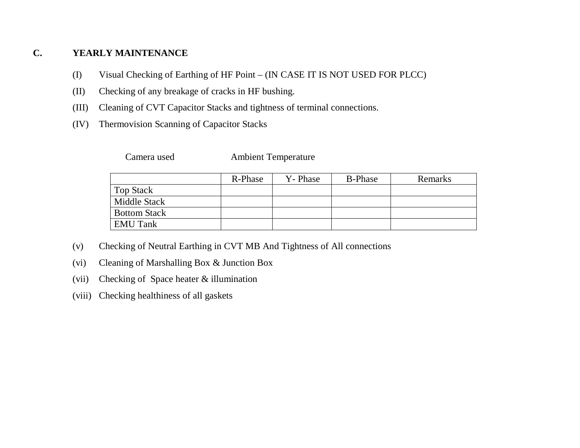### **C. YEARLY MAINTENANCE**

- (I) Visual Checking of Earthing of HF Point (IN CASE IT IS NOT USED FOR PLCC)
- (II) Checking of any breakage of cracks in HF bushing.
- (III) Cleaning of CVT Capacitor Stacks and tightness of terminal connections.
- (IV) Thermovision Scanning of Capacitor Stacks

Camera used Ambient Temperature

|                     | R-Phase | Y-Phase | <b>B-Phase</b> | Remarks |
|---------------------|---------|---------|----------------|---------|
| <b>Top Stack</b>    |         |         |                |         |
| Middle Stack        |         |         |                |         |
| <b>Bottom Stack</b> |         |         |                |         |
| <b>EMU Tank</b>     |         |         |                |         |

- (v) Checking of Neutral Earthing in CVT MB And Tightness of All connections
- (vi) Cleaning of Marshalling Box & Junction Box
- (vii) Checking of Space heater & illumination
- (viii) Checking healthiness of all gaskets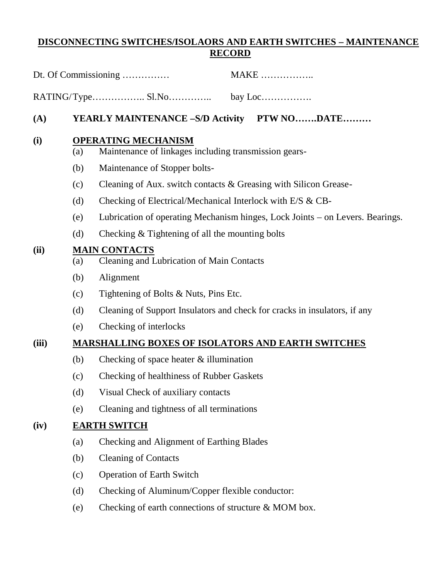### **DISCONNECTING SWITCHES/ISOLAORS AND EARTH SWITCHES – MAINTENANCE RECORD**

|       |     | Dt. Of Commissioning<br><b>MAKE</b>                                                 |
|-------|-----|-------------------------------------------------------------------------------------|
|       |     |                                                                                     |
| (A)   |     | YEARLY MAINTENANCE -S/D Activity PTW NODATE                                         |
| (i)   | (a) | <b>OPERATING MECHANISM</b><br>Maintenance of linkages including transmission gears- |
|       | (b) | Maintenance of Stopper bolts-                                                       |
|       | (c) | Cleaning of Aux. switch contacts & Greasing with Silicon Grease-                    |
|       | (d) | Checking of Electrical/Mechanical Interlock with E/S & CB-                          |
|       | (e) | Lubrication of operating Mechanism hinges, Lock Joints – on Levers. Bearings.       |
|       | (d) | Checking & Tightening of all the mounting bolts                                     |
| (ii)  | (a) | <b>MAIN CONTACTS</b><br>Cleaning and Lubrication of Main Contacts                   |
|       | (b) | Alignment                                                                           |
|       | (c) | Tightening of Bolts & Nuts, Pins Etc.                                               |
|       | (d) | Cleaning of Support Insulators and check for cracks in insulators, if any           |
|       | (e) | Checking of interlocks                                                              |
| (iii) |     | <b>MARSHALLING BOXES OF ISOLATORS AND EARTH SWITCHES</b>                            |
|       | (b) | Checking of space heater $&$ illumination                                           |
|       | (c) | Checking of healthiness of Rubber Gaskets                                           |
|       | (d) | Visual Check of auxiliary contacts                                                  |
|       | (e) | Cleaning and tightness of all terminations                                          |
| (iv)  |     | <b>EARTH SWITCH</b>                                                                 |
|       | (a) | Checking and Alignment of Earthing Blades                                           |
|       | (b) | <b>Cleaning of Contacts</b>                                                         |
|       | (c) | <b>Operation of Earth Switch</b>                                                    |
|       | (d) | Checking of Aluminum/Copper flexible conductor:                                     |
|       | (e) | Checking of earth connections of structure & MOM box.                               |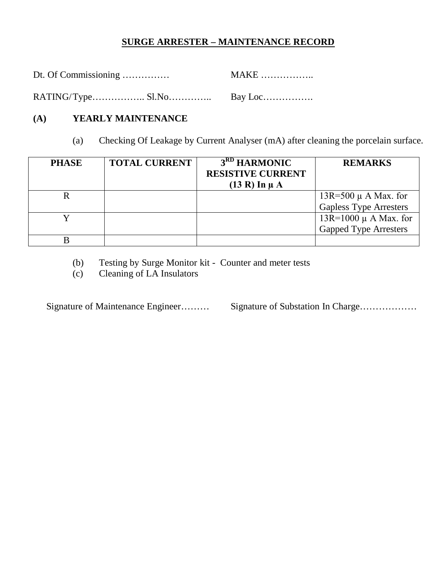### **SURGE ARRESTER – MAINTENANCE RECORD**

| Dt. Of Commissioning | <b>MAKE</b> |
|----------------------|-------------|
|                      |             |

## **(A) YEARLY MAINTENANCE**

(a) Checking Of Leakage by Current Analyser (mA) after cleaning the porcelain surface.

| <b>PHASE</b> | <b>TOTAL CURRENT</b> | 3 <sup>RD</sup> HARMONIC | <b>REMARKS</b>                |
|--------------|----------------------|--------------------------|-------------------------------|
|              |                      | <b>RESISTIVE CURRENT</b> |                               |
|              |                      | $(13 R)$ In $\mu$ A      |                               |
|              |                      |                          | 13R=500 $\mu$ A Max. for      |
|              |                      |                          | <b>Gapless Type Arresters</b> |
|              |                      |                          | 13R=1000 μ A Max. for         |
|              |                      |                          | <b>Gapped Type Arresters</b>  |
|              |                      |                          |                               |

(b) Testing by Surge Monitor kit - Counter and meter tests

(c) Cleaning of LA Insulators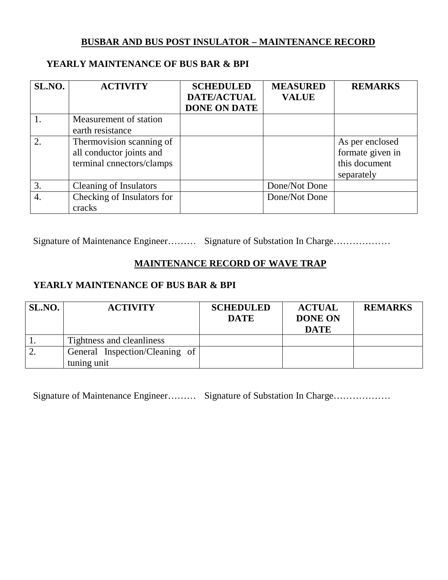### **BUSBAR AND BUS POST INSULATOR – MAINTENANCE RECORD**

### **YEARLY MAINTENANCE OF BUS BAR & BPI**

| SL.NO.           | <b>ACTIVITY</b>               | <b>SCHEDULED</b><br>DATE/ACTUAL | <b>MEASURED</b><br><b>VALUE</b> | <b>REMARKS</b>   |
|------------------|-------------------------------|---------------------------------|---------------------------------|------------------|
|                  |                               | <b>DONE ON DATE</b>             |                                 |                  |
|                  | Measurement of station        |                                 |                                 |                  |
|                  | earth resistance              |                                 |                                 |                  |
| 2.               | Thermovision scanning of      |                                 |                                 | As per enclosed  |
|                  | all conductor joints and      |                                 |                                 | formate given in |
|                  | terminal cnnectors/clamps     |                                 |                                 | this document    |
|                  |                               |                                 |                                 | separately       |
| 3.               | <b>Cleaning of Insulators</b> |                                 | Done/Not Done                   |                  |
| $\overline{4}$ . | Checking of Insulators for    |                                 | Done/Not Done                   |                  |
|                  | cracks                        |                                 |                                 |                  |

Signature of Maintenance Engineer……… Signature of Substation In Charge………………

## **MAINTENANCE RECORD OF WAVE TRAP**

### **YEARLY MAINTENANCE OF BUS BAR & BPI**

| SL.NO. | <b>ACTIVITY</b>                               | <b>SCHEDULED</b><br><b>DATE</b> | <b>ACTUAL</b><br><b>DONE ON</b><br><b>DATE</b> | <b>REMARKS</b> |
|--------|-----------------------------------------------|---------------------------------|------------------------------------------------|----------------|
|        | Tightness and cleanliness                     |                                 |                                                |                |
| ـ ـ    | General Inspection/Cleaning of<br>tuning unit |                                 |                                                |                |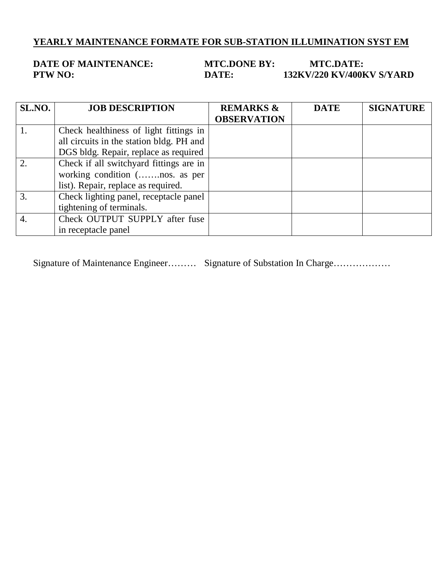# **YEARLY MAINTENANCE FORMATE FOR SUB-STATION ILLUMINATION SYST EM**

**DATE OF MAINTENANCE: MTC.DONE BY: MTC.DATE:**<br>**DATE: 132KV/220 KV/400F PATE: 132KV/220 KV/400KV S/YARD** 

| SL.NO.           | <b>JOB DESCRIPTION</b>                   | <b>REMARKS &amp;</b><br><b>OBSERVATION</b> | <b>DATE</b> | <b>SIGNATURE</b> |
|------------------|------------------------------------------|--------------------------------------------|-------------|------------------|
|                  |                                          |                                            |             |                  |
|                  | Check healthiness of light fittings in   |                                            |             |                  |
|                  | all circuits in the station bldg. PH and |                                            |             |                  |
|                  | DGS bldg. Repair, replace as required    |                                            |             |                  |
| 2.               | Check if all switchyard fittings are in  |                                            |             |                  |
|                  | working condition (nos. as per           |                                            |             |                  |
|                  | list). Repair, replace as required.      |                                            |             |                  |
| 3.               | Check lighting panel, receptacle panel   |                                            |             |                  |
|                  | tightening of terminals.                 |                                            |             |                  |
| $\overline{4}$ . | Check OUTPUT SUPPLY after fuse           |                                            |             |                  |
|                  | in receptacle panel                      |                                            |             |                  |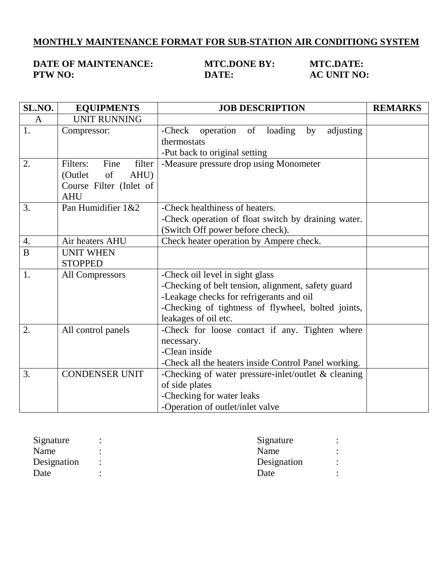## **MONTHLY MAINTENANCE FORMAT FOR SUB-STATION AIR CONDITIONG SYSTEM**

### **DATE OF MAINTENANCE: MTC.DONE BY: MTC.DATE: PTW NO: DATE: AC UNIT NO:**

| SL.NO.           | <b>EQUIPMENTS</b>          | <b>JOB DESCRIPTION</b>                                | <b>REMARKS</b> |
|------------------|----------------------------|-------------------------------------------------------|----------------|
| A                | <b>UNIT RUNNING</b>        |                                                       |                |
| 1.               | Compressor:                | -Check operation of loading<br>by<br>adjusting        |                |
|                  |                            | thermostats                                           |                |
|                  |                            | -Put back to original setting                         |                |
| $\overline{2}$ . | Fine<br>Filters:<br>filter | -Measure pressure drop using Monometer                |                |
|                  | (Outlet<br>of<br>AHU)      |                                                       |                |
|                  | Course Filter (Inlet of    |                                                       |                |
|                  | <b>AHU</b>                 |                                                       |                |
| 3.               | Pan Humidifier 1&2         | -Check healthiness of heaters.                        |                |
|                  |                            | -Check operation of float switch by draining water.   |                |
|                  |                            | (Switch Off power before check).                      |                |
| 4.               | Air heaters AHU            | Check heater operation by Ampere check.               |                |
| B                | <b>UNIT WHEN</b>           |                                                       |                |
|                  | <b>STOPPED</b>             |                                                       |                |
| 1.               | All Compressors            | -Check oil level in sight glass                       |                |
|                  |                            | -Checking of belt tension, alignment, safety guard    |                |
|                  |                            | -Leakage checks for refrigerants and oil              |                |
|                  |                            | -Checking of tightness of flywheel, bolted joints,    |                |
|                  |                            | leakages of oil etc.                                  |                |
| 2.               | All control panels         | -Check for loose contact if any. Tighten where        |                |
|                  |                            | necessary.                                            |                |
|                  |                            | -Clean inside                                         |                |
|                  |                            | -Check all the heaters inside Control Panel working.  |                |
| 3.               | <b>CONDENSER UNIT</b>      | -Checking of water pressure-inlet/outlet $&$ cleaning |                |
|                  |                            | of side plates                                        |                |
|                  |                            | -Checking for water leaks                             |                |
|                  |                            | -Operation of outlet/inlet valve                      |                |

| Signature   | ٠ | Signature   |         |
|-------------|---|-------------|---------|
| Name        |   | Name        |         |
| Designation |   | Designation | $\cdot$ |
| Date        |   | Date        |         |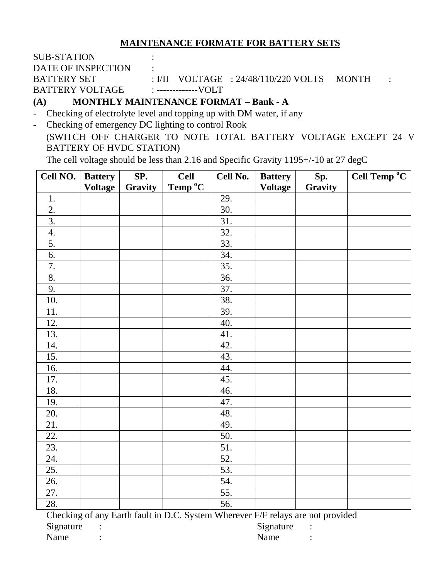### **MAINTENANCE FORMATE FOR BATTERY SETS**

| <b>SUB-STATION</b> |  |                                               |  |
|--------------------|--|-----------------------------------------------|--|
| DATE OF INSPECTION |  |                                               |  |
| BATTERY SET        |  | : $VII$ VOLTAGE : $24/48/110/220$ VOLTS MONTH |  |
| BATTERY VOLTAGE    |  |                                               |  |
|                    |  |                                               |  |

**(A) MONTHLY MAINTENANCE FORMAT – Bank - A**

- Checking of electrolyte level and topping up with DM water, if any

- Checking of emergency DC lighting to control Rook

(SWITCH OFF CHARGER TO NOTE TOTAL BATTERY VOLTAGE EXCEPT 24 V BATTERY OF HVDC STATION)

The cell voltage should be less than 2.16 and Specific Gravity 1195+/-10 at 27 degC

| Cell NO.         | <b>Battery</b> | SP.     | <b>Cell</b>                                                                     | Cell No. | <b>Battery</b> | Sp.     | Cell Temp °C |
|------------------|----------------|---------|---------------------------------------------------------------------------------|----------|----------------|---------|--------------|
|                  | <b>Voltage</b> | Gravity | Temp °C                                                                         |          | <b>Voltage</b> | Gravity |              |
| 1.               |                |         |                                                                                 | 29.      |                |         |              |
| 2.               |                |         |                                                                                 | 30.      |                |         |              |
| $\overline{3}$ . |                |         |                                                                                 | 31.      |                |         |              |
| 4.               |                |         |                                                                                 | 32.      |                |         |              |
| 5.               |                |         |                                                                                 | 33.      |                |         |              |
| 6.               |                |         |                                                                                 | 34.      |                |         |              |
| $\overline{7}$ . |                |         |                                                                                 | 35.      |                |         |              |
| 8.               |                |         |                                                                                 | 36.      |                |         |              |
| 9.               |                |         |                                                                                 | 37.      |                |         |              |
| 10.              |                |         |                                                                                 | 38.      |                |         |              |
| 11.              |                |         |                                                                                 | 39.      |                |         |              |
| 12.              |                |         |                                                                                 | 40.      |                |         |              |
| 13.              |                |         |                                                                                 | 41.      |                |         |              |
| 14.              |                |         |                                                                                 | 42.      |                |         |              |
| 15.              |                |         |                                                                                 | 43.      |                |         |              |
| 16.              |                |         |                                                                                 | 44.      |                |         |              |
| 17.              |                |         |                                                                                 | 45.      |                |         |              |
| 18.              |                |         |                                                                                 | 46.      |                |         |              |
| 19.              |                |         |                                                                                 | 47.      |                |         |              |
| 20.              |                |         |                                                                                 | 48.      |                |         |              |
| 21.              |                |         |                                                                                 | 49.      |                |         |              |
| 22.              |                |         |                                                                                 | 50.      |                |         |              |
| 23.              |                |         |                                                                                 | 51.      |                |         |              |
| 24.              |                |         |                                                                                 | 52.      |                |         |              |
| 25.              |                |         |                                                                                 | 53.      |                |         |              |
| 26.              |                |         |                                                                                 | 54.      |                |         |              |
| 27.              |                |         |                                                                                 | 55.      |                |         |              |
| 28.              |                |         |                                                                                 | 56.      |                |         |              |
|                  |                |         | Checking of any Earth fault in D.C. System Wherever F/F relays are not provided |          |                |         |              |

Signature : Signature : Signature : Signature :

Name : Name : Name : Name : Name : Name : Name : Name : Name : Name : Name : Name : Name : Name : Name : Name :  $\mathbb{R}$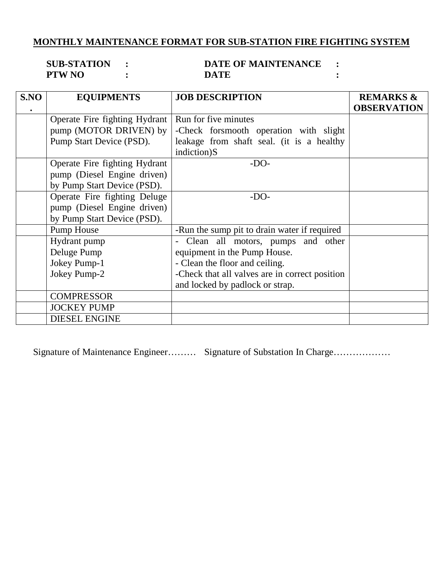# **MONTHLY MAINTENANCE FORMAT FOR SUB-STATION FIRE FIGHTING SYSTEM**

| <b>SUB-STATION</b> | <b>DATE OF MAINTENANCE</b> |  |
|--------------------|----------------------------|--|
| <b>PTW NO</b>      | DATE                       |  |

| S.NO | <b>EQUIPMENTS</b>             | <b>JOB DESCRIPTION</b>                         | <b>REMARKS &amp;</b> |
|------|-------------------------------|------------------------------------------------|----------------------|
|      |                               |                                                | <b>OBSERVATION</b>   |
|      | Operate Fire fighting Hydrant | Run for five minutes                           |                      |
|      | pump (MOTOR DRIVEN) by        | -Check forsmooth operation with slight         |                      |
|      | Pump Start Device (PSD).      | leakage from shaft seal. (it is a healthy      |                      |
|      |                               | indiction)S                                    |                      |
|      | Operate Fire fighting Hydrant | $-DO-$                                         |                      |
|      | pump (Diesel Engine driven)   |                                                |                      |
|      | by Pump Start Device (PSD).   |                                                |                      |
|      | Operate Fire fighting Deluge  | $-DO-$                                         |                      |
|      | pump (Diesel Engine driven)   |                                                |                      |
|      | by Pump Start Device (PSD).   |                                                |                      |
|      | Pump House                    | -Run the sump pit to drain water if required   |                      |
|      | Hydrant pump                  | Clean all motors, pumps and other              |                      |
|      | Deluge Pump                   | equipment in the Pump House.                   |                      |
|      | Jokey Pump-1                  | - Clean the floor and ceiling.                 |                      |
|      | Jokey Pump-2                  | -Check that all valves are in correct position |                      |
|      |                               | and locked by padlock or strap.                |                      |
|      | <b>COMPRESSOR</b>             |                                                |                      |
|      | <b>JOCKEY PUMP</b>            |                                                |                      |
|      | <b>DIESEL ENGINE</b>          |                                                |                      |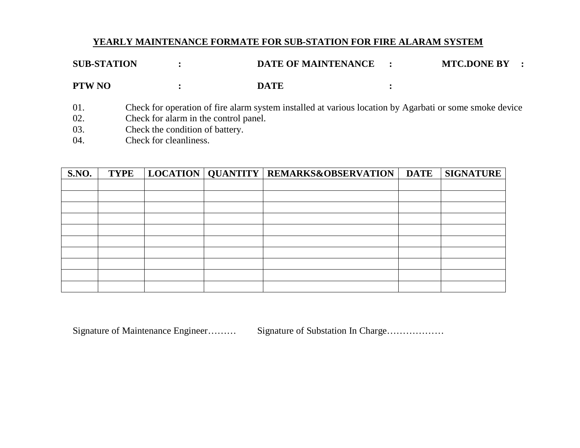# **YEARLY MAINTENANCE FORMATE FOR SUB-STATION FOR FIRE ALARAM SYSTEM**

| <b>SUB-STATION</b>       |                                                                                                    | <b>DATE OF MAINTENANCE</b>                                                                              | <b>MTC.DONE BY</b> |
|--------------------------|----------------------------------------------------------------------------------------------------|---------------------------------------------------------------------------------------------------------|--------------------|
| <b>PTW NO</b>            |                                                                                                    | <b>DATE</b>                                                                                             |                    |
| 01.<br>02.<br>03.<br>04. | Check for alarm in the control panel.<br>Check the condition of battery.<br>Check for cleanliness. | Check for operation of fire alarm system installed at various location by Agarbati or some smoke device |                    |

| <b>S.NO.</b> | <b>TYPE</b> |  | LOCATION   QUANTITY   REMARKS&OBSERVATION | <b>DATE</b> | <b>SIGNATURE</b> |
|--------------|-------------|--|-------------------------------------------|-------------|------------------|
|              |             |  |                                           |             |                  |
|              |             |  |                                           |             |                  |
|              |             |  |                                           |             |                  |
|              |             |  |                                           |             |                  |
|              |             |  |                                           |             |                  |
|              |             |  |                                           |             |                  |
|              |             |  |                                           |             |                  |
|              |             |  |                                           |             |                  |
|              |             |  |                                           |             |                  |
|              |             |  |                                           |             |                  |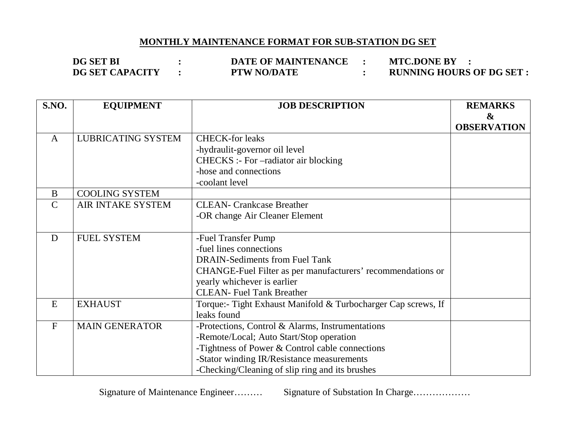# **MONTHLY MAINTENANCE FORMAT FOR SUB-STATION DG SET**

**DG SET BI : DATE OF MAINTENANCE : MTC.DONE BY : DG SET CAPACITY : PTW NO/DATE : RUNNING HOURS OF DG SET :** 

| S.NO.        | <b>EQUIPMENT</b>          | <b>JOB DESCRIPTION</b>                                        | <b>REMARKS</b>     |
|--------------|---------------------------|---------------------------------------------------------------|--------------------|
|              |                           |                                                               | $\boldsymbol{\&}$  |
|              |                           |                                                               | <b>OBSERVATION</b> |
| $\mathbf{A}$ | <b>LUBRICATING SYSTEM</b> | <b>CHECK-for leaks</b>                                        |                    |
|              |                           | -hydraulit-governor oil level                                 |                    |
|              |                           | CHECKS :- For -radiator air blocking                          |                    |
|              |                           | -hose and connections                                         |                    |
|              |                           | -coolant level                                                |                    |
| B            | <b>COOLING SYSTEM</b>     |                                                               |                    |
| $\mathsf{C}$ | AIR INTAKE SYSTEM         | <b>CLEAN- Crankcase Breather</b>                              |                    |
|              |                           | -OR change Air Cleaner Element                                |                    |
|              |                           |                                                               |                    |
| D            | <b>FUEL SYSTEM</b>        | -Fuel Transfer Pump                                           |                    |
|              |                           | -fuel lines connections                                       |                    |
|              |                           | <b>DRAIN-Sediments from Fuel Tank</b>                         |                    |
|              |                           | CHANGE-Fuel Filter as per manufacturers' recommendations or   |                    |
|              |                           | yearly whichever is earlier                                   |                    |
|              |                           | <b>CLEAN- Fuel Tank Breather</b>                              |                    |
| E            | <b>EXHAUST</b>            | Torque:- Tight Exhaust Manifold & Turbocharger Cap screws, If |                    |
|              |                           | leaks found                                                   |                    |
| $\mathbf F$  | <b>MAIN GENERATOR</b>     | -Protections, Control & Alarms, Instrumentations              |                    |
|              |                           | -Remote/Local; Auto Start/Stop operation                      |                    |
|              |                           | -Tightness of Power & Control cable connections               |                    |
|              |                           | -Stator winding IR/Resistance measurements                    |                    |
|              |                           | -Checking/Cleaning of slip ring and its brushes               |                    |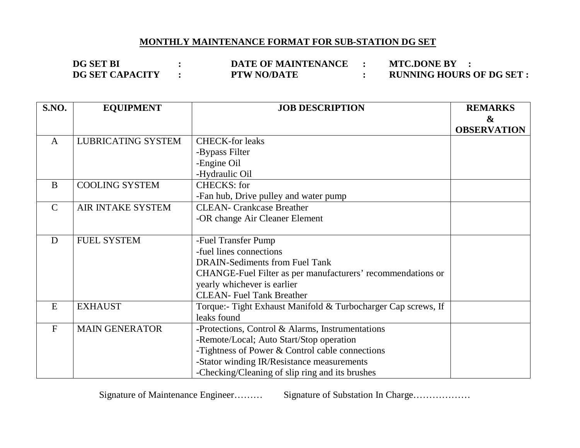### **MONTHLY MAINTENANCE FORMAT FOR SUB-STATION DG SET**

**DG SET BI : DATE OF MAINTENANCE : MTC.DONE BY : PTW NO/DATE**  $\qquad$  **: RUNNING HOURS OF DG SET :** 

| <b>S.NO.</b> | <b>EQUIPMENT</b>          | <b>JOB DESCRIPTION</b>                                        | <b>REMARKS</b>     |
|--------------|---------------------------|---------------------------------------------------------------|--------------------|
|              |                           |                                                               | $\boldsymbol{\&}$  |
|              |                           |                                                               | <b>OBSERVATION</b> |
| $\mathbf{A}$ | <b>LUBRICATING SYSTEM</b> | <b>CHECK-for leaks</b>                                        |                    |
|              |                           | -Bypass Filter                                                |                    |
|              |                           | -Engine Oil                                                   |                    |
|              |                           | -Hydraulic Oil                                                |                    |
| B            | <b>COOLING SYSTEM</b>     | <b>CHECKS: for</b>                                            |                    |
|              |                           | -Fan hub, Drive pulley and water pump                         |                    |
| $\mathsf{C}$ | AIR INTAKE SYSTEM         | <b>CLEAN- Crankcase Breather</b>                              |                    |
|              |                           | -OR change Air Cleaner Element                                |                    |
|              |                           |                                                               |                    |
| D            | <b>FUEL SYSTEM</b>        | -Fuel Transfer Pump                                           |                    |
|              |                           | -fuel lines connections                                       |                    |
|              |                           | <b>DRAIN-Sediments from Fuel Tank</b>                         |                    |
|              |                           | CHANGE-Fuel Filter as per manufacturers' recommendations or   |                    |
|              |                           | yearly whichever is earlier                                   |                    |
|              |                           | <b>CLEAN- Fuel Tank Breather</b>                              |                    |
| E            | <b>EXHAUST</b>            | Torque:- Tight Exhaust Manifold & Turbocharger Cap screws, If |                    |
|              |                           | leaks found                                                   |                    |
| ${\bf F}$    | <b>MAIN GENERATOR</b>     | -Protections, Control & Alarms, Instrumentations              |                    |
|              |                           | -Remote/Local; Auto Start/Stop operation                      |                    |
|              |                           | -Tightness of Power & Control cable connections               |                    |
|              |                           | -Stator winding IR/Resistance measurements                    |                    |
|              |                           | -Checking/Cleaning of slip ring and its brushes               |                    |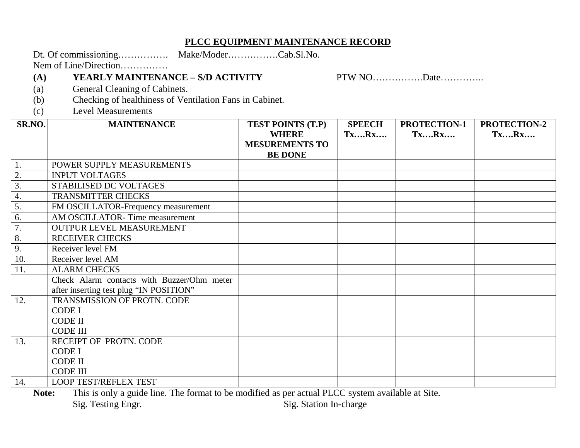### **PLCC EQUIPMENT MAINTENANCE RECORD**

Dt. Of commissioning……………. Make/Moder…………….Cab.Sl.No.

Nem of Line/Direction……………

### **(A) YEARLY MAINTENANCE – S/D ACTIVITY** PTW NO…………….Date…………..

- (a) General Cleaning of Cabinets.
- (b) Checking of healthiness of Ventilation Fans in Cabinet.
- (c) Level Measurements

| SR.NO.           | <b>MAINTENANCE</b>                         | <b>TEST POINTS (T.P)</b> | <b>SPEECH</b> | PROTECTION-1 | <b>PROTECTION-2</b> |
|------------------|--------------------------------------------|--------------------------|---------------|--------------|---------------------|
|                  |                                            | <b>WHERE</b>             | TxRx          | TxRx         | <b>TxRx</b>         |
|                  |                                            | <b>MESUREMENTS TO</b>    |               |              |                     |
|                  |                                            | <b>BE DONE</b>           |               |              |                     |
| 1.               | POWER SUPPLY MEASUREMENTS                  |                          |               |              |                     |
| 2.               | <b>INPUT VOLTAGES</b>                      |                          |               |              |                     |
| $\overline{3}$ . | STABILISED DC VOLTAGES                     |                          |               |              |                     |
| $\overline{4}$ . | TRANSMITTER CHECKS                         |                          |               |              |                     |
| 5.               | FM OSCILLATOR-Frequency measurement        |                          |               |              |                     |
| 6.               | AM OSCILLATOR-Time measurement             |                          |               |              |                     |
| 7.               | OUTPUR LEVEL MEASUREMENT                   |                          |               |              |                     |
| 8.               | <b>RECEIVER CHECKS</b>                     |                          |               |              |                     |
| 9.               | Receiver level FM                          |                          |               |              |                     |
| 10.              | Receiver level AM                          |                          |               |              |                     |
| 11.              | <b>ALARM CHECKS</b>                        |                          |               |              |                     |
|                  | Check Alarm contacts with Buzzer/Ohm meter |                          |               |              |                     |
|                  | after inserting test plug "IN POSITION"    |                          |               |              |                     |
| 12.              | TRANSMISSION OF PROTN. CODE                |                          |               |              |                     |
|                  | <b>CODE I</b>                              |                          |               |              |                     |
|                  | <b>CODE II</b>                             |                          |               |              |                     |
|                  | <b>CODE III</b>                            |                          |               |              |                     |
| 13.              | RECEIPT OF PROTN. CODE                     |                          |               |              |                     |
|                  | <b>CODE I</b>                              |                          |               |              |                     |
|                  | <b>CODE II</b>                             |                          |               |              |                     |
|                  | <b>CODE III</b>                            |                          |               |              |                     |
| 14.              | <b>LOOP TEST/REFLEX TEST</b>               |                          |               |              |                     |

**Note:** This is only a guide line. The format to be modified as per actual PLCC system available at Site.<br>Sig. Testing Engr. Sig. Station In-charge Sig. Station In-charge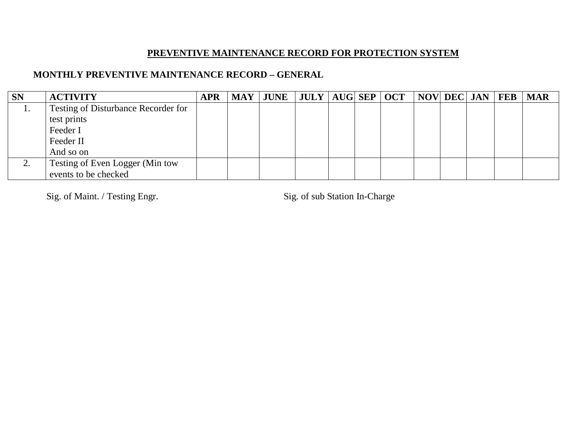# **PREVENTIVE MAINTENANCE RECORD FOR PROTECTION SYSTEM**

### **MONTHLY PREVENTIVE MAINTENANCE RECORD – GENERAL**

| <b>SN</b> | <b>ACTIVITY</b>                            | <b>APR</b> | $\text{MAY}$ JUNE   JULY   AUG  SEP   OCT   NOV  DEC  JAN   FEB |  |  |  |  | <b>MAR</b> |
|-----------|--------------------------------------------|------------|-----------------------------------------------------------------|--|--|--|--|------------|
| <b>1.</b> | <b>Testing of Disturbance Recorder for</b> |            |                                                                 |  |  |  |  |            |
|           | test prints                                |            |                                                                 |  |  |  |  |            |
|           | Feeder I                                   |            |                                                                 |  |  |  |  |            |
|           | Feeder II                                  |            |                                                                 |  |  |  |  |            |
|           | And so on                                  |            |                                                                 |  |  |  |  |            |
| ۷.        | Testing of Even Logger (Min tow            |            |                                                                 |  |  |  |  |            |
|           | events to be checked                       |            |                                                                 |  |  |  |  |            |

Sig. of Maint. / Testing Engr. Sig. of sub Station In-Charge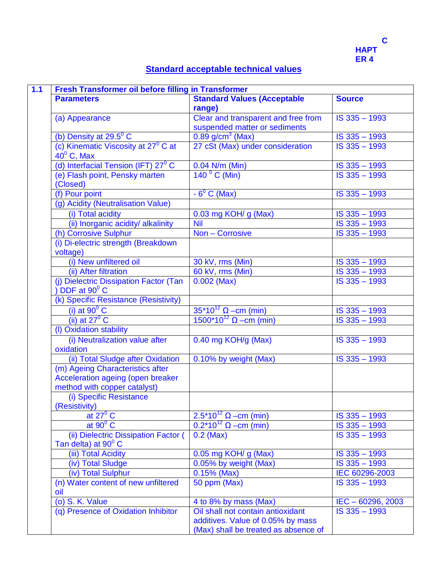

# **Standard acceptable technical values**

| 1.1 | Fresh Transformer oil before filling in Transformer            |                                               |                             |  |  |  |
|-----|----------------------------------------------------------------|-----------------------------------------------|-----------------------------|--|--|--|
|     | <b>Parameters</b>                                              | <b>Standard Values (Acceptable</b>            | <b>Source</b>               |  |  |  |
|     |                                                                | range)                                        |                             |  |  |  |
|     | (a) Appearance                                                 | Clear and transparent and free from           | IS 335 - 1993               |  |  |  |
|     |                                                                | suspended matter or sediments                 |                             |  |  |  |
|     | (b) Density at $29.5^{\circ}$ C                                | $0.89$ g/cm <sup>3</sup> (Max)                | IS 335 - 1993               |  |  |  |
|     | (c) Kinematic Viscosity at 27 <sup>0</sup> C at                | 27 cSt (Max) under consideration              | IS 335 - 1993               |  |  |  |
|     | $40^{\circ}$ C, Max                                            |                                               |                             |  |  |  |
|     | (d) Interfacial Tension (IFT) $27^{\circ}$ C                   | 0.04 N/m (Min)                                | IS 335 - 1993               |  |  |  |
|     | (e) Flash point, Pensky marten<br>(Closed)                     | $1400$ C (Min)                                | IS 335 - 1993               |  |  |  |
|     | (f) Pour point                                                 | $-6^{\circ}$ C (Max)                          | IS 335 - 1993               |  |  |  |
|     | (g) Acidity (Neutralisation Value)                             |                                               |                             |  |  |  |
|     | (i) Total acidity                                              | 0.03 mg KOH/ g (Max)                          | IS 335 - 1993               |  |  |  |
|     | (ii) Inorganic acidity/ alkalinity                             | <b>Nil</b>                                    | $\overline{1S\ 335} - 1993$ |  |  |  |
|     | (h) Corrosive Sulphur                                          | Non - Corrosive                               | IS 335 - 1993               |  |  |  |
|     | (i) Di-electric strength (Breakdown<br>voltage)                |                                               |                             |  |  |  |
|     | (i) New unfiltered oil                                         | 30 kV, rms (Min)                              | IS 335 - 1993               |  |  |  |
|     | (ii) After filtration                                          | 60 kV, rms (Min)                              | IS 335 - 1993               |  |  |  |
|     | (j) Dielectric Dissipation Factor (Tan                         | $0.002$ (Max)                                 | IS 335 - 1993               |  |  |  |
|     | $\overline{)$ DDF at 90 $\degree$ C                            |                                               |                             |  |  |  |
|     | (k) Specific Resistance (Resistivity)                          |                                               |                             |  |  |  |
|     | (i) at $90^{\circ}$ C                                          | $35*10^{12}$ $\Omega$ –cm (min)               | IS 335 - 1993               |  |  |  |
|     | $(ii)$ at 27 $^{\circ}$ C                                      | 1500*10 <sup>12</sup> Ω – cm (min)            | IS 335 - 1993               |  |  |  |
|     | (I) Oxidation stability                                        |                                               |                             |  |  |  |
|     | (i) Neutralization value after                                 | 0.40 mg KOH/g (Max)                           | IS 335 - 1993               |  |  |  |
|     | oxidation                                                      |                                               |                             |  |  |  |
|     | (ii) Total Sludge after Oxidation                              | 0.10% by weight (Max)                         | IS 335 - 1993               |  |  |  |
|     | (m) Ageing Characteristics after                               |                                               |                             |  |  |  |
|     | Acceleration ageing (open breaker                              |                                               |                             |  |  |  |
|     | method with copper catalyst)                                   |                                               |                             |  |  |  |
|     | (i) Specific Resistance                                        |                                               |                             |  |  |  |
|     | (Resistivity)                                                  |                                               |                             |  |  |  |
|     | at $27^{\circ}$ C                                              | 2.5 <sup>*</sup> 10 <sup>12</sup> Ω –cm (min) | IS 335 - 1993               |  |  |  |
|     | at $90^{\circ}$ C                                              | $0.2*10^{12}$ $\Omega$ –cm (min)              | IS 335 - 1993               |  |  |  |
|     | (ii) Dielectric Dissipation Factor (<br>Tan delta) at $90^0$ C | $0.2$ (Max)                                   | $IS$ 335 $-$ 1993           |  |  |  |
|     | (iii) Total Acidity                                            |                                               | $IS$ 335 $-$ 1993           |  |  |  |
|     | (iv) Total Sludge                                              | 0.05 mg KOH/ g (Max)<br>0.05% by weight (Max) | IS 335 - 1993               |  |  |  |
|     | (iv) Total Sulphur                                             | $0.15%$ (Max)                                 | IEC 60296-2003              |  |  |  |
|     | (n) Water content of new unfiltered                            | 50 ppm (Max)                                  | IS 335 - 1993               |  |  |  |
|     | oil                                                            |                                               |                             |  |  |  |
|     | (o) S. K. Value                                                | 4 to 8% by mass (Max)                         | $IEC - 60296, 2003$         |  |  |  |
|     | (q) Presence of Oxidation Inhibitor                            | Oil shall not contain antioxidant             | IS 335 - 1993               |  |  |  |
|     |                                                                | additives. Value of 0.05% by mass             |                             |  |  |  |
|     |                                                                | (Max) shall be treated as absence of          |                             |  |  |  |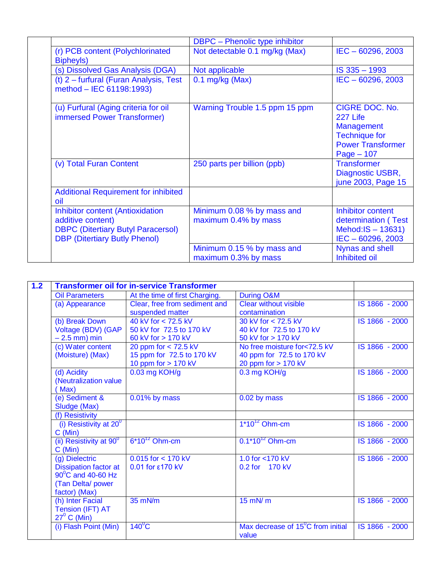|  |                                                                                                                                                   | <b>DBPC</b> - Phenolic type inhibitor              |                                                                                                                     |
|--|---------------------------------------------------------------------------------------------------------------------------------------------------|----------------------------------------------------|---------------------------------------------------------------------------------------------------------------------|
|  | (r) PCB content (Polychlorinated<br>Bipheyls)                                                                                                     | Not detectable 0.1 mg/kg (Max)                     | $IEC - 60296, 2003$                                                                                                 |
|  | (s) Dissolved Gas Analysis (DGA)                                                                                                                  | Not applicable                                     | IS 335 - 1993                                                                                                       |
|  | (t) $2$ – furfural (Furan Analysis, Test<br>method - IEC 61198:1993)                                                                              | $0.1$ mg/kg (Max)                                  | $IEC - 60296, 2003$                                                                                                 |
|  | (u) Furfural (Aging criteria for oil<br>immersed Power Transformer)                                                                               | Warning Trouble 1.5 ppm 15 ppm                     | CIGRE DOC. No.<br>227 Life<br><b>Management</b><br><b>Technique for</b><br><b>Power Transformer</b><br>$Page - 107$ |
|  | (v) Total Furan Content                                                                                                                           | 250 parts per billion (ppb)                        | <b>Transformer</b><br>Diagnostic USBR,<br>june 2003, Page 15                                                        |
|  | <b>Additional Requirement for inhibited</b><br>oil                                                                                                |                                                    |                                                                                                                     |
|  | <b>Inhibitor content (Antioxidation</b><br>additive content)<br><b>DBPC (Ditertiary Butyl Paracersol)</b><br><b>DBP</b> (Ditertiary Butly Phenol) | Minimum 0.08 % by mass and<br>maximum 0.4% by mass | Inhibitor content<br>determination (Test<br>Mehod: $IS - 13631$ )<br>$IEC - 60296, 2003$                            |
|  |                                                                                                                                                   | Minimum 0.15 % by mass and<br>maximum 0.3% by mass | Nynas and shell<br>Inhibited oil                                                                                    |

| 1.2 | <b>Transformer oil for in-service Transformer</b> |                                |                                             |                |  |  |  |
|-----|---------------------------------------------------|--------------------------------|---------------------------------------------|----------------|--|--|--|
|     | <b>Oil Parameters</b>                             | At the time of first Charging. | During O&M                                  |                |  |  |  |
|     | (a) Appearance                                    | Clear, free from sediment and  | <b>Clear without visible</b>                | IS 1866 - 2000 |  |  |  |
|     |                                                   | suspended matter               | contamination                               |                |  |  |  |
|     | (b) Break Down                                    | $40$ kV for < 72.5 kV          | 30 kV for < 72.5 kV                         | IS 1866 - 2000 |  |  |  |
|     | Voltage (BDV) (GAP                                | 50 kV for 72.5 to 170 kV       | 40 kV for 72.5 to 170 kV                    |                |  |  |  |
|     | $-2.5$ mm) min                                    | 60 kV for > 170 kV             | 50 kV for > 170 kV                          |                |  |  |  |
|     | (c) Water content                                 | 20 ppm for $<$ 72.5 kV         | No free moisture for<72.5 kV                | IS 1866 - 2000 |  |  |  |
|     | (Moisture) (Max)                                  | 15 ppm for 72.5 to 170 kV      | 40 ppm for 72.5 to 170 kV                   |                |  |  |  |
|     |                                                   | 10 ppm for $> 170$ kV          | 20 ppm for $> 170$ kV                       |                |  |  |  |
|     | (d) Acidity                                       | 0.03 mg KOH/g                  | 0.3 mg KOH/g                                | IS 1866 - 2000 |  |  |  |
|     | (Neutralization value                             |                                |                                             |                |  |  |  |
|     | (Max)                                             |                                |                                             |                |  |  |  |
|     | (e) Sediment &                                    | $0.01\%$ by mass               | 0.02 by mass                                | IS 1866 - 2000 |  |  |  |
|     | Sludge (Max)                                      |                                |                                             |                |  |  |  |
|     | (f) Resistivity                                   |                                |                                             |                |  |  |  |
|     | (i) Resistivity at $20^0$                         |                                | $1*10^{12}$ Ohm-cm                          | IS 1866 - 2000 |  |  |  |
|     | C (Min)                                           |                                |                                             |                |  |  |  |
|     | (ii) Resistivity at $90^\circ$                    | $6*10^{12}$ Ohm-cm             | $0.1*10^{12}$ Ohm-cm                        | IS 1866 - 2000 |  |  |  |
|     | C (Min)                                           |                                |                                             |                |  |  |  |
|     | (g) Dielectric                                    | $0.015$ for < 170 kV           | 1.0 for <170 kV                             | IS 1866 - 2000 |  |  |  |
|     | <b>Dissipation factor at</b>                      | 0.01 for £170 kV               | 0.2 for 170 kV                              |                |  |  |  |
|     | $90^{\circ}$ C and 40-60 Hz                       |                                |                                             |                |  |  |  |
|     | (Tan Delta/power                                  |                                |                                             |                |  |  |  |
|     | factor) (Max)                                     |                                |                                             |                |  |  |  |
|     | (h) Inter Facial                                  | $35$ mN/m                      | $15$ mN/ $m$                                | IS 1866 - 2000 |  |  |  |
|     | Tension (IFT) AT                                  |                                |                                             |                |  |  |  |
|     | $27^{\circ}$ C (Min)                              |                                |                                             |                |  |  |  |
|     | (i) Flash Point (Min)                             | $140^{\circ}$ C                | Max decrease of $15^{\circ}$ C from initial | IS 1866 - 2000 |  |  |  |
|     |                                                   |                                | value                                       |                |  |  |  |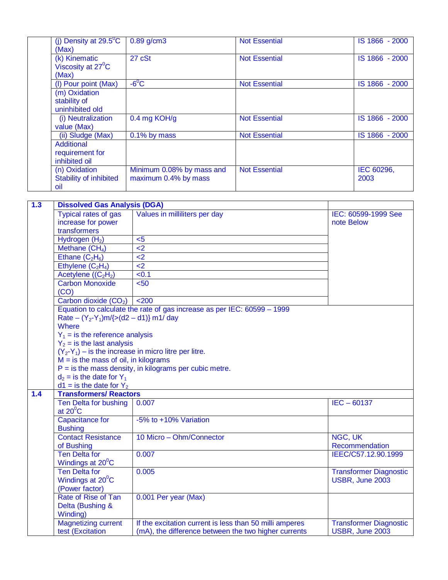| (j) Density at $29.5^{\circ}$ C<br>(Max)                 | $0.89$ g/cm3                                      | <b>Not Essential</b> | IS 1866 - 2000     |
|----------------------------------------------------------|---------------------------------------------------|----------------------|--------------------|
| (k) Kinematic<br>Viscosity at 27 <sup>°</sup> C<br>(Max) | 27 cSt                                            | <b>Not Essential</b> | IS 1866 - 2000     |
| (I) Pour point (Max)                                     | $-6^{\circ}$ C                                    | <b>Not Essential</b> | IS 1866 - 2000     |
| (m) Oxidation<br>stability of<br>uninhibited old         |                                                   |                      |                    |
| (i) Neutralization<br>value (Max)                        | 0.4 mg KOH/g                                      | <b>Not Essential</b> | IS 1866 - 2000     |
| (ii) Sludge (Max)                                        | $0.1\%$ by mass                                   | <b>Not Essential</b> | IS 1866 - 2000     |
| Additional<br>requirement for<br>inhibited oil           |                                                   |                      |                    |
| (n) Oxidation<br><b>Stability of inhibited</b><br>oil    | Minimum 0.08% by mass and<br>maximum 0.4% by mass | <b>Not Essential</b> | IEC 60296,<br>2003 |

| 1.3 | <b>Dissolved Gas Analysis (DGA)</b>                     |                                                                         |                               |  |  |  |
|-----|---------------------------------------------------------|-------------------------------------------------------------------------|-------------------------------|--|--|--|
|     | <b>Typical rates of gas</b>                             | Values in milliliters per day                                           | IEC: 60599-1999 See           |  |  |  |
|     | increase for power                                      |                                                                         | note Below                    |  |  |  |
|     | transformers                                            |                                                                         |                               |  |  |  |
|     | Hydrogen (H <sub>2</sub> )                              | $5$                                                                     |                               |  |  |  |
|     | Methane (CH <sub>4</sub> )                              | $\overline{2}$                                                          |                               |  |  |  |
|     | Ethane $(C_2H_6)$                                       | $\leq$ 2                                                                |                               |  |  |  |
|     | Ethylene $(C_2H_4)$                                     | $\leq$ 2                                                                |                               |  |  |  |
|     | Acetylene $((C2H2)$                                     | < 0.1                                                                   |                               |  |  |  |
|     | <b>Carbon Monoxide</b>                                  | < 50                                                                    |                               |  |  |  |
|     | (CO)                                                    |                                                                         |                               |  |  |  |
|     | Carbon dioxide (CO <sub>2</sub> )                       | $200$                                                                   |                               |  |  |  |
|     |                                                         | Equation to calculate the rate of gas increase as per IEC: 60599 - 1999 |                               |  |  |  |
|     | Rate – $(Y_2-Y_1)m/\{>(d2 - d1)\}$ m1/day               |                                                                         |                               |  |  |  |
|     | Where                                                   |                                                                         |                               |  |  |  |
|     | $Y_1$ = is the reference analysis                       |                                                                         |                               |  |  |  |
|     | $Y_2$ = is the last analysis                            |                                                                         |                               |  |  |  |
|     | $(Y_2-Y_1)$ – is the increase in micro litre per litre. |                                                                         |                               |  |  |  |
|     | $M =$ is the mass of oil, in kilograms                  |                                                                         |                               |  |  |  |
|     |                                                         | $P =$ is the mass density, in kilograms per cubic metre.                |                               |  |  |  |
|     | $d_2$ = is the date for $Y_1$                           |                                                                         |                               |  |  |  |
|     | $d1 = is$ the date for $Y_2$                            |                                                                         |                               |  |  |  |
| 1.4 | <b>Transformers/ Reactors</b>                           |                                                                         |                               |  |  |  |
|     | Ten Delta for bushing<br>at $20^{\circ}$ C              | 0.007                                                                   | $IEC - 60137$                 |  |  |  |
|     | <b>Capacitance for</b>                                  | -5% to +10% Variation                                                   |                               |  |  |  |
|     | <b>Bushing</b>                                          |                                                                         |                               |  |  |  |
|     | <b>Contact Resistance</b>                               | 10 Micro - Ohm/Connector                                                | NGC, UK                       |  |  |  |
|     | of Bushing                                              |                                                                         | Recommendation                |  |  |  |
|     | <b>Ten Delta for</b>                                    | 0.007                                                                   | IEEC/C57.12.90.1999           |  |  |  |
|     | Windings at 20°C                                        |                                                                         |                               |  |  |  |
|     | <b>Ten Delta for</b>                                    | 0.005                                                                   | <b>Transformer Diagnostic</b> |  |  |  |
|     | Windings at 20 <sup>°</sup> C                           |                                                                         | USBR, June 2003               |  |  |  |
|     | (Power factor)                                          |                                                                         |                               |  |  |  |
|     | Rate of Rise of Tan                                     | 0.001 Per year (Max)                                                    |                               |  |  |  |
|     | Delta (Bushing &                                        |                                                                         |                               |  |  |  |
|     | Winding)                                                |                                                                         |                               |  |  |  |
|     | <b>Magnetizing current</b>                              | If the excitation current is less than 50 milli amperes                 | <b>Transformer Diagnostic</b> |  |  |  |
|     | test (Excitation                                        | (mA), the difference between the two higher currents                    | USBR, June 2003               |  |  |  |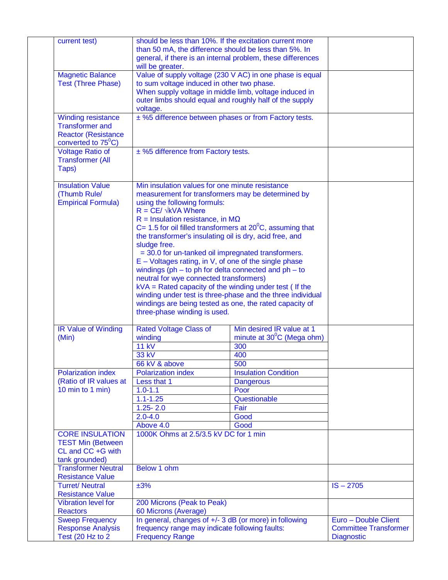| current test)                | should be less than 10%. If the excitation current more<br>than 50 mA, the difference should be less than 5%. In<br>will be greater. | general, if there is an internal problem, these differences |                              |
|------------------------------|--------------------------------------------------------------------------------------------------------------------------------------|-------------------------------------------------------------|------------------------------|
| <b>Magnetic Balance</b>      |                                                                                                                                      | Value of supply voltage (230 V AC) in one phase is equal    |                              |
| <b>Test (Three Phase)</b>    | to sum voltage induced in other two phase.                                                                                           |                                                             |                              |
|                              |                                                                                                                                      |                                                             |                              |
|                              | When supply voltage in middle limb, voltage induced in                                                                               |                                                             |                              |
|                              | outer limbs should equal and roughly half of the supply                                                                              |                                                             |                              |
|                              | voltage.                                                                                                                             |                                                             |                              |
| <b>Winding resistance</b>    | ± %5 difference between phases or from Factory tests.                                                                                |                                                             |                              |
| <b>Transformer and</b>       |                                                                                                                                      |                                                             |                              |
| <b>Reactor (Resistance)</b>  |                                                                                                                                      |                                                             |                              |
| converted to $75^{\circ}$ C) |                                                                                                                                      |                                                             |                              |
| <b>Voltage Ratio of</b>      | ± %5 difference from Factory tests.                                                                                                  |                                                             |                              |
| <b>Transformer (All</b>      |                                                                                                                                      |                                                             |                              |
| Taps)                        |                                                                                                                                      |                                                             |                              |
|                              |                                                                                                                                      |                                                             |                              |
| <b>Insulation Value</b>      | Min insulation values for one minute resistance                                                                                      |                                                             |                              |
| (Thumb Rule/                 | measurement for transformers may be determined by                                                                                    |                                                             |                              |
| <b>Empirical Formula)</b>    | using the following formuls:                                                                                                         |                                                             |                              |
|                              | $R = CE / \sqrt{kVA}$ Where                                                                                                          |                                                             |                              |
|                              |                                                                                                                                      |                                                             |                              |
|                              | $R =$ Insulation resistance, in M $\Omega$                                                                                           |                                                             |                              |
|                              | C= 1.5 for oil filled transformers at $20^{\circ}$ C, assuming that                                                                  |                                                             |                              |
|                              | the transformer's insulating oil is dry, acid free, and                                                                              |                                                             |                              |
|                              | sludge free.                                                                                                                         |                                                             |                              |
|                              | = 30.0 for un-tanked oil impregnated transformers.                                                                                   |                                                             |                              |
|                              | $E - Voltages rating, in V, of one of the single phase$                                                                              |                                                             |                              |
|                              | windings ( $ph - to ph$ for delta connected and $ph - to$                                                                            |                                                             |                              |
|                              | neutral for wye connected transformers)                                                                                              |                                                             |                              |
|                              | $kVA =$ Rated capacity of the winding under test (If the                                                                             |                                                             |                              |
|                              |                                                                                                                                      | winding under test is three-phase and the three individual  |                              |
|                              | windings are being tested as one, the rated capacity of                                                                              |                                                             |                              |
|                              | three-phase winding is used.                                                                                                         |                                                             |                              |
|                              |                                                                                                                                      |                                                             |                              |
| <b>IR Value of Winding</b>   | <b>Rated Voltage Class of</b>                                                                                                        | Min desired IR value at 1                                   |                              |
| (Min)                        | winding                                                                                                                              | minute at $30^{\circ}$ C (Mega ohm)                         |                              |
|                              | <b>11 kV</b>                                                                                                                         | 300                                                         |                              |
|                              |                                                                                                                                      |                                                             |                              |
|                              | 33 kV                                                                                                                                | 400                                                         |                              |
|                              | 66 kV & above                                                                                                                        | 500                                                         |                              |
| <b>Polarization index</b>    | <b>Polarization index</b>                                                                                                            | <b>Insulation Condition</b>                                 |                              |
| (Ratio of IR values at       | Less that 1                                                                                                                          | <b>Dangerous</b>                                            |                              |
| 10 min to 1 min)             | $1.0 - 1.1$                                                                                                                          | Poor                                                        |                              |
|                              | $1.1 - 1.25$                                                                                                                         | Questionable                                                |                              |
|                              | $1.25 - 2.0$                                                                                                                         | Fair                                                        |                              |
|                              | $2.0 - 4.0$                                                                                                                          | Good                                                        |                              |
|                              | Above 4.0                                                                                                                            | Good                                                        |                              |
| <b>CORE INSULATION</b>       | 1000K Ohms at 2.5/3.5 kV DC for 1 min                                                                                                |                                                             |                              |
| <b>TEST Min (Between</b>     |                                                                                                                                      |                                                             |                              |
| CL and CC +G with            |                                                                                                                                      |                                                             |                              |
| tank grounded)               |                                                                                                                                      |                                                             |                              |
| <b>Transformer Neutral</b>   | Below 1 ohm                                                                                                                          |                                                             |                              |
| <b>Resistance Value</b>      |                                                                                                                                      |                                                             |                              |
| <b>Turret/Neutral</b>        | ±3%                                                                                                                                  |                                                             | $IS - 2705$                  |
|                              |                                                                                                                                      |                                                             |                              |
| <b>Resistance Value</b>      |                                                                                                                                      |                                                             |                              |
| <b>Vibration level for</b>   | 200 Microns (Peak to Peak)                                                                                                           |                                                             |                              |
| <b>Reactors</b>              | 60 Microns (Average)                                                                                                                 |                                                             |                              |
| <b>Sweep Frequency</b>       | In general, changes of +/- 3 dB (or more) in following                                                                               |                                                             | Euro - Double Client         |
| <b>Response Analysis</b>     | frequency range may indicate following faults:                                                                                       |                                                             | <b>Committee Transformer</b> |
| Test (20 Hz to 2)            | <b>Frequency Range</b>                                                                                                               | <b>Diagnostic</b>                                           |                              |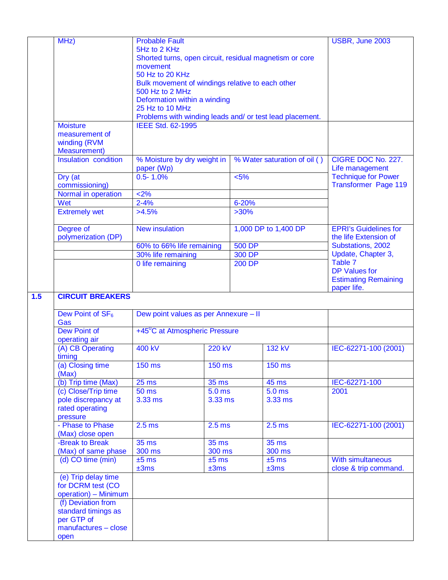|     | MHz)                         | <b>Probable Fault</b>                                        |                   |                  |                      | USBR, June 2003               |  |
|-----|------------------------------|--------------------------------------------------------------|-------------------|------------------|----------------------|-------------------------------|--|
|     |                              | 5Hz to 2 KHz                                                 |                   |                  |                      |                               |  |
|     |                              | Shorted turns, open circuit, residual magnetism or core      |                   |                  |                      |                               |  |
|     |                              | movement                                                     |                   |                  |                      |                               |  |
|     |                              | 50 Hz to 20 KHz                                              |                   |                  |                      |                               |  |
|     |                              | Bulk movement of windings relative to each other             |                   |                  |                      |                               |  |
|     |                              | 500 Hz to 2 MHz                                              |                   |                  |                      |                               |  |
|     |                              | Deformation within a winding                                 |                   |                  |                      |                               |  |
|     | 25 Hz to 10 MHz              |                                                              |                   |                  |                      |                               |  |
|     |                              | Problems with winding leads and/ or test lead placement.     |                   |                  |                      |                               |  |
|     | <b>Moisture</b>              | <b>IEEE Std. 62-1995</b>                                     |                   |                  |                      |                               |  |
|     | measurement of               |                                                              |                   |                  |                      |                               |  |
|     | winding (RVM                 |                                                              |                   |                  |                      |                               |  |
|     | <b>Measurement</b> )         |                                                              |                   |                  |                      |                               |  |
|     | Insulation condition         | % Moisture by dry weight in<br>% Water saturation of oil ( ) |                   |                  |                      | CIGRE DOC No. 227.            |  |
|     |                              | paper (Wp)                                                   |                   |                  |                      | Life management               |  |
|     | Dry (at                      | $0.5 - 1.0%$                                                 |                   | < 5%             |                      | <b>Technique for Power</b>    |  |
|     | commissioning)               |                                                              |                   |                  |                      | <b>Transformer Page 119</b>   |  |
|     | Normal in operation          | 2%                                                           |                   |                  |                      |                               |  |
|     | Wet                          | $2 - 4%$                                                     |                   | 6-20%            |                      |                               |  |
|     | <b>Extremely wet</b>         | $>4.5\%$                                                     |                   | $>30\%$          |                      |                               |  |
|     |                              |                                                              |                   |                  |                      |                               |  |
|     | Degree of                    | <b>New insulation</b>                                        |                   |                  | 1,000 DP to 1,400 DP | <b>EPRI's Guidelines for</b>  |  |
|     | polymerization (DP)          |                                                              |                   |                  |                      | the life Extension of         |  |
|     |                              | 60% to 66% life remaining                                    |                   | <b>500 DP</b>    |                      | Substations, 2002             |  |
|     |                              | 30% life remaining                                           |                   | 300 DP<br>200 DP |                      | Update, Chapter 3,<br>Table 7 |  |
|     |                              | 0 life remaining                                             |                   |                  |                      |                               |  |
|     |                              |                                                              |                   |                  |                      | <b>DP Values for</b>          |  |
|     |                              |                                                              |                   |                  |                      | <b>Estimating Remaining</b>   |  |
|     |                              |                                                              |                   |                  |                      | paper life.                   |  |
| 1.5 | <b>CIRCUIT BREAKERS</b>      |                                                              |                   |                  |                      |                               |  |
|     |                              |                                                              |                   |                  |                      |                               |  |
|     |                              |                                                              |                   |                  |                      |                               |  |
|     | Dew Point of SF <sub>6</sub> | Dew point values as per Annexure - II                        |                   |                  |                      |                               |  |
|     | Gas                          |                                                              |                   |                  |                      |                               |  |
|     | <b>Dew Point of</b>          | +45 <sup>°</sup> C at Atmospheric Pressure                   |                   |                  |                      |                               |  |
|     | operating air                |                                                              |                   |                  |                      |                               |  |
|     | (A) CB Operating             | 400 kV                                                       | <b>220 kV</b>     |                  | <b>132 kV</b>        | IEC-62271-100 (2001)          |  |
|     | timing                       |                                                              |                   |                  |                      |                               |  |
|     | (a) Closing time             | $150$ ms                                                     | $150 \text{ ms}$  |                  | <b>150 ms</b>        |                               |  |
|     | (Max)                        |                                                              |                   |                  |                      |                               |  |
|     | (b) Trip time (Max)          | 25 <sub>ms</sub>                                             | <b>35 ms</b>      |                  | <b>45 ms</b>         | IEC-62271-100                 |  |
|     | (c) Close/Trip time          | 50 ms                                                        | 5.0 <sub>ms</sub> |                  | 5.0 <sub>ms</sub>    | 2001                          |  |
|     | pole discrepancy at          | 3.33 ms                                                      | 3.33 ms           |                  | 3.33 ms              |                               |  |
|     | rated operating              |                                                              |                   |                  |                      |                               |  |
|     | pressure                     |                                                              |                   |                  |                      |                               |  |
|     | - Phase to Phase             | 2.5 <sub>ms</sub>                                            | 2.5 <sub>ms</sub> |                  | 2.5 <sub>ms</sub>    | IEC-62271-100 (2001)          |  |
|     | (Max) close open             |                                                              |                   |                  |                      |                               |  |
|     | -Break to Break              | $35 \text{ ms}$                                              | <b>35 ms</b>      |                  | <b>35 ms</b>         |                               |  |
|     | (Max) of same phase          | 300 ms                                                       | 300 ms            |                  | 300 ms               |                               |  |
|     | (d) CO time (min)            | $±5$ ms                                                      | $±5$ ms           |                  | $±5$ ms              | With simultaneous             |  |
|     |                              | ±3ms                                                         | ±3ms              |                  | ±3ms                 | close & trip command.         |  |
|     | (e) Trip delay time          |                                                              |                   |                  |                      |                               |  |
|     | for DCRM test (CO            |                                                              |                   |                  |                      |                               |  |
|     | operation) - Minimum         |                                                              |                   |                  |                      |                               |  |
|     | (f) Deviation from           |                                                              |                   |                  |                      |                               |  |
|     | standard timings as          |                                                              |                   |                  |                      |                               |  |
|     | per GTP of                   |                                                              |                   |                  |                      |                               |  |
|     | manufactures - close<br>open |                                                              |                   |                  |                      |                               |  |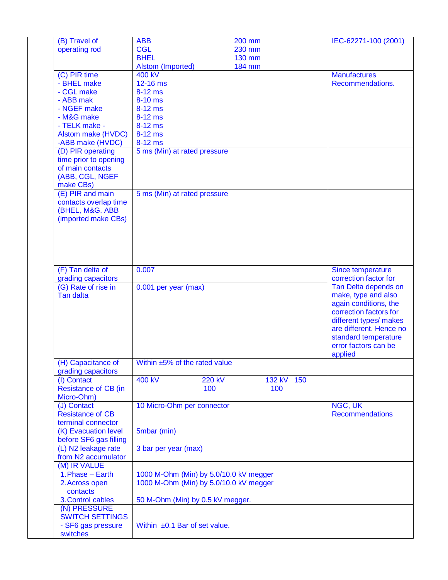| (B) Travel of               | <b>ABB</b>                             | 200 mm        | IEC-62271-100 (2001)    |
|-----------------------------|----------------------------------------|---------------|-------------------------|
| operating rod               | <b>CGL</b>                             | 230 mm        |                         |
|                             | <b>BHEL</b>                            | <b>130 mm</b> |                         |
|                             | Alstom (Imported)                      | <b>184 mm</b> |                         |
| (C) PIR time                | 400 kV                                 |               | <b>Manufactures</b>     |
| - BHEL make                 | 12-16 ms                               |               | Recommendations.        |
| - CGL make                  | 8-12 ms                                |               |                         |
| - ABB mak                   | 8-10 ms                                |               |                         |
| - NGEF make                 | 8-12 ms                                |               |                         |
| - M&G make                  | $8-12$ ms                              |               |                         |
| - TELK make -               | $8-12$ ms                              |               |                         |
| Alstom make (HVDC)          | $8-12$ ms                              |               |                         |
| -ABB make (HVDC)            | 8-12 ms                                |               |                         |
| (D) PIR operating           | 5 ms (Min) at rated pressure           |               |                         |
| time prior to opening       |                                        |               |                         |
| of main contacts            |                                        |               |                         |
| (ABB, CGL, NGEF             |                                        |               |                         |
| make CBs)                   |                                        |               |                         |
| (E) PIR and main            | 5 ms (Min) at rated pressure           |               |                         |
| contacts overlap time       |                                        |               |                         |
| (BHEL, M&G, ABB             |                                        |               |                         |
| (imported make CBs)         |                                        |               |                         |
|                             |                                        |               |                         |
|                             |                                        |               |                         |
|                             |                                        |               |                         |
|                             |                                        |               |                         |
|                             |                                        |               |                         |
| (F) Tan delta of            | 0.007                                  |               | Since temperature       |
| grading capacitors          |                                        |               | correction factor for   |
| (G) Rate of rise in         | 0.001 per year (max)                   |               | Tan Delta depends on    |
| <b>Tan dalta</b>            |                                        |               | make, type and also     |
|                             |                                        |               | again conditions, the   |
|                             |                                        |               | correction factors for  |
|                             |                                        |               | different types/ makes  |
|                             |                                        |               | are different. Hence no |
|                             |                                        |               | standard temperature    |
|                             |                                        |               | error factors can be    |
|                             |                                        |               | applied                 |
| (H) Capacitance of          | Within ±5% of the rated value          |               |                         |
| grading capacitors          |                                        |               |                         |
| (I) Contact                 | <b>400 kV</b><br><b>220 kV</b>         | 132 kV 150    |                         |
| <b>Resistance of CB (in</b> | 100                                    | 100           |                         |
| Micro-Ohm)                  |                                        |               |                         |
| (J) Contact                 | 10 Micro-Ohm per connector             |               | NGC, UK                 |
| <b>Resistance of CB</b>     |                                        |               | <b>Recommendations</b>  |
| terminal connector          |                                        |               |                         |
| (K) Evacuation level        | 5mbar (min)                            |               |                         |
| before SF6 gas filling      |                                        |               |                         |
| (L) N2 leakage rate         | 3 bar per year (max)                   |               |                         |
| from N2 accumulator         |                                        |               |                         |
| (M) IR VALUE                |                                        |               |                         |
| 1. Phase - Earth            | 1000 M-Ohm (Min) by 5.0/10.0 kV megger |               |                         |
| 2. Across open              | 1000 M-Ohm (Min) by 5.0/10.0 kV megger |               |                         |
| contacts                    |                                        |               |                         |
| 3. Control cables           | 50 M-Ohm (Min) by 0.5 kV megger.       |               |                         |
| (N) PRESSURE                |                                        |               |                         |
| <b>SWITCH SETTINGS</b>      |                                        |               |                         |
| - SF6 gas pressure          | Within ±0.1 Bar of set value.          |               |                         |
| switches                    |                                        |               |                         |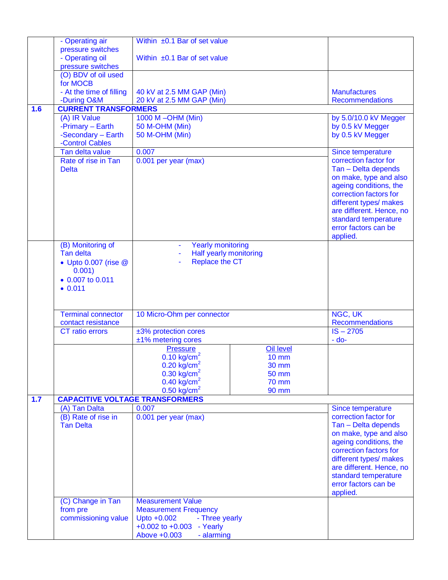|     | - Operating air                        | Within ±0.1 Bar of set value                                                           |                                                  |
|-----|----------------------------------------|----------------------------------------------------------------------------------------|--------------------------------------------------|
|     | pressure switches                      |                                                                                        |                                                  |
|     | - Operating oil<br>pressure switches   | Within $\pm 0.1$ Bar of set value                                                      |                                                  |
|     | (O) BDV of oil used                    |                                                                                        |                                                  |
|     | for MOCB                               |                                                                                        |                                                  |
|     | - At the time of filling               | 40 kV at 2.5 MM GAP (Min)                                                              | <b>Manufactures</b>                              |
|     | -During O&M                            | 20 kV at 2.5 MM GAP (Min)                                                              | <b>Recommendations</b>                           |
| 1.6 | <b>CURRENT TRANSFORMERS</b>            |                                                                                        |                                                  |
|     | (A) IR Value                           | 1000 M-OHM (Min)                                                                       | by 5.0/10.0 kV Megger                            |
|     | -Primary - Earth                       | 50 M-OHM (Min)                                                                         | by 0.5 kV Megger                                 |
|     | -Secondary - Earth                     | 50 M-OHM (Min)                                                                         | by 0.5 kV Megger                                 |
|     | -Control Cables<br>Tan delta value     | 0.007                                                                                  |                                                  |
|     | Rate of rise in Tan                    | 0.001 per year (max)                                                                   | Since temperature<br>correction factor for       |
|     | <b>Delta</b>                           |                                                                                        | Tan - Delta depends                              |
|     |                                        |                                                                                        | on make, type and also                           |
|     |                                        |                                                                                        | ageing conditions, the                           |
|     |                                        |                                                                                        | correction factors for                           |
|     |                                        |                                                                                        | different types/ makes                           |
|     |                                        |                                                                                        | are different. Hence, no                         |
|     |                                        |                                                                                        | standard temperature<br>error factors can be     |
|     |                                        |                                                                                        | applied.                                         |
|     | (B) Monitoring of                      | <b>Yearly monitoring</b>                                                               |                                                  |
|     | Tan delta                              | Half yearly monitoring<br>÷,                                                           |                                                  |
|     | • Upto 0.007 (rise @                   | <b>Replace the CT</b>                                                                  |                                                  |
|     | 0.001)                                 |                                                                                        |                                                  |
|     | $\bullet$ 0.007 to 0.011               |                                                                                        |                                                  |
|     | $-0.011$                               |                                                                                        |                                                  |
|     |                                        |                                                                                        |                                                  |
|     | <b>Terminal connector</b>              | 10 Micro-Ohm per connector                                                             | NGC, UK                                          |
|     | contact resistance                     |                                                                                        | <b>Recommendations</b>                           |
|     | CT ratio errors                        | ±3% protection cores                                                                   | $IS - 2705$                                      |
|     |                                        | ±1% metering cores                                                                     | $-do-$                                           |
|     |                                        | <b>Pressure</b><br><b>Oil level</b>                                                    |                                                  |
|     |                                        | $0.10$ kg/cm <sup>2</sup><br>$10 \text{ mm}$                                           |                                                  |
|     |                                        | $0.20$ kg/cm <sup>2</sup><br><b>30 mm</b>                                              |                                                  |
|     |                                        | $0.30$ kg/cm <sup>2</sup><br><b>50 mm</b><br>$0.40$ kg/cm <sup>2</sup><br><b>70 mm</b> |                                                  |
|     |                                        | $0.50$ kg/cm <sup>2</sup><br>90 mm                                                     |                                                  |
| 1.7 | <b>CAPACITIVE VOLTAGE TRANSFORMERS</b> |                                                                                        |                                                  |
|     | (A) Tan Dalta                          | 0.007                                                                                  | Since temperature                                |
|     | (B) Rate of rise in                    | 0.001 per year (max)                                                                   | correction factor for                            |
|     | Tan Delta                              |                                                                                        | Tan - Delta depends                              |
|     |                                        |                                                                                        | on make, type and also                           |
|     |                                        |                                                                                        | ageing conditions, the<br>correction factors for |
|     |                                        |                                                                                        | different types/ makes                           |
|     |                                        |                                                                                        | are different. Hence, no                         |
|     |                                        |                                                                                        | standard temperature                             |
|     |                                        |                                                                                        | error factors can be                             |
|     |                                        |                                                                                        | applied.                                         |
|     | (C) Change in Tan                      | <b>Measurement Value</b>                                                               |                                                  |
|     | from pre                               | <b>Measurement Frequency</b>                                                           |                                                  |
|     | commissioning value                    | Upto +0.002<br>- Three yearly                                                          |                                                  |
|     |                                        | $+0.002$ to $+0.003$<br>- Yearly                                                       |                                                  |
|     |                                        | Above +0.003<br>- alarming                                                             |                                                  |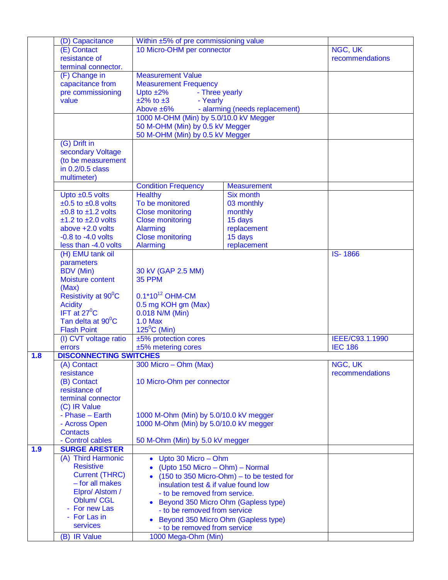|     | (D) Capacitance               | Within ±5% of pre commissioning value  |                                                              |                 |
|-----|-------------------------------|----------------------------------------|--------------------------------------------------------------|-----------------|
|     |                               |                                        |                                                              |                 |
|     | (E) Contact                   | 10 Micro-OHM per connector             |                                                              | NGC, UK         |
|     | resistance of                 |                                        |                                                              | recommendations |
|     | terminal connector.           |                                        |                                                              |                 |
|     | (F) Change in                 | <b>Measurement Value</b>               |                                                              |                 |
|     |                               |                                        |                                                              |                 |
|     | capacitance from              | <b>Measurement Frequency</b>           |                                                              |                 |
|     | pre commissioning             | Upto $±2\%$<br>- Three yearly          |                                                              |                 |
|     | value                         | $\pm 2\%$ to $\pm 3$<br>- Yearly       |                                                              |                 |
|     |                               |                                        |                                                              |                 |
|     |                               | Above ±6%                              | - alarming (needs replacement)                               |                 |
|     |                               | 1000 M-OHM (Min) by 5.0/10.0 kV Megger |                                                              |                 |
|     |                               | 50 M-OHM (Min) by 0.5 kV Megger        |                                                              |                 |
|     |                               | 50 M-OHM (Min) by 0.5 kV Megger        |                                                              |                 |
|     |                               |                                        |                                                              |                 |
|     | (G) Drift in                  |                                        |                                                              |                 |
|     | secondary Voltage             |                                        |                                                              |                 |
|     | (to be measurement            |                                        |                                                              |                 |
|     | in 0.2/0.5 class              |                                        |                                                              |                 |
|     |                               |                                        |                                                              |                 |
|     | multimeter)                   |                                        |                                                              |                 |
|     |                               | <b>Condition Frequency</b>             | <b>Measurement</b>                                           |                 |
|     | Upto $\pm 0.5$ volts          | <b>Healthy</b>                         | <b>Six month</b>                                             |                 |
|     |                               |                                        |                                                              |                 |
|     | $±0.5$ to $±0.8$ volts        | To be monitored                        | 03 monthly                                                   |                 |
|     | $±0.8$ to $±1.2$ volts        | <b>Close monitoring</b>                | monthly                                                      |                 |
|     | $±1.2$ to $±2.0$ volts        | <b>Close monitoring</b>                | 15 days                                                      |                 |
|     | above $+2.0$ volts            | <b>Alarming</b>                        | replacement                                                  |                 |
|     |                               |                                        |                                                              |                 |
|     | $-0.8$ to $-4.0$ volts        | <b>Close monitoring</b>                | 15 days                                                      |                 |
|     | less than -4.0 volts          | Alarming                               | replacement                                                  |                 |
|     | (H) EMU tank oil              |                                        |                                                              | <b>IS-1866</b>  |
|     | parameters                    |                                        |                                                              |                 |
|     |                               |                                        |                                                              |                 |
|     | <b>BDV</b> (Min)              | 30 kV (GAP 2.5 MM)                     |                                                              |                 |
|     | Moisture content              | <b>35 PPM</b>                          |                                                              |                 |
|     | (Max)                         |                                        |                                                              |                 |
|     | Resistivity at 90°C           | $0.1*10^{12}$ OHM-CM                   |                                                              |                 |
|     |                               |                                        |                                                              |                 |
|     | <b>Acidity</b>                | 0.5 mg KOH gm (Max)                    |                                                              |                 |
|     | IFT at $27^{\circ}$ C         | 0.018 N/M (Min)                        |                                                              |                 |
|     | Tan delta at 90°C             | <b>1.0 Max</b>                         |                                                              |                 |
|     | <b>Flash Point</b>            | $125^{\circ}$ C (Min)                  |                                                              |                 |
|     |                               |                                        |                                                              |                 |
|     | (I) CVT voltage ratio         | ±5% protection cores                   |                                                              | IEEE/C93.1.1990 |
|     | errors                        | ±5% metering cores                     |                                                              | <b>IEC 186</b>  |
| 1.8 | <b>DISCONNECTING SWITCHES</b> |                                        |                                                              |                 |
|     | (A) Contact                   | 300 Micro - Ohm (Max)                  |                                                              | NGC, UK         |
|     |                               |                                        |                                                              |                 |
|     | resistance                    |                                        |                                                              | recommendations |
|     | (B) Contact                   | 10 Micro-Ohm per connector             |                                                              |                 |
|     | resistance of                 |                                        |                                                              |                 |
|     | terminal connector            |                                        |                                                              |                 |
|     |                               |                                        |                                                              |                 |
|     | (C) IR Value                  |                                        |                                                              |                 |
|     | - Phase - Earth               | 1000 M-Ohm (Min) by 5.0/10.0 kV megger |                                                              |                 |
|     | - Across Open                 | 1000 M-Ohm (Min) by 5.0/10.0 kV megger |                                                              |                 |
|     | <b>Contacts</b>               |                                        |                                                              |                 |
|     |                               |                                        |                                                              |                 |
|     | - Control cables              | 50 M-Ohm (Min) by 5.0 kV megger        |                                                              |                 |
| 1.9 | <b>SURGE ARESTER</b>          |                                        |                                                              |                 |
|     | (A) Third Harmonic            | Upto 30 Micro - Ohm<br>$\bullet$       |                                                              |                 |
|     | <b>Resistive</b>              | (Upto 150 Micro – Ohm) – Normal        |                                                              |                 |
|     |                               | $\bullet$                              |                                                              |                 |
|     | <b>Current (THRC)</b>         |                                        | $(150 \text{ to } 350 \text{ Micro-Ohm}) -$ to be tested for |                 |
|     | - for all makes               | insulation test & if value found low   |                                                              |                 |
|     | Elpro/ Alstom /               | - to be removed from service.          |                                                              |                 |
|     | <b>Oblum/CGL</b>              |                                        |                                                              |                 |
|     |                               | Beyond 350 Micro Ohm (Gapless type)    |                                                              |                 |
|     | - For new Las                 | - to be removed from service           |                                                              |                 |
|     | - For Las in                  | Beyond 350 Micro Ohm (Gapless type)    |                                                              |                 |
|     | services                      |                                        |                                                              |                 |
|     |                               | - to be removed from service           |                                                              |                 |
|     | (B) IR Value                  | 1000 Mega-Ohm (Min)                    |                                                              |                 |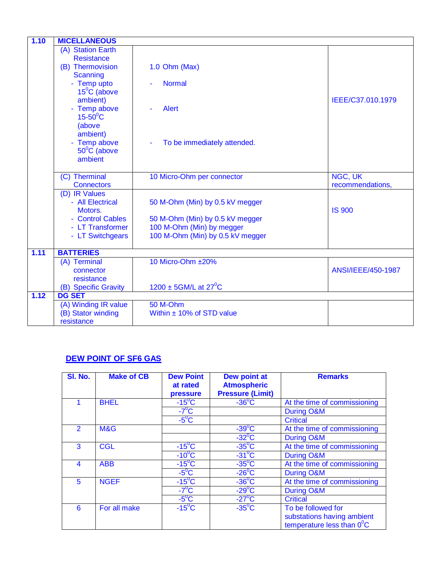| 1.10 | <b>MICELLANEOUS</b>                |                                     |                    |
|------|------------------------------------|-------------------------------------|--------------------|
|      | (A) Station Earth                  |                                     |                    |
|      | <b>Resistance</b>                  |                                     |                    |
|      | (B) Thermovision                   | $1.0$ Ohm (Max)                     |                    |
|      | <b>Scanning</b>                    |                                     |                    |
|      | - Temp upto                        | <b>Normal</b>                       |                    |
|      | $15^{\circ}$ C (above              |                                     |                    |
|      | ambient)                           |                                     | IEEE/C37.010.1979  |
|      | - Temp above                       | <b>Alert</b>                        |                    |
|      | $15-50^{\circ}$ C                  |                                     |                    |
|      | (above                             |                                     |                    |
|      | ambient)                           |                                     |                    |
|      | - Temp above                       | To be immediately attended.         |                    |
|      | $50^{\circ}$ C (above              |                                     |                    |
|      | ambient                            |                                     |                    |
|      |                                    |                                     |                    |
|      | (C) Therminal<br><b>Connectors</b> | 10 Micro-Ohm per connector          | NGC, UK            |
|      | (D) IR Values                      |                                     | recommendations,   |
|      | - All Electrical                   |                                     |                    |
|      | Motors.                            | 50 M-Ohm (Min) by 0.5 kV megger     | <b>IS 900</b>      |
|      | - Control Cables                   | 50 M-Ohm (Min) by 0.5 kV megger     |                    |
|      | - LT Transformer                   | 100 M-Ohm (Min) by megger           |                    |
|      | - LT Switchgears                   | 100 M-Ohm (Min) by 0.5 kV megger    |                    |
|      |                                    |                                     |                    |
| 1.11 | <b>BATTERIES</b>                   |                                     |                    |
|      | (A) Terminal                       | 10 Micro-Ohm ±20%                   |                    |
|      | connector                          |                                     | ANSI/IEEE/450-1987 |
|      | resistance                         |                                     |                    |
|      | (B) Specific Gravity               | $1200 \pm 5$ GM/L at $27^{\circ}$ C |                    |
| 1.12 | <b>DG SET</b>                      |                                     |                    |
|      | (A) Winding IR value               | 50 M-Ohm                            |                    |
|      | (B) Stator winding                 | Within $\pm$ 10% of STD value       |                    |
|      | resistance                         |                                     |                    |

### **DEW POINT OF SF6 GAS**

| <b>SI. No.</b> | <b>Make of CB</b> | <b>Dew Point</b><br>at rated<br>pressure | Dew point at<br><b>Atmospheric</b><br><b>Pressure (Limit)</b> | <b>Remarks</b>                      |
|----------------|-------------------|------------------------------------------|---------------------------------------------------------------|-------------------------------------|
|                | <b>BHEL</b>       | $-15^{\circ}$ C                          | $-36^{\circ}$ C                                               | At the time of commissioning        |
|                |                   | $-7^\circ$ C                             |                                                               | During O&M                          |
|                |                   | $-5^0C$                                  |                                                               | <b>Critical</b>                     |
| $\mathcal{P}$  | M&G               |                                          | $-39^{\circ}$ C                                               | At the time of commissioning        |
|                |                   |                                          | $-32$ <sup>o</sup> C                                          | During O&M                          |
| 3              | <b>CGL</b>        | $-15^{\circ}$ C                          | $-35^{\circ}$ C                                               | At the time of commissioning        |
|                |                   | $-10^0$ C                                | $-31^{\circ}$ C                                               | During O&M                          |
| 4              | <b>ABB</b>        | $-15^{\circ}$ C                          | $-35^{\circ}$ C                                               | At the time of commissioning        |
|                |                   | $-5^{\circ}$ C                           | $-26^{\circ}$ C                                               | During O&M                          |
| 5              | <b>NGEF</b>       | $-15^{\circ}$ C                          | $-36^{\circ}$ C                                               | At the time of commissioning        |
|                |                   | $-7^{\circ}$ C                           | $-29^{\circ}$ C                                               | During O&M                          |
|                |                   | $-5^{\circ}$ C                           | $-27^{\circ}$ C                                               | <b>Critical</b>                     |
| 6              | For all make      | $-15^{\circ}$ C                          | $-35^{\circ}$ C                                               | To be followed for                  |
|                |                   |                                          |                                                               | substations having ambient          |
|                |                   |                                          |                                                               | temperature less than $0^{\circ}$ C |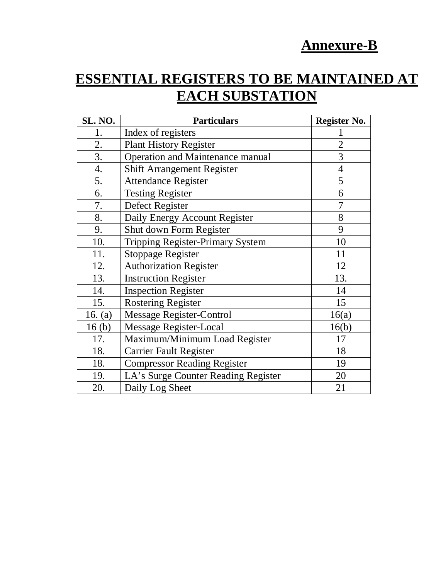# **Annexure-B**

# **ESSENTIAL REGISTERS TO BE MAINTAINED AT EACH SUBSTATION**

| <b>SL. NO.</b>    | <b>Particulars</b>                      | Register No.   |
|-------------------|-----------------------------------------|----------------|
| 1.                | Index of registers                      |                |
| 2.                | <b>Plant History Register</b>           | $\overline{2}$ |
| 3.                | <b>Operation and Maintenance manual</b> | 3              |
| $\overline{4}$ .  | <b>Shift Arrangement Register</b>       | $\overline{4}$ |
| 5.                | <b>Attendance Register</b>              | 5              |
| 6.                | <b>Testing Register</b>                 | 6              |
| 7.                | Defect Register                         | 7              |
| 8.                | Daily Energy Account Register           | 8              |
| 9.                | Shut down Form Register                 | 9              |
| 10.               | <b>Tripping Register-Primary System</b> | 10             |
| 11.               | <b>Stoppage Register</b>                | 11             |
| 12.               | <b>Authorization Register</b>           | 12             |
| 13.               | <b>Instruction Register</b>             | 13.            |
| 14.               | <b>Inspection Register</b>              | 14             |
| 15.               | <b>Rostering Register</b>               | 15             |
| 16. $(a)$         | <b>Message Register-Control</b>         | 16(a)          |
| 16 <sub>(b)</sub> | <b>Message Register-Local</b>           | 16(b)          |
| 17.               | Maximum/Minimum Load Register           | 17             |
| 18.               | <b>Carrier Fault Register</b>           | 18             |
| 18.               | <b>Compressor Reading Register</b>      | 19             |
| 19.               | LA's Surge Counter Reading Register     | 20             |
| 20.               | Daily Log Sheet                         | 21             |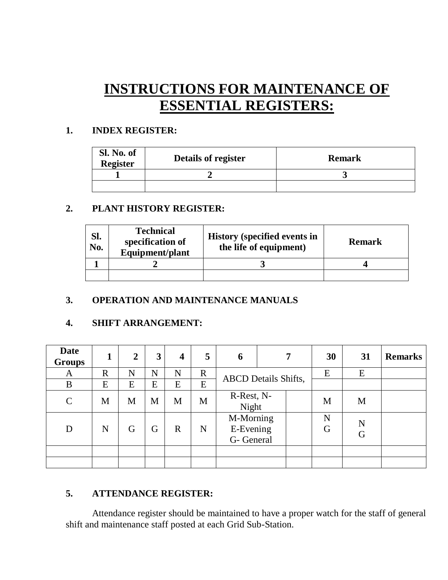# **INSTRUCTIONS FOR MAINTENANCE OF ESSENTIAL REGISTERS:**

### **1. INDEX REGISTER:**

| Sl. No. of<br><b>Register</b> | Details of register | <b>Remark</b> |
|-------------------------------|---------------------|---------------|
|                               |                     |               |
|                               |                     |               |

### **2. PLANT HISTORY REGISTER:**

| SI.<br>No. | <b>Technical</b><br>specification of<br>Equipment/plant | <b>History (specified events in</b><br>the life of equipment) | <b>Remark</b> |
|------------|---------------------------------------------------------|---------------------------------------------------------------|---------------|
|            |                                                         |                                                               |               |
|            |                                                         |                                                               |               |

### **3. OPERATION AND MAINTENANCE MANUALS**

### **4. SHIFT ARRANGEMENT:**

| <b>Date</b><br><b>Groups</b> |             | $\overline{2}$ | 3 | $\overline{\mathbf{4}}$ | 5           | 6                                    |                             | 7      | 30     | 31 | <b>Remarks</b> |
|------------------------------|-------------|----------------|---|-------------------------|-------------|--------------------------------------|-----------------------------|--------|--------|----|----------------|
| A                            | $\mathbf R$ | N              | N | N                       | $\mathbf R$ |                                      |                             |        | E      | E  |                |
| B                            | E           | E              | E | E                       | E           |                                      | <b>ABCD</b> Details Shifts, |        |        |    |                |
| $\mathcal{C}$                | M           | M              | M | M                       | M           | R-Rest, N-<br>Night                  |                             |        | M      | M  |                |
| D                            | N           | G              | G | $\mathbf R$             | N           | M-Morning<br>E-Evening<br>G- General |                             | N<br>G | N<br>G |    |                |
|                              |             |                |   |                         |             |                                      |                             |        |        |    |                |
|                              |             |                |   |                         |             |                                      |                             |        |        |    |                |

### **5. ATTENDANCE REGISTER:**

Attendance register should be maintained to have a proper watch for the staff of general shift and maintenance staff posted at each Grid Sub-Station.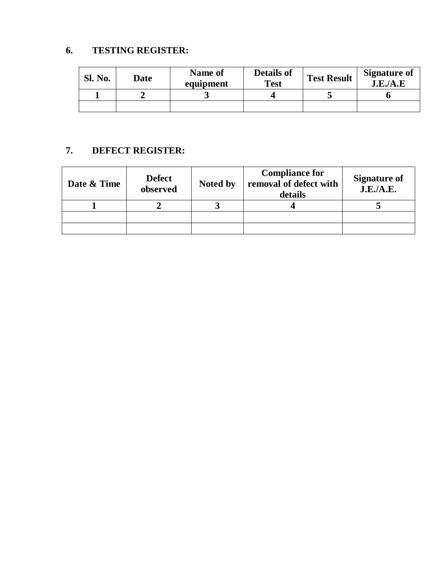# **6. TESTING REGISTER:**

| <b>Sl. No.</b> | Date | Name of<br>equipment | <b>Details of</b><br><b>Test</b> | <b>Test Result</b> | <b>Signature of</b><br>J.E.A.E |
|----------------|------|----------------------|----------------------------------|--------------------|--------------------------------|
|                |      |                      |                                  |                    |                                |
|                |      |                      |                                  |                    |                                |

# **7. DEFECT REGISTER:**

| Date & Time | <b>Defect</b><br>observed | Noted by | <b>Compliance for</b><br>removal of defect with<br>details | <b>Signature of</b><br>J.E./A.E. |
|-------------|---------------------------|----------|------------------------------------------------------------|----------------------------------|
|             |                           |          |                                                            |                                  |
|             |                           |          |                                                            |                                  |
|             |                           |          |                                                            |                                  |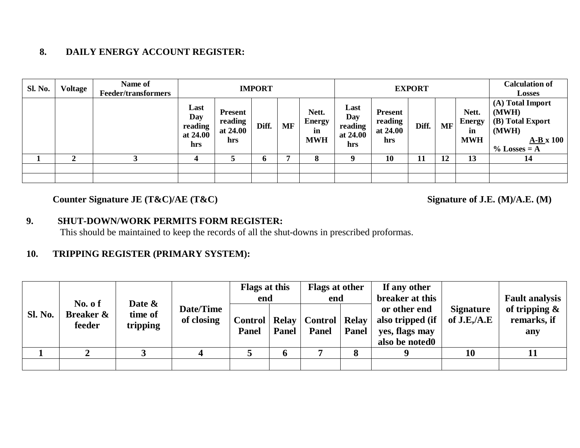### **8. DAILY ENERGY ACCOUNT REGISTER:**

| <b>Sl. No.</b> | <b>Voltage</b> | Name of<br><b>Feeder/transformers</b> | <b>IMPORT</b>                             |                                              |             |           | <b>EXPORT</b>                              |                                           |                                              |       | <b>Calculation of</b><br><b>Losses</b> |                                            |                                                                                          |
|----------------|----------------|---------------------------------------|-------------------------------------------|----------------------------------------------|-------------|-----------|--------------------------------------------|-------------------------------------------|----------------------------------------------|-------|----------------------------------------|--------------------------------------------|------------------------------------------------------------------------------------------|
|                |                |                                       | Last<br>Day<br>reading<br>at 24.00<br>hrs | <b>Present</b><br>reading<br>at 24.00<br>hrs | Diff.       | <b>MF</b> | Nett.<br><b>Energy</b><br>in<br><b>MWH</b> | Last<br>Day<br>reading<br>at 24.00<br>hrs | <b>Present</b><br>reading<br>at 24.00<br>hrs | Diff. | <b>MF</b>                              | Nett.<br><b>Energy</b><br>in<br><b>MWH</b> | (A) Total Import<br>(MWH)<br>(B) Total Export<br>(MWH)<br>$A-B x 100$<br>$\%$ Losses = A |
|                |                |                                       |                                           |                                              | $\mathbf 6$ |           | 8                                          | $\bf{u}$                                  | 10                                           | 11    | 12                                     | 13                                         | 14                                                                                       |
|                |                |                                       |                                           |                                              |             |           |                                            |                                           |                                              |       |                                        |                                            |                                                                                          |
|                |                |                                       |                                           |                                              |             |           |                                            |                                           |                                              |       |                                        |                                            |                                                                                          |

# Counter Signature JE (T&C)/AE (T&C) Signature of J.E. (M)/A.E. (M)

### **9. SHUT-DOWN/WORK PERMITS FORM REGISTER:**

This should be maintained to keep the records of all the shut-downs in prescribed proformas.

### **10. TRIPPING REGISTER (PRIMARY SYSTEM):**

|                |                                                     |                               |                         | Flags at this<br>end            |             | <b>Flags at other</b><br>end   |                              | If any other<br>breaker at this                                      |                                  | <b>Fault analysis</b>                  |
|----------------|-----------------------------------------------------|-------------------------------|-------------------------|---------------------------------|-------------|--------------------------------|------------------------------|----------------------------------------------------------------------|----------------------------------|----------------------------------------|
| <b>Sl. No.</b> | No. $\mathbf 0$ f<br><b>Breaker &amp;</b><br>feeder | Date &<br>time of<br>tripping | Date/Time<br>of closing | Control   Relay<br><b>Panel</b> | Panel       | <b>Control</b><br><b>Panel</b> | <b>Relay</b><br><b>Panel</b> | or other end<br>also tripped (if<br>yes, flags may<br>also be noted0 | <b>Signature</b><br>of $J.E.A.E$ | of tripping $\&$<br>remarks, if<br>any |
|                |                                                     |                               |                         |                                 | $\mathbf b$ |                                | 8                            | $\bf{o}$                                                             | 10                               |                                        |
|                |                                                     |                               |                         |                                 |             |                                |                              |                                                                      |                                  |                                        |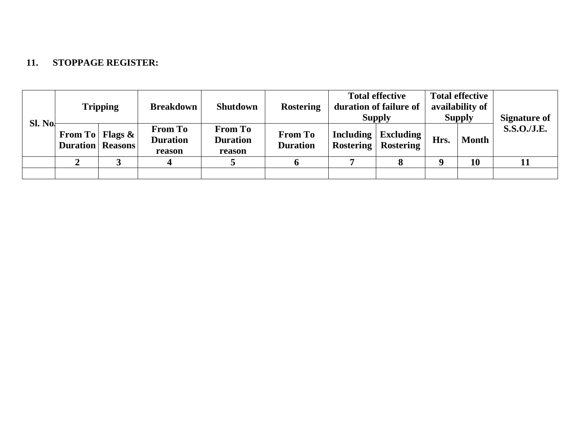### **11. STOPPAGE REGISTER:**

| Sl. No. | <b>Tripping</b>                                   |  | <b>Breakdown</b>                            | <b>Shutdown</b>                             | <b>Rostering</b>                  | <b>Total effective</b><br>duration of failure of<br><b>Supply</b> |      | <b>Total effective</b><br>availability of<br><b>Supply</b> | <b>Signature of</b> |
|---------|---------------------------------------------------|--|---------------------------------------------|---------------------------------------------|-----------------------------------|-------------------------------------------------------------------|------|------------------------------------------------------------|---------------------|
|         | From To   Flags $\&$  <br><b>Duration</b> Reasons |  | <b>From To</b><br><b>Duration</b><br>reason | <b>From To</b><br><b>Duration</b><br>reason | <b>From To</b><br><b>Duration</b> | Including   Excluding  <br><b>Rostering   Rostering</b>           | Hrs. | <b>Month</b>                                               | <b>S.S.O./J.E.</b>  |
|         |                                                   |  |                                             |                                             |                                   |                                                                   |      | 10                                                         |                     |
|         |                                                   |  |                                             |                                             |                                   |                                                                   |      |                                                            |                     |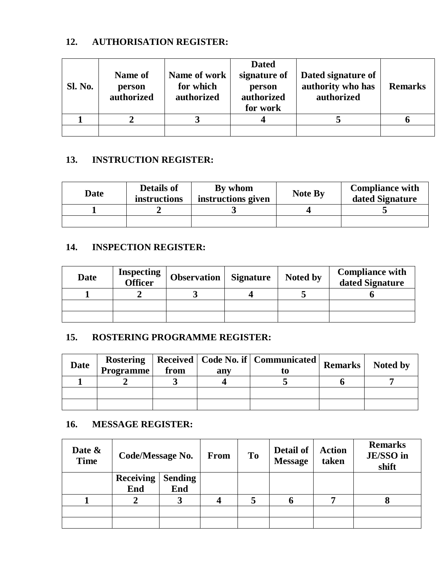### **12. AUTHORISATION REGISTER:**

| <b>Sl. No.</b> | Name of<br>person<br>authorized | Name of work<br>for which<br>authorized | <b>Dated</b><br>signature of<br>person<br>authorized<br>for work | Dated signature of<br>authority who has<br>authorized | <b>Remarks</b> |
|----------------|---------------------------------|-----------------------------------------|------------------------------------------------------------------|-------------------------------------------------------|----------------|
|                |                                 |                                         |                                                                  |                                                       |                |
|                |                                 |                                         |                                                                  |                                                       |                |

## **13. INSTRUCTION REGISTER:**

| Date | <b>Details of</b><br>instructions | By whom<br>instructions given | <b>Note By</b> | <b>Compliance with</b><br>dated Signature |
|------|-----------------------------------|-------------------------------|----------------|-------------------------------------------|
|      |                                   |                               |                |                                           |
|      |                                   |                               |                |                                           |

# **14. INSPECTION REGISTER:**

| Date | <b>Inspecting</b><br>Officer | <b>Observation</b> | <b>Signature</b> | Noted by | <b>Compliance with</b><br>dated Signature |
|------|------------------------------|--------------------|------------------|----------|-------------------------------------------|
|      |                              |                    |                  |          |                                           |
|      |                              |                    |                  |          |                                           |
|      |                              |                    |                  |          |                                           |

### **15. ROSTERING PROGRAMME REGISTER:**

| <b>Date</b> | <b>Programme</b> | from | any | Rostering   Received   Code No. if   Communicated | Remarks | Noted by |
|-------------|------------------|------|-----|---------------------------------------------------|---------|----------|
|             |                  |      |     |                                                   |         |          |
|             |                  |      |     |                                                   |         |          |
|             |                  |      |     |                                                   |         |          |

### **16. MESSAGE REGISTER:**

| Date &<br><b>Time</b> | Code/Message No.        |                       | From | T <sub>0</sub> | Detail of<br><b>Message</b> | <b>Action</b><br>taken | <b>Remarks</b><br>JE/SSO in<br>shift |
|-----------------------|-------------------------|-----------------------|------|----------------|-----------------------------|------------------------|--------------------------------------|
|                       | <b>Receiving</b><br>End | <b>Sending</b><br>End |      |                |                             |                        |                                      |
|                       |                         | 3                     |      |                |                             |                        |                                      |
|                       |                         |                       |      |                |                             |                        |                                      |
|                       |                         |                       |      |                |                             |                        |                                      |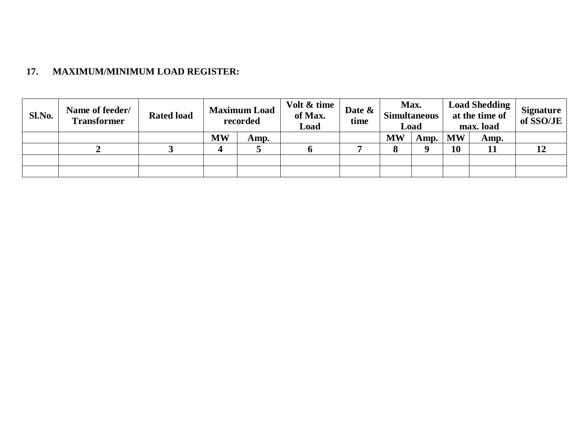# **17. MAXIMUM/MINIMUM LOAD REGISTER:**

| Sl.No. | Name of feeder/<br><b>Transformer</b> | <b>Rated load</b> |           | <b>Maximum Load</b><br>recorded | Volt & time<br>of Max.<br>Load | Date &<br>time | Max.<br><b>Simultaneous</b><br>Load |      |           | <b>Load Shedding</b><br>at the time of<br>max. load | <b>Signature</b><br>of SSO/JE |
|--------|---------------------------------------|-------------------|-----------|---------------------------------|--------------------------------|----------------|-------------------------------------|------|-----------|-----------------------------------------------------|-------------------------------|
|        |                                       |                   | <b>MW</b> | Amp.                            |                                |                | <b>MW</b>                           | Amp. | <b>MW</b> | Amp.                                                |                               |
|        | ∸                                     |                   |           |                                 |                                |                | О                                   |      | 10        | 11                                                  |                               |
|        |                                       |                   |           |                                 |                                |                |                                     |      |           |                                                     |                               |
|        |                                       |                   |           |                                 |                                |                |                                     |      |           |                                                     |                               |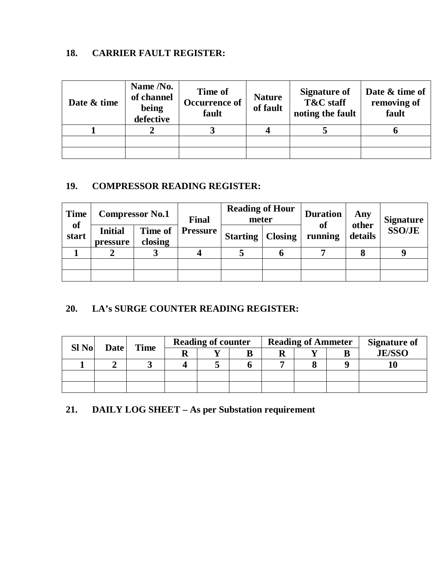# **18. CARRIER FAULT REGISTER:**

| Date & time | Name /No.<br>of channel<br>being<br>defective | <b>Time of</b><br>Occurrence of<br>fault | <b>Nature</b><br>of fault | <b>Signature of</b><br>T&C staff<br>noting the fault | Date & time of<br>removing of<br>fault |
|-------------|-----------------------------------------------|------------------------------------------|---------------------------|------------------------------------------------------|----------------------------------------|
|             |                                               |                                          |                           |                                                      |                                        |
|             |                                               |                                          |                           |                                                      |                                        |
|             |                                               |                                          |                           |                                                      |                                        |

# **19. COMPRESSOR READING REGISTER:**

| <b>Time</b>        |                            | <b>Compressor No.1</b> |                 | <b>Reading of Hour</b><br>meter |  | <b>Duration</b><br><b>of</b> | Any              | <b>Signature</b> |
|--------------------|----------------------------|------------------------|-----------------|---------------------------------|--|------------------------------|------------------|------------------|
| <b>of</b><br>start | <b>Initial</b><br>pressure | Time of<br>closing     | <b>Pressure</b> | <b>Starting   Closing</b>       |  | running                      | other<br>details | <b>SSO/JE</b>    |
|                    |                            |                        |                 |                                 |  |                              |                  |                  |
|                    |                            |                        |                 |                                 |  |                              |                  |                  |
|                    |                            |                        |                 |                                 |  |                              |                  |                  |

# **20. LA's SURGE COUNTER READING REGISTER:**

| $SI$ No | Date | <b>Time</b> | <b>Reading of counter</b> |  | <b>Reading of Ammeter</b> |   | <b>Signature of</b> |
|---------|------|-------------|---------------------------|--|---------------------------|---|---------------------|
|         |      |             |                           |  |                           | В | <b>JE/SSO</b>       |
|         |      |             |                           |  |                           |   |                     |
|         |      |             |                           |  |                           |   |                     |
|         |      |             |                           |  |                           |   |                     |

# **21. DAILY LOG SHEET – As per Substation requirement**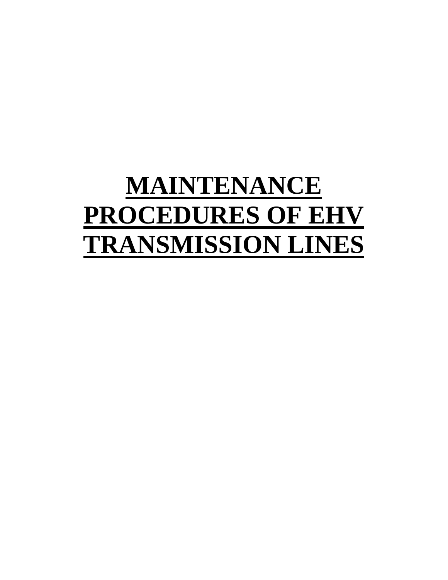# **MAINTENANCE PROCEDURES OF EHV TRANSMISSION LINES**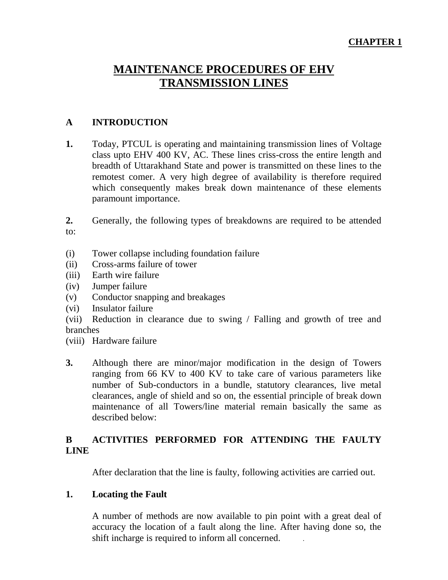# **CHAPTER 1**

# **MAINTENANCE PROCEDURES OF EHV TRANSMISSION LINES**

#### **A INTRODUCTION**

**1.** Today, PTCUL is operating and maintaining transmission lines of Voltage class upto EHV 400 KV, AC. These lines criss-cross the entire length and breadth of Uttarakhand State and power is transmitted on these lines to the remotest comer. A very high degree of availability is therefore required which consequently makes break down maintenance of these elements paramount importance.

**2.** Generally, the following types of breakdowns are required to be attended to:

- (i) Tower collapse including foundation failure
- (ii) Cross-arms failure of tower
- (iii) Earth wire failure
- (iv) Jumper failure
- (v) Conductor snapping and breakages
- (vi) Insulator failure

(vii) Reduction in clearance due to swing / Falling and growth of tree and branches

- (viii) Hardware failure
- **3.** Although there are minor/major modification in the design of Towers ranging from 66 KV to 400 KV to take care of various parameters like number of Sub-conductors in a bundle, statutory clearances, live metal clearances, angle of shield and so on, the essential principle of break down maintenance of all Towers/line material remain basically the same as described below:

# **B ACTIVITIES PERFORMED FOR ATTENDING THE FAULTY LINE**

After declaration that the line is faulty, following activities are carried out.

#### **1. Locating the Fault**

A number of methods are now available to pin point with a great deal of accuracy the location of a fault along the line. After having done so, the shift incharge is required to inform all concerned. .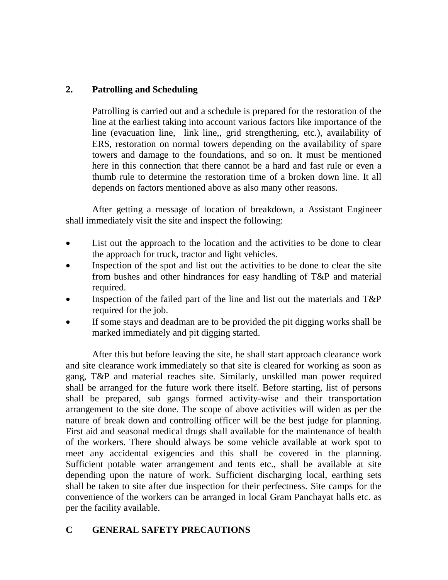# **2. Patrolling and Scheduling**

Patrolling is carried out and a schedule is prepared for the restoration of the line at the earliest taking into account various factors like importance of the line (evacuation line, link line,, grid strengthening, etc.), availability of ERS, restoration on normal towers depending on the availability of spare towers and damage to the foundations, and so on. It must be mentioned here in this connection that there cannot be a hard and fast rule or even a thumb rule to determine the restoration time of a broken down line. It all depends on factors mentioned above as also many other reasons.

After getting a message of location of breakdown, a Assistant Engineer shall immediately visit the site and inspect the following:

- List out the approach to the location and the activities to be done to clear the approach for truck, tractor and light vehicles.
- Inspection of the spot and list out the activities to be done to clear the site from bushes and other hindrances for easy handling of T&P and material required.
- Inspection of the failed part of the line and list out the materials and T&P required for the job.
- If some stays and deadman are to be provided the pit digging works shall be marked immediately and pit digging started.

After this but before leaving the site, he shall start approach clearance work and site clearance work immediately so that site is cleared for working as soon as gang, T&P and material reaches site. Similarly, unskilled man power required shall be arranged for the future work there itself. Before starting, list of persons shall be prepared, sub gangs formed activity-wise and their transportation arrangement to the site done. The scope of above activities will widen as per the nature of break down and controlling officer will be the best judge for planning. First aid and seasonal medical drugs shall available for the maintenance of health of the workers. There should always be some vehicle available at work spot to meet any accidental exigencies and this shall be covered in the planning. Sufficient potable water arrangement and tents etc., shall be available at site depending upon the nature of work. Sufficient discharging local, earthing sets shall be taken to site after due inspection for their perfectness. Site camps for the convenience of the workers can be arranged in local Gram Panchayat halls etc. as per the facility available.

# **C GENERAL SAFETY PRECAUTIONS**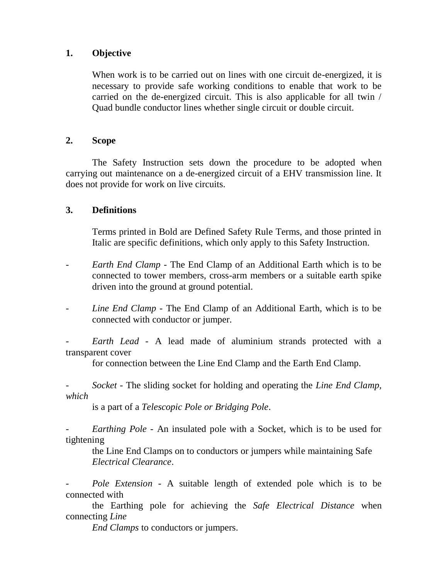#### **1. Objective**

When work is to be carried out on lines with one circuit de-energized, it is necessary to provide safe working conditions to enable that work to be carried on the de-energized circuit. This is also applicable for all twin / Quad bundle conductor lines whether single circuit or double circuit.

#### **2. Scope**

The Safety Instruction sets down the procedure to be adopted when carrying out maintenance on a de-energized circuit of a EHV transmission line. It does not provide for work on live circuits.

#### **3. Definitions**

Terms printed in Bold are Defined Safety Rule Terms, and those printed in Italic are specific definitions, which only apply to this Safety Instruction.

- *Earth End Clamp* The End Clamp of an Additional Earth which is to be connected to tower members, cross-arm members or a suitable earth spike driven into the ground at ground potential.
- Line End Clamp The End Clamp of an Additional Earth, which is to be connected with conductor or jumper.

- *Earth Lead* - A lead made of aluminium strands protected with a transparent cover

for connection between the Line End Clamp and the Earth End Clamp.

- *Socket* - The sliding socket for holding and operating the *Line End Clamp, which*

is a part of a *Telescopic Pole or Bridging Pole*.

*Earthing Pole* - An insulated pole with a Socket, which is to be used for tightening

the Line End Clamps on to conductors or jumpers while maintaining Safe *Electrical Clearance*.

Pole Extension - A suitable length of extended pole which is to be connected with

the Earthing pole for achieving the *Safe Electrical Distance* when connecting *Line*

*End Clamps* to conductors or jumpers.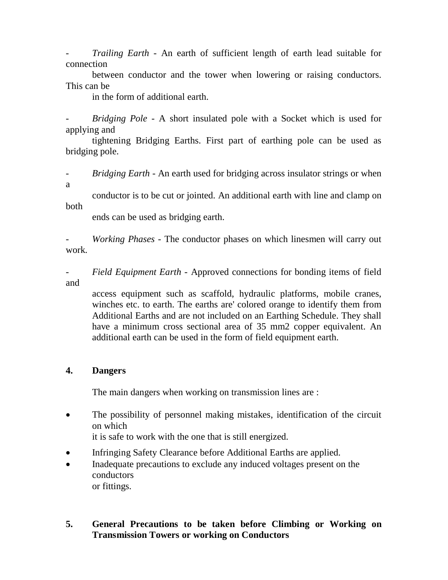- *Trailing Earth* - An earth of sufficient length of earth lead suitable for connection

between conductor and the tower when lowering or raising conductors. This can be

in the form of additional earth.

- *Bridging Pole* - A short insulated pole with a Socket which is used for applying and

tightening Bridging Earths. First part of earthing pole can be used as bridging pole.

- *Bridging Earth* - An earth used for bridging across insulator strings or when

a

conductor is to be cut or jointed. An additional earth with line and clamp on both

ends can be used as bridging earth.

- *Working Phases* - The conductor phases on which linesmen will carry out work.

- *Field Equipment Earth* - Approved connections for bonding items of field and

access equipment such as scaffold, hydraulic platforms, mobile cranes, winches etc. to earth. The earths are' colored orange to identify them from Additional Earths and are not included on an Earthing Schedule. They shall have a minimum cross sectional area of 35 mm2 copper equivalent. An additional earth can be used in the form of field equipment earth.

#### **4. Dangers**

The main dangers when working on transmission lines are :

 The possibility of personnel making mistakes, identification of the circuit on which

it is safe to work with the one that is still energized.

- Infringing Safety Clearance before Additional Earths are applied.
- Inadequate precautions to exclude any induced voltages present on the conductors or fittings.

#### **5. General Precautions to be taken before Climbing or Working on Transmission Towers or working on Conductors**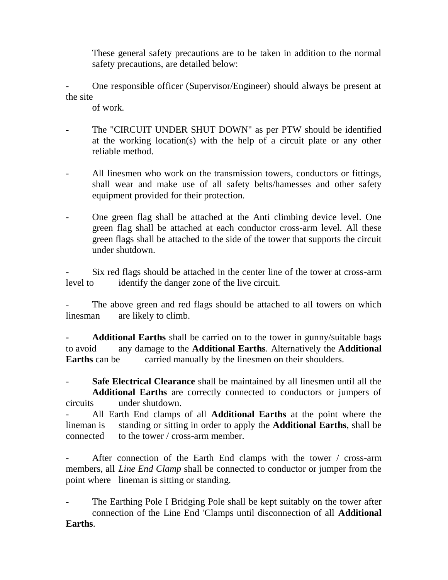These general safety precautions are to be taken in addition to the normal safety precautions, are detailed below:

- One responsible officer (Supervisor/Engineer) should always be present at the site

of work.

- The "CIRCUIT UNDER SHUT DOWN" as per PTW should be identified at the working location(s) with the help of a circuit plate or any other reliable method.
- All linesmen who work on the transmission towers, conductors or fittings, shall wear and make use of all safety belts/hamesses and other safety equipment provided for their protection.
- One green flag shall be attached at the Anti climbing device level. One green flag shall be attached at each conductor cross-arm level. All these green flags shall be attached to the side of the tower that supports the circuit under shutdown.

- Six red flags should be attached in the center line of the tower at cross-arm level to identify the danger zone of the live circuit.

The above green and red flags should be attached to all towers on which linesman are likely to climb.

**- Additional Earths** shall be carried on to the tower in gunny/suitable bags to avoid any damage to the **Additional Earths**. Alternatively the **Additional Earths** can be carried manually by the linesmen on their shoulders.

- **Safe Electrical Clearance** shall be maintained by all linesmen until all the **Additional Earths** are correctly connected to conductors or jumpers of circuits under shutdown.

- All Earth End clamps of all **Additional Earths** at the point where the lineman is standing or sitting in order to apply the **Additional Earths**, shall be connected to the tower / cross-arm member.

After connection of the Earth End clamps with the tower / cross-arm members, all *Line End Clamp* shall be connected to conductor or jumper from the point where lineman is sitting or standing.

The Earthing Pole I Bridging Pole shall be kept suitably on the tower after connection of the Line End 'Clamps until disconnection of all **Additional Earths**.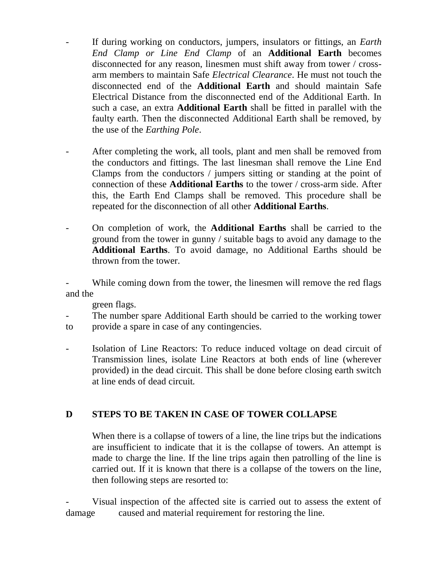- If during working on conductors, jumpers, insulators or fittings, an *Earth End Clamp or Line End Clamp* of an **Additional Earth** becomes disconnected for any reason, linesmen must shift away from tower / crossarm members to maintain Safe *Electrical Clearance*. He must not touch the disconnected end of the **Additional Earth** and should maintain Safe Electrical Distance from the disconnected end of the Additional Earth. In such a case, an extra **Additional Earth** shall be fitted in parallel with the faulty earth. Then the disconnected Additional Earth shall be removed, by the use of the *Earthing Pole*.
- After completing the work, all tools, plant and men shall be removed from the conductors and fittings. The last linesman shall remove the Line End Clamps from the conductors / jumpers sitting or standing at the point of connection of these **Additional Earths** to the tower / cross-arm side. After this, the Earth End Clamps shall be removed. This procedure shall be repeated for the disconnection of all other **Additional Earths**.
- On completion of work, the **Additional Earths** shall be carried to the ground from the tower in gunny / suitable bags to avoid any damage to the **Additional Earths**. To avoid damage, no Additional Earths should be thrown from the tower.

While coming down from the tower, the linesmen will remove the red flags and the

green flags.

- The number spare Additional Earth should be carried to the working tower to provide a spare in case of any contingencies.
- 
- Isolation of Line Reactors: To reduce induced voltage on dead circuit of Transmission lines, isolate Line Reactors at both ends of line (wherever provided) in the dead circuit. This shall be done before closing earth switch at line ends of dead circuit.

# **D STEPS TO BE TAKEN IN CASE OF TOWER COLLAPSE**

When there is a collapse of towers of a line, the line trips but the indications are insufficient to indicate that it is the collapse of towers. An attempt is made to charge the line. If the line trips again then patrolling of the line is carried out. If it is known that there is a collapse of the towers on the line, then following steps are resorted to:

Visual inspection of the affected site is carried out to assess the extent of damage caused and material requirement for restoring the line.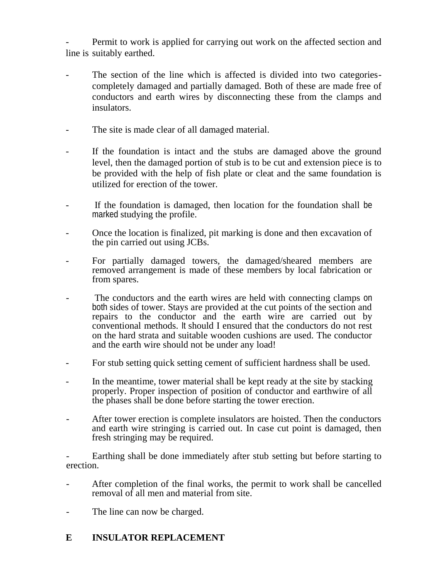Permit to work is applied for carrying out work on the affected section and line is suitably earthed.

- The section of the line which is affected is divided into two categoriescompletely damaged and partially damaged. Both of these are made free of conductors and earth wires by disconnecting these from the clamps and insulators.
- The site is made clear of all damaged material.
- If the foundation is intact and the stubs are damaged above the ground level, then the damaged portion of stub is to be cut and extension piece is to be provided with the help of fish plate or cleat and the same foundation is utilized for erection of the tower.
- If the foundation is damaged, then location for the foundation shall be marked studying the profile.
- Once the location is finalized, pit marking is done and then excavation of the pin carried out using JCBs.
- For partially damaged towers, the damaged/sheared members are removed arrangement is made of these members by local fabrication or from spares.
- The conductors and the earth wires are held with connecting clamps on both sides of tower. Stays are provided at the cut points of the section and repairs to the conductor and the earth wire are carried out by conventional methods. It should I ensured that the conductors do not rest on the hard strata and suitable wooden cushions are used. The conductor and the earth wire should not be under any load!
- For stub setting quick setting cement of sufficient hardness shall be used.
- In the meantime, tower material shall be kept ready at the site by stacking properly. Proper inspection of position of conductor and earthwire of all the phases shall be done before starting the tower erection.
- After tower erection is complete insulators are hoisted. Then the conductors and earth wire stringing is carried out. In case cut point is damaged, then fresh stringing may be required.

Earthing shall be done immediately after stub setting but before starting to erection.

- After completion of the final works, the permit to work shall be cancelled removal of all men and material from site.
- The line can now be charged.

# **E INSULATOR REPLACEMENT**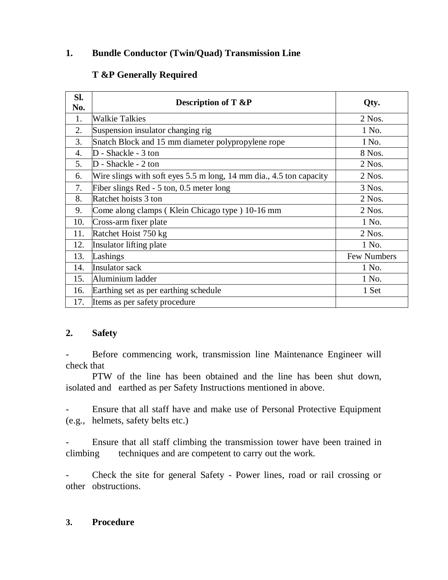# **1. Bundle Conductor (Twin/Quad) Transmission Line**

# **T &P Generally Required**

| SI.<br>No.       | <b>Description of T &amp;P</b>                                      | Qty.        |
|------------------|---------------------------------------------------------------------|-------------|
| 1.               | <b>Walkie Talkies</b>                                               | $2$ Nos.    |
| 2.               | Suspension insulator changing rig                                   | 1 No.       |
| 3.               | Snatch Block and 15 mm diameter polypropylene rope                  | I No.       |
| $\overline{4}$ . | D - Shackle - 3 ton                                                 | 8 Nos.      |
| 5.               | D - Shackle - 2 ton                                                 | 2 Nos.      |
| 6.               | Wire slings with soft eyes 5.5 m long, 14 mm dia., 4.5 ton capacity | 2 Nos.      |
| 7.               | Fiber slings Red - 5 ton, 0.5 meter long                            | 3 Nos.      |
| 8.               | Ratchet hoists 3 ton                                                | $2$ Nos.    |
| 9.               | Come along clamps (Klein Chicago type) 10-16 mm                     | 2 Nos.      |
| 10.              | Cross-arm fixer plate                                               | 1 No.       |
| 11.              | Ratchet Hoist 750 kg                                                | $2$ Nos.    |
| 12.              | Insulator lifting plate                                             | 1 No.       |
| 13.              | Lashings                                                            | Few Numbers |
| 14.              | Insulator sack                                                      | 1 No.       |
| 15.              | Aluminium ladder                                                    | 1 No.       |
| 16.              | Earthing set as per earthing schedule                               | 1 Set       |
| 17.              | Items as per safety procedure                                       |             |

# **2. Safety**

Before commencing work, transmission line Maintenance Engineer will check that

PTW of the line has been obtained and the line has been shut down, isolated and earthed as per Safety Instructions mentioned in above.

- Ensure that all staff have and make use of Personal Protective Equipment (e.g., helmets, safety belts etc.)

- Ensure that all staff climbing the transmission tower have been trained in climbing techniques and are competent to carry out the work.

- Check the site for general Safety - Power lines, road or rail crossing or other obstructions.

# **3. Procedure**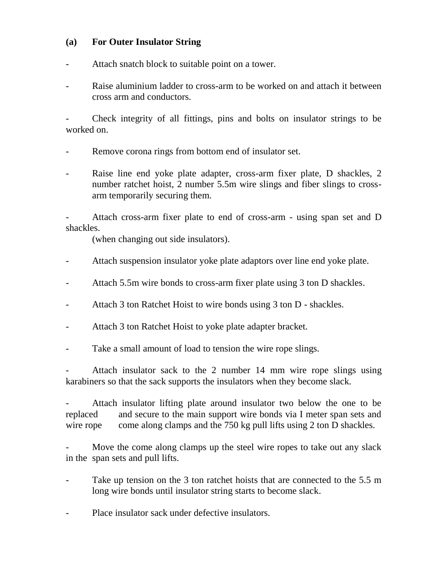#### **(a) For Outer Insulator String**

- Attach snatch block to suitable point on a tower.
- Raise aluminium ladder to cross-arm to be worked on and attach it between cross arm and conductors.

- Check integrity of all fittings, pins and bolts on insulator strings to be worked on.

- Remove corona rings from bottom end of insulator set.
- Raise line end yoke plate adapter, cross-arm fixer plate, D shackles, 2 number ratchet hoist, 2 number 5.5m wire slings and fiber slings to crossarm temporarily securing them.

Attach cross-arm fixer plate to end of cross-arm - using span set and D shackles.

(when changing out side insulators).

- Attach suspension insulator yoke plate adaptors over line end yoke plate.
- Attach 5.5m wire bonds to cross-arm fixer plate using 3 ton D shackles.
- Attach 3 ton Ratchet Hoist to wire bonds using 3 ton D shackles.
- Attach 3 ton Ratchet Hoist to yoke plate adapter bracket.
- Take a small amount of load to tension the wire rope slings.

Attach insulator sack to the 2 number 14 mm wire rope slings using karabiners so that the sack supports the insulators when they become slack.

Attach insulator lifting plate around insulator two below the one to be replaced and secure to the main support wire bonds via I meter span sets and wire rope come along clamps and the 750 kg pull lifts using 2 ton D shackles.

Move the come along clamps up the steel wire ropes to take out any slack in the span sets and pull lifts.

- Take up tension on the 3 ton ratchet hoists that are connected to the 5.5 m long wire bonds until insulator string starts to become slack.
- Place insulator sack under defective insulators.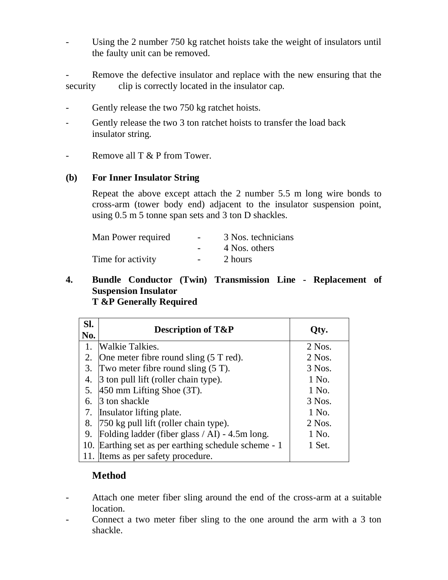Using the 2 number 750 kg ratchet hoists take the weight of insulators until the faulty unit can be removed.

- Remove the defective insulator and replace with the new ensuring that the security clip is correctly located in the insulator cap.

- Gently release the two 750 kg ratchet hoists.
- Gently release the two 3 ton ratchet hoists to transfer the load back insulator string.
- Remove all T & P from Tower.

#### **(b) For Inner Insulator String**

Repeat the above except attach the 2 number 5.5 m long wire bonds to cross-arm (tower body end) adjacent to the insulator suspension point, using 0.5 m 5 tonne span sets and 3 ton D shackles.

| Man Power required | $\sim$ .          | 3 Nos. technicians |
|--------------------|-------------------|--------------------|
|                    |                   | 4 Nos. others      |
| Time for activity  | $\sim$ 100 $\sim$ | 2 hours            |

#### **4. Bundle Conductor (Twin) Transmission Line - Replacement of Suspension Insulator T &P Generally Required**

| SI.<br>No. | <b>Description of T&amp;P</b>                        | Oty.     |
|------------|------------------------------------------------------|----------|
| 1.         | <b>Walkie Talkies.</b>                               | $2$ Nos. |
| 2.         | One meter fibre round sling $(5T \text{ red})$ .     | $2$ Nos. |
| 3.         | Two meter fibre round sling $(5 T)$ .                | 3 Nos.   |
| 4.         | 3 ton pull lift (roller chain type).                 | 1 No.    |
| 5.         | $450$ mm Lifting Shoe $(3T)$ .                       | 1 No.    |
| 6.         | 3 ton shackle                                        | 3 Nos.   |
|            | 7. Insulator lifting plate.                          | 1 No.    |
| 8.         | $750$ kg pull lift (roller chain type).              | $2$ Nos. |
| 9.         | Folding ladder (fiber glass / AI) - 4.5m long.       | 1 No.    |
|            | 10. Earthing set as per earthing schedule scheme - 1 | 1 Set.   |
|            | 11. Items as per safety procedure.                   |          |

# **Method**

- Attach one meter fiber sling around the end of the cross-arm at a suitable location.
- Connect a two meter fiber sling to the one around the arm with a 3 ton shackle.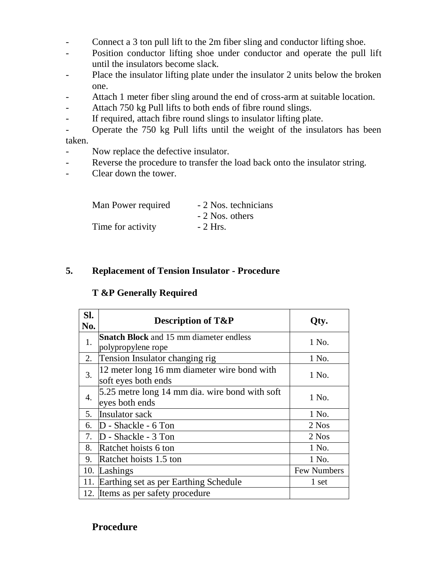- Connect a 3 ton pull lift to the 2m fiber sling and conductor lifting shoe.
- Position conductor lifting shoe under conductor and operate the pull lift until the insulators become slack.
- Place the insulator lifting plate under the insulator 2 units below the broken one.
- Attach 1 meter fiber sling around the end of cross-arm at suitable location.
- Attach 750 kg Pull lifts to both ends of fibre round slings.
- If required, attach fibre round slings to insulator lifting plate.
- Operate the 750 kg Pull lifts until the weight of the insulators has been taken.
- Now replace the defective insulator.
- Reverse the procedure to transfer the load back onto the insulator string.
- Clear down the tower.

| Man Power required | - 2 Nos. technicians |
|--------------------|----------------------|
|                    | - 2 Nos. others      |
| Time for activity  | $-2$ Hrs.            |

# **5. Replacement of Tension Insulator - Procedure**

# **T &P Generally Required**

| SI.<br>No.       | <b>Description of T&amp;P</b>                                        | Oty.        |
|------------------|----------------------------------------------------------------------|-------------|
| 1.               | <b>Snatch Block</b> and 15 mm diameter endless<br>polypropylene rope | 1 No.       |
| 2.               | Tension Insulator changing rig                                       | 1 No.       |
| 3.               | 12 meter long 16 mm diameter wire bond with<br>soft eyes both ends   | 1 No.       |
| $\overline{4}$ . | 5.25 metre long 14 mm dia. wire bond with soft<br>eyes both ends     | 1 No.       |
| 5.               | Insulator sack                                                       | 1 No.       |
| 6.               | $D$ - Shackle - 6 Ton                                                | 2 Nos       |
| 7.               | D - Shackle - 3 Ton                                                  | 2 Nos       |
| 8.               | Ratchet hoists 6 ton                                                 | 1 No.       |
| 9.               | Ratchet hoists 1.5 ton                                               | 1 No.       |
| 10.              | Lashings                                                             | Few Numbers |
| 11.              | Earthing set as per Earthing Schedule                                | 1 set       |
|                  | 12. Items as per safety procedure                                    |             |

# **Procedure**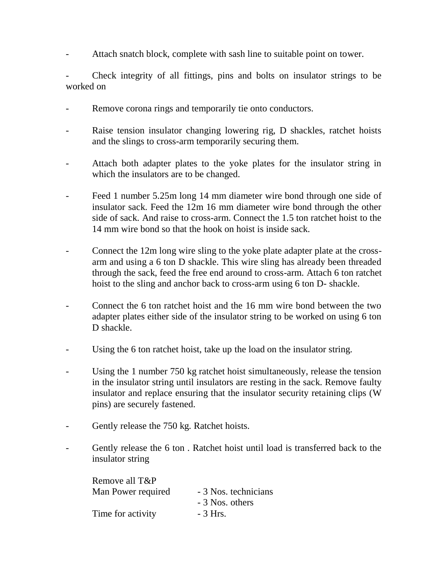Attach snatch block, complete with sash line to suitable point on tower.

- Check integrity of all fittings, pins and bolts on insulator strings to be worked on

- Remove corona rings and temporarily tie onto conductors.
- Raise tension insulator changing lowering rig, D shackles, ratchet hoists and the slings to cross-arm temporarily securing them.
- Attach both adapter plates to the yoke plates for the insulator string in which the insulators are to be changed.
- Feed 1 number 5.25m long 14 mm diameter wire bond through one side of insulator sack. Feed the 12m 16 mm diameter wire bond through the other side of sack. And raise to cross-arm. Connect the 1.5 ton ratchet hoist to the 14 mm wire bond so that the hook on hoist is inside sack.
- Connect the 12m long wire sling to the yoke plate adapter plate at the crossarm and using a 6 ton D shackle. This wire sling has already been threaded through the sack, feed the free end around to cross-arm. Attach 6 ton ratchet hoist to the sling and anchor back to cross-arm using 6 ton D- shackle.
- Connect the 6 ton ratchet hoist and the 16 mm wire bond between the two adapter plates either side of the insulator string to be worked on using 6 ton D shackle.
- Using the 6 ton ratchet hoist, take up the load on the insulator string.
- Using the 1 number 750 kg ratchet hoist simultaneously, release the tension in the insulator string until insulators are resting in the sack. Remove faulty insulator and replace ensuring that the insulator security retaining clips (W pins) are securely fastened.
- Gently release the 750 kg. Ratchet hoists.
- Gently release the 6 ton. Ratchet hoist until load is transferred back to the insulator string

| Remove all T&P     |                      |
|--------------------|----------------------|
| Man Power required | - 3 Nos. technicians |
|                    | - 3 Nos. others      |
| Time for activity  | $-3$ Hrs.            |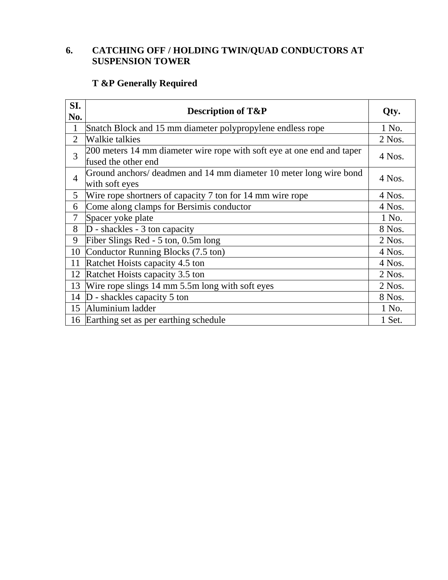# **6. CATCHING OFF / HOLDING TWIN/QUAD CONDUCTORS AT SUSPENSION TOWER**

# **T &P Generally Required**

| SI.            |                                                                                               |          |  |  |
|----------------|-----------------------------------------------------------------------------------------------|----------|--|--|
| No.            | <b>Description of T&amp;P</b>                                                                 | Qty.     |  |  |
| 1              | Snatch Block and 15 mm diameter polypropylene endless rope                                    | 1 No.    |  |  |
| $\overline{2}$ | Walkie talkies                                                                                | 2 Nos.   |  |  |
| 3              | 200 meters 14 mm diameter wire rope with soft eye at one end and taper<br>fused the other end | 4 Nos.   |  |  |
| $\overline{4}$ | Ground anchors/ deadmen and 14 mm diameter 10 meter long wire bond<br>with soft eyes          | 4 Nos.   |  |  |
| 5              | Wire rope shortners of capacity 7 ton for 14 mm wire rope                                     | 4 Nos.   |  |  |
| 6              | Come along clamps for Bersimis conductor                                                      | 4 Nos.   |  |  |
| $\overline{7}$ | Spacer yoke plate                                                                             | 1 No.    |  |  |
| 8              | $D$ - shackles - 3 ton capacity                                                               | 8 Nos.   |  |  |
| 9              | Fiber Slings Red - 5 ton, 0.5m long                                                           | $2$ Nos. |  |  |
| 10             | Conductor Running Blocks (7.5 ton)                                                            | 4 Nos.   |  |  |
| 11             | Ratchet Hoists capacity 4.5 ton                                                               | 4 Nos.   |  |  |
| 12             | Ratchet Hoists capacity 3.5 ton                                                               | $2$ Nos. |  |  |
| 13             | Wire rope slings 14 mm 5.5m long with soft eyes                                               | 2 Nos.   |  |  |
| 14             | $D$ - shackles capacity 5 ton                                                                 | 8 Nos.   |  |  |
| 15             | Aluminium ladder                                                                              | 1 No.    |  |  |
|                | 16 Earthing set as per earthing schedule                                                      | 1 Set.   |  |  |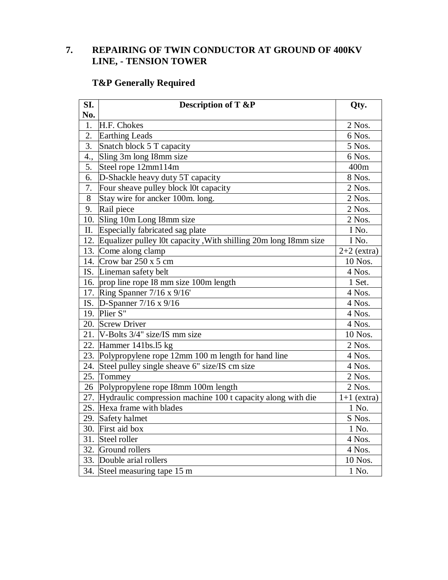# **7. REPAIRING OF TWIN CONDUCTOR AT GROUND OF 400KV LINE, - TENSION TOWER**

# **T&P Generally Required**

| SI. | <b>Description of T &amp;P</b>                                  | Qty.          |
|-----|-----------------------------------------------------------------|---------------|
| No. |                                                                 |               |
| 1.  | H.F. Chokes                                                     | 2 Nos.        |
| 2.  | <b>Earthing Leads</b>                                           | 6 Nos.        |
| 3.  | Snatch block 5 T capacity                                       | 5 Nos.        |
| 4., | Sling 3m long I8mm size                                         | 6 Nos.        |
| 5.  | Steel rope $12mm114m$                                           | 400m          |
| 6.  | D-Shackle heavy duty 5T capacity                                | 8 Nos.        |
| 7.  | Four sheave pulley block l0t capacity                           | 2 Nos.        |
| 8   | Stay wire for ancker 100m. long.                                | 2 Nos.        |
| 9.  | Rail piece                                                      | 2 Nos.        |
| 10. | Sling 10m Long I8mm size                                        | 2 Nos.        |
| II. | Especially fabricated sag plate                                 | I No.         |
| 12. | Equalizer pulley l0t capacity, With shilling 20m long I8mm size | I No.         |
| 13. | Come along clamp                                                | $2+2$ (extra) |
| 14. | Crow bar $250 \times 5$ cm                                      | 10 Nos.       |
|     | IS. Lineman safety belt                                         | 4 Nos.        |
| 16. | prop line rope I8 mm size 100m length                           | 1 Set.        |
|     | 17. Ring Spanner 7/16 x 9/16'                                   | 4 Nos.        |
|     | IS. D-Spanner $7/16 \times 9/16$                                | 4 Nos.        |
|     | 19. Plier S"                                                    | 4 Nos.        |
|     | 20. Screw Driver                                                | 4 Nos.        |
| 21. | V-Bolts 3/4" size/IS mm size                                    | 10 Nos.       |
|     | 22. Hammer $141bs.15$ kg                                        | 2 Nos.        |
| 23. | Polypropylene rope 12mm 100 m length for hand line              | 4 Nos.        |
| 24. | Steel pulley single sheave 6" size/IS cm size                   | 4 Nos.        |
| 25. | Tommey                                                          | $2$ Nos.      |
| 26  | Polypropylene rope I8mm 100m length                             | 2 Nos.        |
| 27. | Hydraulic compression machine 100 t capacity along with die     | $1+1$ (extra) |
| 2S. | Hexa frame with blades                                          | 1 No.         |
| 29. | Safety halmet                                                   | S Nos.        |
|     | 30. First aid box                                               | 1 No.         |
| 31. | Steel roller                                                    | 4 Nos.        |
|     | 32. Ground rollers                                              | 4 Nos.        |
|     | 33. Double arial rollers                                        | 10 Nos.       |
|     | 34. Steel measuring tape 15 m                                   | 1 No.         |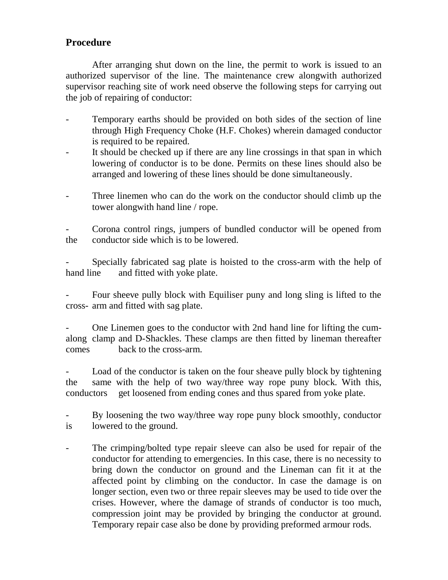# **Procedure**

After arranging shut down on the line, the permit to work is issued to an authorized supervisor of the line. The maintenance crew alongwith authorized supervisor reaching site of work need observe the following steps for carrying out the job of repairing of conductor:

- Temporary earths should be provided on both sides of the section of line through High Frequency Choke (H.F. Chokes) wherein damaged conductor is required to be repaired.
- It should be checked up if there are any line crossings in that span in which lowering of conductor is to be done. Permits on these lines should also be arranged and lowering of these lines should be done simultaneously.
- Three linemen who can do the work on the conductor should climb up the tower alongwith hand line / rope.

- Corona control rings, jumpers of bundled conductor will be opened from the conductor side which is to be lowered.

Specially fabricated sag plate is hoisted to the cross-arm with the help of hand line and fitted with yoke plate.

Four sheeve pully block with Equiliser puny and long sling is lifted to the cross- arm and fitted with sag plate.

- One Linemen goes to the conductor with 2nd hand line for lifting the cumalong clamp and D-Shackles. These clamps are then fitted by lineman thereafter comes back to the cross-arm.

- Load of the conductor is taken on the four sheave pully block by tightening the same with the help of two way/three way rope puny block. With this, conductors get loosened from ending cones and thus spared from yoke plate.

- By loosening the two way/three way rope puny block smoothly, conductor is lowered to the ground.

- The crimping/bolted type repair sleeve can also be used for repair of the conductor for attending to emergencies. In this case, there is no necessity to bring down the conductor on ground and the Lineman can fit it at the affected point by climbing on the conductor. In case the damage is on longer section, even two or three repair sleeves may be used to tide over the crises. However, where the damage of strands of conductor is too much, compression joint may be provided by bringing the conductor at ground. Temporary repair case also be done by providing preformed armour rods.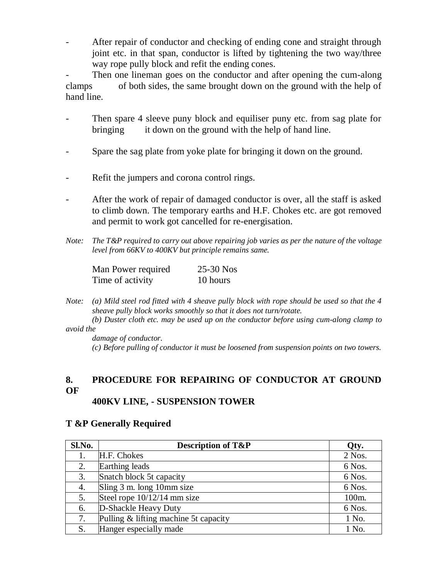After repair of conductor and checking of ending cone and straight through joint etc. in that span, conductor is lifted by tightening the two way/three way rope pully block and refit the ending cones.

Then one lineman goes on the conductor and after opening the cum-along clamps of both sides, the same brought down on the ground with the help of hand line.

- Then spare 4 sleeve puny block and equiliser puny etc. from sag plate for bringing it down on the ground with the help of hand line.
- Spare the sag plate from yoke plate for bringing it down on the ground.
- Refit the jumpers and corona control rings.
- After the work of repair of damaged conductor is over, all the staff is asked to climb down. The temporary earths and H.F. Chokes etc. are got removed and permit to work got cancelled for re-energisation.
- *Note: The T&P required to carry out above repairing job varies as per the nature of the voltage level from 66KV to 400KV but principle remains same.*

| Man Power required | $25-30$ Nos |
|--------------------|-------------|
| Time of activity   | 10 hours    |

*Note: (a) Mild steel rod fitted with 4 sheave pully block with rope should be used so that the 4 sheave pully block works smoothly so that it does not turn/rotate.*

*(b) Duster cloth etc. may be used up on the conductor before using cum-along clamp to avoid the*

*damage of conductor. (c) Before pulling of conductor it must be loosened from suspension points on two towers.*

# **8. PROCEDURE FOR REPAIRING OF CONDUCTOR AT GROUND OF**

# **400KV LINE, - SUSPENSION TOWER**

#### **T &P Generally Required**

| Sl.No. | <b>Description of T&amp;P</b>         | Qty.     |
|--------|---------------------------------------|----------|
|        | H.F. Chokes                           | $2$ Nos. |
| 2.     | Earthing leads                        | 6 Nos.   |
| 3.     | Snatch block 5t capacity              | 6 Nos.   |
| 4.     | Sling 3 m. long 10mm size             | 6 Nos.   |
| 5.     | Steel rope $10/12/14$ mm size         | 100m.    |
| 6.     | D-Shackle Heavy Duty                  | 6 Nos.   |
| 7.     | Pulling & lifting machine 5t capacity | 1 No.    |
| S.     | Hanger especially made                | 1 No.    |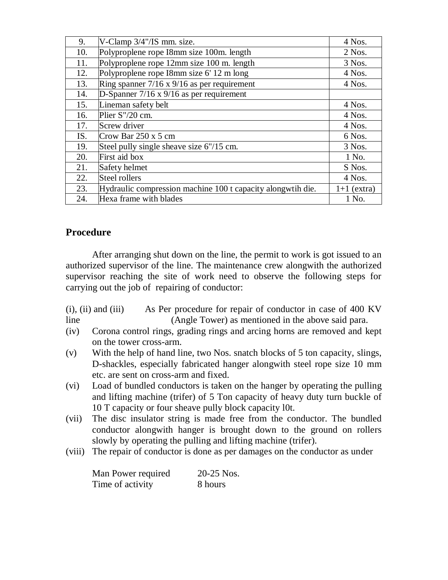| 9.  | V-Clamp 3/4"/IS mm. size.                                   | 4 Nos.        |
|-----|-------------------------------------------------------------|---------------|
| 10. | Polyproplene rope I8mm size 100m. length                    | $2$ Nos.      |
| 11. | Polyproplene rope 12mm size 100 m. length                   | 3 Nos.        |
| 12. | Polyproplene rope I8mm size 6' 12 m long                    | 4 Nos.        |
| 13. | Ring spanner $7/16 \times 9/16$ as per requirement          | 4 Nos.        |
| 14. | D-Spanner $7/16 \times 9/16$ as per requirement             |               |
| 15. | Lineman safety belt                                         | 4 Nos.        |
| 16. | Plier S"/20 cm.                                             | 4 Nos.        |
| 17. | Screw driver                                                | 4 Nos.        |
| IS. | Crow Bar $250 \times 5$ cm                                  | 6 Nos.        |
| 19. | Steel pully single sheave size 6"/15 cm.                    | 3 Nos.        |
| 20. | First aid box                                               | 1 No.         |
| 21. | Safety helmet                                               | S Nos.        |
| 22. | Steel rollers                                               | 4 Nos.        |
| 23. | Hydraulic compression machine 100 t capacity alongwtih die. | $1+1$ (extra) |
| 24. | Hexa frame with blades                                      | 1 No.         |

# **Procedure**

After arranging shut down on the line, the permit to work is got issued to an authorized supervisor of the line. The maintenance crew alongwith the authorized supervisor reaching the site of work need to observe the following steps for carrying out the job of repairing of conductor:

(i), (ii) and (iii) As Per procedure for repair of conductor in case of 400 KV line (Angle Tower) as mentioned in the above said para.

- (iv) Corona control rings, grading rings and arcing horns are removed and kept on the tower cross-arm.
- (v) With the help of hand line, two Nos. snatch blocks of 5 ton capacity, slings, D-shackles, especially fabricated hanger alongwith steel rope size 10 mm etc. are sent on cross-arm and fixed.
- (vi) Load of bundled conductors is taken on the hanger by operating the pulling and lifting machine (trifer) of 5 Ton capacity of heavy duty turn buckle of 10 T capacity or four sheave pully block capacity l0t.
- (vii) The disc insulator string is made free from the conductor. The bundled conductor alongwith hanger is brought down to the ground on rollers slowly by operating the pulling and lifting machine (trifer).
- (viii) The repair of conductor is done as per damages on the conductor as under

| Man Power required | 20-25 Nos. |
|--------------------|------------|
| Time of activity   | 8 hours    |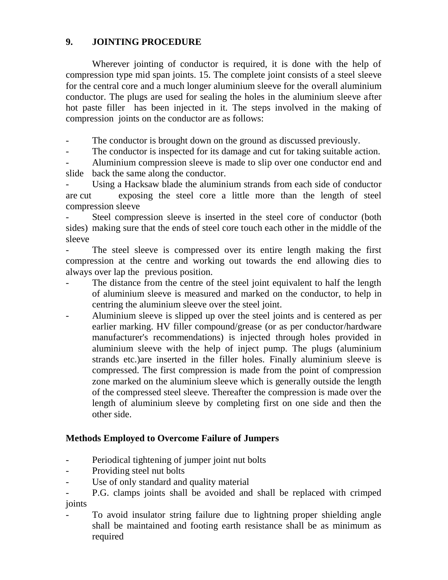# **9. JOINTING PROCEDURE**

Wherever jointing of conductor is required, it is done with the help of compression type mid span joints. 15. The complete joint consists of a steel sleeve for the central core and a much longer aluminium sleeve for the overall aluminium conductor. The plugs are used for sealing the holes in the aluminium sleeve after hot paste filler has been injected in it. The steps involved in the making of compression joints on the conductor are as follows:

- The conductor is brought down on the ground as discussed previously.

- The conductor is inspected for its damage and cut for taking suitable action.

Aluminium compression sleeve is made to slip over one conductor end and slide back the same along the conductor.

- Using a Hacksaw blade the aluminium strands from each side of conductor are cut exposing the steel core a little more than the length of steel compression sleeve

Steel compression sleeve is inserted in the steel core of conductor (both sides) making sure that the ends of steel core touch each other in the middle of the sleeve

The steel sleeve is compressed over its entire length making the first compression at the centre and working out towards the end allowing dies to always over lap the previous position.

- The distance from the centre of the steel joint equivalent to half the length of aluminium sleeve is measured and marked on the conductor, to help in centring the aluminium sleeve over the steel joint.
- Aluminium sleeve is slipped up over the steel joints and is centered as per earlier marking. HV filler compound/grease (or as per conductor/hardware manufacturer's recommendations) is injected through holes provided in aluminium sleeve with the help of inject pump. The plugs (aluminium strands etc.)are inserted in the filler holes. Finally aluminium sleeve is compressed. The first compression is made from the point of compression zone marked on the aluminium sleeve which is generally outside the length of the compressed steel sleeve. Thereafter the compression is made over the length of aluminium sleeve by completing first on one side and then the other side.

# **Methods Employed to Overcome Failure of Jumpers**

- Periodical tightening of jumper joint nut bolts
- Providing steel nut bolts
- Use of only standard and quality material
- P.G. clamps joints shall be avoided and shall be replaced with crimped joints
- To avoid insulator string failure due to lightning proper shielding angle shall be maintained and footing earth resistance shall be as minimum as required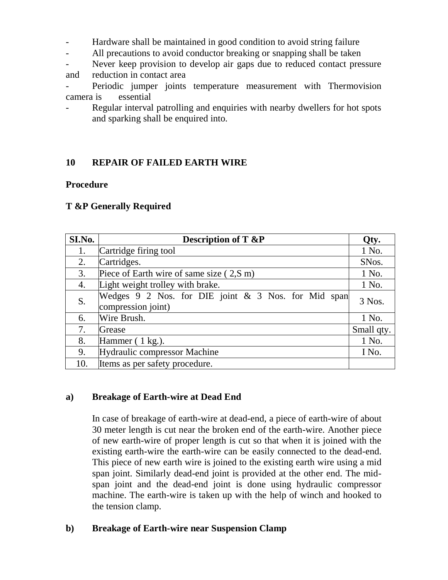- Hardware shall be maintained in good condition to avoid string failure
- All precautions to avoid conductor breaking or snapping shall be taken
- Never keep provision to develop air gaps due to reduced contact pressure and reduction in contact area

Periodic jumper joints temperature measurement with Thermovision camera is essential

Regular interval patrolling and enquiries with nearby dwellers for hot spots and sparking shall be enquired into.

# **10 REPAIR OF FAILED EARTH WIRE**

#### **Procedure**

#### **T &P Generally Required**

| SI.No. | <b>Description of T &amp;P</b>                        | Qty.       |
|--------|-------------------------------------------------------|------------|
| 1.     | Cartridge firing tool                                 | 1 No.      |
| 2.     | Cartridges.                                           | SNos.      |
| 3.     | Piece of Earth wire of same size $(2, S \, \text{m})$ | 1 No.      |
| 4.     | Light weight trolley with brake.                      | 1 No.      |
| S.     | Wedges 9 2 Nos. for DIE joint & 3 Nos. for Mid span   | 3 Nos.     |
|        | compression joint)                                    |            |
| 6.     | Wire Brush.                                           | 1 No.      |
| 7.     | Grease                                                | Small qty. |
| 8.     | Hammer $(1 \text{ kg.})$ .                            |            |
| 9.     | <b>Hydraulic compressor Machine</b>                   |            |
| 10.    | Items as per safety procedure.                        |            |

#### **a) Breakage of Earth-wire at Dead End**

In case of breakage of earth-wire at dead-end, a piece of earth-wire of about 30 meter length is cut near the broken end of the earth-wire. Another piece of new earth-wire of proper length is cut so that when it is joined with the existing earth-wire the earth-wire can be easily connected to the dead-end. This piece of new earth wire is joined to the existing earth wire using a mid span joint. Similarly dead-end joint is provided at the other end. The midspan joint and the dead-end joint is done using hydraulic compressor machine. The earth-wire is taken up with the help of winch and hooked to the tension clamp.

# **b) Breakage of Earth-wire near Suspension Clamp**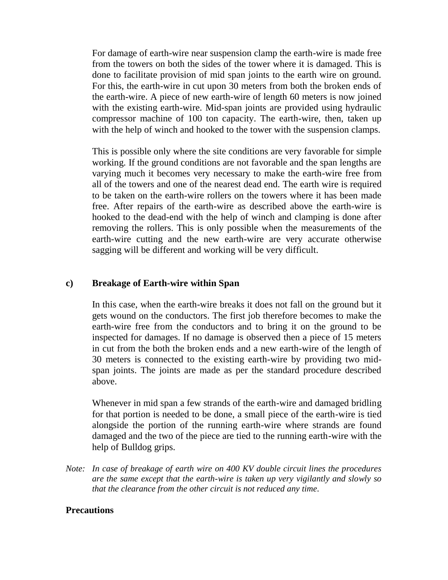For damage of earth-wire near suspension clamp the earth-wire is made free from the towers on both the sides of the tower where it is damaged. This is done to facilitate provision of mid span joints to the earth wire on ground. For this, the earth-wire in cut upon 30 meters from both the broken ends of the earth-wire. A piece of new earth-wire of length 60 meters is now joined with the existing earth-wire. Mid-span joints are provided using hydraulic compressor machine of 100 ton capacity. The earth-wire, then, taken up with the help of winch and hooked to the tower with the suspension clamps.

This is possible only where the site conditions are very favorable for simple working. If the ground conditions are not favorable and the span lengths are varying much it becomes very necessary to make the earth-wire free from all of the towers and one of the nearest dead end. The earth wire is required to be taken on the earth-wire rollers on the towers where it has been made free. After repairs of the earth-wire as described above the earth-wire is hooked to the dead-end with the help of winch and clamping is done after removing the rollers. This is only possible when the measurements of the earth-wire cutting and the new earth-wire are very accurate otherwise sagging will be different and working will be very difficult.

#### **c) Breakage of Earth-wire within Span**

In this case, when the earth-wire breaks it does not fall on the ground but it gets wound on the conductors. The first job therefore becomes to make the earth-wire free from the conductors and to bring it on the ground to be inspected for damages. If no damage is observed then a piece of 15 meters in cut from the both the broken ends and a new earth-wire of the length of 30 meters is connected to the existing earth-wire by providing two midspan joints. The joints are made as per the standard procedure described above.

Whenever in mid span a few strands of the earth-wire and damaged bridling for that portion is needed to be done, a small piece of the earth-wire is tied alongside the portion of the running earth-wire where strands are found damaged and the two of the piece are tied to the running earth-wire with the help of Bulldog grips.

*Note: In case of breakage of earth wire on 400 KV double circuit lines the procedures are the same except that the earth-wire is taken up very vigilantly and slowly so that the clearance from the other circuit is not reduced any time.*

#### **Precautions**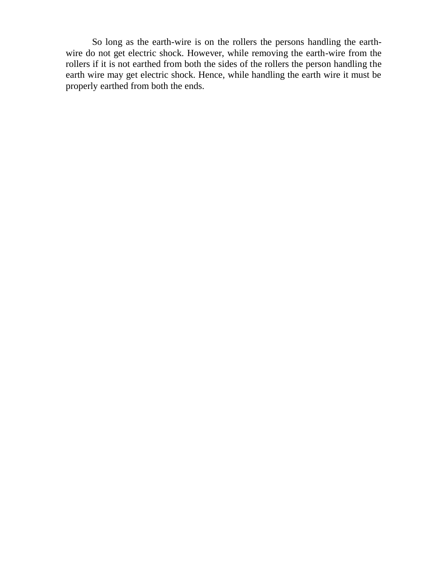So long as the earth-wire is on the rollers the persons handling the earthwire do not get electric shock. However, while removing the earth-wire from the rollers if it is not earthed from both the sides of the rollers the person handling the earth wire may get electric shock. Hence, while handling the earth wire it must be properly earthed from both the ends.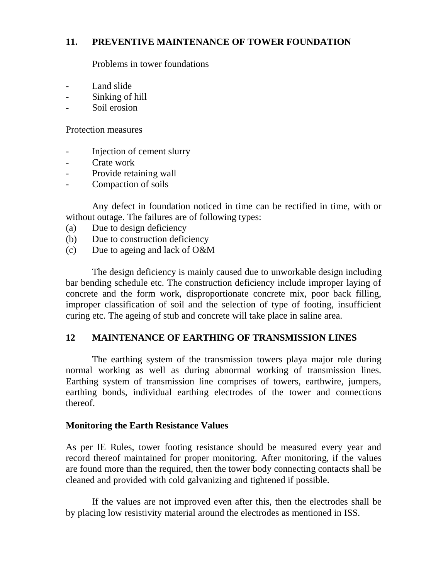#### **11. PREVENTIVE MAINTENANCE OF TOWER FOUNDATION**

Problems in tower foundations

- Land slide
- Sinking of hill
- Soil erosion

Protection measures

- Injection of cement slurry
- Crate work
- Provide retaining wall
- Compaction of soils

Any defect in foundation noticed in time can be rectified in time, with or without outage. The failures are of following types:

- (a) Due to design deficiency
- (b) Due to construction deficiency
- (c) Due to ageing and lack of O&M

The design deficiency is mainly caused due to unworkable design including bar bending schedule etc. The construction deficiency include improper laying of concrete and the form work, disproportionate concrete mix, poor back filling, improper classification of soil and the selection of type of footing, insufficient curing etc. The ageing of stub and concrete will take place in saline area.

# **12 MAINTENANCE OF EARTHING OF TRANSMISSION LINES**

The earthing system of the transmission towers playa major role during normal working as well as during abnormal working of transmission lines. Earthing system of transmission line comprises of towers, earthwire, jumpers, earthing bonds, individual earthing electrodes of the tower and connections thereof.

#### **Monitoring the Earth Resistance Values**

As per IE Rules, tower footing resistance should be measured every year and record thereof maintained for proper monitoring. After monitoring, if the values are found more than the required, then the tower body connecting contacts shall be cleaned and provided with cold galvanizing and tightened if possible.

If the values are not improved even after this, then the electrodes shall be by placing low resistivity material around the electrodes as mentioned in ISS.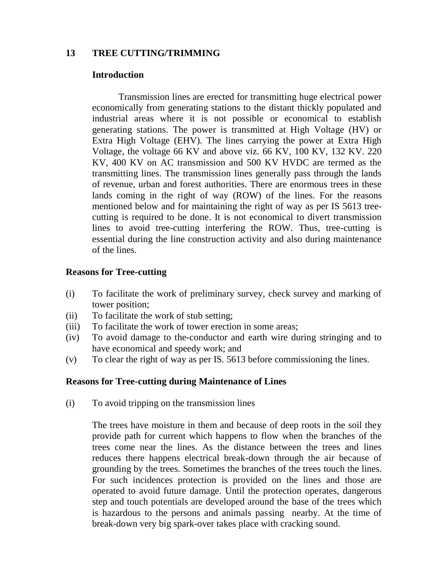#### **13 TREE CUTTING/TRIMMING**

#### **Introduction**

Transmission lines are erected for transmitting huge electrical power economically from generating stations to the distant thickly populated and industrial areas where it is not possible or economical to establish generating stations. The power is transmitted at High Voltage (HV) or Extra High Voltage (EHV). The lines carrying the power at Extra High Voltage, the voltage 66 KV and above viz. 66 KV, 100 KV, 132 KV. 220 KV, 400 KV on AC transmission and 500 KV HVDC are termed as the transmitting lines. The transmission lines generally pass through the lands of revenue, urban and forest authorities. There are enormous trees in these lands coming in the right of way (ROW) of the lines. For the reasons mentioned below and for maintaining the right of way as per IS 5613 treecutting is required to be done. It is not economical to divert transmission lines to avoid tree-cutting interfering the ROW. Thus, tree-cutting is essential during the line construction activity and also during maintenance of the lines.

#### **Reasons for Tree-cutting**

- (i) To facilitate the work of preliminary survey, check survey and marking of tower position;
- (ii) To facilitate the work of stub setting;
- (iii) To facilitate the work of tower erection in some areas;
- (iv) To avoid damage to the-conductor and earth wire during stringing and to have economical and speedy work; and
- (v) To clear the right of way as per IS. 5613 before commissioning the lines.

#### **Reasons for Tree-cutting during Maintenance of Lines**

(i) To avoid tripping on the transmission lines

The trees have moisture in them and because of deep roots in the soil they provide path for current which happens to flow when the branches of the trees come near the lines. As the distance between the trees and lines reduces there happens electrical break-down through the air because of grounding by the trees. Sometimes the branches of the trees touch the lines. For such incidences protection is provided on the lines and those are operated to avoid future damage. Until the protection operates, dangerous step and touch potentials are developed around the base of the trees which is hazardous to the persons and animals passing nearby. At the time of break-down very big spark-over takes place with cracking sound.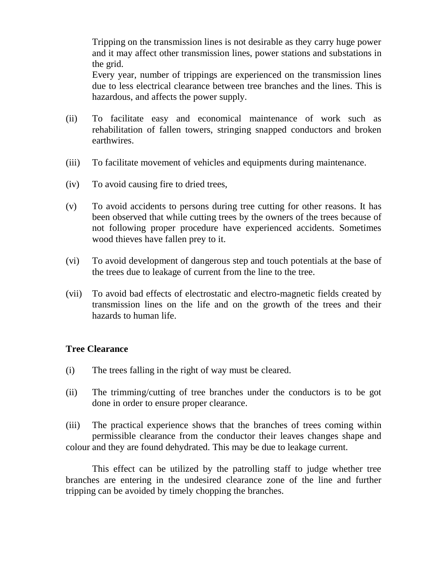Tripping on the transmission lines is not desirable as they carry huge power and it may affect other transmission lines, power stations and substations in the grid.

Every year, number of trippings are experienced on the transmission lines due to less electrical clearance between tree branches and the lines. This is hazardous, and affects the power supply.

- (ii) To facilitate easy and economical maintenance of work such as rehabilitation of fallen towers, stringing snapped conductors and broken earthwires.
- (iii) To facilitate movement of vehicles and equipments during maintenance.
- (iv) To avoid causing fire to dried trees,
- (v) To avoid accidents to persons during tree cutting for other reasons. It has been observed that while cutting trees by the owners of the trees because of not following proper procedure have experienced accidents. Sometimes wood thieves have fallen prey to it.
- (vi) To avoid development of dangerous step and touch potentials at the base of the trees due to leakage of current from the line to the tree.
- (vii) To avoid bad effects of electrostatic and electro-magnetic fields created by transmission lines on the life and on the growth of the trees and their hazards to human life.

#### **Tree Clearance**

- (i) The trees falling in the right of way must be cleared.
- (ii) The trimming/cutting of tree branches under the conductors is to be got done in order to ensure proper clearance.

(iii) The practical experience shows that the branches of trees coming within permissible clearance from the conductor their leaves changes shape and colour and they are found dehydrated. This may be due to leakage current.

This effect can be utilized by the patrolling staff to judge whether tree branches are entering in the undesired clearance zone of the line and further tripping can be avoided by timely chopping the branches.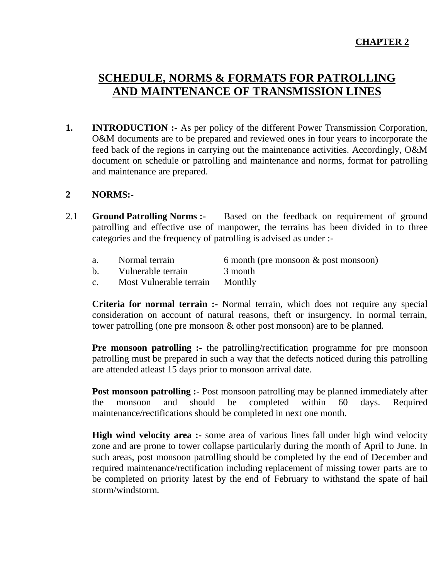# **SCHEDULE, NORMS & FORMATS FOR PATROLLING AND MAINTENANCE OF TRANSMISSION LINES**

**1. INTRODUCTION :-** As per policy of the different Power Transmission Corporation, O&M documents are to be prepared and reviewed ones in four years to incorporate the feed back of the regions in carrying out the maintenance activities. Accordingly, O&M document on schedule or patrolling and maintenance and norms, format for patrolling and maintenance are prepared.

#### **2 NORMS:-**

- 2.1 **Ground Patrolling Norms :-** Based on the feedback on requirement of ground patrolling and effective use of manpower, the terrains has been divided in to three categories and the frequency of patrolling is advised as under :
	- a. Normal terrain 6 month (pre monsoon & post monsoon)
	- b. Vulnerable terrain 3 month
	- c. Most Vulnerable terrain Monthly

**Criteria for normal terrain :-** Normal terrain, which does not require any special consideration on account of natural reasons, theft or insurgency. In normal terrain, tower patrolling (one pre monsoon & other post monsoon) are to be planned.

**Pre monsoon patrolling :-** the patrolling/rectification programme for pre monsoon patrolling must be prepared in such a way that the defects noticed during this patrolling are attended atleast 15 days prior to monsoon arrival date.

**Post monsoon patrolling :-** Post monsoon patrolling may be planned immediately after the monsoon and should be completed within 60 days. Required maintenance/rectifications should be completed in next one month.

**High wind velocity area :-** some area of various lines fall under high wind velocity zone and are prone to tower collapse particularly during the month of April to June. In such areas, post monsoon patrolling should be completed by the end of December and required maintenance/rectification including replacement of missing tower parts are to be completed on priority latest by the end of February to withstand the spate of hail storm/windstorm.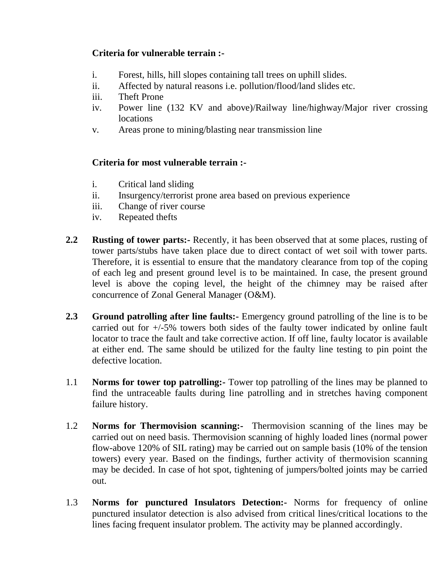# **Criteria for vulnerable terrain :-**

- i. Forest, hills, hill slopes containing tall trees on uphill slides.
- ii. Affected by natural reasons i.e. pollution/flood/land slides etc.
- iii. Theft Prone
- iv. Power line (132 KV and above)/Railway line/highway/Major river crossing locations
- v. Areas prone to mining/blasting near transmission line

# **Criteria for most vulnerable terrain :-**

- i. Critical land sliding
- ii. Insurgency/terrorist prone area based on previous experience
- iii. Change of river course
- iv. Repeated thefts
- **2.2 Rusting of tower parts:-** Recently, it has been observed that at some places, rusting of tower parts/stubs have taken place due to direct contact of wet soil with tower parts. Therefore, it is essential to ensure that the mandatory clearance from top of the coping of each leg and present ground level is to be maintained. In case, the present ground level is above the coping level, the height of the chimney may be raised after concurrence of Zonal General Manager (O&M).
- **2.3 Ground patrolling after line faults:-** Emergency ground patrolling of the line is to be carried out for +/-5% towers both sides of the faulty tower indicated by online fault locator to trace the fault and take corrective action. If off line, faulty locator is available at either end. The same should be utilized for the faulty line testing to pin point the defective location.
- 1.1 **Norms for tower top patrolling:-** Tower top patrolling of the lines may be planned to find the untraceable faults during line patrolling and in stretches having component failure history.
- 1.2 **Norms for Thermovision scanning:-** Thermovision scanning of the lines may be carried out on need basis. Thermovision scanning of highly loaded lines (normal power flow-above 120% of SIL rating) may be carried out on sample basis (10% of the tension towers) every year. Based on the findings, further activity of thermovision scanning may be decided. In case of hot spot, tightening of jumpers/bolted joints may be carried out.
- 1.3 **Norms for punctured Insulators Detection:-** Norms for frequency of online punctured insulator detection is also advised from critical lines/critical locations to the lines facing frequent insulator problem. The activity may be planned accordingly.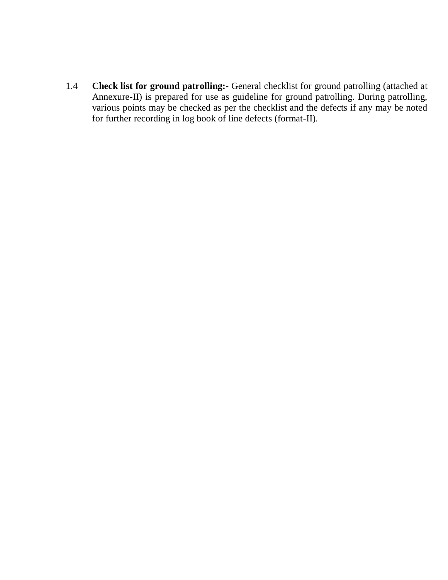1.4 **Check list for ground patrolling:-** General checklist for ground patrolling (attached at Annexure-II) is prepared for use as guideline for ground patrolling. During patrolling, various points may be checked as per the checklist and the defects if any may be noted for further recording in log book of line defects (format-II).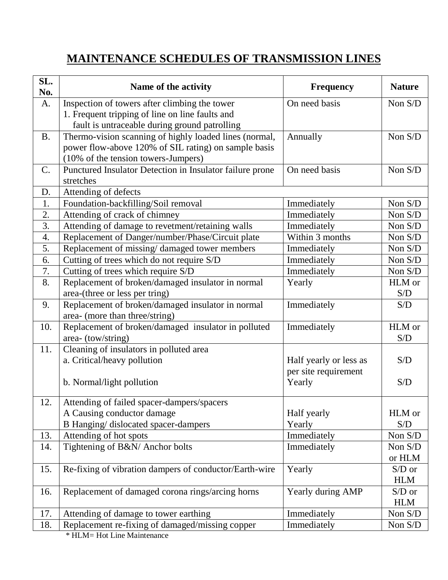# **MAINTENANCE SCHEDULES OF TRANSMISSION LINES**

| SL.<br>No.       | Name of the activity                                                                                                                                  | <b>Frequency</b>               | <b>Nature</b>          |
|------------------|-------------------------------------------------------------------------------------------------------------------------------------------------------|--------------------------------|------------------------|
| A.               | Inspection of towers after climbing the tower<br>1. Frequent tripping of line on line faults and<br>fault is untraceable during ground patrolling     | On need basis                  | Non S/D                |
| <b>B.</b>        | Thermo-vision scanning of highly loaded lines (normal,<br>power flow-above 120% of SIL rating) on sample basis<br>(10% of the tension towers-Jumpers) | Annually                       | Non S/D                |
| C.               | Punctured Insulator Detection in Insulator failure prone<br>stretches                                                                                 | On need basis                  | Non S/D                |
| D.               | Attending of defects                                                                                                                                  |                                |                        |
| 1.               | Foundation-backfilling/Soil removal                                                                                                                   | Immediately                    | Non S/D                |
| 2.               | Attending of crack of chimney                                                                                                                         | Immediately                    | Non S/D                |
| 3.               | Attending of damage to revetment/retaining walls                                                                                                      | Immediately                    | Non S/D                |
| $\overline{4}$ . | Replacement of Danger/number/Phase/Circuit plate                                                                                                      | Within 3 months                | Non S/D                |
| 5.               | Replacement of missing/damaged tower members                                                                                                          | Immediately                    | Non S/D                |
| 6.               | Cutting of trees which do not require S/D                                                                                                             | Immediately                    | Non S/D                |
| 7.               | Cutting of trees which require S/D                                                                                                                    | Immediately                    | Non S/D                |
| 8.               | Replacement of broken/damaged insulator in normal                                                                                                     | Yearly                         | HLM or                 |
|                  | area-(three or less per tring)                                                                                                                        |                                | S/D                    |
| 9.               | Replacement of broken/damaged insulator in normal<br>area- (more than three/string)                                                                   | Immediately                    | S/D                    |
| 10.              | Replacement of broken/damaged insulator in polluted<br>area- (tow/string)                                                                             | Immediately                    | HLM or<br>S/D          |
| 11.              | Cleaning of insulators in polluted area<br>a. Critical/heavy pollution                                                                                | Half yearly or less as         | S/D                    |
|                  | b. Normal/light pollution                                                                                                                             | per site requirement<br>Yearly | S/D                    |
| 12.              | Attending of failed spacer-dampers/spacers                                                                                                            |                                |                        |
|                  | A Causing conductor damage                                                                                                                            | Half yearly                    | HLM or                 |
|                  | B Hanging/ dislocated spacer-dampers                                                                                                                  | Yearly                         | S/D                    |
| 13.              | Attending of hot spots                                                                                                                                | Immediately                    | Non S/D                |
| 14.              | Tightening of B&N/ Anchor bolts                                                                                                                       | Immediately                    | Non S/D<br>or HLM      |
| 15.              | Re-fixing of vibration dampers of conductor/Earth-wire                                                                                                | Yearly                         | $S/D$ or<br><b>HLM</b> |
| 16.              | Replacement of damaged corona rings/arcing horns                                                                                                      | Yearly during AMP              | $S/D$ or<br><b>HLM</b> |
| 17.              | Attending of damage to tower earthing                                                                                                                 | Immediately                    | Non S/D                |
| 18.              | Replacement re-fixing of damaged/missing copper                                                                                                       | Immediately                    | Non S/D                |

 $HLM = Hot$  Line Maintenance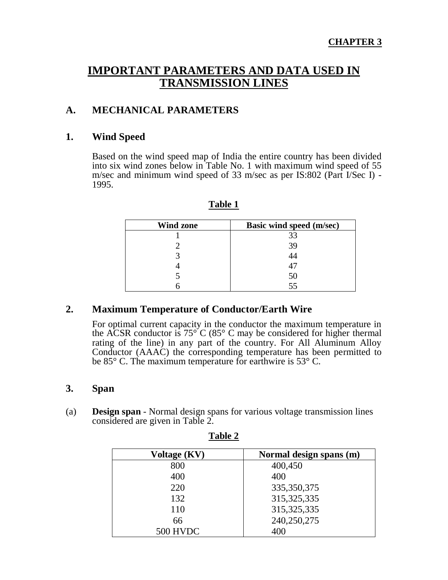# **IMPORTANT PARAMETERS AND DATA USED IN TRANSMISSION LINES**

# **A. MECHANICAL PARAMETERS**

#### **1. Wind Speed**

Based on the wind speed map of India the entire country has been divided into six wind zones below in Table No. 1 with maximum wind speed of 55 m/sec and minimum wind speed of 33 m/sec as per IS:802 (Part I/Sec I) - 1995.

| <b>Wind zone</b> | <b>Basic wind speed (m/sec)</b> |
|------------------|---------------------------------|
|                  | 33                              |
|                  | 39                              |
|                  |                                 |
|                  |                                 |
|                  | 50                              |
|                  | 55                              |

**Table 1**

# **2. Maximum Temperature of Conductor/Earth Wire**

For optimal current capacity in the conductor the maximum temperature in the ACSR conductor is  $75^{\circ}$  C (85° C may be considered for higher thermal rating of the line) in any part of the country. For All Aluminum Alloy Conductor (AAAC) the corresponding temperature has been permitted to be 85° C. The maximum temperature for earthwire is 53° C.

# **3. Span**

(a) **Design span** - Normal design spans for various voltage transmission lines considered are given in Table 2.

| Voltage (KV) | Normal design spans (m) |
|--------------|-------------------------|
| 800          | 400,450                 |
| 400          | 400                     |
| 220          | 335, 350, 375           |
| 132          | 315, 325, 335           |
| 110          | 315, 325, 335           |
| 66           | 240,250,275             |
| 500 HVDC     | 400                     |

**Table 2**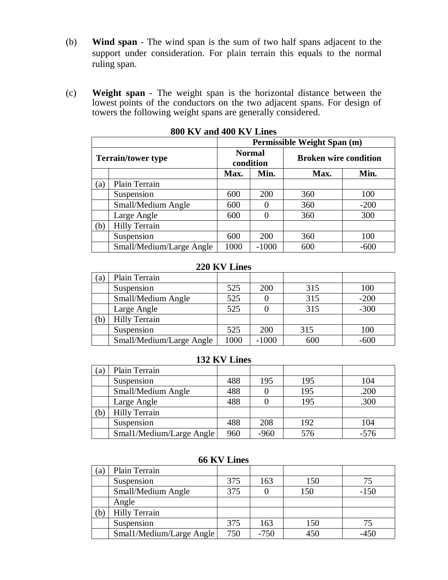- (b) **Wind span** The wind span is the sum of two half spans adjacent to the support under consideration. For plain terrain this equals to the normal ruling span.
- (c) **Weight span** The weight span is the horizontal distance between the lowest points of the conductors on the two adjacent spans. For design of towers the following weight spans are generally considered.

|     |                                                                                         | Permissible Weight Span (m) |         |      |        |
|-----|-----------------------------------------------------------------------------------------|-----------------------------|---------|------|--------|
|     | <b>Normal</b><br><b>Broken wire condition</b><br><b>Terrain/tower type</b><br>condition |                             |         |      |        |
|     |                                                                                         | Min.<br>Max.                |         | Max. | Min.   |
| (a) | Plain Terrain                                                                           |                             |         |      |        |
|     | Suspension                                                                              | 600                         | 200     | 360  | 100    |
|     | Small/Medium Angle                                                                      | 600                         |         | 360  | $-200$ |
|     | Large Angle                                                                             | 600                         |         | 360  | 300    |
| (b) | <b>Hilly Terrain</b>                                                                    |                             |         |      |        |
|     | Suspension                                                                              | 600                         | 200     | 360  | 100    |
|     | Small/Medium/Large Angle                                                                | 1000                        | $-1000$ | 600  | $-600$ |

**800 KV and 400 KV Lines**

# **220 KV Lines**

| (a) | Plain Terrain            |      |         |     |        |
|-----|--------------------------|------|---------|-----|--------|
|     | Suspension               | 525  | 200     | 315 | 100    |
|     | Small/Medium Angle       | 525  |         | 315 | $-200$ |
|     | Large Angle              | 525  |         | 315 | $-300$ |
| (b) | <b>Hilly Terrain</b>     |      |         |     |        |
|     | Suspension               | 525  | 200     | 315 | 100    |
|     | Small/Medium/Large Angle | 1000 | $-1000$ | 600 | $-600$ |

# **132 KV Lines**

| $\left( a\right)$ | Plain Terrain            |     |        |     |        |
|-------------------|--------------------------|-----|--------|-----|--------|
|                   | Suspension               | 488 | 195    | 195 | 104    |
|                   | Small/Medium Angle       | 488 |        | 195 | .200   |
|                   | Large Angle              | 488 |        | 195 | .300   |
| $\left( b\right)$ | <b>Hilly Terrain</b>     |     |        |     |        |
|                   | Suspension               | 488 | 208    | 192 | 104    |
|                   | Smal1/Medium/Large Angle | 960 | $-960$ | 576 | $-576$ |

|  |  | <b>66 KV Lines</b> |
|--|--|--------------------|
|--|--|--------------------|

| (a) | Plain Terrain            |     |        |     |        |
|-----|--------------------------|-----|--------|-----|--------|
|     | Suspension               | 375 | 163    | 150 | 75     |
|     | Small/Medium Angle       | 375 |        | 150 | $-150$ |
|     | Angle                    |     |        |     |        |
| (b) | <b>Hilly Terrain</b>     |     |        |     |        |
|     | Suspension               | 375 | 163    | 150 |        |
|     | Smal1/Medium/Large Angle | 750 | $-750$ | 450 | $-450$ |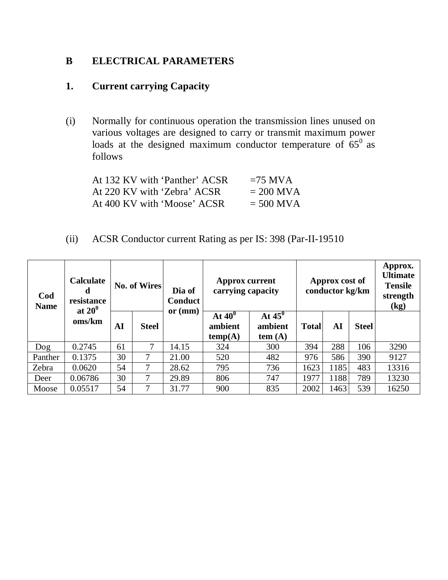# **B ELECTRICAL PARAMETERS**

# **1. Current carrying Capacity**

(i) Normally for continuous operation the transmission lines unused on various voltages are designed to carry or transmit maximum power loads at the designed maximum conductor temperature of  $65^0$  as follows

| At 132 KV with 'Panther' ACSR | $=75$ MVA   |
|-------------------------------|-------------|
| At 220 KV with 'Zebra' ACSR   | $= 200$ MVA |
| At 400 KV with 'Moose' ACSR   | $= 500$ MVA |

(ii) ACSR Conductor current Rating as per IS: 398 (Par-II-19510

| Cod<br><b>Name</b> | <b>Calculate</b><br>d<br>resistance |    | No. of Wires | Dia of<br><b>Conduct</b> | <b>Approx current</b><br>carrying capacity | Approx cost of<br>conductor kg/km  |              |      | Approx.<br>Ultimate<br><b>Tensile</b><br>strength<br>(kg) |       |
|--------------------|-------------------------------------|----|--------------|--------------------------|--------------------------------------------|------------------------------------|--------------|------|-----------------------------------------------------------|-------|
|                    | at $20^0$<br>oms/km                 | AI | <b>Steel</b> | or $(mm)$                | At $40^0$<br>ambient<br>temp(A)            | At $45^\circ$<br>ambient<br>tem(A) | <b>Total</b> | AI   | <b>Steel</b>                                              |       |
| Dog                | 0.2745                              | 61 | 7            | 14.15                    | 324                                        | 300                                | 394          | 288  | 106                                                       | 3290  |
| Panther            | 0.1375                              | 30 | 7            | 21.00                    | 520                                        | 482                                | 976          | 586  | 390                                                       | 9127  |
| Zebra              | 0.0620                              | 54 | 7            | 28.62                    | 795                                        | 736                                | 1623         | 1185 | 483                                                       | 13316 |
| Deer               | 0.06786                             | 30 | 7            | 29.89                    | 806                                        | 747                                | 1977         | 1188 | 789                                                       | 13230 |
| Moose              | 0.05517                             | 54 | 7            | 31.77                    | 900                                        | 835                                | 2002         | 1463 | 539                                                       | 16250 |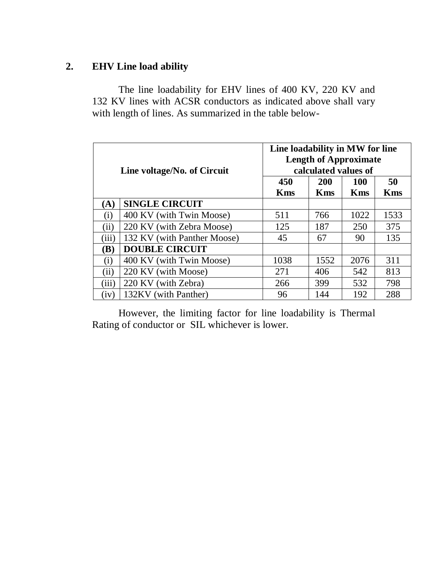# **2. EHV Line load ability**

The line loadability for EHV lines of 400 KV, 220 KV and 132 KV lines with ACSR conductors as indicated above shall vary with length of lines. As summarized in the table below-

|          | Line voltage/No. of Circuit | Line loadability in MW for line<br><b>Length of Approximate</b><br>calculated values of |            |            |            |  |  |
|----------|-----------------------------|-----------------------------------------------------------------------------------------|------------|------------|------------|--|--|
|          |                             | 450                                                                                     | 200        | <b>100</b> | 50         |  |  |
| (A)      | <b>SINGLE CIRCUIT</b>       | <b>Kms</b>                                                                              | <b>Kms</b> | <b>Kms</b> | <b>Kms</b> |  |  |
| $\rm(i)$ | 400 KV (with Twin Moose)    | 511                                                                                     | 766        | 1022       | 1533       |  |  |
| (ii)     | 220 KV (with Zebra Moose)   | 125                                                                                     | 187        | 250        | 375        |  |  |
| (iii)    | 132 KV (with Panther Moose) | 45                                                                                      | 67         | 90         | 135        |  |  |
| (B)      | <b>DOUBLE CIRCUIT</b>       |                                                                                         |            |            |            |  |  |
| (i)      | 400 KV (with Twin Moose)    | 1038                                                                                    | 1552       | 2076       | 311        |  |  |
| (ii)     | 220 KV (with Moose)         | 271                                                                                     | 406        | 542        | 813        |  |  |
| (iii)    | 220 KV (with Zebra)         | 266                                                                                     | 399        | 532        | 798        |  |  |
| (iv)     | 132KV (with Panther)        | 96                                                                                      | 144        | 192        | 288        |  |  |

However, the limiting factor for line loadability is Thermal Rating of conductor or SIL whichever is lower.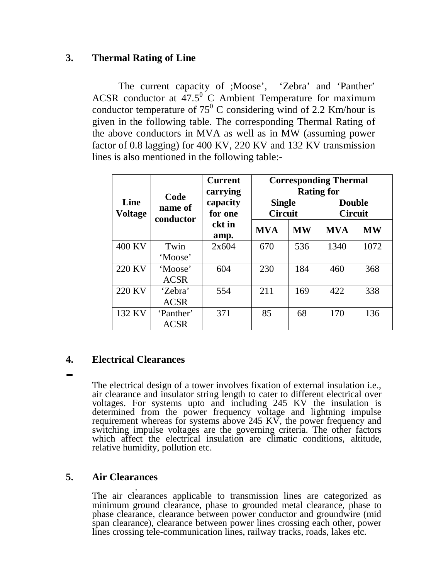# **3. Thermal Rating of Line**

The current capacity of ;Moose', 'Zebra' and 'Panther' ACSR conductor at  $47.5^{\circ}$  C Ambient Temperature for maximum conductor temperature of  $75^{\circ}$  C considering wind of 2.2 Km/hour is given in the following table. The corresponding Thermal Rating of the above conductors in MVA as well as in MW (assuming power factor of 0.8 lagging) for 400 KV, 220 KV and 132 KV transmission lines is also mentioned in the following table:-

|                        |                          | <b>Current</b><br>carrying<br>capacity<br>for one<br>ckt in<br>amp. | <b>Corresponding Thermal</b><br><b>Rating for</b> |           |                                 |           |  |
|------------------------|--------------------------|---------------------------------------------------------------------|---------------------------------------------------|-----------|---------------------------------|-----------|--|
| Line<br><b>Voltage</b> | Code<br>name of          |                                                                     | <b>Single</b><br><b>Circuit</b>                   |           | <b>Double</b><br><b>Circuit</b> |           |  |
|                        | conductor                |                                                                     | <b>MVA</b>                                        | <b>MW</b> | <b>MVA</b>                      | <b>MW</b> |  |
| 400 KV                 | Twin<br>'Moose'          | 2x604                                                               | 670                                               | 536       | 1340                            | 1072      |  |
| 220 KV                 | 'Moose'<br><b>ACSR</b>   | 604                                                                 | 230                                               | 184       | 460                             | 368       |  |
| 220 KV                 | 'Zebra'<br><b>ACSR</b>   | 554                                                                 | 211                                               | 169       | 422                             | 338       |  |
| 132 KV                 | 'Panther'<br><b>ACSR</b> | 371                                                                 | 85                                                | 68        | 170                             | 136       |  |

# **4. Electrical Clearances**  --<br>-

The electrical design of a tower involves fixation of external insulation i.e., air clearance and insulator string length to cater to different electrical over voltages. For systems upto and including 245 KV the insulation is determined from the power frequency voltage and lightning impulse requirement whereas for systems above 245 KV, the power frequency and switching impulse voltages are the governing criteria. The other factors which affect the electrical insulation are climatic conditions, altitude, relative humidity, pollution etc.

# **5. Air Clearances**

, The air clearances applicable to transmission lines are categorized as minimum ground clearance, phase to grounded metal clearance, phase to phase clearance, clearance between power conductor and groundwire (mid span clearance), clearance between power lines crossing each other, power lines crossing tele-communication lines, railway tracks, roads, lakes etc.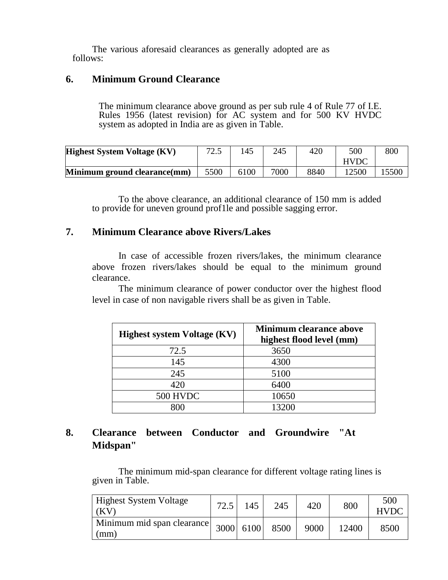The various aforesaid clearances as generally adopted are as follows:

#### **6. Minimum Ground Clearance**

The minimum clearance above ground as per sub rule 4 of Rule 77 of I.E. Rules 1956 (latest revision) for AC system and for 500 KV HVDC system as adopted in India are as given in Table.

| <b>Highest System Voltage (KV)</b> | 725<br>ل و ک | .45  | 245  | 420  | 500         | 800   |
|------------------------------------|--------------|------|------|------|-------------|-------|
|                                    |              |      |      |      | <b>HVDC</b> |       |
| Minimum ground clearance(mm)       | 5500         | 6100 | 7000 | 8840 | 12500       | 15500 |

To the above clearance, an additional clearance of 150 mm is added to provide for uneven ground prof1le and possible sagging error.

#### **7. Minimum Clearance above Rivers/Lakes**

In case of accessible frozen rivers/lakes, the minimum clearance above frozen rivers/lakes should be equal to the minimum ground clearance.

The minimum clearance of power conductor over the highest flood level in case of non navigable rivers shall be as given in Table.

| <b>Highest system Voltage (KV)</b> | <b>Minimum clearance above</b><br>highest flood level (mm) |
|------------------------------------|------------------------------------------------------------|
| 72.5                               | 3650                                                       |
| 145                                | 4300                                                       |
| 245                                | 5100                                                       |
| 420                                | 6400                                                       |
| 500 HVDC                           | 10650                                                      |
|                                    | 13200                                                      |

### **8. Clearance between Conductor and Groundwire "At Midspan"**

The minimum mid-span clearance for different voltage rating lines is given in Table.

| <b>Highest System Voltage</b><br>(KV                                                                 | 72.5 | 145 | 245  | 420  | 800   | 500<br><b>HVDC</b> |
|------------------------------------------------------------------------------------------------------|------|-----|------|------|-------|--------------------|
| $\boxed{\text{Minimum mid span}}$ clearance $\begin{vmatrix} 3000 & 6100 \end{vmatrix}$ 6100<br>(mm) |      |     | 8500 | 9000 | 12400 | 8500               |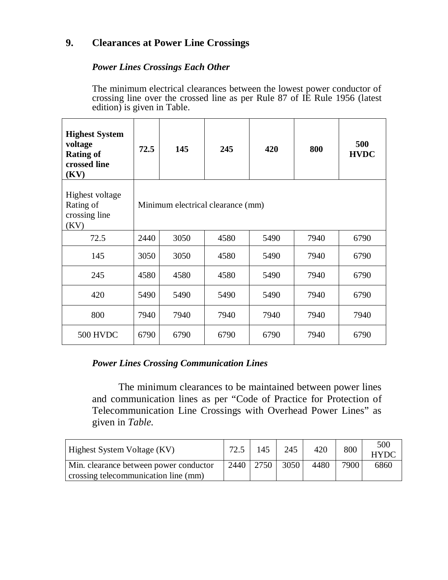#### **9. Clearances at Power Line Crossings**

#### *Power Lines Crossings Each Other*

The minimum electrical clearances between the lowest power conductor of crossing line over the crossed line as per Rule 87 of IE Rule 1956 (latest edition) is given in Table.

| <b>Highest System</b><br>voltage<br><b>Rating of</b><br>crossed line<br>(KV) | 72.5                              | 145  | 245  | 420  | 800  | 500<br><b>HVDC</b> |
|------------------------------------------------------------------------------|-----------------------------------|------|------|------|------|--------------------|
| <b>Highest voltage</b><br>Rating of<br>crossing line<br>(KV)                 | Minimum electrical clearance (mm) |      |      |      |      |                    |
| 72.5                                                                         | 2440                              | 3050 | 4580 | 5490 | 7940 | 6790               |
| 145                                                                          | 3050                              | 3050 | 4580 | 5490 | 7940 | 6790               |
| 245                                                                          | 4580                              | 4580 | 4580 | 5490 | 7940 | 6790               |
| 420                                                                          | 5490                              | 5490 | 5490 | 5490 | 7940 | 6790               |
| 800                                                                          | 7940                              | 7940 | 7940 | 7940 | 7940 | 7940               |
| <b>500 HVDC</b>                                                              | 6790                              | 6790 | 6790 | 6790 | 7940 | 6790               |

#### *Power Lines Crossing Communication Lines*

The minimum clearances to be maintained between power lines and communication lines as per "Code of Practice for Protection of Telecommunication Line Crossings with Overhead Power Lines" as given in *Table.* 

| <b>Highest System Voltage (KV)</b>     |      | 145  | 245  | 420  | 800  | 500<br><b>HYDC</b> |
|----------------------------------------|------|------|------|------|------|--------------------|
| Min. clearance between power conductor | 2440 | 2750 | 3050 | 4480 | 7900 | 6860               |
| crossing telecommunication line (mm)   |      |      |      |      |      |                    |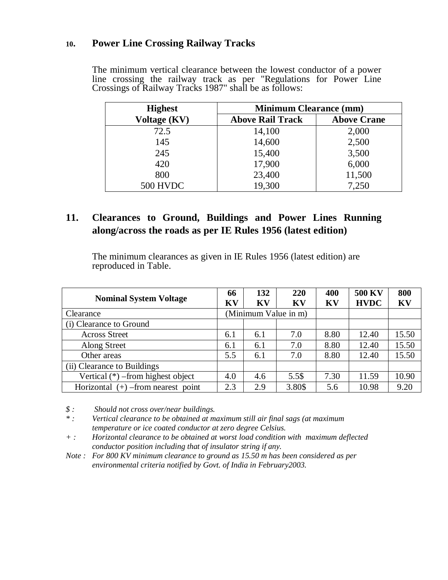#### **10. Power Line Crossing Railway Tracks**

The minimum vertical clearance between the lowest conductor of a power line crossing the railway track as per "Regulations for Power Line Crossings of Railway Tracks 1987" shall be as follows:

| <b>Highest</b>  | <b>Minimum Clearance (mm)</b> |                    |  |  |  |
|-----------------|-------------------------------|--------------------|--|--|--|
| Voltage (KV)    | <b>Above Rail Track</b>       | <b>Above Crane</b> |  |  |  |
| 72.5            | 14,100                        | 2,000              |  |  |  |
| 145             | 14,600                        | 2,500              |  |  |  |
| 245             | 15,400                        | 3,500              |  |  |  |
| 420             | 17,900                        | 6,000              |  |  |  |
| 800             | 23,400                        | 11,500             |  |  |  |
| <b>500 HVDC</b> | 19,300                        | 7,250              |  |  |  |

#### **11. Clearances to Ground, Buildings and Power Lines Running along/across the roads as per IE Rules 1956 (latest edition)**

The minimum clearances as given in IE Rules 1956 (latest edition) are reproduced in Table.

| <b>Nominal System Voltage</b>        | 66<br>KV             | 132<br>KV | 220<br>KV | 400<br>KV | <b>500 KV</b><br><b>HVDC</b> | 800<br>KV |
|--------------------------------------|----------------------|-----------|-----------|-----------|------------------------------|-----------|
| Clearance                            | (Minimum Value in m) |           |           |           |                              |           |
| (i) Clearance to Ground              |                      |           |           |           |                              |           |
| <b>Across Street</b>                 | 6.1                  | 6.1       | 7.0       | 8.80      | 12.40                        | 15.50     |
| Along Street                         | 6.1                  | 6.1       | 7.0       | 8.80      | 12.40                        | 15.50     |
| Other areas                          | 5.5                  | 6.1       | 7.0       | 8.80      | 12.40                        | 15.50     |
| (ii) Clearance to Buildings          |                      |           |           |           |                              |           |
| Vertical $(*)$ –from highest object  | 4.0                  | 4.6       | 5.5\$     | 7.30      | 11.59                        | 10.90     |
| Horizontal $(+)$ –from nearest point | 2.3                  | 2.9       | 3.80\$    | 5.6       | 10.98                        | 9.20      |

*\$ : Should not cross over/near buildings.* 

*\* : Vertical clearance to be obtained at maximum still air final sags (at maximum temperature or ice coated conductor at zero degree Celsius.* 

*+ : Horizontal clearance to be obtained at worst load condition with maximum deflected conductor position including that of insulator string if any.* 

*Note : For 800 KV minimum clearance to ground as 15.50 m has been considered as per environmental criteria notified by Govt. of India in February2003.*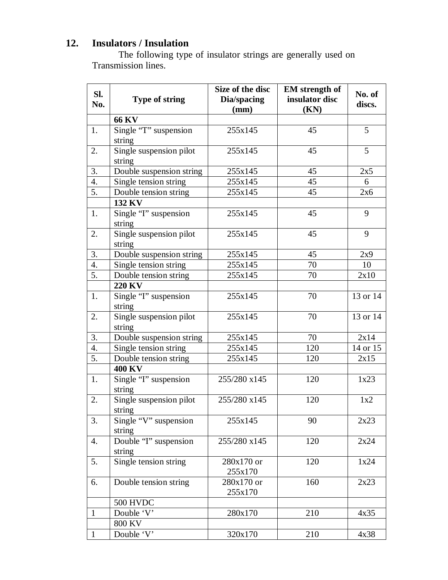# **12. Insulators / Insulation**

The following type of insulator strings are generally used on Transmission lines.

|                  |                          | Size of the disc | <b>EM</b> strength of |                  |  |
|------------------|--------------------------|------------------|-----------------------|------------------|--|
| SI.<br>No.       | <b>Type of string</b>    | Dia/spacing      | insulator disc        | No. of<br>discs. |  |
|                  |                          | (mm)             | (KN)                  |                  |  |
|                  | <b>66 KV</b>             |                  |                       |                  |  |
| 1.               | Single "T" suspension    | 255x145          | 45                    | 5                |  |
|                  | string                   |                  |                       |                  |  |
| 2.               | Single suspension pilot  | 255x145          | 45                    | 5                |  |
|                  | string                   |                  |                       |                  |  |
| 3.               | Double suspension string | 255x145          | 45                    | 2x5              |  |
| 4.               | Single tension string    | 255x145          | 45                    | 6                |  |
| 5.               | Double tension string    | 255x145          | 45                    | 2x6              |  |
|                  | 132 KV                   |                  |                       |                  |  |
| 1.               | Single "I" suspension    | 255x145          | 45                    | 9                |  |
|                  | string                   |                  |                       |                  |  |
| 2.               | Single suspension pilot  | 255x145          | 45                    | 9                |  |
|                  | string                   |                  |                       |                  |  |
| 3.               | Double suspension string | 255x145          | 45                    | 2x9              |  |
| 4.               | Single tension string    | 255x145          | 70                    | 10               |  |
| 5.               | Double tension string    | 255x145          | 70                    | 2x10             |  |
|                  | <b>220 KV</b>            |                  |                       |                  |  |
| 1.               | Single "I" suspension    | 255x145          | 70                    | 13 or 14         |  |
|                  | string                   |                  |                       |                  |  |
| 2.               | Single suspension pilot  | 255x145          | 70                    | 13 or 14         |  |
|                  | string                   |                  |                       |                  |  |
| 3.               | Double suspension string | 255x145          | 70                    | 2x14             |  |
| $\overline{4}$ . | Single tension string    | 255x145          | 120                   | 14 or 15         |  |
| 5.               | Double tension string    | 255x145          | 120                   | 2x15             |  |
|                  | <b>400 KV</b>            |                  |                       |                  |  |
| 1.               | Single "I" suspension    | 255/280 x145     | 120                   | 1x23             |  |
|                  | string                   |                  |                       |                  |  |
| 2.               | Single suspension pilot  | 255/280 x145     | 120                   | 1x2              |  |
|                  | string                   |                  |                       |                  |  |
| 3.               | Single "V" suspension    | 255x145          | 90                    | 2x23             |  |
|                  | string                   |                  |                       |                  |  |
| 4.               | Double "I" suspension    | 255/280 x145     | 120                   | 2x24             |  |
|                  | string                   |                  |                       |                  |  |
| 5.               | Single tension string    | 280x170 or       | 120                   | 1x24             |  |
|                  |                          | 255x170          |                       |                  |  |
| 6.               | Double tension string    | 280x170 or       | 160                   | 2x23             |  |
|                  |                          | 255x170          |                       |                  |  |
|                  | <b>500 HVDC</b>          |                  |                       |                  |  |
| $\mathbf{1}$     | Double 'V'               | 280x170          | 210                   | 4x35             |  |
|                  | <b>800 KV</b>            |                  |                       |                  |  |
| $\mathbf{1}$     | Double 'V'               | 320x170          | 210                   | 4x38             |  |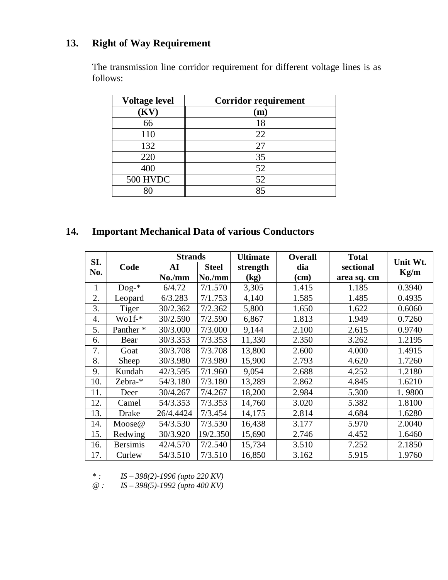# **13. Right of Way Requirement**

The transmission line corridor requirement for different voltage lines is as follows:

| <b>Voltage level</b> | <b>Corridor requirement</b> |
|----------------------|-----------------------------|
| $\bf (KV)$           | $\mathbf m$                 |
| 66                   | 18                          |
| 110                  | 22                          |
| 132                  | 27                          |
| 220                  | 35                          |
| 400                  | 52                          |
| <b>500 HVDC</b>      | 52                          |
|                      | 85                          |

# **14. Important Mechanical Data of various Conductors**

| SI. |                      | <b>Strands</b> |              | <b>Ultimate</b> | <b>Overall</b> | <b>Total</b> |          |
|-----|----------------------|----------------|--------------|-----------------|----------------|--------------|----------|
| No. | Code                 | AI             | <b>Steel</b> | strength        | dia            | sectional    | Unit Wt. |
|     |                      | No./mm         | No./mm       | (kg)            | $(cm)$         | area sq. cm  | Kg/m     |
| 1   | $\text{Dog-}*$       | 6/4.72         | 7/1.570      | 3,305           | 1.415          | 1.185        | 0.3940   |
| 2.  | Leopard              | 6/3.283        | 7/1.753      | 4,140           | 1.585          | 1.485        | 0.4935   |
| 3.  | Tiger                | 30/2.362       | 7/2.362      | 5,800           | 1.650          | 1.622        | 0.6060   |
| 4.  | $Wolf*$              | 30/2.590       | 7/2.590      | 6,867           | 1.813          | 1.949        | 0.7260   |
| 5.  | Panther <sup>*</sup> | 30/3.000       | 7/3.000      | 9,144           | 2.100          | 2.615        | 0.9740   |
| 6.  | Bear                 | 30/3.353       | 7/3.353      | 11,330          | 2.350          | 3.262        | 1.2195   |
| 7.  | Goat                 | 30/3.708       | 7/3.708      | 13,800          | 2.600          | 4.000        | 1.4915   |
| 8.  | Sheep                | 30/3.980       | 7/3.980      | 15,900          | 2.793          | 4.620        | 1.7260   |
| 9.  | Kundah               | 42/3.595       | 7/1.960      | 9,054           | 2.688          | 4.252        | 1.2180   |
| 10. | Zebra-*              | 54/3.180       | 7/3.180      | 13,289          | 2.862          | 4.845        | 1.6210   |
| 11. | Deer                 | 30/4.267       | 7/4.267      | 18,200          | 2.984          | 5.300        | 1.9800   |
| 12. | Camel                | 54/3.353       | 7/3.353      | 14,760          | 3.020          | 5.382        | 1.8100   |
| 13. | Drake                | 26/4.4424      | 7/3.454      | 14,175          | 2.814          | 4.684        | 1.6280   |
| 14. | Moose@               | 54/3.530       | 7/3.530      | 16,438          | 3.177          | 5.970        | 2.0040   |
| 15. | Redwing              | 30/3.920       | 19/2.350     | 15,690          | 2.746          | 4.452        | 1.6460   |
| 16. | <b>Bersimis</b>      | 42/4.570       | 7/2.540      | 15,734          | 3.510          | 7.252        | 2.1850   |
| 17. | Curlew               | 54/3.510       | 7/3.510      | 16,850          | 3.162          | 5.915        | 1.9760   |

*\* : IS – 398(2)-1996 (upto 220 KV)*

*@ : IS – 398(5)-1992 (upto 400 KV)*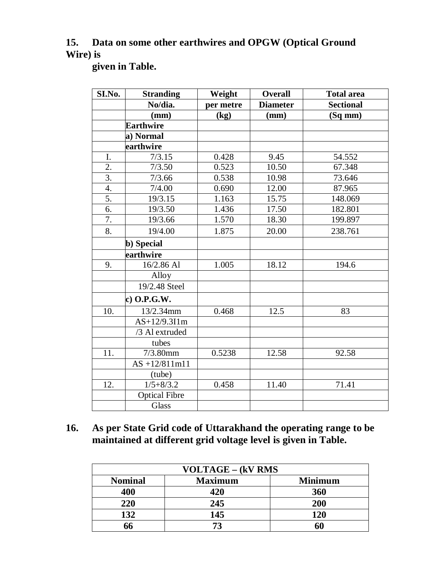# **15. Data on some other earthwires and OPGW (Optical Ground Wire) is**

**given in Table.**

| SI.No.           | <b>Stranding</b>     | Weight    | <b>Overall</b>  | <b>Total area</b> |
|------------------|----------------------|-----------|-----------------|-------------------|
|                  | No/dia.              | per metre | <b>Diameter</b> | <b>Sectional</b>  |
|                  | (mm)                 | (kg)      | (mm)            | $(Sq$ mm $)$      |
|                  | <b>Earthwire</b>     |           |                 |                   |
|                  | a) Normal            |           |                 |                   |
|                  | earthwire            |           |                 |                   |
| I.               | 7/3.15               | 0.428     | 9.45            | 54.552            |
| 2.               | 7/3.50               | 0.523     | 10.50           | 67.348            |
| $\overline{3}$ . | 7/3.66               | 0.538     | 10.98           | 73.646            |
| 4.               | 7/4.00               | 0.690     | 12.00           | 87.965            |
| 5.               | 19/3.15              | 1.163     | 15.75           | 148.069           |
| 6.               | 19/3.50              | 1.436     | 17.50           | 182.801           |
| 7.               | 19/3.66              | 1.570     | 18.30           | 199.897           |
| 8.               | 19/4.00              | 1.875     | 20.00           | 238.761           |
|                  | b) Special           |           |                 |                   |
|                  | earthwire            |           |                 |                   |
| 9.               | 16/2.86 Al           | 1.005     | 18.12           | 194.6             |
|                  | Alloy                |           |                 |                   |
|                  | 19/2.48 Steel        |           |                 |                   |
|                  | c) $O.P.G.W.$        |           |                 |                   |
| 10.              | 13/2.34mm            | 0.468     | 12.5            | 83                |
|                  | AS+12/9.3I1m         |           |                 |                   |
|                  | /3 Al extruded       |           |                 |                   |
|                  | tubes                |           |                 |                   |
| 11.              | $7/3.80$ mm          | 0.5238    | 12.58           | 92.58             |
|                  | $AS +12/811m11$      |           |                 |                   |
|                  | (tube)               |           |                 |                   |
| 12.              | $1/5 + 8/3.2$        | 0.458     | 11.40           | 71.41             |
|                  | <b>Optical Fibre</b> |           |                 |                   |
|                  | Glass                |           |                 |                   |

### **16. As per State Grid code of Uttarakhand the operating range to be maintained at different grid voltage level is given in Table.**

| <b>VOLTAGE – (kV RMS</b> |                |                |  |  |
|--------------------------|----------------|----------------|--|--|
| <b>Nominal</b>           | <b>Maximum</b> | <b>Minimum</b> |  |  |
| 400                      | 420            | 360            |  |  |
| 220                      | 245            | 200            |  |  |
| 132                      | 145            | <b>120</b>     |  |  |
| 66                       | 73             |                |  |  |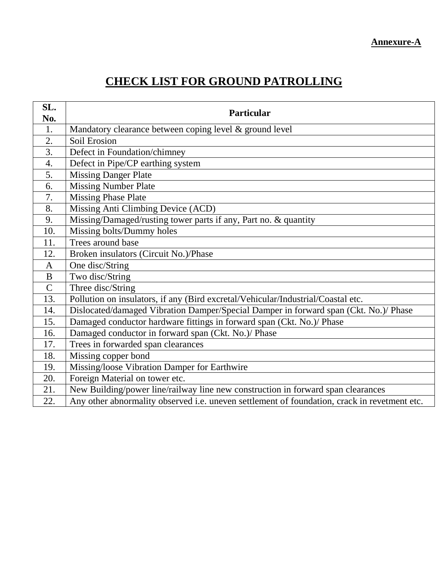#### **Annexure-A**

# **CHECK LIST FOR GROUND PATROLLING**

| SL.<br>No.   | <b>Particular</b>                                                                            |
|--------------|----------------------------------------------------------------------------------------------|
| 1.           | Mandatory clearance between coping level & ground level                                      |
| 2.           | Soil Erosion                                                                                 |
| 3.           | Defect in Foundation/chimney                                                                 |
| 4.           | Defect in Pipe/CP earthing system                                                            |
| 5.           | <b>Missing Danger Plate</b>                                                                  |
| 6.           | <b>Missing Number Plate</b>                                                                  |
| 7.           | <b>Missing Phase Plate</b>                                                                   |
| 8.           | Missing Anti Climbing Device (ACD)                                                           |
| 9.           | Missing/Damaged/rusting tower parts if any, Part no. & quantity                              |
| 10.          | Missing bolts/Dummy holes                                                                    |
| 11.          | Trees around base                                                                            |
| 12.          | Broken insulators (Circuit No.)/Phase                                                        |
| $\mathbf{A}$ | One disc/String                                                                              |
| B            | Two disc/String                                                                              |
| $\mathbf C$  | Three disc/String                                                                            |
| 13.          | Pollution on insulators, if any (Bird excretal/Vehicular/Industrial/Coastal etc.             |
| 14.          | Dislocated/damaged Vibration Damper/Special Damper in forward span (Ckt. No.)/ Phase         |
| 15.          | Damaged conductor hardware fittings in forward span (Ckt. No.)/ Phase                        |
| 16.          | Damaged conductor in forward span (Ckt. No.)/ Phase                                          |
| 17.          | Trees in forwarded span clearances                                                           |
| 18.          | Missing copper bond                                                                          |
| 19.          | Missing/loose Vibration Damper for Earthwire                                                 |
| 20.          | Foreign Material on tower etc.                                                               |
| 21.          | New Building/power line/railway line new construction in forward span clearances             |
| 22.          | Any other abnormality observed i.e. uneven settlement of foundation, crack in revetment etc. |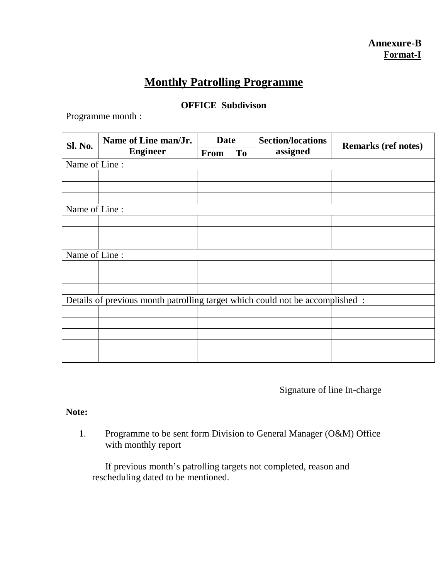# **Monthly Patrolling Programme**

#### **OFFICE Subdivison**

Programme month :

| Sl. No.       | Name of Line man/Jr.                                                          | <b>Date</b> |           | <b>Section/locations</b> | <b>Remarks (ref notes)</b> |
|---------------|-------------------------------------------------------------------------------|-------------|-----------|--------------------------|----------------------------|
|               | <b>Engineer</b>                                                               | From        | <b>To</b> | assigned                 |                            |
| Name of Line: |                                                                               |             |           |                          |                            |
|               |                                                                               |             |           |                          |                            |
|               |                                                                               |             |           |                          |                            |
|               |                                                                               |             |           |                          |                            |
| Name of Line: |                                                                               |             |           |                          |                            |
|               |                                                                               |             |           |                          |                            |
|               |                                                                               |             |           |                          |                            |
|               |                                                                               |             |           |                          |                            |
| Name of Line: |                                                                               |             |           |                          |                            |
|               |                                                                               |             |           |                          |                            |
|               |                                                                               |             |           |                          |                            |
|               |                                                                               |             |           |                          |                            |
|               | Details of previous month patrolling target which could not be accomplished : |             |           |                          |                            |
|               |                                                                               |             |           |                          |                            |
|               |                                                                               |             |           |                          |                            |
|               |                                                                               |             |           |                          |                            |
|               |                                                                               |             |           |                          |                            |
|               |                                                                               |             |           |                          |                            |

Signature of line In-charge

#### **Note:**

1. Programme to be sent form Division to General Manager (O&M) Office with monthly report

If previous month's patrolling targets not completed, reason and rescheduling dated to be mentioned.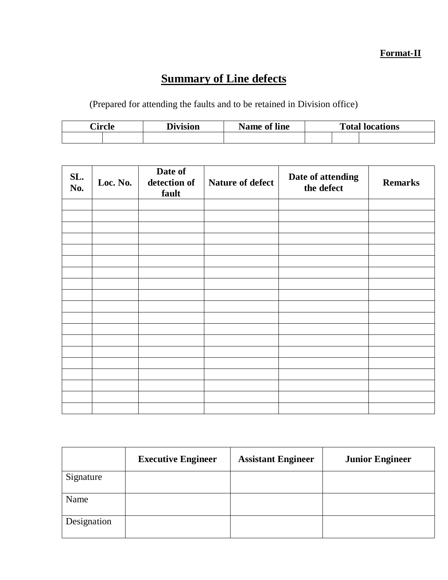# **Format-II**

# **Summary of Line defects**

(Prepared for attending the faults and to be retained in Division office)

| Circle | <b>Division</b> | Name of line | <b>Total locations</b> |  |  |  |
|--------|-----------------|--------------|------------------------|--|--|--|
|        |                 |              |                        |  |  |  |

| SL.<br>No. | Loc. No. | Date of<br>detection of<br>fault | <b>Nature of defect</b> | Date of attending<br>the defect | <b>Remarks</b> |
|------------|----------|----------------------------------|-------------------------|---------------------------------|----------------|
|            |          |                                  |                         |                                 |                |
|            |          |                                  |                         |                                 |                |
|            |          |                                  |                         |                                 |                |
|            |          |                                  |                         |                                 |                |
|            |          |                                  |                         |                                 |                |
|            |          |                                  |                         |                                 |                |
|            |          |                                  |                         |                                 |                |
|            |          |                                  |                         |                                 |                |
|            |          |                                  |                         |                                 |                |
|            |          |                                  |                         |                                 |                |
|            |          |                                  |                         |                                 |                |
|            |          |                                  |                         |                                 |                |
|            |          |                                  |                         |                                 |                |
|            |          |                                  |                         |                                 |                |
|            |          |                                  |                         |                                 |                |
|            |          |                                  |                         |                                 |                |
|            |          |                                  |                         |                                 |                |
|            |          |                                  |                         |                                 |                |
|            |          |                                  |                         |                                 |                |

|             | <b>Executive Engineer</b> | <b>Assistant Engineer</b> | <b>Junior Engineer</b> |
|-------------|---------------------------|---------------------------|------------------------|
| Signature   |                           |                           |                        |
| Name        |                           |                           |                        |
| Designation |                           |                           |                        |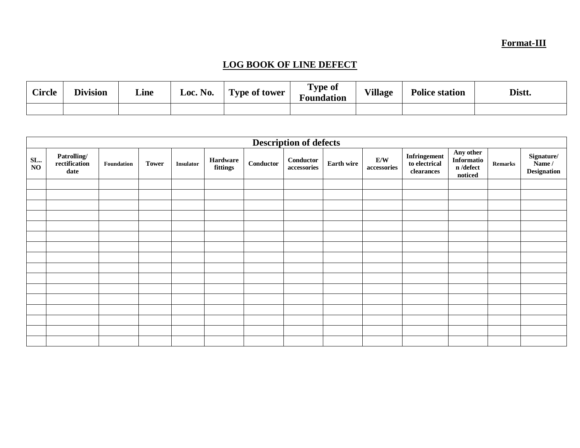### **Format-III**

# **LOG BOOK OF LINE DEFECT**

| <b>Circle</b> | <b>Division</b> | Line | Loc. No. | <b>Type of tower</b> | Type of<br>T.<br><b>Foundation</b> | <b>Village</b> | <b>Police station</b> | Distt. |
|---------------|-----------------|------|----------|----------------------|------------------------------------|----------------|-----------------------|--------|
|               |                 |      |          |                      |                                    |                |                       |        |

|           | <b>Description of defects</b>        |            |              |                  |                      |           |                          |                   |                    |                                             |                                                                 |                |                                            |
|-----------|--------------------------------------|------------|--------------|------------------|----------------------|-----------|--------------------------|-------------------|--------------------|---------------------------------------------|-----------------------------------------------------------------|----------------|--------------------------------------------|
| SL.<br>NO | Patrolling/<br>rectification<br>date | Foundation | <b>Tower</b> | <b>Insulator</b> | Hardware<br>fittings | Conductor | Conductor<br>accessories | <b>Earth wire</b> | E/W<br>accessories | Infringement<br>to electrical<br>clearances | Any other<br>Informatio<br>$\mathbf n$ /defect<br>$\bf noticed$ | <b>Remarks</b> | Signature/<br>Name /<br><b>Designation</b> |
|           |                                      |            |              |                  |                      |           |                          |                   |                    |                                             |                                                                 |                |                                            |
|           |                                      |            |              |                  |                      |           |                          |                   |                    |                                             |                                                                 |                |                                            |
|           |                                      |            |              |                  |                      |           |                          |                   |                    |                                             |                                                                 |                |                                            |
|           |                                      |            |              |                  |                      |           |                          |                   |                    |                                             |                                                                 |                |                                            |
|           |                                      |            |              |                  |                      |           |                          |                   |                    |                                             |                                                                 |                |                                            |
|           |                                      |            |              |                  |                      |           |                          |                   |                    |                                             |                                                                 |                |                                            |
|           |                                      |            |              |                  |                      |           |                          |                   |                    |                                             |                                                                 |                |                                            |
|           |                                      |            |              |                  |                      |           |                          |                   |                    |                                             |                                                                 |                |                                            |
|           |                                      |            |              |                  |                      |           |                          |                   |                    |                                             |                                                                 |                |                                            |
|           |                                      |            |              |                  |                      |           |                          |                   |                    |                                             |                                                                 |                |                                            |
|           |                                      |            |              |                  |                      |           |                          |                   |                    |                                             |                                                                 |                |                                            |
|           |                                      |            |              |                  |                      |           |                          |                   |                    |                                             |                                                                 |                |                                            |
|           |                                      |            |              |                  |                      |           |                          |                   |                    |                                             |                                                                 |                |                                            |
|           |                                      |            |              |                  |                      |           |                          |                   |                    |                                             |                                                                 |                |                                            |
|           |                                      |            |              |                  |                      |           |                          |                   |                    |                                             |                                                                 |                |                                            |
|           |                                      |            |              |                  |                      |           |                          |                   |                    |                                             |                                                                 |                |                                            |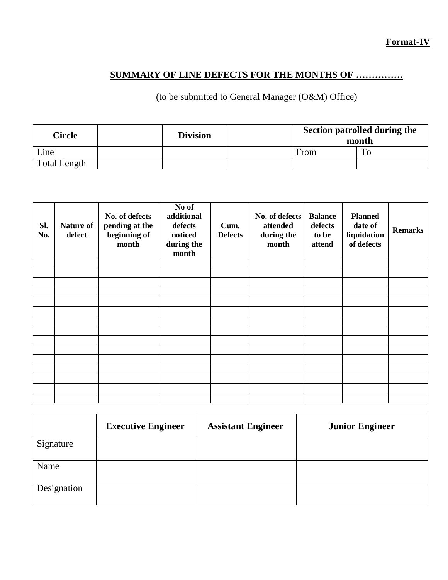### **Format-IV**

### **SUMMARY OF LINE DEFECTS FOR THE MONTHS OF ……………**

#### (to be submitted to General Manager (O&M) Office)

| <b>Circle</b>       | <b>Division</b> | Section patrolled during the<br>month |             |  |  |
|---------------------|-----------------|---------------------------------------|-------------|--|--|
| Line                |                 | From                                  | $T_{\rm O}$ |  |  |
| <b>Total Length</b> |                 |                                       |             |  |  |

| SI.<br>No. | Nature of<br>defect | No. of defects<br>pending at the<br>beginning of<br>month | No of<br>additional<br>defects<br>noticed<br>during the<br>month | Cum.<br><b>Defects</b> | No. of defects<br>attended<br>during the<br>month | <b>Balance</b><br>defects<br>to be<br>attend | <b>Planned</b><br>date of<br>liquidation<br>of defects | <b>Remarks</b> |
|------------|---------------------|-----------------------------------------------------------|------------------------------------------------------------------|------------------------|---------------------------------------------------|----------------------------------------------|--------------------------------------------------------|----------------|
|            |                     |                                                           |                                                                  |                        |                                                   |                                              |                                                        |                |
|            |                     |                                                           |                                                                  |                        |                                                   |                                              |                                                        |                |
|            |                     |                                                           |                                                                  |                        |                                                   |                                              |                                                        |                |
|            |                     |                                                           |                                                                  |                        |                                                   |                                              |                                                        |                |
|            |                     |                                                           |                                                                  |                        |                                                   |                                              |                                                        |                |
|            |                     |                                                           |                                                                  |                        |                                                   |                                              |                                                        |                |
|            |                     |                                                           |                                                                  |                        |                                                   |                                              |                                                        |                |
|            |                     |                                                           |                                                                  |                        |                                                   |                                              |                                                        |                |
|            |                     |                                                           |                                                                  |                        |                                                   |                                              |                                                        |                |
|            |                     |                                                           |                                                                  |                        |                                                   |                                              |                                                        |                |
|            |                     |                                                           |                                                                  |                        |                                                   |                                              |                                                        |                |
|            |                     |                                                           |                                                                  |                        |                                                   |                                              |                                                        |                |
|            |                     |                                                           |                                                                  |                        |                                                   |                                              |                                                        |                |
|            |                     |                                                           |                                                                  |                        |                                                   |                                              |                                                        |                |
|            |                     |                                                           |                                                                  |                        |                                                   |                                              |                                                        |                |

|             | <b>Executive Engineer</b> | <b>Assistant Engineer</b> | <b>Junior Engineer</b> |
|-------------|---------------------------|---------------------------|------------------------|
| Signature   |                           |                           |                        |
| Name        |                           |                           |                        |
| Designation |                           |                           |                        |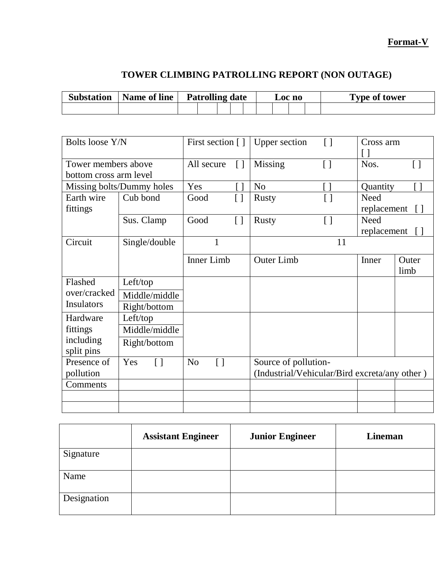### **Format-V**

# **TOWER CLIMBING PATROLLING REPORT (NON OUTAGE)**

| <b>Substation</b> | Name of line | <b>Patrolling date</b> |  |  | $\boldsymbol{\mathsf{\scriptstyle{LOC}}\text{ no}}$ |  |  |  | <b>Type of tower</b> |  |
|-------------------|--------------|------------------------|--|--|-----------------------------------------------------|--|--|--|----------------------|--|
|                   |              |                        |  |  |                                                     |  |  |  |                      |  |

| <b>Bolts loose Y/N</b>                        |                           | First section []                     |                    | <b>Upper section</b>                                                  | $\overline{1}$     | Cross arm                  |                    |
|-----------------------------------------------|---------------------------|--------------------------------------|--------------------|-----------------------------------------------------------------------|--------------------|----------------------------|--------------------|
| Tower members above<br>bottom cross arm level |                           | All secure                           | $\lceil$           | Missing                                                               | $\left[ \ \right]$ | Nos.                       | $\left[ \ \right]$ |
|                                               | Missing bolts/Dummy holes | Yes                                  |                    | N <sub>o</sub>                                                        |                    | Quantity                   |                    |
| Earth wire<br>fittings                        | Cub bond                  | Good                                 | $\left[ \ \right]$ | <b>Rusty</b>                                                          | $[ \ ]$            | Need<br>replacement        | ΙI                 |
|                                               | Sus. Clamp                | Good                                 | $\left[ \ \right]$ | <b>Rusty</b>                                                          | $\left[ \ \right]$ | <b>Need</b><br>replacement |                    |
| Circuit                                       | Single/double             | 1                                    |                    |                                                                       | 11                 |                            |                    |
|                                               |                           | Inner Limb                           |                    | Outer Limb                                                            |                    | Inner                      | Outer<br>limb      |
| Flashed                                       | Left/top                  |                                      |                    |                                                                       |                    |                            |                    |
| over/cracked                                  | Middle/middle             |                                      |                    |                                                                       |                    |                            |                    |
| <b>Insulators</b>                             | Right/bottom              |                                      |                    |                                                                       |                    |                            |                    |
| Hardware                                      | Left/top                  |                                      |                    |                                                                       |                    |                            |                    |
| fittings                                      | Middle/middle             |                                      |                    |                                                                       |                    |                            |                    |
| including<br>split pins                       | Right/bottom              |                                      |                    |                                                                       |                    |                            |                    |
| Presence of<br>pollution                      | Yes<br>$\left[ \ \right]$ | N <sub>0</sub><br>$\left[ \ \right]$ |                    | Source of pollution-<br>(Industrial/Vehicular/Bird excreta/any other) |                    |                            |                    |
| Comments                                      |                           |                                      |                    |                                                                       |                    |                            |                    |
|                                               |                           |                                      |                    |                                                                       |                    |                            |                    |
|                                               |                           |                                      |                    |                                                                       |                    |                            |                    |

|             | <b>Assistant Engineer</b> | <b>Junior Engineer</b> | Lineman |
|-------------|---------------------------|------------------------|---------|
| Signature   |                           |                        |         |
| Name        |                           |                        |         |
| Designation |                           |                        |         |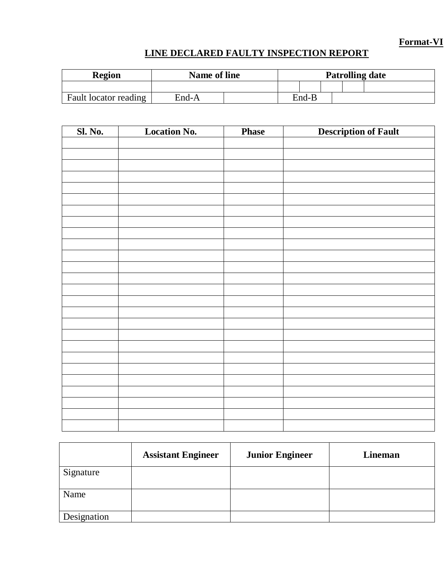### **Format-VI**

# **LINE DECLARED FAULTY INSPECTION REPORT**

| <b>Region</b>         | <b>Name of line</b> |  |       | <b>Patrolling date</b> |  |
|-----------------------|---------------------|--|-------|------------------------|--|
|                       |                     |  |       |                        |  |
| Fault locator reading | End-A               |  | End-B |                        |  |

| <b>Sl. No.</b> | <b>Location No.</b> | <b>Phase</b> | <b>Description of Fault</b> |
|----------------|---------------------|--------------|-----------------------------|
|                |                     |              |                             |
|                |                     |              |                             |
|                |                     |              |                             |
|                |                     |              |                             |
|                |                     |              |                             |
|                |                     |              |                             |
|                |                     |              |                             |
|                |                     |              |                             |
|                |                     |              |                             |
|                |                     |              |                             |
|                |                     |              |                             |
|                |                     |              |                             |
|                |                     |              |                             |
|                |                     |              |                             |
|                |                     |              |                             |
|                |                     |              |                             |
|                |                     |              |                             |
|                |                     |              |                             |
|                |                     |              |                             |
|                |                     |              |                             |
|                |                     |              |                             |
|                |                     |              |                             |
|                |                     |              |                             |
|                |                     |              |                             |

|             | <b>Assistant Engineer</b> | <b>Junior Engineer</b> | Lineman |
|-------------|---------------------------|------------------------|---------|
| Signature   |                           |                        |         |
| Name        |                           |                        |         |
| Designation |                           |                        |         |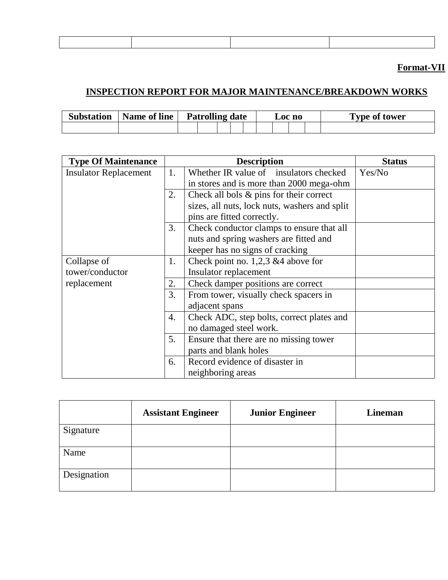# **Format-VII**

### **INSPECTION REPORT FOR MAJOR MAINTENANCE/BREAKDOWN WORKS**

| <b>Substation</b> | Name of line | <b>Patrolling date</b> |  | LOC NO |  | <b>Type of tower</b> |  |  |  |  |
|-------------------|--------------|------------------------|--|--------|--|----------------------|--|--|--|--|
|                   |              |                        |  |        |  |                      |  |  |  |  |

| <b>Type Of Maintenance</b>   |    | <b>Description</b>                            | <b>Status</b> |
|------------------------------|----|-----------------------------------------------|---------------|
| <b>Insulator Replacement</b> | 1. | Whether IR value of insulators checked        | Yes/No        |
|                              |    | in stores and is more than 2000 mega-ohm      |               |
|                              | 2. | Check all bols & pins for their correct       |               |
|                              |    | sizes, all nuts, lock nuts, washers and split |               |
|                              |    | pins are fitted correctly.                    |               |
|                              | 3. | Check conductor clamps to ensure that all     |               |
|                              |    | nuts and spring washers are fitted and        |               |
|                              |    | keeper has no signs of cracking               |               |
| Collapse of                  | 1. | Check point no. 1,2,3 & 4 above for           |               |
| tower/conductor              |    | Insulator replacement                         |               |
| replacement                  | 2. | Check damper positions are correct            |               |
|                              | 3. | From tower, visually check spacers in         |               |
|                              |    | adjacent spans                                |               |
|                              | 4. | Check ADC, step bolts, correct plates and     |               |
|                              |    | no damaged steel work.                        |               |
|                              | 5. | Ensure that there are no missing tower        |               |
|                              |    | parts and blank holes                         |               |
|                              | 6. | Record evidence of disaster in                |               |
|                              |    | neighboring areas                             |               |

|             | <b>Assistant Engineer</b> | <b>Junior Engineer</b> | Lineman |
|-------------|---------------------------|------------------------|---------|
| Signature   |                           |                        |         |
| Name        |                           |                        |         |
| Designation |                           |                        |         |